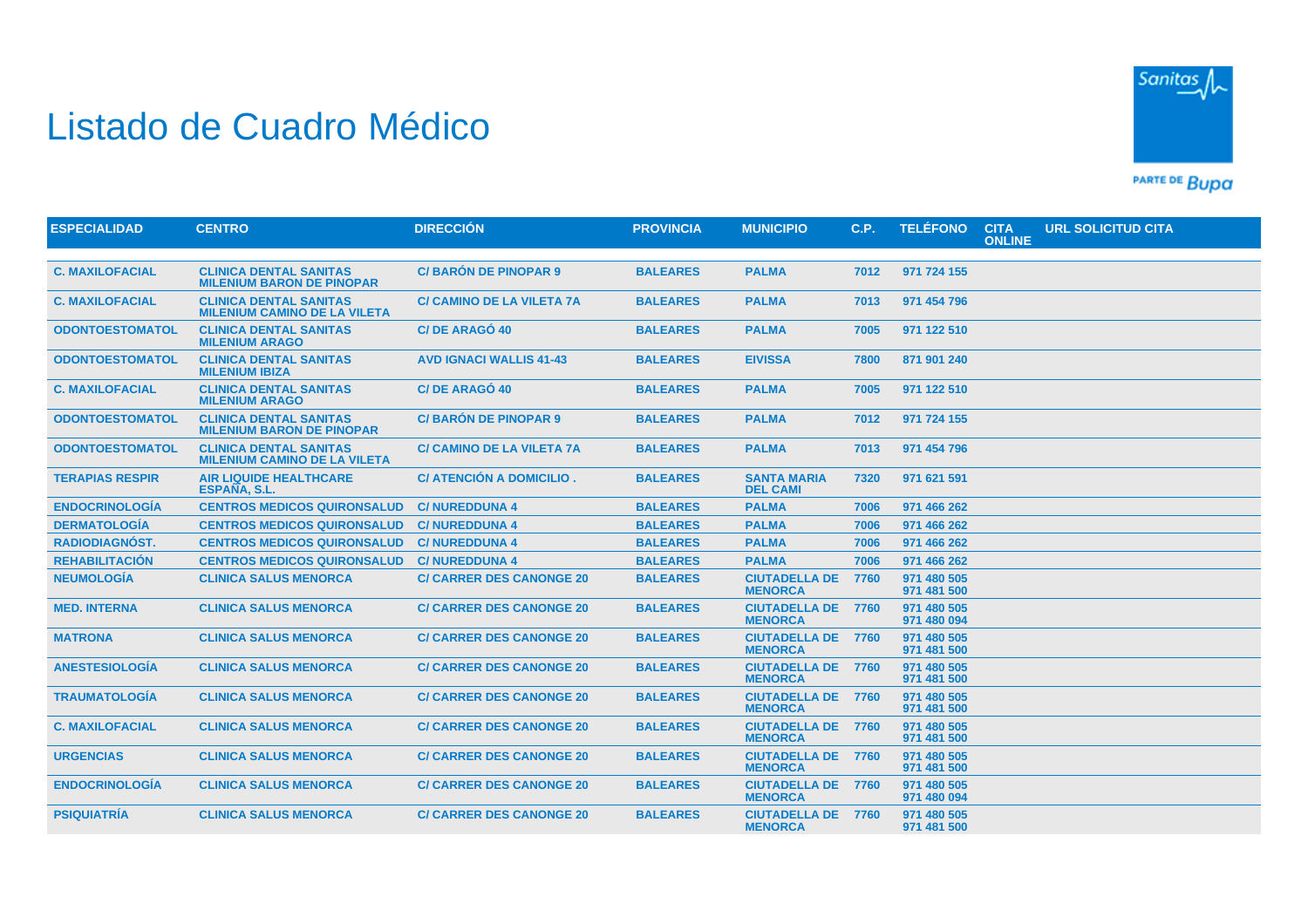## Listado de Cuadro Médico



PARTE DE BUDA

| <b>ESPECIALIDAD</b>    | <b>CENTRO</b>                                                        | <b>DIRECCIÓN</b>                 | <b>PROVINCIA</b> | <b>MUNICIPIO</b>                            | C.P. | <b>TELÉFONO</b>            | <b>CITA</b><br><b>ONLINE</b> | <b>URL SOLICITUD CITA</b> |  |
|------------------------|----------------------------------------------------------------------|----------------------------------|------------------|---------------------------------------------|------|----------------------------|------------------------------|---------------------------|--|
|                        |                                                                      |                                  |                  |                                             |      |                            |                              |                           |  |
| <b>C. MAXILOFACIAL</b> | <b>CLINICA DENTAL SANITAS</b><br><b>MILENIUM BARON DE PINOPAR</b>    | <b>C/BARÓN DE PINOPAR 9</b>      | <b>BALEARES</b>  | <b>PALMA</b>                                | 7012 | 971 724 155                |                              |                           |  |
| <b>C. MAXILOFACIAL</b> | <b>CLINICA DENTAL SANITAS</b><br><b>MILENIUM CAMINO DE LA VILETA</b> | <b>C/ CAMINO DE LA VILETA 7A</b> | <b>BALEARES</b>  | <b>PALMA</b>                                | 7013 | 971 454 796                |                              |                           |  |
| <b>ODONTOESTOMATOL</b> | <b>CLINICA DENTAL SANITAS</b><br><b>MILENIUM ARAGO</b>               | C/DE ARAGÓ 40                    | <b>BALEARES</b>  | <b>PALMA</b>                                | 7005 | 971 122 510                |                              |                           |  |
| <b>ODONTOESTOMATOL</b> | <b>CLINICA DENTAL SANITAS</b><br><b>MILENIUM IBIZA</b>               | <b>AVD IGNACI WALLIS 41-43</b>   | <b>BALEARES</b>  | <b>EIVISSA</b>                              | 7800 | 871 901 240                |                              |                           |  |
| <b>C. MAXILOFACIAL</b> | <b>CLINICA DENTAL SANITAS</b><br><b>MILENIUM ARAGO</b>               | C/DE ARAGÓ 40                    | <b>BALEARES</b>  | <b>PALMA</b>                                | 7005 | 971 122 510                |                              |                           |  |
| <b>ODONTOESTOMATOL</b> | <b>CLINICA DENTAL SANITAS</b><br><b>MILENIUM BARON DE PINOPAR</b>    | <b>C/BARÓN DE PINOPAR 9</b>      | <b>BALEARES</b>  | <b>PALMA</b>                                | 7012 | 971 724 155                |                              |                           |  |
| <b>ODONTOESTOMATOL</b> | <b>CLINICA DENTAL SANITAS</b><br><b>MILENIUM CAMINO DE LA VILETA</b> | <b>C/ CAMINO DE LA VILETA 7A</b> | <b>BALEARES</b>  | <b>PALMA</b>                                | 7013 | 971 454 796                |                              |                           |  |
| <b>TERAPIAS RESPIR</b> | <b>AIR LIQUIDE HEALTHCARE</b><br>ESPAÑA, S.L.                        | C/ ATENCIÓN A DOMICILIO.         | <b>BALEARES</b>  | <b>SANTA MARIA</b><br><b>DEL CAMI</b>       | 7320 | 971 621 591                |                              |                           |  |
| <b>ENDOCRINOLOGÍA</b>  | <b>CENTROS MEDICOS QUIRONSALUD</b>                                   | <b>C/NUREDDUNA 4</b>             | <b>BALEARES</b>  | <b>PALMA</b>                                | 7006 | 971 466 262                |                              |                           |  |
| <b>DERMATOLOGÍA</b>    | <b>CENTROS MEDICOS QUIRONSALUD</b>                                   | <b>C/NUREDDUNA 4</b>             | <b>BALEARES</b>  | <b>PALMA</b>                                | 7006 | 971 466 262                |                              |                           |  |
| <b>RADIODIAGNÓST.</b>  | <b>CENTROS MEDICOS QUIRONSALUD</b>                                   | <b>C/NUREDDUNA 4</b>             | <b>BALEARES</b>  | <b>PALMA</b>                                | 7006 | 971 466 262                |                              |                           |  |
| <b>REHABILITACIÓN</b>  | <b>CENTROS MEDICOS QUIRONSALUD</b>                                   | <b>C/NUREDDUNA 4</b>             | <b>BALEARES</b>  | <b>PALMA</b>                                | 7006 | 971 466 262                |                              |                           |  |
| <b>NEUMOLOGÍA</b>      | <b>CLINICA SALUS MENORCA</b>                                         | <b>C/ CARRER DES CANONGE 20</b>  | <b>BALEARES</b>  | <b>CIUTADELLA DE</b><br><b>MENORCA</b>      | 7760 | 971 480 505<br>971 481 500 |                              |                           |  |
| <b>MED. INTERNA</b>    | <b>CLINICA SALUS MENORCA</b>                                         | <b>C/ CARRER DES CANONGE 20</b>  | <b>BALEARES</b>  | <b>CIUTADELLA DE</b><br><b>MENORCA</b>      | 7760 | 971 480 505<br>971 480 094 |                              |                           |  |
| <b>MATRONA</b>         | <b>CLINICA SALUS MENORCA</b>                                         | <b>C/ CARRER DES CANONGE 20</b>  | <b>BALEARES</b>  | <b>CIUTADELLA DE 7760</b><br><b>MENORCA</b> |      | 971 480 505<br>971 481 500 |                              |                           |  |
| <b>ANESTESIOLOGÍA</b>  | <b>CLINICA SALUS MENORCA</b>                                         | <b>C/ CARRER DES CANONGE 20</b>  | <b>BALEARES</b>  | <b>CIUTADELLA DE 7760</b><br><b>MENORCA</b> |      | 971 480 505<br>971 481 500 |                              |                           |  |
| <b>TRAUMATOLOGÍA</b>   | <b>CLINICA SALUS MENORCA</b>                                         | <b>C/ CARRER DES CANONGE 20</b>  | <b>BALEARES</b>  | <b>CIUTADELLA DE 7760</b><br><b>MENORCA</b> |      | 971 480 505<br>971 481 500 |                              |                           |  |
| <b>C. MAXILOFACIAL</b> | <b>CLINICA SALUS MENORCA</b>                                         | <b>C/ CARRER DES CANONGE 20</b>  | <b>BALEARES</b>  | <b>CIUTADELLA DE 7760</b><br><b>MENORCA</b> |      | 971 480 505<br>971 481 500 |                              |                           |  |
| <b>URGENCIAS</b>       | <b>CLINICA SALUS MENORCA</b>                                         | <b>C/ CARRER DES CANONGE 20</b>  | <b>BALEARES</b>  | <b>CIUTADELLA DE</b><br><b>MENORCA</b>      | 7760 | 971 480 505<br>971 481 500 |                              |                           |  |
| <b>ENDOCRINOLOGÍA</b>  | <b>CLINICA SALUS MENORCA</b>                                         | <b>C/ CARRER DES CANONGE 20</b>  | <b>BALEARES</b>  | <b>CIUTADELLA DE 7760</b><br><b>MENORCA</b> |      | 971 480 505<br>971 480 094 |                              |                           |  |
| <b>PSIQUIATRIA</b>     | <b>CLINICA SALUS MENORCA</b>                                         | <b>C/ CARRER DES CANONGE 20</b>  | <b>BALEARES</b>  | <b>CIUTADELLA DE 7760</b><br><b>MENORCA</b> |      | 971 480 505<br>971 481 500 |                              |                           |  |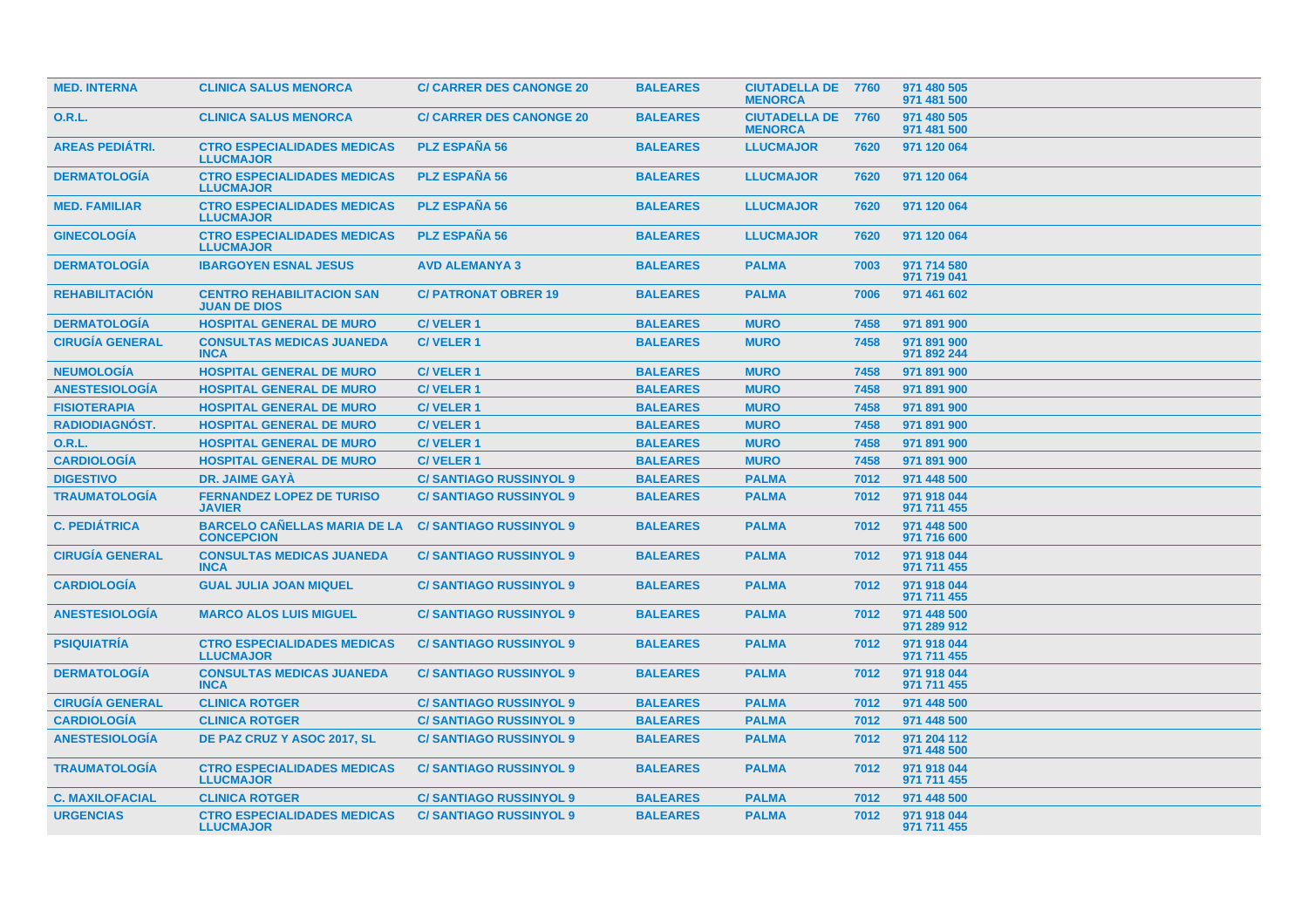| <b>MED. INTERNA</b>    | <b>CLINICA SALUS MENORCA</b>                             | <b>C/ CARRER DES CANONGE 20</b> | <b>BALEARES</b> | <b>CIUTADELLA DE 7760</b><br><b>MENORCA</b> |      | 971 480 505<br>971 481 500 |
|------------------------|----------------------------------------------------------|---------------------------------|-----------------|---------------------------------------------|------|----------------------------|
| 0.R.L.                 | <b>CLINICA SALUS MENORCA</b>                             | <b>C/ CARRER DES CANONGE 20</b> | <b>BALEARES</b> | <b>CIUTADELLA DE 7760</b><br><b>MENORCA</b> |      | 971 480 505<br>971 481 500 |
| <b>AREAS PEDIÁTRI.</b> | <b>CTRO ESPECIALIDADES MEDICAS</b><br><b>LLUCMAJOR</b>   | <b>PLZ ESPAÑA 56</b>            | <b>BALEARES</b> | <b>LLUCMAJOR</b>                            | 7620 | 971 120 064                |
| <b>DERMATOLOGÍA</b>    | <b>CTRO ESPECIALIDADES MEDICAS</b><br><b>LLUCMAJOR</b>   | <b>PLZ ESPAÑA 56</b>            | <b>BALEARES</b> | <b>LLUCMAJOR</b>                            | 7620 | 971 120 064                |
| <b>MED. FAMILIAR</b>   | <b>CTRO ESPECIALIDADES MEDICAS</b><br><b>LLUCMAJOR</b>   | <b>PLZ ESPAÑA 56</b>            | <b>BALEARES</b> | <b>LLUCMAJOR</b>                            | 7620 | 971 120 064                |
| <b>GINECOLOGÍA</b>     | <b>CTRO ESPECIALIDADES MEDICAS</b><br><b>LLUCMAJOR</b>   | <b>PLZ ESPAÑA 56</b>            | <b>BALEARES</b> | <b>LLUCMAJOR</b>                            | 7620 | 971 120 064                |
| <b>DERMATOLOGÍA</b>    | <b>IBARGOYEN ESNAL JESUS</b>                             | <b>AVD ALEMANYA 3</b>           | <b>BALEARES</b> | <b>PALMA</b>                                | 7003 | 971 714 580<br>971 719 041 |
| <b>REHABILITACIÓN</b>  | <b>CENTRO REHABILITACION SAN</b><br><b>JUAN DE DIOS</b>  | <b>C/ PATRONAT OBRER 19</b>     | <b>BALEARES</b> | <b>PALMA</b>                                | 7006 | 971 461 602                |
| <b>DERMATOLOGÍA</b>    | <b>HOSPITAL GENERAL DE MURO</b>                          | <b>C/VELER1</b>                 | <b>BALEARES</b> | <b>MURO</b>                                 | 7458 | 971 891 900                |
| <b>CIRUGÍA GENERAL</b> | <b>CONSULTAS MEDICAS JUANEDA</b><br><b>INCA</b>          | <b>C/VELER1</b>                 | <b>BALEARES</b> | <b>MURO</b>                                 | 7458 | 971 891 900<br>971 892 244 |
| <b>NEUMOLOGÍA</b>      | <b>HOSPITAL GENERAL DE MURO</b>                          | <b>C/VELER1</b>                 | <b>BALEARES</b> | <b>MURO</b>                                 | 7458 | 971 891 900                |
| <b>ANESTESIOLOGIA</b>  | <b>HOSPITAL GENERAL DE MURO</b>                          | <b>C/VELER1</b>                 | <b>BALEARES</b> | <b>MURO</b>                                 | 7458 | 971 891 900                |
| <b>FISIOTERAPIA</b>    | <b>HOSPITAL GENERAL DE MURO</b>                          | <b>C/VELER1</b>                 | <b>BALEARES</b> | <b>MURO</b>                                 | 7458 | 971 891 900                |
| RADIODIAGNÓST.         | <b>HOSPITAL GENERAL DE MURO</b>                          | <b>C/VELER1</b>                 | <b>BALEARES</b> | <b>MURO</b>                                 | 7458 | 971 891 900                |
| O.R.L.                 | <b>HOSPITAL GENERAL DE MURO</b>                          | <b>C/VELER1</b>                 | <b>BALEARES</b> | <b>MURO</b>                                 | 7458 | 971 891 900                |
| <b>CARDIOLOGÍA</b>     | <b>HOSPITAL GENERAL DE MURO</b>                          | <b>C/VELER1</b>                 | <b>BALEARES</b> | <b>MURO</b>                                 | 7458 | 971 891 900                |
| <b>DIGESTIVO</b>       | <b>DR. JAIME GAYA</b>                                    | <b>C/SANTIAGO RUSSINYOL 9</b>   | <b>BALEARES</b> | <b>PALMA</b>                                | 7012 | 971 448 500                |
| <b>TRAUMATOLOGÍA</b>   | <b>FERNANDEZ LOPEZ DE TURISO</b><br><b>JAVIER</b>        | <b>C/SANTIAGO RUSSINYOL 9</b>   | <b>BALEARES</b> | <b>PALMA</b>                                | 7012 | 971 918 044<br>971 711 455 |
| <b>C. PEDIÁTRICA</b>   | <b>BARCELO CAÑELLAS MARIA DE LA</b><br><b>CONCEPCION</b> | <b>C/SANTIAGO RUSSINYOL 9</b>   | <b>BALEARES</b> | <b>PALMA</b>                                | 7012 | 971 448 500<br>971 716 600 |
| <b>CIRUGIA GENERAL</b> | <b>CONSULTAS MEDICAS JUANEDA</b><br><b>INCA</b>          | <b>C/SANTIAGO RUSSINYOL 9</b>   | <b>BALEARES</b> | <b>PALMA</b>                                | 7012 | 971 918 044<br>971 711 455 |
| <b>CARDIOLOGIA</b>     | <b>GUAL JULIA JOAN MIQUEL</b>                            | <b>C/SANTIAGO RUSSINYOL 9</b>   | <b>BALEARES</b> | <b>PALMA</b>                                | 7012 | 971 918 044<br>971 711 455 |
| <b>ANESTESIOLOGIA</b>  | <b>MARCO ALOS LUIS MIGUEL</b>                            | <b>C/SANTIAGO RUSSINYOL 9</b>   | <b>BALEARES</b> | <b>PALMA</b>                                | 7012 | 971 448 500<br>971 289 912 |
| <b>PSIQUIATRÍA</b>     | <b>CTRO ESPECIALIDADES MEDICAS</b><br><b>LLUCMAJOR</b>   | <b>C/SANTIAGO RUSSINYOL 9</b>   | <b>BALEARES</b> | <b>PALMA</b>                                | 7012 | 971 918 044<br>971 711 455 |
| <b>DERMATOLOGÍA</b>    | <b>CONSULTAS MEDICAS JUANEDA</b><br><b>INCA</b>          | <b>C/SANTIAGO RUSSINYOL 9</b>   | <b>BALEARES</b> | <b>PALMA</b>                                | 7012 | 971 918 044<br>971 711 455 |
| <b>CIRUGÍA GENERAL</b> | <b>CLINICA ROTGER</b>                                    | <b>C/SANTIAGO RUSSINYOL 9</b>   | <b>BALEARES</b> | <b>PALMA</b>                                | 7012 | 971 448 500                |
| <b>CARDIOLOGÍA</b>     | <b>CLINICA ROTGER</b>                                    | <b>C/SANTIAGO RUSSINYOL 9</b>   | <b>BALEARES</b> | <b>PALMA</b>                                | 7012 | 971 448 500                |
| <b>ANESTESIOLOGÍA</b>  | DE PAZ CRUZ Y ASOC 2017, SL                              | <b>C/SANTIAGO RUSSINYOL 9</b>   | <b>BALEARES</b> | <b>PALMA</b>                                | 7012 | 971 204 112<br>971 448 500 |
| <b>TRAUMATOLOGIA</b>   | <b>CTRO ESPECIALIDADES MEDICAS</b><br><b>LLUCMAJOR</b>   | <b>C/SANTIAGO RUSSINYOL 9</b>   | <b>BALEARES</b> | <b>PALMA</b>                                | 7012 | 971 918 044<br>971 711 455 |
| <b>C. MAXILOFACIAL</b> | <b>CLINICA ROTGER</b>                                    | <b>C/SANTIAGO RUSSINYOL 9</b>   | <b>BALEARES</b> | <b>PALMA</b>                                | 7012 | 971 448 500                |
| <b>URGENCIAS</b>       | <b>CTRO ESPECIALIDADES MEDICAS</b><br><b>LLUCMAJOR</b>   | <b>C/SANTIAGO RUSSINYOL 9</b>   | <b>BALEARES</b> | <b>PALMA</b>                                | 7012 | 971 918 044<br>971 711 455 |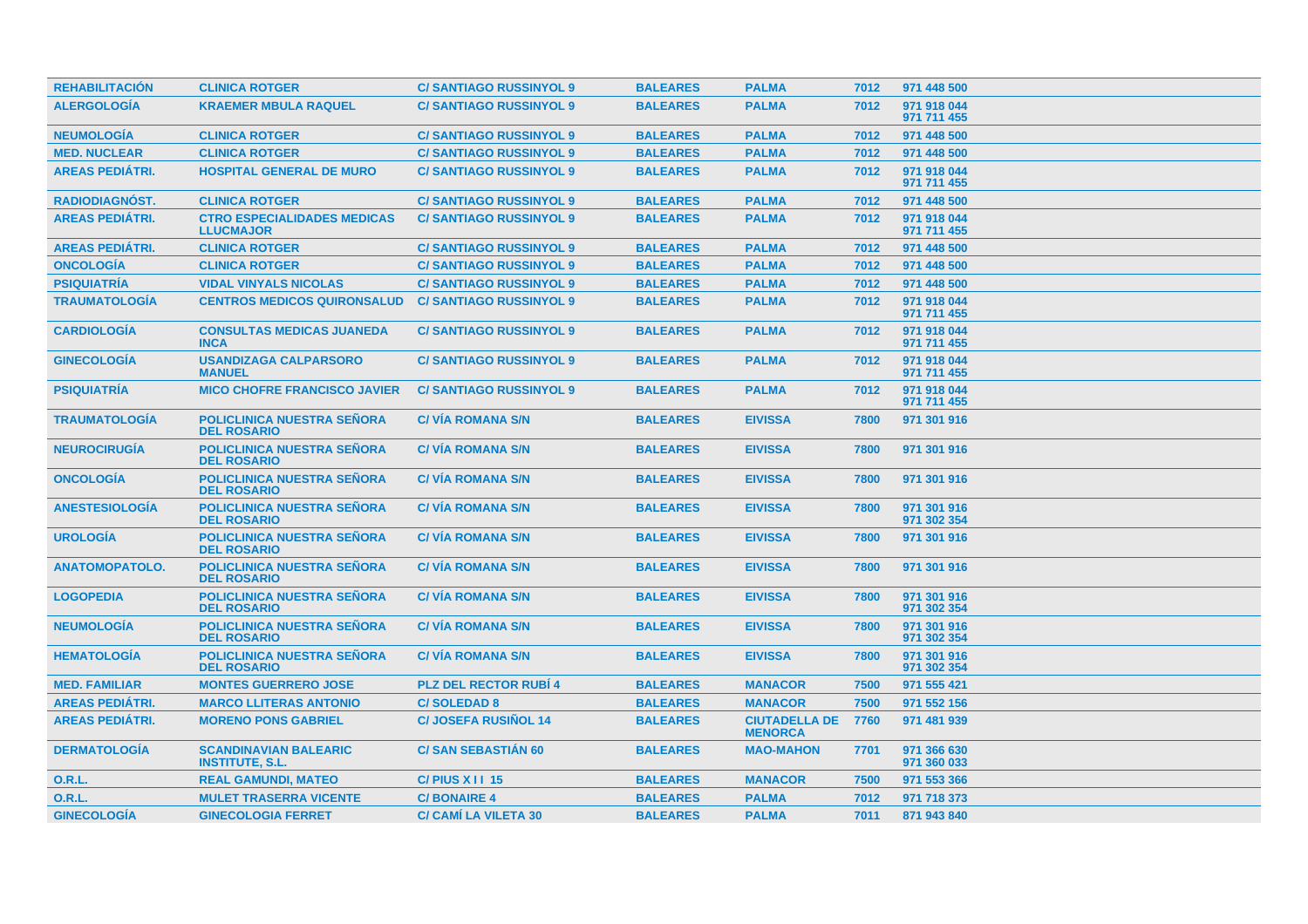| <b>REHABILITACION</b>  | <b>CLINICA ROTGER</b>                                   | <b>C/SANTIAGO RUSSINYOL 9</b> | <b>BALEARES</b> | <b>PALMA</b>                           | 7012 | 971 448 500                |
|------------------------|---------------------------------------------------------|-------------------------------|-----------------|----------------------------------------|------|----------------------------|
| <b>ALERGOLOGIA</b>     | <b>KRAEMER MBULA RAQUEL</b>                             | <b>C/SANTIAGO RUSSINYOL 9</b> | <b>BALEARES</b> | <b>PALMA</b>                           | 7012 | 971 918 044<br>971 711 455 |
| <b>NEUMOLOGÍA</b>      | <b>CLINICA ROTGER</b>                                   | <b>C/SANTIAGO RUSSINYOL 9</b> | <b>BALEARES</b> | <b>PALMA</b>                           | 7012 | 971 448 500                |
| <b>MED. NUCLEAR</b>    | <b>CLINICA ROTGER</b>                                   | <b>C/SANTIAGO RUSSINYOL 9</b> | <b>BALEARES</b> | <b>PALMA</b>                           | 7012 | 971 448 500                |
| <b>AREAS PEDIÁTRI.</b> | <b>HOSPITAL GENERAL DE MURO</b>                         | <b>C/SANTIAGO RUSSINYOL 9</b> | <b>BALEARES</b> | <b>PALMA</b>                           | 7012 | 971 918 044<br>971 711 455 |
| <b>RADIODIAGNÓST.</b>  | <b>CLINICA ROTGER</b>                                   | <b>C/SANTIAGO RUSSINYOL 9</b> | <b>BALEARES</b> | <b>PALMA</b>                           | 7012 | 971 448 500                |
| <b>AREAS PEDIÁTRI.</b> | <b>CTRO ESPECIALIDADES MEDICAS</b><br><b>LLUCMAJOR</b>  | <b>C/SANTIAGO RUSSINYOL 9</b> | <b>BALEARES</b> | <b>PALMA</b>                           | 7012 | 971 918 044<br>971 711 455 |
| <b>AREAS PEDIÁTRI.</b> | <b>CLINICA ROTGER</b>                                   | <b>C/SANTIAGO RUSSINYOL 9</b> | <b>BALEARES</b> | <b>PALMA</b>                           | 7012 | 971 448 500                |
| <b>ONCOLOGÍA</b>       | <b>CLINICA ROTGER</b>                                   | <b>C/SANTIAGO RUSSINYOL 9</b> | <b>BALEARES</b> | <b>PALMA</b>                           | 7012 | 971 448 500                |
| <b>PSIQUIATRÍA</b>     | <b>VIDAL VINYALS NICOLAS</b>                            | <b>C/SANTIAGO RUSSINYOL 9</b> | <b>BALEARES</b> | <b>PALMA</b>                           | 7012 | 971 448 500                |
| <b>TRAUMATOLOGÍA</b>   | <b>CENTROS MEDICOS QUIRONSALUD</b>                      | <b>C/SANTIAGO RUSSINYOL 9</b> | <b>BALEARES</b> | <b>PALMA</b>                           | 7012 | 971 918 044<br>971 711 455 |
| <b>CARDIOLOGÍA</b>     | <b>CONSULTAS MEDICAS JUANEDA</b><br><b>INCA</b>         | <b>C/SANTIAGO RUSSINYOL 9</b> | <b>BALEARES</b> | <b>PALMA</b>                           | 7012 | 971 918 044<br>971 711 455 |
| <b>GINECOLOGÍA</b>     | <b>USANDIZAGA CALPARSORO</b><br><b>MANUEL</b>           | <b>C/SANTIAGO RUSSINYOL 9</b> | <b>BALEARES</b> | <b>PALMA</b>                           | 7012 | 971 918 044<br>971 711 455 |
| <b>PSIQUIATRIA</b>     | <b>MICO CHOFRE FRANCISCO JAVIER</b>                     | <b>C/SANTIAGO RUSSINYOL 9</b> | <b>BALEARES</b> | <b>PALMA</b>                           | 7012 | 971 918 044<br>971 711 455 |
| <b>TRAUMATOLOGÍA</b>   | <b>POLICLINICA NUESTRA SEÑORA</b><br><b>DEL ROSARIO</b> | <b>C/VIA ROMANA S/N</b>       | <b>BALEARES</b> | <b>EIVISSA</b>                         | 7800 | 971 301 916                |
| <b>NEUROCIRUGÍA</b>    | <b>POLICLINICA NUESTRA SEÑORA</b><br><b>DEL ROSARIO</b> | <b>C/VIA ROMANA S/N</b>       | <b>BALEARES</b> | <b>EIVISSA</b>                         | 7800 | 971 301 916                |
| <b>ONCOLOGIA</b>       | <b>POLICLINICA NUESTRA SEÑORA</b><br><b>DEL ROSARIO</b> | <b>C/VIA ROMANA S/N</b>       | <b>BALEARES</b> | <b>EIVISSA</b>                         | 7800 | 971 301 916                |
| <b>ANESTESIOLOGÍA</b>  | <b>POLICLINICA NUESTRA SEÑORA</b><br><b>DEL ROSARIO</b> | <b>C/VIA ROMANA S/N</b>       | <b>BALEARES</b> | <b>EIVISSA</b>                         | 7800 | 971 301 916<br>971 302 354 |
| <b>UROLOGÍA</b>        | <b>POLICLINICA NUESTRA SEÑORA</b><br><b>DEL ROSARIO</b> | <b>C/VIA ROMANA S/N</b>       | <b>BALEARES</b> | <b>EIVISSA</b>                         | 7800 | 971 301 916                |
| <b>ANATOMOPATOLO.</b>  | <b>POLICLINICA NUESTRA SEÑORA</b><br><b>DEL ROSARIO</b> | <b>C/VIA ROMANA S/N</b>       | <b>BALEARES</b> | <b>EIVISSA</b>                         | 7800 | 971 301 916                |
| <b>LOGOPEDIA</b>       | <b>POLICLINICA NUESTRA SEÑORA</b><br><b>DEL ROSARIO</b> | <b>C/VIA ROMANA S/N</b>       | <b>BALEARES</b> | <b>EIVISSA</b>                         | 7800 | 971 301 916<br>971 302 354 |
| <b>NEUMOLOGÍA</b>      | <b>POLICLINICA NUESTRA SEÑORA</b><br><b>DEL ROSARIO</b> | <b>C/VIA ROMANA S/N</b>       | <b>BALEARES</b> | <b>EIVISSA</b>                         | 7800 | 971 301 916<br>971 302 354 |
| <b>HEMATOLOGIA</b>     | <b>POLICLINICA NUESTRA SENORA</b><br><b>DEL ROSARIO</b> | <b>C/VIA ROMANA S/N</b>       | <b>BALEARES</b> | <b>EIVISSA</b>                         | 7800 | 971 301 916<br>971 302 354 |
| <b>MED. FAMILIAR</b>   | <b>MONTES GUERRERO JOSE</b>                             | <b>PLZ DEL RECTOR RUBI 4</b>  | <b>BALEARES</b> | <b>MANACOR</b>                         | 7500 | 971 555 421                |
| <b>AREAS PEDIÁTRI.</b> | <b>MARCO LLITERAS ANTONIO</b>                           | <b>C/SOLEDAD 8</b>            | <b>BALEARES</b> | <b>MANACOR</b>                         | 7500 | 971 552 156                |
| <b>AREAS PEDIATRI.</b> | <b>MORENO PONS GABRIEL</b>                              | <b>C/ JOSEFA RUSINOL 14</b>   | <b>BALEARES</b> | <b>CIUTADELLA DE</b><br><b>MENORCA</b> | 7760 | 971 481 939                |
| <b>DERMATOLOGÍA</b>    | <b>SCANDINAVIAN BALEARIC</b><br><b>INSTITUTE, S.L.</b>  | <b>C/SAN SEBASTIÁN 60</b>     | <b>BALEARES</b> | <b>MAO-MAHON</b>                       | 7701 | 971 366 630<br>971 360 033 |
| 0.R.L.                 | <b>REAL GAMUNDI, MATEO</b>                              | $C/$ PIUS X I I 15            | <b>BALEARES</b> | <b>MANACOR</b>                         | 7500 | 971 553 366                |
| <b>O.R.L.</b>          | <b>MULET TRASERRA VICENTE</b>                           | <b>C/BONAIRE 4</b>            | <b>BALEARES</b> | <b>PALMA</b>                           | 7012 | 971 718 373                |
| <b>GINECOLOGÍA</b>     | <b>GINECOLOGIA FERRET</b>                               | <b>C/ CAMI LA VILETA 30</b>   | <b>BALEARES</b> | <b>PALMA</b>                           | 7011 | 871 943 840                |
|                        |                                                         |                               |                 |                                        |      |                            |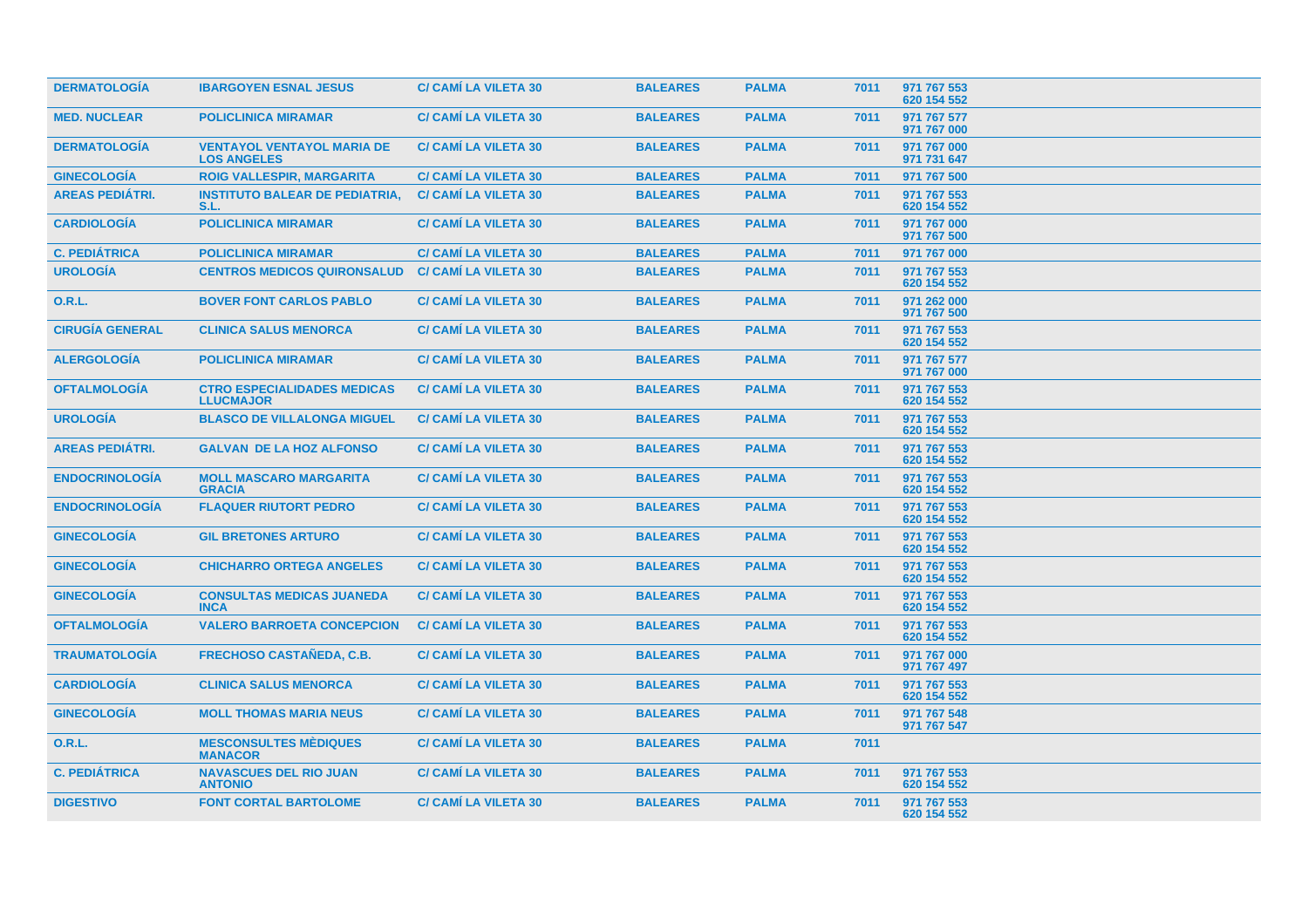| <b>DERMATOLOGÍA</b>    | <b>IBARGOYEN ESNAL JESUS</b>                            | <b>C/ CAMI LA VILETA 30</b> | <b>BALEARES</b> | <b>PALMA</b> | 7011 | 971 767 553<br>620 154 552 |
|------------------------|---------------------------------------------------------|-----------------------------|-----------------|--------------|------|----------------------------|
| <b>MED. NUCLEAR</b>    | <b>POLICLINICA MIRAMAR</b>                              | <b>C/ CAMI LA VILETA 30</b> | <b>BALEARES</b> | <b>PALMA</b> | 7011 | 971 767 577<br>971 767 000 |
| <b>DERMATOLOGIA</b>    | <b>VENTAYOL VENTAYOL MARIA DE</b><br><b>LOS ANGELES</b> | <b>C/ CAMI LA VILETA 30</b> | <b>BALEARES</b> | <b>PALMA</b> | 7011 | 971 767 000<br>971 731 647 |
| <b>GINECOLOGIA</b>     | <b>ROIG VALLESPIR, MARGARITA</b>                        | <b>C/ CAMI LA VILETA 30</b> | <b>BALEARES</b> | <b>PALMA</b> | 7011 | 971 767 500                |
| <b>AREAS PEDIÁTRI.</b> | <b>INSTITUTO BALEAR DE PEDIATRIA,</b><br>S.L.           | <b>C/ CAMÍ LA VILETA 30</b> | <b>BALEARES</b> | <b>PALMA</b> | 7011 | 971 767 553<br>620 154 552 |
| <b>CARDIOLOGIA</b>     | <b>POLICLINICA MIRAMAR</b>                              | <b>C/ CAMI LA VILETA 30</b> | <b>BALEARES</b> | <b>PALMA</b> | 7011 | 971 767 000<br>971 767 500 |
| <b>C. PEDIÁTRICA</b>   | <b>POLICLINICA MIRAMAR</b>                              | <b>C/ CAMI LA VILETA 30</b> | <b>BALEARES</b> | <b>PALMA</b> | 7011 | 971 767 000                |
| <b>UROLOGÍA</b>        | <b>CENTROS MEDICOS QUIRONSALUD</b>                      | <b>C/ CAMI LA VILETA 30</b> | <b>BALEARES</b> | <b>PALMA</b> | 7011 | 971 767 553<br>620 154 552 |
| <b>O.R.L.</b>          | <b>BOVER FONT CARLOS PABLO</b>                          | <b>C/ CAMI LA VILETA 30</b> | <b>BALEARES</b> | <b>PALMA</b> | 7011 | 971 262 000<br>971 767 500 |
| <b>CIRUGÍA GENERAL</b> | <b>CLINICA SALUS MENORCA</b>                            | <b>C/ CAMI LA VILETA 30</b> | <b>BALEARES</b> | <b>PALMA</b> | 7011 | 971 767 553<br>620 154 552 |
| <b>ALERGOLOGIA</b>     | <b>POLICLINICA MIRAMAR</b>                              | <b>C/ CAMÍ LA VILETA 30</b> | <b>BALEARES</b> | <b>PALMA</b> | 7011 | 971 767 577<br>971 767 000 |
| <b>OFTALMOLOGÍA</b>    | <b>CTRO ESPECIALIDADES MEDICAS</b><br><b>LLUCMAJOR</b>  | <b>C/ CAMÍ LA VILETA 30</b> | <b>BALEARES</b> | <b>PALMA</b> | 7011 | 971 767 553<br>620 154 552 |
| <b>UROLOGÍA</b>        | <b>BLASCO DE VILLALONGA MIGUEL</b>                      | <b>C/ CAMÍ LA VILETA 30</b> | <b>BALEARES</b> | <b>PALMA</b> | 7011 | 971 767 553<br>620 154 552 |
| <b>AREAS PEDIÁTRI.</b> | <b>GALVAN DE LA HOZ ALFONSO</b>                         | <b>C/ CAMI LA VILETA 30</b> | <b>BALEARES</b> | <b>PALMA</b> | 7011 | 971 767 553<br>620 154 552 |
| <b>ENDOCRINOLOGÍA</b>  | <b>MOLL MASCARO MARGARITA</b><br><b>GRACIA</b>          | <b>C/ CAMÍ LA VILETA 30</b> | <b>BALEARES</b> | <b>PALMA</b> | 7011 | 971 767 553<br>620 154 552 |
| <b>ENDOCRINOLOGÍA</b>  | <b>FLAQUER RIUTORT PEDRO</b>                            | <b>C/ CAMÍ LA VILETA 30</b> | <b>BALEARES</b> | <b>PALMA</b> | 7011 | 971 767 553<br>620 154 552 |
| <b>GINECOLOGÍA</b>     | <b>GIL BRETONES ARTURO</b>                              | <b>C/ CAMÍ LA VILETA 30</b> | <b>BALEARES</b> | <b>PALMA</b> | 7011 | 971 767 553<br>620 154 552 |
| <b>GINECOLOGÍA</b>     | <b>CHICHARRO ORTEGA ANGELES</b>                         | <b>C/ CAMÍ LA VILETA 30</b> | <b>BALEARES</b> | <b>PALMA</b> | 7011 | 971 767 553<br>620 154 552 |
| <b>GINECOLOGÍA</b>     | <b>CONSULTAS MEDICAS JUANEDA</b><br><b>INCA</b>         | <b>C/ CAMI LA VILETA 30</b> | <b>BALEARES</b> | <b>PALMA</b> | 7011 | 971 767 553<br>620 154 552 |
| <b>OFTALMOLOGÍA</b>    | <b>VALERO BARROETA CONCEPCION</b>                       | <b>C/ CAMI LA VILETA 30</b> | <b>BALEARES</b> | <b>PALMA</b> | 7011 | 971 767 553<br>620 154 552 |
| <b>TRAUMATOLOGÍA</b>   | <b>FRECHOSO CASTAÑEDA, C.B.</b>                         | <b>C/ CAMI LA VILETA 30</b> | <b>BALEARES</b> | <b>PALMA</b> | 7011 | 971 767 000<br>971 767 497 |
| <b>CARDIOLOGÍA</b>     | <b>CLINICA SALUS MENORCA</b>                            | <b>C/ CAMI LA VILETA 30</b> | <b>BALEARES</b> | <b>PALMA</b> | 7011 | 971 767 553<br>620 154 552 |
| <b>GINECOLOGÍA</b>     | <b>MOLL THOMAS MARIA NEUS</b>                           | <b>C/ CAMI LA VILETA 30</b> | <b>BALEARES</b> | <b>PALMA</b> | 7011 | 971 767 548<br>971 767 547 |
| 0.R.L.                 | <b>MESCONSULTES MÉDIQUES</b><br><b>MANACOR</b>          | <b>C/ CAMI LA VILETA 30</b> | <b>BALEARES</b> | <b>PALMA</b> | 7011 |                            |
| <b>C. PEDIÁTRICA</b>   | <b>NAVASCUES DEL RIO JUAN</b><br><b>ANTONIO</b>         | <b>C/ CAMI LA VILETA 30</b> | <b>BALEARES</b> | <b>PALMA</b> | 7011 | 971 767 553<br>620 154 552 |
| <b>DIGESTIVO</b>       | <b>FONT CORTAL BARTOLOME</b>                            | <b>C/ CAMI LA VILETA 30</b> | <b>BALEARES</b> | <b>PALMA</b> | 7011 | 971 767 553<br>620 154 552 |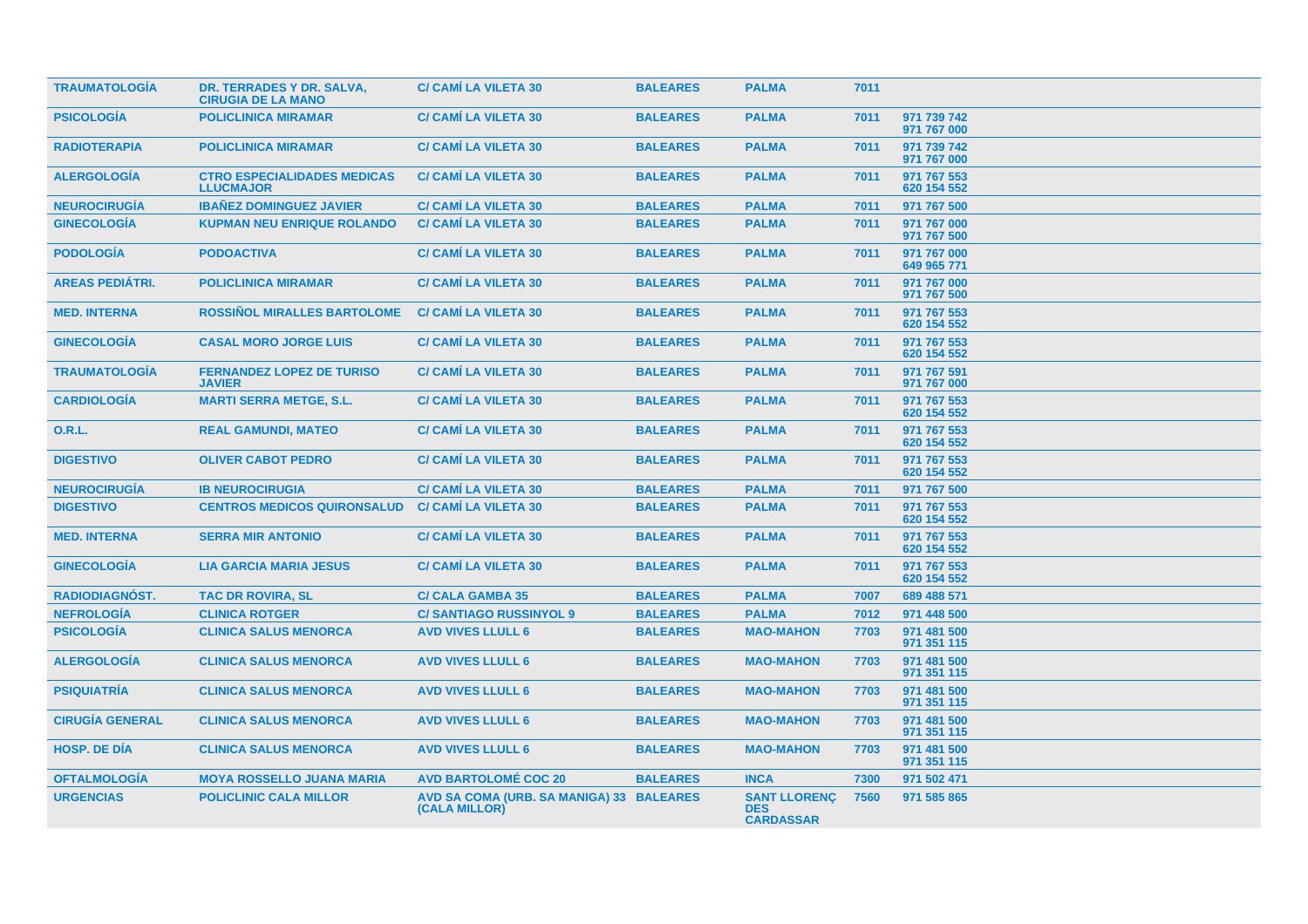| <b>TRAUMATOLOGÍA</b>   | DR. TERRADES Y DR. SALVA,<br><b>CIRUGIA DE LA MANO</b> | <b>C/ CAMI LA VILETA 30</b>                               | <b>BALEARES</b> | <b>PALMA</b>                                          | 7011 |                            |
|------------------------|--------------------------------------------------------|-----------------------------------------------------------|-----------------|-------------------------------------------------------|------|----------------------------|
| <b>PSICOLOGÍA</b>      | <b>POLICLINICA MIRAMAR</b>                             | <b>C/ CAMÍ LA VILETA 30</b>                               | <b>BALEARES</b> | <b>PALMA</b>                                          | 7011 | 971 739 742<br>971 767 000 |
| <b>RADIOTERAPIA</b>    | <b>POLICLINICA MIRAMAR</b>                             | <b>C/ CAMI LA VILETA 30</b>                               | <b>BALEARES</b> | <b>PALMA</b>                                          | 7011 | 971 739 742<br>971 767 000 |
| <b>ALERGOLOGÍA</b>     | <b>CTRO ESPECIALIDADES MEDICAS</b><br><b>LLUCMAJOR</b> | <b>C/ CAMI LA VILETA 30</b>                               | <b>BALEARES</b> | <b>PALMA</b>                                          | 7011 | 971 767 553<br>620 154 552 |
| <b>NEUROCIRUGÍA</b>    | <b>IBANEZ DOMINGUEZ JAVIER</b>                         | <b>C/ CAMI LA VILETA 30</b>                               | <b>BALEARES</b> | <b>PALMA</b>                                          | 7011 | 971 767 500                |
| <b>GINECOLOGÍA</b>     | <b>KUPMAN NEU ENRIQUE ROLANDO</b>                      | <b>C/ CAMÍ LA VILETA 30</b>                               | <b>BALEARES</b> | <b>PALMA</b>                                          | 7011 | 971 767 000<br>971 767 500 |
| <b>PODOLOGÍA</b>       | <b>PODOACTIVA</b>                                      | <b>C/ CAMI LA VILETA 30</b>                               | <b>BALEARES</b> | <b>PALMA</b>                                          | 7011 | 971 767 000<br>649 965 771 |
| <b>AREAS PEDIÁTRI.</b> | <b>POLICLINICA MIRAMAR</b>                             | <b>C/ CAMI LA VILETA 30</b>                               | <b>BALEARES</b> | <b>PALMA</b>                                          | 7011 | 971 767 000<br>971 767 500 |
| <b>MED. INTERNA</b>    | <b>ROSSIÑOL MIRALLES BARTOLOME</b>                     | <b>C/ CAMI LA VILETA 30</b>                               | <b>BALEARES</b> | <b>PALMA</b>                                          | 7011 | 971 767 553<br>620 154 552 |
| <b>GINECOLOGÍA</b>     | <b>CASAL MORO JORGE LUIS</b>                           | <b>C/ CAMI LA VILETA 30</b>                               | <b>BALEARES</b> | <b>PALMA</b>                                          | 7011 | 971 767 553<br>620 154 552 |
| <b>TRAUMATOLOGÍA</b>   | <b>FERNANDEZ LOPEZ DE TURISO</b><br><b>JAVIER</b>      | <b>C/ CAMI LA VILETA 30</b>                               | <b>BALEARES</b> | <b>PALMA</b>                                          | 7011 | 971 767 591<br>971 767 000 |
| <b>CARDIOLOGÍA</b>     | <b>MARTI SERRA METGE, S.L.</b>                         | <b>C/ CAMI LA VILETA 30</b>                               | <b>BALEARES</b> | <b>PALMA</b>                                          | 7011 | 971 767 553<br>620 154 552 |
| <b>O.R.L.</b>          | <b>REAL GAMUNDI, MATEO</b>                             | <b>C/ CAMÍ LA VILETA 30</b>                               | <b>BALEARES</b> | <b>PALMA</b>                                          | 7011 | 971 767 553<br>620 154 552 |
| <b>DIGESTIVO</b>       | <b>OLIVER CABOT PEDRO</b>                              | <b>C/ CAMÍ LA VILETA 30</b>                               | <b>BALEARES</b> | <b>PALMA</b>                                          | 7011 | 971 767 553<br>620 154 552 |
| <b>NEUROCIRUGÍA</b>    | <b>IB NEUROCIRUGIA</b>                                 | <b>C/ CAMI LA VILETA 30</b>                               | <b>BALEARES</b> | <b>PALMA</b>                                          | 7011 | 971 767 500                |
| <b>DIGESTIVO</b>       | <b>CENTROS MEDICOS QUIRONSALUD</b>                     | <b>C/ CAMÍ LA VILETA 30</b>                               | <b>BALEARES</b> | <b>PALMA</b>                                          | 7011 | 971 767 553<br>620 154 552 |
| <b>MED. INTERNA</b>    | <b>SERRA MIR ANTONIO</b>                               | <b>C/ CAMI LA VILETA 30</b>                               | <b>BALEARES</b> | <b>PALMA</b>                                          | 7011 | 971 767 553<br>620 154 552 |
| <b>GINECOLOGÍA</b>     | <b>LIA GARCIA MARIA JESUS</b>                          | <b>C/ CAMI LA VILETA 30</b>                               | <b>BALEARES</b> | <b>PALMA</b>                                          | 7011 | 971 767 553<br>620 154 552 |
| RADIODIAGNÓST.         | <b>TAC DR ROVIRA, SL</b>                               | <b>C/ CALA GAMBA 35</b>                                   | <b>BALEARES</b> | <b>PALMA</b>                                          | 7007 | 689 488 571                |
| <b>NEFROLOGÍA</b>      | <b>CLINICA ROTGER</b>                                  | <b>C/SANTIAGO RUSSINYOL 9</b>                             | <b>BALEARES</b> | <b>PALMA</b>                                          | 7012 | 971 448 500                |
| <b>PSICOLOGÍA</b>      | <b>CLINICA SALUS MENORCA</b>                           | <b>AVD VIVES LLULL 6</b>                                  | <b>BALEARES</b> | <b>MAO-MAHON</b>                                      | 7703 | 971 481 500<br>971 351 115 |
| <b>ALERGOLOGÍA</b>     | <b>CLINICA SALUS MENORCA</b>                           | <b>AVD VIVES LLULL 6</b>                                  | <b>BALEARES</b> | <b>MAO-MAHON</b>                                      | 7703 | 971 481 500<br>971 351 115 |
| <b>PSIQUIATRÍA</b>     | <b>CLINICA SALUS MENORCA</b>                           | <b>AVD VIVES LLULL 6</b>                                  | <b>BALEARES</b> | <b>MAO-MAHON</b>                                      | 7703 | 971 481 500<br>971 351 115 |
| <b>CIRUGÍA GENERAL</b> | <b>CLINICA SALUS MENORCA</b>                           | <b>AVD VIVES LLULL 6</b>                                  | <b>BALEARES</b> | <b>MAO-MAHON</b>                                      | 7703 | 971 481 500<br>971 351 115 |
| <b>HOSP, DE DIA</b>    | <b>CLINICA SALUS MENORCA</b>                           | <b>AVD VIVES LLULL 6</b>                                  | <b>BALEARES</b> | <b>MAO-MAHON</b>                                      | 7703 | 971 481 500<br>971 351 115 |
| <b>OFTALMOLOGIA</b>    | <b>MOYA ROSSELLO JUANA MARIA</b>                       | <b>AVD BARTOLOMÉ COC 20</b>                               | <b>BALEARES</b> | <b>INCA</b>                                           | 7300 | 971 502 471                |
| <b>URGENCIAS</b>       | <b>POLICLINIC CALA MILLOR</b>                          | AVD SA COMA (URB. SA MANIGA) 33 BALEARES<br>(CALA MILLOR) |                 | <b>SANT LLORENC</b><br><b>DES</b><br><b>CARDASSAR</b> | 7560 | 971 585 865                |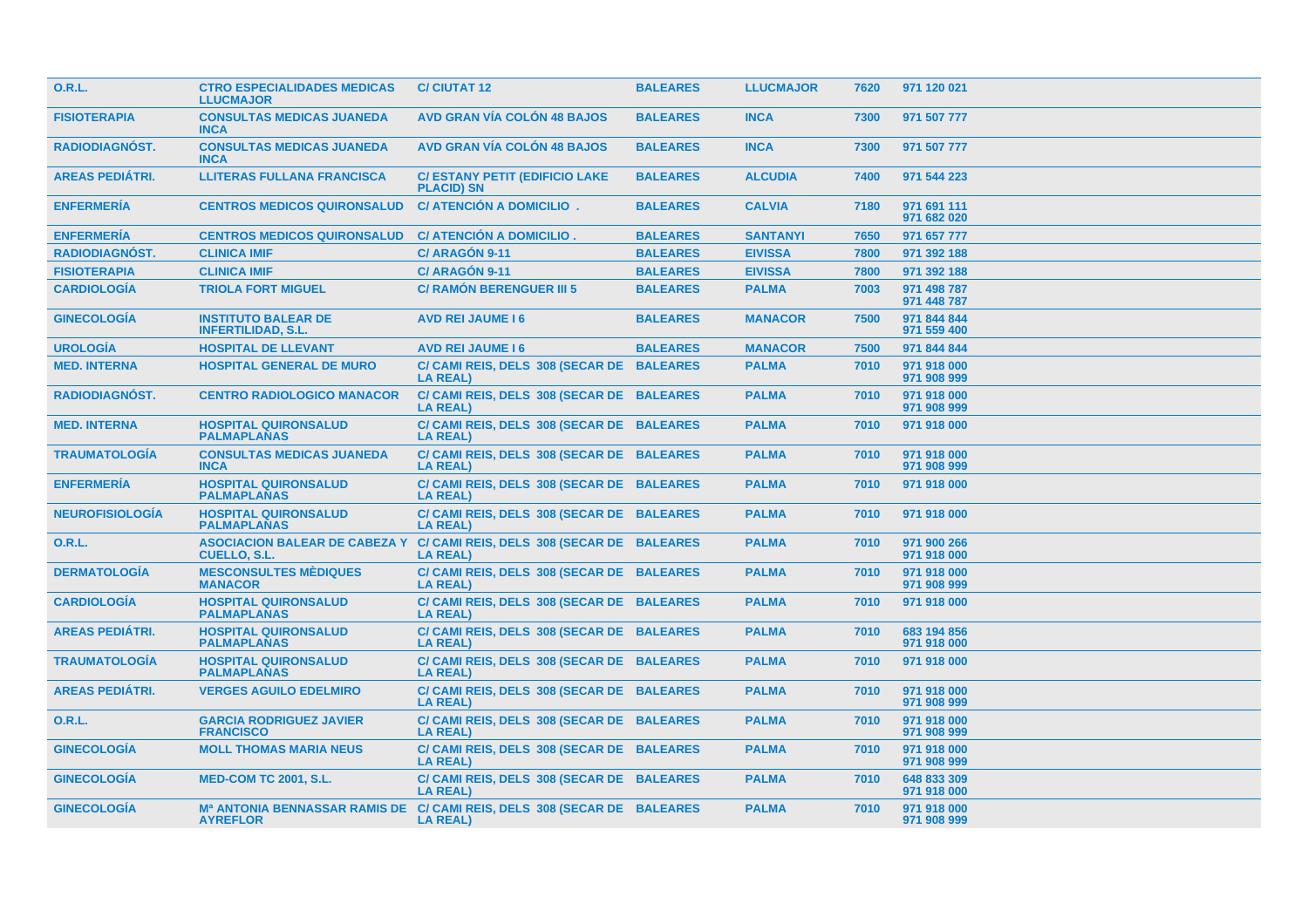| 0.R.L.                 | <b>CTRO ESPECIALIDADES MEDICAS</b><br><b>LLUCMAJOR</b>      | <b>C/ CIUTAT 12</b>                                          | <b>BALEARES</b> | <b>LLUCMAJOR</b> | 7620 | 971 120 021                |
|------------------------|-------------------------------------------------------------|--------------------------------------------------------------|-----------------|------------------|------|----------------------------|
| <b>FISIOTERAPIA</b>    | <b>CONSULTAS MEDICAS JUANEDA</b><br><b>INCA</b>             | <b>AVD GRAN VÍA COLÓN 48 BAJOS</b>                           | <b>BALEARES</b> | <b>INCA</b>      | 7300 | 971 507 777                |
| <b>RADIODIAGNÓST.</b>  | <b>CONSULTAS MEDICAS JUANEDA</b><br><b>INCA</b>             | <b>AVD GRAN VÍA COLÓN 48 BAJOS</b>                           | <b>BALEARES</b> | <b>INCA</b>      | 7300 | 971 507 777                |
| <b>AREAS PEDIÁTRI.</b> | <b>LLITERAS FULLANA FRANCISCA</b>                           | <b>C/ ESTANY PETIT (EDIFICIO LAKE</b><br><b>PLACID) SN</b>   | <b>BALEARES</b> | <b>ALCUDIA</b>   | 7400 | 971 544 223                |
| <b>ENFERMERÍA</b>      | <b>CENTROS MEDICOS QUIRONSALUD</b>                          | C/ ATENCIÓN A DOMICILIO.                                     | <b>BALEARES</b> | <b>CALVIA</b>    | 7180 | 971 691 111<br>971 682 020 |
| <b>ENFERMERÍA</b>      | <b>CENTROS MEDICOS QUIRONSALUD</b>                          | C/ ATENCIÓN A DOMICILIO.                                     | <b>BALEARES</b> | <b>SANTANYI</b>  | 7650 | 971 657 777                |
| <b>RADIODIAGNÓST.</b>  | <b>CLINICA IMIF</b>                                         | C/ ARAGÓN 9-11                                               | <b>BALEARES</b> | <b>EIVISSA</b>   | 7800 | 971 392 188                |
| <b>FISIOTERAPIA</b>    | <b>CLINICA IMIF</b>                                         | C/ ARAGÓN 9-11                                               | <b>BALEARES</b> | <b>EIVISSA</b>   | 7800 | 971 392 188                |
| <b>CARDIOLOGIA</b>     | <b>TRIOLA FORT MIGUEL</b>                                   | <b>C/ RAMON BERENGUER III 5</b>                              | <b>BALEARES</b> | <b>PALMA</b>     | 7003 | 971 498 787<br>971 448 787 |
| <b>GINECOLOGÍA</b>     | <b>INSTITUTO BALEAR DE</b><br><b>INFERTILIDAD, S.L.</b>     | <b>AVD REI JAUME 16</b>                                      | <b>BALEARES</b> | <b>MANACOR</b>   | 7500 | 971 844 844<br>971 559 400 |
| <b>UROLOGÍA</b>        | <b>HOSPITAL DE LLEVANT</b>                                  | <b>AVD REI JAUME 16</b>                                      | <b>BALEARES</b> | <b>MANACOR</b>   | 7500 | 971 844 844                |
| <b>MED. INTERNA</b>    | <b>HOSPITAL GENERAL DE MURO</b>                             | C/ CAMI REIS, DELS 308 (SECAR DE BALEARES<br><b>LA REAL)</b> |                 | <b>PALMA</b>     | 7010 | 971 918 000<br>971 908 999 |
| <b>RADIODIAGNÓST.</b>  | <b>CENTRO RADIOLOGICO MANACOR</b>                           | C/ CAMI REIS, DELS 308 (SECAR DE BALEARES<br><b>LA REAL)</b> |                 | <b>PALMA</b>     | 7010 | 971 918 000<br>971 908 999 |
| <b>MED. INTERNA</b>    | <b>HOSPITAL QUIRONSALUD</b><br><b>PALMAPLANAS</b>           | C/ CAMI REIS, DELS 308 (SECAR DE BALEARES<br><b>LA REAL)</b> |                 | <b>PALMA</b>     | 7010 | 971 918 000                |
| <b>TRAUMATOLOGÍA</b>   | <b>CONSULTAS MEDICAS JUANEDA</b><br><b>INCA</b>             | C/ CAMI REIS, DELS 308 (SECAR DE BALEARES<br><b>LA REAL)</b> |                 | <b>PALMA</b>     | 7010 | 971 918 000<br>971 908 999 |
| <b>ENFERMERÍA</b>      | <b>HOSPITAL QUIRONSALUD</b><br><b>PALMAPLANAS</b>           | C/ CAMI REIS, DELS 308 (SECAR DE BALEARES<br><b>LA REAL)</b> |                 | <b>PALMA</b>     | 7010 | 971 918 000                |
| <b>NEUROFISIOLOGÍA</b> | <b>HOSPITAL QUIRONSALUD</b><br><b>PALMAPLANAS</b>           | C/ CAMI REIS, DELS 308 (SECAR DE BALEARES<br><b>LA REAL)</b> |                 | <b>PALMA</b>     | 7010 | 971 918 000                |
| <b>O.R.L.</b>          | <b>ASOCIACION BALEAR DE CABEZA Y</b><br><b>CUELLO, S.L.</b> | C/ CAMI REIS, DELS 308 (SECAR DE BALEARES<br><b>LA REAL)</b> |                 | <b>PALMA</b>     | 7010 | 971 900 266<br>971 918 000 |
| <b>DERMATOLOGÍA</b>    | <b>MESCONSULTES MÉDIQUES</b><br><b>MANACOR</b>              | C/ CAMI REIS, DELS 308 (SECAR DE BALEARES<br><b>LA REAL)</b> |                 | <b>PALMA</b>     | 7010 | 971 918 000<br>971 908 999 |
| <b>CARDIOLOGÍA</b>     | <b>HOSPITAL QUIRONSALUD</b><br><b>PALMAPLANAS</b>           | C/ CAMI REIS, DELS 308 (SECAR DE BALEARES<br><b>LA REAL)</b> |                 | <b>PALMA</b>     | 7010 | 971 918 000                |
| <b>AREAS PEDIÁTRI.</b> | <b>HOSPITAL QUIRONSALUD</b><br><b>PALMAPLANAS</b>           | C/ CAMI REIS, DELS 308 (SECAR DE BALEARES<br><b>LA REAL)</b> |                 | <b>PALMA</b>     | 7010 | 683 194 856<br>971 918 000 |
| <b>TRAUMATOLOGÍA</b>   | <b>HOSPITAL QUIRONSALUD</b><br><b>PALMAPLANAS</b>           | C/ CAMI REIS, DELS 308 (SECAR DE BALEARES<br><b>LA REAL)</b> |                 | <b>PALMA</b>     | 7010 | 971 918 000                |
| <b>AREAS PEDIÁTRI.</b> | <b>VERGES AGUILO EDELMIRO</b>                               | C/ CAMI REIS, DELS 308 (SECAR DE BALEARES<br><b>LA REAL)</b> |                 | <b>PALMA</b>     | 7010 | 971 918 000<br>971 908 999 |
| 0.R.L.                 | <b>GARCIA RODRIGUEZ JAVIER</b><br><b>FRANCISCO</b>          | C/ CAMI REIS, DELS 308 (SECAR DE BALEARES<br><b>LA REAL)</b> |                 | <b>PALMA</b>     | 7010 | 971 918 000<br>971 908 999 |
| <b>GINECOLOGÍA</b>     | <b>MOLL THOMAS MARIA NEUS</b>                               | C/ CAMI REIS, DELS 308 (SECAR DE BALEARES<br><b>LA REAL)</b> |                 | <b>PALMA</b>     | 7010 | 971 918 000<br>971 908 999 |
| <b>GINECOLOGÍA</b>     | <b>MED-COM TC 2001, S.L.</b>                                | C/ CAMI REIS, DELS 308 (SECAR DE BALEARES<br><b>LA REAL)</b> |                 | <b>PALMA</b>     | 7010 | 648 833 309<br>971 918 000 |
| <b>GINECOLOGÍA</b>     | <b>Mª ANTONIA BENNASSAR RAMIS DE</b><br><b>AYREFLOR</b>     | C/ CAMI REIS, DELS 308 (SECAR DE BALEARES<br><b>LA REAL)</b> |                 | <b>PALMA</b>     | 7010 | 971 918 000<br>971 908 999 |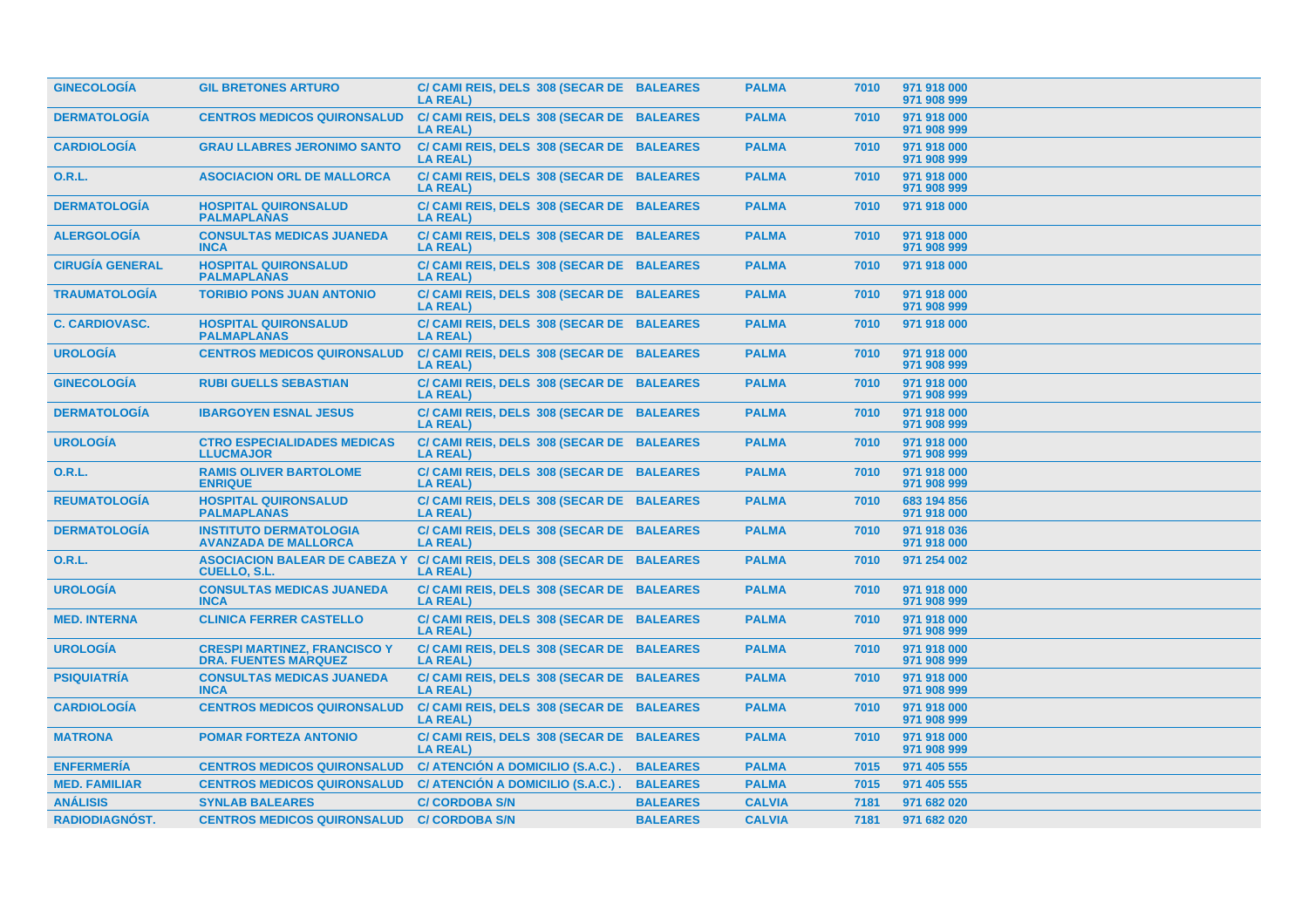| <b>GINECOLOGIA</b>     | <b>GIL BRETONES ARTURO</b>                                         | C/ CAMI REIS, DELS 308 (SECAR DE BALEARES<br><b>LA REAL)</b> |                 | <b>PALMA</b>  | 7010 | 971 918 000<br>971 908 999 |
|------------------------|--------------------------------------------------------------------|--------------------------------------------------------------|-----------------|---------------|------|----------------------------|
| <b>DERMATOLOGÍA</b>    | <b>CENTROS MEDICOS QUIRONSALUD</b>                                 | C/ CAMI REIS, DELS 308 (SECAR DE BALEARES<br><b>LA REAL)</b> |                 | <b>PALMA</b>  | 7010 | 971 918 000<br>971 908 999 |
| <b>CARDIOLOGÍA</b>     | <b>GRAU LLABRES JERONIMO SANTO</b>                                 | C/ CAMI REIS, DELS 308 (SECAR DE BALEARES<br><b>LA REAL)</b> |                 | <b>PALMA</b>  | 7010 | 971 918 000<br>971 908 999 |
| 0.R.L.                 | <b>ASOCIACION ORL DE MALLORCA</b>                                  | C/ CAMI REIS, DELS 308 (SECAR DE BALEARES<br><b>LA REAL)</b> |                 | <b>PALMA</b>  | 7010 | 971 918 000<br>971 908 999 |
| <b>DERMATOLOGÍA</b>    | <b>HOSPITAL QUIRONSALUD</b><br><b>PALMAPLANAS</b>                  | C/ CAMI REIS, DELS 308 (SECAR DE BALEARES<br><b>LA REAL)</b> |                 | <b>PALMA</b>  | 7010 | 971 918 000                |
| <b>ALERGOLOGÍA</b>     | <b>CONSULTAS MEDICAS JUANEDA</b><br><b>INCA</b>                    | C/ CAMI REIS, DELS 308 (SECAR DE BALEARES<br><b>LA REAL)</b> |                 | <b>PALMA</b>  | 7010 | 971 918 000<br>971 908 999 |
| <b>CIRUGÍA GENERAL</b> | <b>HOSPITAL QUIRONSALUD</b><br><b>PALMAPLANAS</b>                  | C/ CAMI REIS, DELS 308 (SECAR DE BALEARES<br><b>LA REAL)</b> |                 | <b>PALMA</b>  | 7010 | 971 918 000                |
| <b>TRAUMATOLOGÍA</b>   | <b>TORIBIO PONS JUAN ANTONIO</b>                                   | C/ CAMI REIS, DELS 308 (SECAR DE BALEARES<br><b>LA REAL)</b> |                 | <b>PALMA</b>  | 7010 | 971 918 000<br>971 908 999 |
| <b>C. CARDIOVASC.</b>  | <b>HOSPITAL QUIRONSALUD</b><br><b>PALMAPLANAS</b>                  | C/ CAMI REIS, DELS 308 (SECAR DE BALEARES<br><b>LA REAL)</b> |                 | <b>PALMA</b>  | 7010 | 971 918 000                |
| <b>UROLOGÍA</b>        | <b>CENTROS MEDICOS QUIRONSALUD</b>                                 | C/ CAMI REIS, DELS 308 (SECAR DE BALEARES<br><b>LA REAL)</b> |                 | <b>PALMA</b>  | 7010 | 971 918 000<br>971 908 999 |
| <b>GINECOLOGÍA</b>     | <b>RUBI GUELLS SEBASTIAN</b>                                       | C/ CAMI REIS, DELS 308 (SECAR DE BALEARES<br><b>LA REAL)</b> |                 | <b>PALMA</b>  | 7010 | 971 918 000<br>971 908 999 |
| <b>DERMATOLOGIA</b>    | <b>IBARGOYEN ESNAL JESUS</b>                                       | C/ CAMI REIS, DELS 308 (SECAR DE BALEARES<br><b>LA REAL)</b> |                 | <b>PALMA</b>  | 7010 | 971 918 000<br>971 908 999 |
| <b>UROLOGÍA</b>        | <b>CTRO ESPECIALIDADES MEDICAS</b><br><b>LLUCMAJOR</b>             | C/ CAMI REIS, DELS 308 (SECAR DE BALEARES<br><b>LA REAL)</b> |                 | <b>PALMA</b>  | 7010 | 971 918 000<br>971 908 999 |
| <b>O.R.L.</b>          | <b>RAMIS OLIVER BARTOLOME</b><br><b>ENRIQUE</b>                    | C/ CAMI REIS, DELS 308 (SECAR DE BALEARES<br><b>LA REAL)</b> |                 | <b>PALMA</b>  | 7010 | 971 918 000<br>971 908 999 |
| <b>REUMATOLOGÍA</b>    | <b>HOSPITAL QUIRONSALUD</b><br><b>PALMAPLANAS</b>                  | C/ CAMI REIS, DELS 308 (SECAR DE BALEARES<br><b>LA REAL)</b> |                 | <b>PALMA</b>  | 7010 | 683 194 856<br>971 918 000 |
| <b>DERMATOLOGÍA</b>    | <b>INSTITUTO DERMATOLOGIA</b><br><b>AVANZADA DE MALLORCA</b>       | C/ CAMI REIS, DELS 308 (SECAR DE BALEARES<br><b>LA REAL)</b> |                 | <b>PALMA</b>  | 7010 | 971 918 036<br>971 918 000 |
| 0.R.L.                 | <b>ASOCIACION BALEAR DE CABEZA Y</b><br><b>CUELLO, S.L.</b>        | C/ CAMI REIS, DELS 308 (SECAR DE BALEARES<br><b>LA REAL)</b> |                 | <b>PALMA</b>  | 7010 | 971 254 002                |
| <b>UROLOGÍA</b>        | <b>CONSULTAS MEDICAS JUANEDA</b><br><b>INCA</b>                    | C/ CAMI REIS, DELS 308 (SECAR DE BALEARES<br><b>LA REAL)</b> |                 | <b>PALMA</b>  | 7010 | 971 918 000<br>971 908 999 |
| <b>MED. INTERNA</b>    | <b>CLINICA FERRER CASTELLO</b>                                     | C/ CAMI REIS, DELS 308 (SECAR DE BALEARES<br><b>LA REAL)</b> |                 | <b>PALMA</b>  | 7010 | 971 918 000<br>971 908 999 |
| <b>UROLOGÍA</b>        | <b>CRESPI MARTINEZ, FRANCISCO Y</b><br><b>DRA. FUENTES MARQUEZ</b> | C/ CAMI REIS, DELS 308 (SECAR DE BALEARES<br><b>LA REAL)</b> |                 | <b>PALMA</b>  | 7010 | 971 918 000<br>971 908 999 |
| <b>PSIQUIATRÍA</b>     | <b>CONSULTAS MEDICAS JUANEDA</b><br><b>INCA</b>                    | C/ CAMI REIS, DELS 308 (SECAR DE BALEARES<br><b>LA REAL)</b> |                 | <b>PALMA</b>  | 7010 | 971 918 000<br>971 908 999 |
| <b>CARDIOLOGÍA</b>     | <b>CENTROS MEDICOS QUIRONSALUD</b>                                 | C/ CAMI REIS, DELS 308 (SECAR DE BALEARES<br><b>LA REAL)</b> |                 | <b>PALMA</b>  | 7010 | 971 918 000<br>971 908 999 |
| <b>MATRONA</b>         | <b>POMAR FORTEZA ANTONIO</b>                                       | C/ CAMI REIS, DELS 308 (SECAR DE BALEARES<br><b>LA REAL)</b> |                 | <b>PALMA</b>  | 7010 | 971 918 000<br>971 908 999 |
| <b>ENFERMERÍA</b>      | <b>CENTROS MEDICOS QUIRONSALUD</b>                                 | C/ ATENCIÓN A DOMICILIO (S.A.C.).                            | <b>BALEARES</b> | <b>PALMA</b>  | 7015 | 971 405 555                |
| <b>MED. FAMILIAR</b>   | <b>CENTROS MEDICOS QUIRONSALUD</b>                                 | C/ ATENCIÓN A DOMICILIO (S.A.C.).                            | <b>BALEARES</b> | <b>PALMA</b>  | 7015 | 971 405 555                |
| <b>ANÁLISIS</b>        | <b>SYNLAB BALEARES</b>                                             | <b>C/ CORDOBA S/N</b>                                        | <b>BALEARES</b> | <b>CALVIA</b> | 7181 | 971 682 020                |
|                        | <b>CENTROS MEDICOS QUIRONSALUD</b>                                 |                                                              | <b>BALEARES</b> |               |      |                            |
| <b>RADIODIAGNÓST.</b>  |                                                                    | <b>C/ CORDOBA S/N</b>                                        |                 | <b>CALVIA</b> | 7181 | 971 682 020                |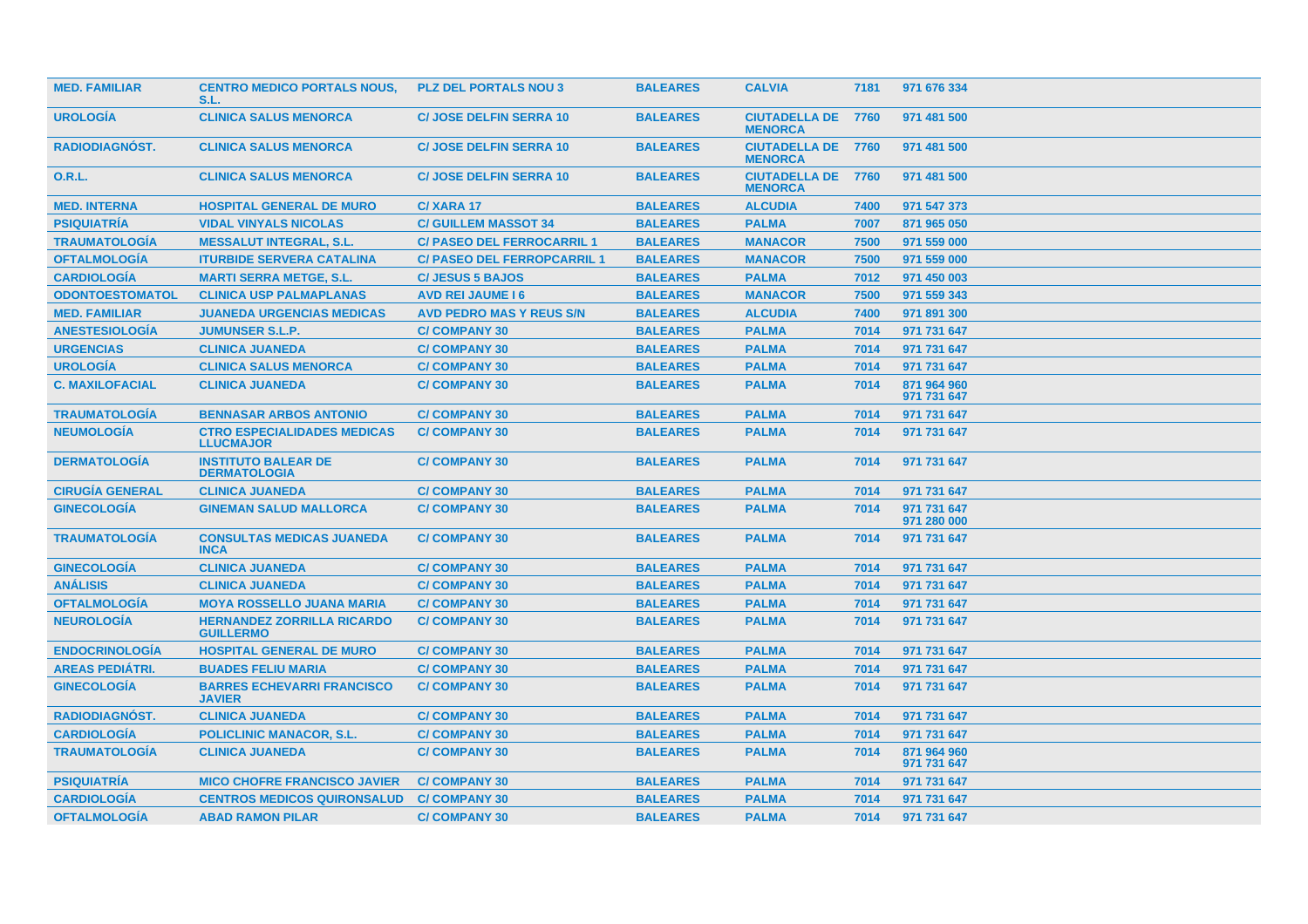| <b>MED. FAMILIAR</b>   | <b>CENTRO MEDICO PORTALS NOUS,</b><br>S.L.             | <b>PLZ DEL PORTALS NOU 3</b>       | <b>BALEARES</b> | <b>CALVIA</b>                               | 7181 | 971 676 334                |
|------------------------|--------------------------------------------------------|------------------------------------|-----------------|---------------------------------------------|------|----------------------------|
| <b>UROLOGÍA</b>        | <b>CLINICA SALUS MENORCA</b>                           | <b>C/ JOSE DELFIN SERRA 10</b>     | <b>BALEARES</b> | <b>CIUTADELLA DE 7760</b><br><b>MENORCA</b> |      | 971 481 500                |
| <b>RADIODIAGNOST.</b>  | <b>CLINICA SALUS MENORCA</b>                           | <b>C/ JOSE DELFIN SERRA 10</b>     | <b>BALEARES</b> | <b>CIUTADELLA DE 7760</b><br><b>MENORCA</b> |      | 971 481 500                |
| <b>O.R.L.</b>          | <b>CLINICA SALUS MENORCA</b>                           | <b>C/ JOSE DELFIN SERRA 10</b>     | <b>BALEARES</b> | <b>CIUTADELLA DE 7760</b><br><b>MENORCA</b> |      | 971 481 500                |
| <b>MED. INTERNA</b>    | <b>HOSPITAL GENERAL DE MURO</b>                        | C/XARA 17                          | <b>BALEARES</b> | <b>ALCUDIA</b>                              | 7400 | 971 547 373                |
| <b>PSIQUIATRIA</b>     | <b>VIDAL VINYALS NICOLAS</b>                           | <b>C/ GUILLEM MASSOT 34</b>        | <b>BALEARES</b> | <b>PALMA</b>                                | 7007 | 871 965 050                |
| <b>TRAUMATOLOGÍA</b>   | <b>MESSALUT INTEGRAL, S.L.</b>                         | <b>C/ PASEO DEL FERROCARRIL 1</b>  | <b>BALEARES</b> | <b>MANACOR</b>                              | 7500 | 971 559 000                |
| <b>OFTALMOLOGÍA</b>    | <b>ITURBIDE SERVERA CATALINA</b>                       | <b>C/ PASEO DEL FERROPCARRIL 1</b> | <b>BALEARES</b> | <b>MANACOR</b>                              | 7500 | 971 559 000                |
| <b>CARDIOLOGIA</b>     | <b>MARTI SERRA METGE, S.L.</b>                         | <b>C/JESUS 5 BAJOS</b>             | <b>BALEARES</b> | <b>PALMA</b>                                | 7012 | 971 450 003                |
| <b>ODONTOESTOMATOL</b> | <b>CLINICA USP PALMAPLANAS</b>                         | <b>AVD REI JAUME 16</b>            | <b>BALEARES</b> | <b>MANACOR</b>                              | 7500 | 971 559 343                |
| <b>MED. FAMILIAR</b>   | <b>JUANEDA URGENCIAS MEDICAS</b>                       | <b>AVD PEDRO MAS Y REUS S/N</b>    | <b>BALEARES</b> | <b>ALCUDIA</b>                              | 7400 | 971 891 300                |
| <b>ANESTESIOLOGÍA</b>  | <b>JUMUNSER S.L.P.</b>                                 | <b>C/COMPANY 30</b>                | <b>BALEARES</b> | <b>PALMA</b>                                | 7014 | 971 731 647                |
| <b>URGENCIAS</b>       | <b>CLINICA JUANEDA</b>                                 | <b>C/COMPANY 30</b>                | <b>BALEARES</b> | <b>PALMA</b>                                | 7014 | 971 731 647                |
| <b>UROLOGÍA</b>        | <b>CLINICA SALUS MENORCA</b>                           | <b>C/COMPANY 30</b>                | <b>BALEARES</b> | <b>PALMA</b>                                | 7014 | 971 731 647                |
| <b>C. MAXILOFACIAL</b> | <b>CLINICA JUANEDA</b>                                 | <b>C/COMPANY 30</b>                | <b>BALEARES</b> | <b>PALMA</b>                                | 7014 | 871 964 960<br>971 731 647 |
| <b>TRAUMATOLOGÍA</b>   | <b>BENNASAR ARBOS ANTONIO</b>                          | <b>C/COMPANY 30</b>                | <b>BALEARES</b> | <b>PALMA</b>                                | 7014 | 971 731 647                |
| <b>NEUMOLOGÍA</b>      | <b>CTRO ESPECIALIDADES MEDICAS</b><br><b>LLUCMAJOR</b> | <b>C/COMPANY 30</b>                | <b>BALEARES</b> | <b>PALMA</b>                                | 7014 | 971 731 647                |
| <b>DERMATOLOGÍA</b>    | <b>INSTITUTO BALEAR DE</b><br><b>DERMATOLOGIA</b>      | <b>C/COMPANY 30</b>                | <b>BALEARES</b> | <b>PALMA</b>                                | 7014 | 971 731 647                |
| <b>CIRUGIA GENERAL</b> | <b>CLINICA JUANEDA</b>                                 | <b>C/COMPANY 30</b>                | <b>BALEARES</b> | <b>PALMA</b>                                | 7014 | 971 731 647                |
| <b>GINECOLOGÍA</b>     | <b>GINEMAN SALUD MALLORCA</b>                          | <b>C/COMPANY 30</b>                | <b>BALEARES</b> | <b>PALMA</b>                                | 7014 | 971 731 647<br>971 280 000 |
| <b>TRAUMATOLOGIA</b>   | <b>CONSULTAS MEDICAS JUANEDA</b><br><b>INCA</b>        | <b>C/COMPANY 30</b>                | <b>BALEARES</b> | <b>PALMA</b>                                | 7014 | 971 731 647                |
| <b>GINECOLOGIA</b>     | <b>CLINICA JUANEDA</b>                                 | <b>C/COMPANY 30</b>                | <b>BALEARES</b> | <b>PALMA</b>                                | 7014 | 971 731 647                |
| <b>ANÁLISIS</b>        | <b>CLINICA JUANEDA</b>                                 | <b>C/COMPANY 30</b>                | <b>BALEARES</b> | <b>PALMA</b>                                | 7014 | 971 731 647                |
| <b>OFTALMOLOGÍA</b>    | <b>MOYA ROSSELLO JUANA MARIA</b>                       | <b>C/COMPANY 30</b>                | <b>BALEARES</b> | <b>PALMA</b>                                | 7014 | 971 731 647                |
| <b>NEUROLOGÍA</b>      | <b>HERNANDEZ ZORRILLA RICARDO</b><br><b>GUILLERMO</b>  | <b>C/COMPANY 30</b>                | <b>BALEARES</b> | <b>PALMA</b>                                | 7014 | 971 731 647                |
| <b>ENDOCRINOLOGIA</b>  | <b>HOSPITAL GENERAL DE MURO</b>                        | <b>C/COMPANY 30</b>                | <b>BALEARES</b> | <b>PALMA</b>                                | 7014 | 971 731 647                |
| <b>AREAS PEDIÁTRI.</b> | <b>BUADES FELIU MARIA</b>                              | <b>C/COMPANY 30</b>                | <b>BALEARES</b> | <b>PALMA</b>                                | 7014 | 971 731 647                |
| <b>GINECOLOGIA</b>     | <b>BARRES ECHEVARRI FRANCISCO</b><br><b>JAVIER</b>     | <b>C/COMPANY 30</b>                | <b>BALEARES</b> | <b>PALMA</b>                                | 7014 | 971 731 647                |
| <b>RADIODIAGNÓST.</b>  | <b>CLINICA JUANEDA</b>                                 | <b>C/COMPANY 30</b>                | <b>BALEARES</b> | <b>PALMA</b>                                | 7014 | 971 731 647                |
| <b>CARDIOLOGÍA</b>     | <b>POLICLINIC MANACOR, S.L.</b>                        | <b>C/COMPANY 30</b>                | <b>BALEARES</b> | <b>PALMA</b>                                | 7014 | 971 731 647                |
| <b>TRAUMATOLOGIA</b>   | <b>CLINICA JUANEDA</b>                                 | <b>C/COMPANY 30</b>                | <b>BALEARES</b> | <b>PALMA</b>                                | 7014 | 871 964 960<br>971 731 647 |
| <b>PSIQUIATRIA</b>     | <b>MICO CHOFRE FRANCISCO JAVIER</b>                    | <b>C/COMPANY 30</b>                | <b>BALEARES</b> | <b>PALMA</b>                                | 7014 | 971 731 647                |
| <b>CARDIOLOGÍA</b>     | <b>CENTROS MEDICOS QUIRONSALUD</b>                     | <b>C/COMPANY 30</b>                | <b>BALEARES</b> | <b>PALMA</b>                                | 7014 | 971 731 647                |
| <b>OFTALMOLOGÍA</b>    | <b>ABAD RAMON PILAR</b>                                | <b>C/COMPANY 30</b>                | <b>BALEARES</b> | <b>PALMA</b>                                | 7014 | 971 731 647                |
|                        |                                                        |                                    |                 |                                             |      |                            |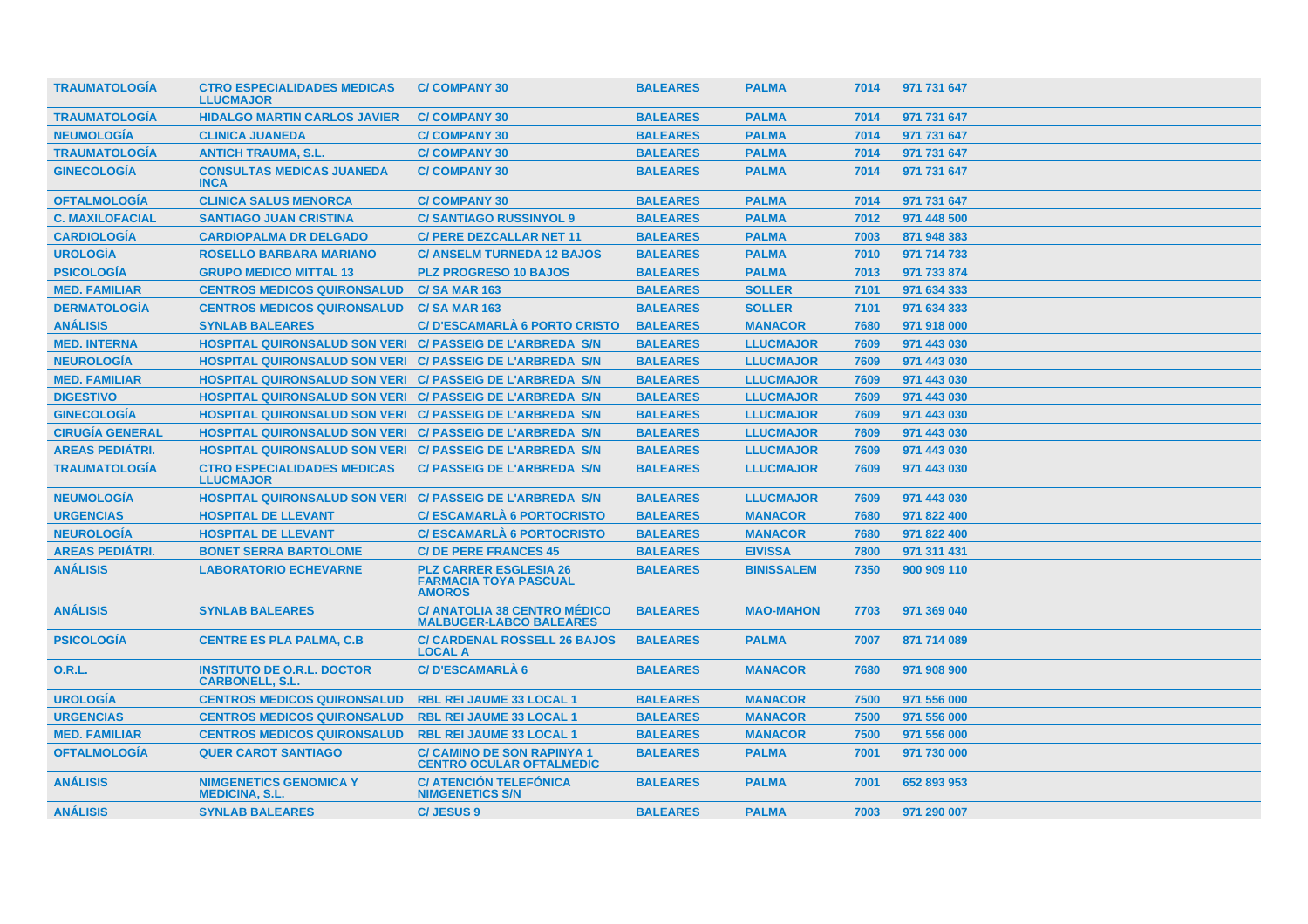| <b>TRAUMATOLOGIA</b>   | <b>CTRO ESPECIALIDADES MEDICAS</b><br><b>LLUCMAJOR</b>      | <b>C/COMPANY 30</b>                                                            | <b>BALEARES</b> | <b>PALMA</b>      | 7014 | 971 731 647 |
|------------------------|-------------------------------------------------------------|--------------------------------------------------------------------------------|-----------------|-------------------|------|-------------|
| <b>TRAUMATOLOGIA</b>   | <b>HIDALGO MARTIN CARLOS JAVIER</b>                         | <b>C/COMPANY 30</b>                                                            | <b>BALEARES</b> | <b>PALMA</b>      | 7014 | 971 731 647 |
| <b>NEUMOLOGÍA</b>      | <b>CLINICA JUANEDA</b>                                      | <b>C/COMPANY 30</b>                                                            | <b>BALEARES</b> | <b>PALMA</b>      | 7014 | 971 731 647 |
| <b>TRAUMATOLOGÍA</b>   | <b>ANTICH TRAUMA, S.L.</b>                                  | <b>C/COMPANY 30</b>                                                            | <b>BALEARES</b> | <b>PALMA</b>      | 7014 | 971 731 647 |
| <b>GINECOLOGÍA</b>     | <b>CONSULTAS MEDICAS JUANEDA</b><br><b>INCA</b>             | <b>C/COMPANY 30</b>                                                            | <b>BALEARES</b> | <b>PALMA</b>      | 7014 | 971 731 647 |
| <b>OFTALMOLOGÍA</b>    | <b>CLINICA SALUS MENORCA</b>                                | <b>C/COMPANY 30</b>                                                            | <b>BALEARES</b> | <b>PALMA</b>      | 7014 | 971 731 647 |
| <b>C. MAXILOFACIAL</b> | <b>SANTIAGO JUAN CRISTINA</b>                               | <b>C/SANTIAGO RUSSINYOL 9</b>                                                  | <b>BALEARES</b> | <b>PALMA</b>      | 7012 | 971 448 500 |
| <b>CARDIOLOGÍA</b>     | <b>CARDIOPALMA DR DELGADO</b>                               | <b>C/ PERE DEZCALLAR NET 11</b>                                                | <b>BALEARES</b> | <b>PALMA</b>      | 7003 | 871 948 383 |
| <b>UROLOGÍA</b>        | <b>ROSELLO BARBARA MARIANO</b>                              | <b>C/ ANSELM TURNEDA 12 BAJOS</b>                                              | <b>BALEARES</b> | <b>PALMA</b>      | 7010 | 971 714 733 |
| <b>PSICOLOGÍA</b>      | <b>GRUPO MEDICO MITTAL 13</b>                               | <b>PLZ PROGRESO 10 BAJOS</b>                                                   | <b>BALEARES</b> | <b>PALMA</b>      | 7013 | 971 733 874 |
| <b>MED. FAMILIAR</b>   | <b>CENTROS MEDICOS QUIRONSALUD</b>                          | <b>C/SA MAR 163</b>                                                            | <b>BALEARES</b> | <b>SOLLER</b>     | 7101 | 971 634 333 |
| <b>DERMATOLOGÍA</b>    | <b>CENTROS MEDICOS QUIRONSALUD</b>                          | <b>C/SA MAR 163</b>                                                            | <b>BALEARES</b> | <b>SOLLER</b>     | 7101 | 971 634 333 |
| <b>ANÁLISIS</b>        | <b>SYNLAB BALEARES</b>                                      | C/D'ESCAMARLÀ 6 PORTO CRISTO                                                   | <b>BALEARES</b> | <b>MANACOR</b>    | 7680 | 971 918 000 |
| <b>MED. INTERNA</b>    | HOSPITAL QUIRONSALUD SON VERI C/ PASSEIG DE L'ARBREDA S/N   |                                                                                | <b>BALEARES</b> | <b>LLUCMAJOR</b>  | 7609 | 971 443 030 |
| <b>NEUROLOGÍA</b>      | HOSPITAL QUIRONSALUD SON VERI C/ PASSEIG DE L'ARBREDA S/N   |                                                                                | <b>BALEARES</b> | <b>LLUCMAJOR</b>  | 7609 | 971 443 030 |
| <b>MED. FAMILIAR</b>   | HOSPITAL QUIRONSALUD SON VERI C/ PASSEIG DE L'ARBREDA S/N   |                                                                                | <b>BALEARES</b> | <b>LLUCMAJOR</b>  | 7609 | 971 443 030 |
| <b>DIGESTIVO</b>       | HOSPITAL QUIRONSALUD SON VERI C/ PASSEIG DE L'ARBREDA S/N   |                                                                                | <b>BALEARES</b> | <b>LLUCMAJOR</b>  | 7609 | 971 443 030 |
| <b>GINECOLOGÍA</b>     | HOSPITAL QUIRONSALUD SON VERI C/ PASSEIG DE L'ARBREDA S/N   |                                                                                | <b>BALEARES</b> | <b>LLUCMAJOR</b>  | 7609 | 971 443 030 |
| <b>CIRUGÍA GENERAL</b> | HOSPITAL QUIRONSALUD SON VERI C/ PASSEIG DE L'ARBREDA S/N   |                                                                                | <b>BALEARES</b> | <b>LLUCMAJOR</b>  | 7609 | 971 443 030 |
| <b>AREAS PEDIÁTRI.</b> | HOSPITAL QUIRONSALUD SON VERI C/ PASSEIG DE L'ARBREDA S/N   |                                                                                | <b>BALEARES</b> | <b>LLUCMAJOR</b>  | 7609 | 971 443 030 |
| <b>TRAUMATOLOGÍA</b>   | <b>CTRO ESPECIALIDADES MEDICAS</b><br><b>LLUCMAJOR</b>      | <b>C/ PASSEIG DE L'ARBREDA S/N</b>                                             | <b>BALEARES</b> | <b>LLUCMAJOR</b>  | 7609 | 971 443 030 |
| <b>NEUMOLOGIA</b>      | HOSPITAL QUIRONSALUD SON VERI C/ PASSEIG DE L'ARBREDA S/N   |                                                                                | <b>BALEARES</b> | <b>LLUCMAJOR</b>  | 7609 | 971 443 030 |
| <b>URGENCIAS</b>       | <b>HOSPITAL DE LLEVANT</b>                                  | <b>C/ESCAMARLA 6 PORTOCRISTO</b>                                               | <b>BALEARES</b> | <b>MANACOR</b>    | 7680 | 971 822 400 |
| <b>NEUROLOGÍA</b>      | <b>HOSPITAL DE LLEVANT</b>                                  | <b>C/ESCAMARLA 6 PORTOCRISTO</b>                                               | <b>BALEARES</b> | <b>MANACOR</b>    | 7680 | 971 822 400 |
| <b>AREAS PEDIÁTRI.</b> | <b>BONET SERRA BARTOLOME</b>                                | <b>C/DE PERE FRANCES 45</b>                                                    | <b>BALEARES</b> | <b>EIVISSA</b>    | 7800 | 971 311 431 |
| <b>ANÁLISIS</b>        | <b>LABORATORIO ECHEVARNE</b>                                | <b>PLZ CARRER ESGLESIA 26</b><br><b>FARMACIA TOYA PASCUAL</b><br><b>AMOROS</b> | <b>BALEARES</b> | <b>BINISSALEM</b> | 7350 | 900 909 110 |
| <b>ANÁLISIS</b>        | <b>SYNLAB BALEARES</b>                                      | <b>C/ ANATOLIA 38 CENTRO MÉDICO</b><br><b>MALBUGER-LABCO BALEARES</b>          | <b>BALEARES</b> | <b>MAO-MAHON</b>  | 7703 | 971 369 040 |
| <b>PSICOLOGÍA</b>      | <b>CENTRE ES PLA PALMA, C.B.</b>                            | <b>C/ CARDENAL ROSSELL 26 BAJOS</b><br><b>LOCAL A</b>                          | <b>BALEARES</b> | <b>PALMA</b>      | 7007 | 871 714 089 |
| 0.R.L.                 | <b>INSTITUTO DE O.R.L. DOCTOR</b><br><b>CARBONELL, S.L.</b> | <b>C/D'ESCAMARLÀ 6</b>                                                         | <b>BALEARES</b> | <b>MANACOR</b>    | 7680 | 971 908 900 |
| <b>UROLOGÍA</b>        | <b>CENTROS MEDICOS QUIRONSALUD</b>                          | <b>RBL REI JAUME 33 LOCAL 1</b>                                                | <b>BALEARES</b> | <b>MANACOR</b>    | 7500 | 971 556 000 |
| <b>URGENCIAS</b>       | <b>CENTROS MEDICOS QUIRONSALUD</b>                          | <b>RBL REI JAUME 33 LOCAL 1</b>                                                | <b>BALEARES</b> | <b>MANACOR</b>    | 7500 | 971 556 000 |
| <b>MED. FAMILIAR</b>   | <b>CENTROS MEDICOS QUIRONSALUD</b>                          | <b>RBL REI JAUME 33 LOCAL 1</b>                                                | <b>BALEARES</b> | <b>MANACOR</b>    | 7500 | 971 556 000 |
| <b>OFTALMOLOGIA</b>    | <b>QUER CAROT SANTIAGO</b>                                  | <b>C/ CAMINO DE SON RAPINYA 1</b><br><b>CENTRO OCULAR OFTALMEDIC</b>           | <b>BALEARES</b> | <b>PALMA</b>      | 7001 | 971 730 000 |
| <b>ANÁLISIS</b>        | <b>NIMGENETICS GENOMICA Y</b><br><b>MEDICINA, S.L.</b>      | <b>C/ ATENCIÓN TELEFÓNICA</b><br><b>NIMGENETICS S/N</b>                        | <b>BALEARES</b> | <b>PALMA</b>      | 7001 | 652 893 953 |
| <b>ANÁLISIS</b>        | <b>SYNLAB BALEARES</b>                                      | C/JESUS 9                                                                      | <b>BALEARES</b> | <b>PALMA</b>      | 7003 | 971 290 007 |
|                        |                                                             |                                                                                |                 |                   |      |             |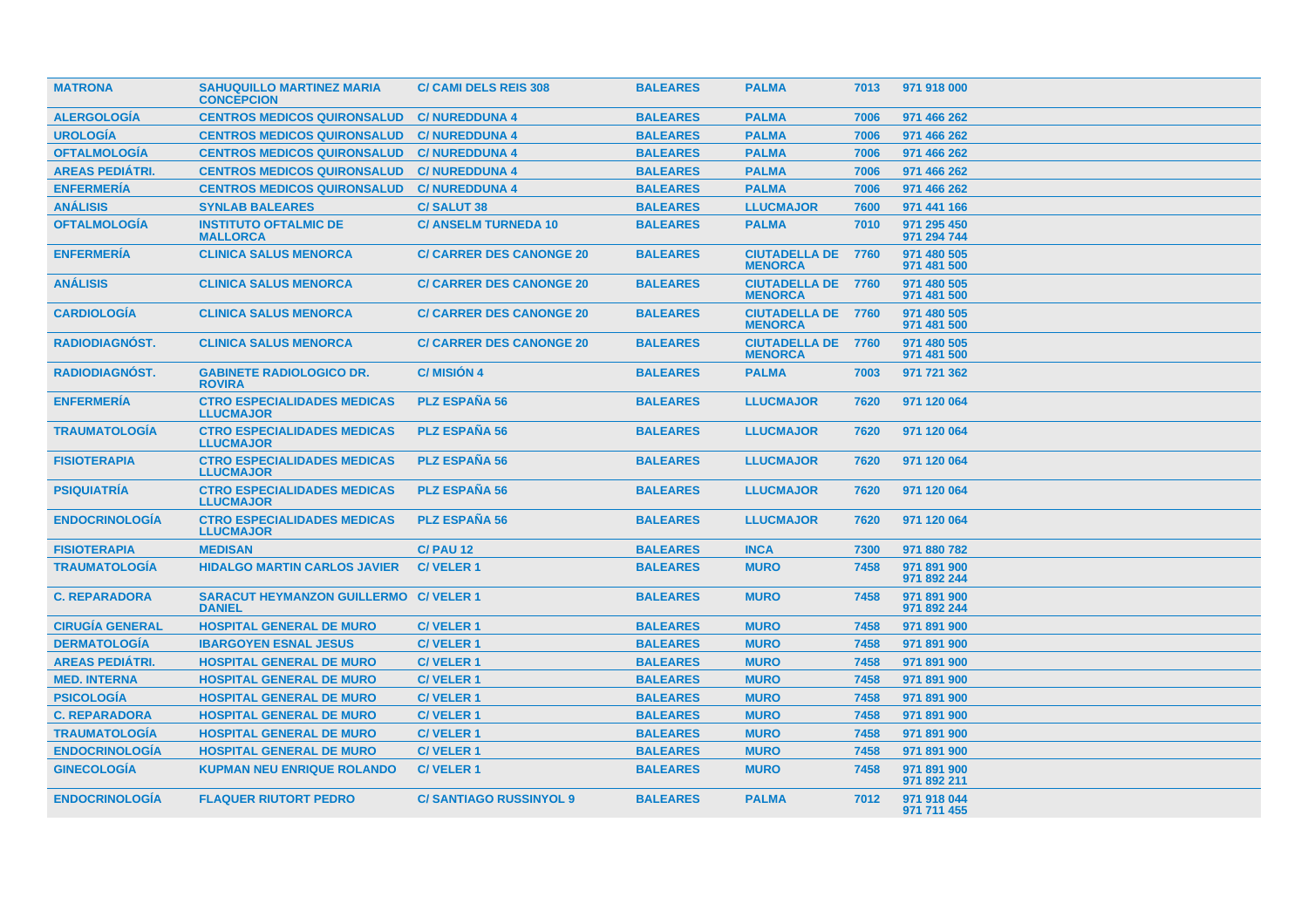| <b>MATRONA</b>         | <b>SAHUQUILLO MARTINEZ MARIA</b><br><b>CONCEPCION</b>          | <b>C/ CAMI DELS REIS 308</b>    | <b>BALEARES</b> | <b>PALMA</b>                                | 7013 | 971 918 000                |
|------------------------|----------------------------------------------------------------|---------------------------------|-----------------|---------------------------------------------|------|----------------------------|
| <b>ALERGOLOGÍA</b>     | <b>CENTROS MEDICOS QUIRONSALUD</b>                             | <b>C/NUREDDUNA 4</b>            | <b>BALEARES</b> | <b>PALMA</b>                                | 7006 | 971 466 262                |
| <b>UROLOGÍA</b>        | <b>CENTROS MEDICOS QUIRONSALUD</b>                             | <b>C/NUREDDUNA 4</b>            | <b>BALEARES</b> | <b>PALMA</b>                                | 7006 | 971 466 262                |
| <b>OFTALMOLOGÍA</b>    | <b>CENTROS MEDICOS QUIRONSALUD</b>                             | <b>C/NUREDDUNA 4</b>            | <b>BALEARES</b> | <b>PALMA</b>                                | 7006 | 971 466 262                |
| <b>AREAS PEDIÁTRI.</b> | <b>CENTROS MEDICOS QUIRONSALUD</b>                             | <b>C/NUREDDUNA 4</b>            | <b>BALEARES</b> | <b>PALMA</b>                                | 7006 | 971 466 262                |
| <b>ENFERMERÍA</b>      | <b>CENTROS MEDICOS QUIRONSALUD</b>                             | <b>C/NUREDDUNA 4</b>            | <b>BALEARES</b> | <b>PALMA</b>                                | 7006 | 971 466 262                |
| <b>ANÁLISIS</b>        | <b>SYNLAB BALEARES</b>                                         | <b>C/SALUT 38</b>               | <b>BALEARES</b> | <b>LLUCMAJOR</b>                            | 7600 | 971 441 166                |
| <b>OFTALMOLOGÍA</b>    | <b>INSTITUTO OFTALMIC DE</b><br><b>MALLORCA</b>                | <b>C/ ANSELM TURNEDA 10</b>     | <b>BALEARES</b> | <b>PALMA</b>                                | 7010 | 971 295 450<br>971 294 744 |
| <b>ENFERMERIA</b>      | <b>CLINICA SALUS MENORCA</b>                                   | <b>C/ CARRER DES CANONGE 20</b> | <b>BALEARES</b> | <b>CIUTADELLA DE 7760</b><br><b>MENORCA</b> |      | 971 480 505<br>971 481 500 |
| <b>ANÁLISIS</b>        | <b>CLINICA SALUS MENORCA</b>                                   | <b>C/ CARRER DES CANONGE 20</b> | <b>BALEARES</b> | <b>CIUTADELLA DE 7760</b><br><b>MENORCA</b> |      | 971 480 505<br>971 481 500 |
| <b>CARDIOLOGIA</b>     | <b>CLINICA SALUS MENORCA</b>                                   | <b>C/ CARRER DES CANONGE 20</b> | <b>BALEARES</b> | <b>CIUTADELLA DE 7760</b><br><b>MENORCA</b> |      | 971 480 505<br>971 481 500 |
| <b>RADIODIAGNÓST.</b>  | <b>CLINICA SALUS MENORCA</b>                                   | <b>C/ CARRER DES CANONGE 20</b> | <b>BALEARES</b> | <b>CIUTADELLA DE 7760</b><br><b>MENORCA</b> |      | 971 480 505<br>971 481 500 |
| RADIODIAGNÓST.         | <b>GABINETE RADIOLOGICO DR.</b><br><b>ROVIRA</b>               | <b>C/MISIÓN 4</b>               | <b>BALEARES</b> | <b>PALMA</b>                                | 7003 | 971 721 362                |
| <b>ENFERMERIA</b>      | <b>CTRO ESPECIALIDADES MEDICAS</b><br><b>LLUCMAJOR</b>         | <b>PLZ ESPAÑA 56</b>            | <b>BALEARES</b> | <b>LLUCMAJOR</b>                            | 7620 | 971 120 064                |
| <b>TRAUMATOLOGÍA</b>   | <b>CTRO ESPECIALIDADES MEDICAS</b><br><b>LLUCMAJOR</b>         | <b>PLZ ESPAÑA 56</b>            | <b>BALEARES</b> | <b>LLUCMAJOR</b>                            | 7620 | 971 120 064                |
| <b>FISIOTERAPIA</b>    | <b>CTRO ESPECIALIDADES MEDICAS</b><br><b>LLUCMAJOR</b>         | <b>PLZ ESPAÑA 56</b>            | <b>BALEARES</b> | <b>LLUCMAJOR</b>                            | 7620 | 971 120 064                |
| <b>PSIQUIATRIA</b>     | <b>CTRO ESPECIALIDADES MEDICAS</b><br><b>LLUCMAJOR</b>         | <b>PLZ ESPAÑA 56</b>            | <b>BALEARES</b> | <b>LLUCMAJOR</b>                            | 7620 | 971 120 064                |
| <b>ENDOCRINOLOGIA</b>  | <b>CTRO ESPECIALIDADES MEDICAS</b><br><b>LLUCMAJOR</b>         | <b>PLZ ESPAÑA 56</b>            | <b>BALEARES</b> | <b>LLUCMAJOR</b>                            | 7620 | 971 120 064                |
| <b>FISIOTERAPIA</b>    | <b>MEDISAN</b>                                                 | <b>C/ PAU 12</b>                | <b>BALEARES</b> | <b>INCA</b>                                 | 7300 | 971 880 782                |
| <b>TRAUMATOLOGÍA</b>   | <b>HIDALGO MARTIN CARLOS JAVIER</b>                            | <b>C/VELER1</b>                 | <b>BALEARES</b> | <b>MURO</b>                                 | 7458 | 971 891 900<br>971 892 244 |
| <b>C. REPARADORA</b>   | <b>SARACUT HEYMANZON GUILLERMO C/ VELER 1</b><br><b>DANIEL</b> |                                 | <b>BALEARES</b> | <b>MURO</b>                                 | 7458 | 971 891 900<br>971 892 244 |
| <b>CIRUGÍA GENERAL</b> | <b>HOSPITAL GENERAL DE MURO</b>                                | <b>C/VELER1</b>                 | <b>BALEARES</b> | <b>MURO</b>                                 | 7458 | 971 891 900                |
| <b>DERMATOLOGIA</b>    | <b>IBARGOYEN ESNAL JESUS</b>                                   | <b>C/VELER1</b>                 | <b>BALEARES</b> | <b>MURO</b>                                 | 7458 | 971 891 900                |
| <b>AREAS PEDIÁTRI.</b> | <b>HOSPITAL GENERAL DE MURO</b>                                | <b>C/VELER1</b>                 | <b>BALEARES</b> | <b>MURO</b>                                 | 7458 | 971 891 900                |
| <b>MED. INTERNA</b>    | <b>HOSPITAL GENERAL DE MURO</b>                                | <b>C/VELER1</b>                 | <b>BALEARES</b> | <b>MURO</b>                                 | 7458 | 971 891 900                |
| <b>PSICOLOGÍA</b>      | <b>HOSPITAL GENERAL DE MURO</b>                                | <b>C/VELER1</b>                 | <b>BALEARES</b> | <b>MURO</b>                                 | 7458 | 971 891 900                |
| <b>C. REPARADORA</b>   | <b>HOSPITAL GENERAL DE MURO</b>                                | <b>C/VELER1</b>                 | <b>BALEARES</b> | <b>MURO</b>                                 | 7458 | 971 891 900                |
| <b>TRAUMATOLOGÍA</b>   | <b>HOSPITAL GENERAL DE MURO</b>                                | <b>C/VELER1</b>                 | <b>BALEARES</b> | <b>MURO</b>                                 | 7458 | 971 891 900                |
| <b>ENDOCRINOLOGÍA</b>  | <b>HOSPITAL GENERAL DE MURO</b>                                | <b>C/VELER1</b>                 | <b>BALEARES</b> | <b>MURO</b>                                 | 7458 | 971 891 900                |
| <b>GINECOLOGÍA</b>     | <b>KUPMAN NEU ENRIQUE ROLANDO</b>                              | <b>C/VELER1</b>                 | <b>BALEARES</b> | <b>MURO</b>                                 | 7458 | 971 891 900<br>971 892 211 |
| <b>ENDOCRINOLOGIA</b>  | <b>FLAQUER RIUTORT PEDRO</b>                                   | <b>C/SANTIAGO RUSSINYOL 9</b>   | <b>BALEARES</b> | <b>PALMA</b>                                | 7012 | 971 918 044<br>971 711 455 |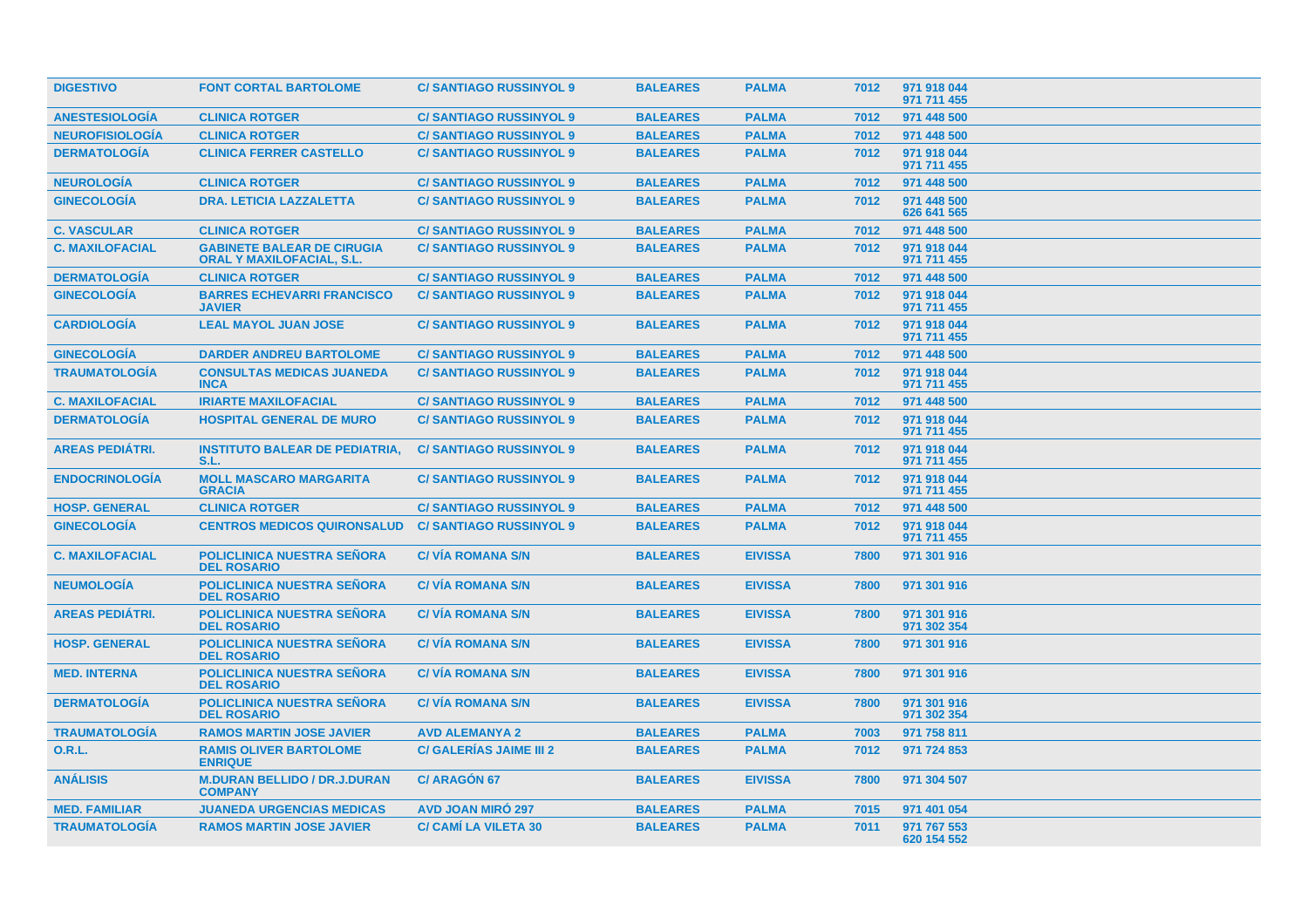| <b>DIGESTIVO</b>       | <b>FONT CORTAL BARTOLOME</b>                                          | <b>C/SANTIAGO RUSSINYOL 9</b>  | <b>BALEARES</b> | <b>PALMA</b>   | 7012 | 971 918 044<br>971 711 455 |  |
|------------------------|-----------------------------------------------------------------------|--------------------------------|-----------------|----------------|------|----------------------------|--|
| <b>ANESTESIOLOGIA</b>  | <b>CLINICA ROTGER</b>                                                 | <b>C/SANTIAGO RUSSINYOL 9</b>  | <b>BALEARES</b> | <b>PALMA</b>   | 7012 | 971 448 500                |  |
| <b>NEUROFISIOLOGÍA</b> | <b>CLINICA ROTGER</b>                                                 | <b>C/SANTIAGO RUSSINYOL 9</b>  | <b>BALEARES</b> | <b>PALMA</b>   | 7012 | 971 448 500                |  |
| <b>DERMATOLOGÍA</b>    | <b>CLINICA FERRER CASTELLO</b>                                        | <b>C/SANTIAGO RUSSINYOL 9</b>  | <b>BALEARES</b> | <b>PALMA</b>   | 7012 | 971 918 044<br>971 711 455 |  |
| <b>NEUROLOGÍA</b>      | <b>CLINICA ROTGER</b>                                                 | <b>C/SANTIAGO RUSSINYOL 9</b>  | <b>BALEARES</b> | <b>PALMA</b>   | 7012 | 971 448 500                |  |
| <b>GINECOLOGIA</b>     | <b>DRA. LETICIA LAZZALETTA</b>                                        | <b>C/SANTIAGO RUSSINYOL 9</b>  | <b>BALEARES</b> | <b>PALMA</b>   | 7012 | 971 448 500<br>626 641 565 |  |
| <b>C. VASCULAR</b>     | <b>CLINICA ROTGER</b>                                                 | <b>C/SANTIAGO RUSSINYOL 9</b>  | <b>BALEARES</b> | <b>PALMA</b>   | 7012 | 971 448 500                |  |
| <b>C. MAXILOFACIAL</b> | <b>GABINETE BALEAR DE CIRUGIA</b><br><b>ORAL Y MAXILOFACIAL, S.L.</b> | <b>C/SANTIAGO RUSSINYOL 9</b>  | <b>BALEARES</b> | <b>PALMA</b>   | 7012 | 971 918 044<br>971 711 455 |  |
| <b>DERMATOLOGÍA</b>    | <b>CLINICA ROTGER</b>                                                 | <b>C/ SANTIAGO RUSSINYOL 9</b> | <b>BALEARES</b> | <b>PALMA</b>   | 7012 | 971 448 500                |  |
| <b>GINECOLOGÍA</b>     | <b>BARRES ECHEVARRI FRANCISCO</b><br><b>JAVIER</b>                    | <b>C/SANTIAGO RUSSINYOL 9</b>  | <b>BALEARES</b> | <b>PALMA</b>   | 7012 | 971 918 044<br>971 711 455 |  |
| <b>CARDIOLOGÍA</b>     | <b>LEAL MAYOL JUAN JOSE</b>                                           | <b>C/SANTIAGO RUSSINYOL 9</b>  | <b>BALEARES</b> | <b>PALMA</b>   | 7012 | 971 918 044<br>971 711 455 |  |
| <b>GINECOLOGIA</b>     | <b>DARDER ANDREU BARTOLOME</b>                                        | <b>C/SANTIAGO RUSSINYOL 9</b>  | <b>BALEARES</b> | <b>PALMA</b>   | 7012 | 971 448 500                |  |
| <b>TRAUMATOLOGIA</b>   | <b>CONSULTAS MEDICAS JUANEDA</b><br><b>INCA</b>                       | <b>C/SANTIAGO RUSSINYOL 9</b>  | <b>BALEARES</b> | <b>PALMA</b>   | 7012 | 971 918 044<br>971 711 455 |  |
| <b>C. MAXILOFACIAL</b> | <b>IRIARTE MAXILOFACIAL</b>                                           | <b>C/SANTIAGO RUSSINYOL 9</b>  | <b>BALEARES</b> | <b>PALMA</b>   | 7012 | 971 448 500                |  |
| <b>DERMATOLOGÍA</b>    | <b>HOSPITAL GENERAL DE MURO</b>                                       | <b>C/SANTIAGO RUSSINYOL 9</b>  | <b>BALEARES</b> | <b>PALMA</b>   | 7012 | 971 918 044<br>971 711 455 |  |
| <b>AREAS PEDIÁTRI.</b> | <b>INSTITUTO BALEAR DE PEDIATRIA.</b><br>S.L.                         | <b>C/SANTIAGO RUSSINYOL 9</b>  | <b>BALEARES</b> | <b>PALMA</b>   | 7012 | 971 918 044<br>971 711 455 |  |
| <b>ENDOCRINOLOGÍA</b>  | <b>MOLL MASCARO MARGARITA</b><br><b>GRACIA</b>                        | <b>C/SANTIAGO RUSSINYOL 9</b>  | <b>BALEARES</b> | <b>PALMA</b>   | 7012 | 971 918 044<br>971 711 455 |  |
| <b>HOSP. GENERAL</b>   | <b>CLINICA ROTGER</b>                                                 | <b>C/SANTIAGO RUSSINYOL 9</b>  | <b>BALEARES</b> | <b>PALMA</b>   | 7012 | 971 448 500                |  |
| <b>GINECOLOGÍA</b>     | <b>CENTROS MEDICOS QUIRONSALUD</b>                                    | <b>C/SANTIAGO RUSSINYOL 9</b>  | <b>BALEARES</b> | <b>PALMA</b>   | 7012 | 971 918 044<br>971 711 455 |  |
| <b>C. MAXILOFACIAL</b> | <b>POLICLINICA NUESTRA SEÑORA</b><br><b>DEL ROSARIO</b>               | <b>C/VIA ROMANA S/N</b>        | <b>BALEARES</b> | <b>EIVISSA</b> | 7800 | 971 301 916                |  |
| <b>NEUMOLOGÍA</b>      | <b>POLICLINICA NUESTRA SEÑORA</b><br><b>DEL ROSARIO</b>               | <b>C/VIA ROMANA S/N</b>        | <b>BALEARES</b> | <b>EIVISSA</b> | 7800 | 971 301 916                |  |
| <b>AREAS PEDIÁTRI.</b> | <b>POLICLINICA NUESTRA SEÑORA</b><br><b>DEL ROSARIO</b>               | <b>C/VIA ROMANA S/N</b>        | <b>BALEARES</b> | <b>EIVISSA</b> | 7800 | 971 301 916<br>971 302 354 |  |
| <b>HOSP. GENERAL</b>   | <b>POLICLINICA NUESTRA SEÑORA</b><br><b>DEL ROSARIO</b>               | <b>C/VIA ROMANA S/N</b>        | <b>BALEARES</b> | <b>EIVISSA</b> | 7800 | 971 301 916                |  |
| <b>MED. INTERNA</b>    | <b>POLICLINICA NUESTRA SEÑORA</b><br><b>DEL ROSARIO</b>               | <b>C/VIA ROMANA S/N</b>        | <b>BALEARES</b> | <b>EIVISSA</b> | 7800 | 971 301 916                |  |
| <b>DERMATOLOGIA</b>    | <b>POLICLINICA NUESTRA SEÑORA</b><br><b>DEL ROSARIO</b>               | <b>C/VIA ROMANA S/N</b>        | <b>BALEARES</b> | <b>EIVISSA</b> | 7800 | 971 301 916<br>971 302 354 |  |
| <b>TRAUMATOLOGÍA</b>   | <b>RAMOS MARTIN JOSE JAVIER</b>                                       | <b>AVD ALEMANYA 2</b>          | <b>BALEARES</b> | <b>PALMA</b>   | 7003 | 971 758 811                |  |
| <b>O.R.L.</b>          | <b>RAMIS OLIVER BARTOLOME</b><br><b>ENRIQUE</b>                       | <b>C/ GALERÍAS JAIME III 2</b> | <b>BALEARES</b> | <b>PALMA</b>   | 7012 | 971 724 853                |  |
| <b>ANÁLISIS</b>        | <b>M.DURAN BELLIDO / DR.J.DURAN</b><br><b>COMPANY</b>                 | <b>C/ARAGON 67</b>             | <b>BALEARES</b> | <b>EIVISSA</b> | 7800 | 971 304 507                |  |
| <b>MED. FAMILIAR</b>   | <b>JUANEDA URGENCIAS MEDICAS</b>                                      | <b>AVD JOAN MIRÓ 297</b>       | <b>BALEARES</b> | <b>PALMA</b>   | 7015 | 971 401 054                |  |
| <b>TRAUMATOLOGÍA</b>   | <b>RAMOS MARTIN JOSE JAVIER</b>                                       | <b>C/ CAMI LA VILETA 30</b>    | <b>BALEARES</b> | <b>PALMA</b>   | 7011 | 971 767 553<br>620 154 552 |  |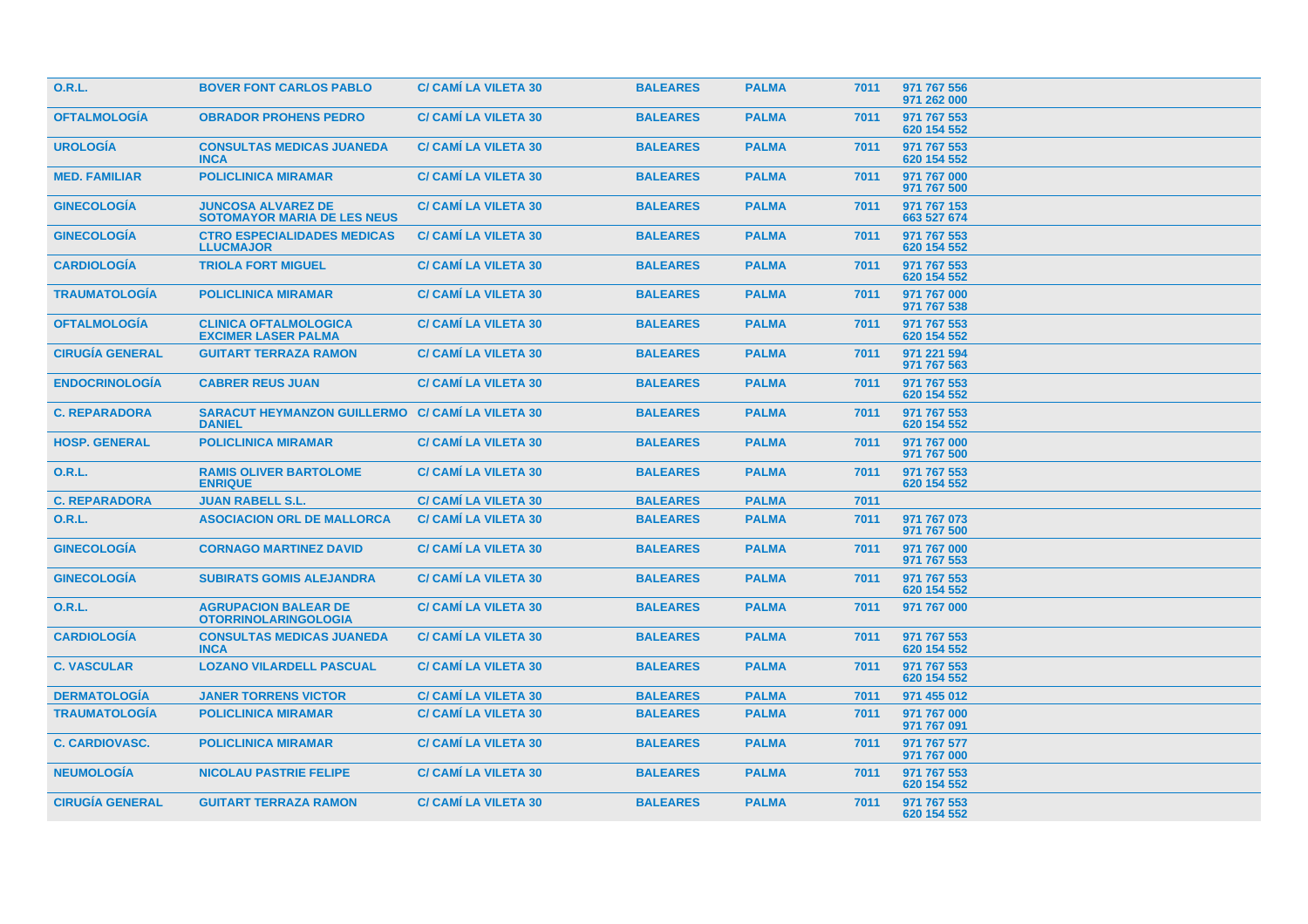| <b>O.R.L.</b>          | <b>BOVER FONT CARLOS PABLO</b>                                  | <b>C/ CAMI LA VILETA 30</b> | <b>BALEARES</b> | <b>PALMA</b> | 7011 | 971 767 556<br>971 262 000 |
|------------------------|-----------------------------------------------------------------|-----------------------------|-----------------|--------------|------|----------------------------|
| <b>OFTALMOLOGÍA</b>    | <b>OBRADOR PROHENS PEDRO</b>                                    | <b>C/ CAMI LA VILETA 30</b> | <b>BALEARES</b> | <b>PALMA</b> | 7011 | 971 767 553<br>620 154 552 |
| <b>UROLOGIA</b>        | <b>CONSULTAS MEDICAS JUANEDA</b><br><b>INCA</b>                 | <b>C/ CAMI LA VILETA 30</b> | <b>BALEARES</b> | <b>PALMA</b> | 7011 | 971 767 553<br>620 154 552 |
| <b>MED. FAMILIAR</b>   | <b>POLICLINICA MIRAMAR</b>                                      | <b>C/ CAMI LA VILETA 30</b> | <b>BALEARES</b> | <b>PALMA</b> | 7011 | 971 767 000<br>971 767 500 |
| <b>GINECOLOGIA</b>     | <b>JUNCOSA ALVAREZ DE</b><br><b>SOTOMAYOR MARIA DE LES NEUS</b> | <b>C/ CAMI LA VILETA 30</b> | <b>BALEARES</b> | <b>PALMA</b> | 7011 | 971 767 153<br>663 527 674 |
| <b>GINECOLOGIA</b>     | <b>CTRO ESPECIALIDADES MEDICAS</b><br><b>LLUCMAJOR</b>          | <b>C/ CAMI LA VILETA 30</b> | <b>BALEARES</b> | <b>PALMA</b> | 7011 | 971 767 553<br>620 154 552 |
| <b>CARDIOLOGÍA</b>     | <b>TRIOLA FORT MIGUEL</b>                                       | <b>C/ CAMI LA VILETA 30</b> | <b>BALEARES</b> | <b>PALMA</b> | 7011 | 971 767 553<br>620 154 552 |
| <b>TRAUMATOLOGÍA</b>   | <b>POLICLINICA MIRAMAR</b>                                      | <b>C/ CAMI LA VILETA 30</b> | <b>BALEARES</b> | <b>PALMA</b> | 7011 | 971 767 000<br>971 767 538 |
| <b>OFTALMOLOGÍA</b>    | <b>CLINICA OFTALMOLOGICA</b><br><b>EXCIMER LASER PALMA</b>      | <b>C/ CAMI LA VILETA 30</b> | <b>BALEARES</b> | <b>PALMA</b> | 7011 | 971 767 553<br>620 154 552 |
| <b>CIRUGÍA GENERAL</b> | <b>GUITART TERRAZA RAMON</b>                                    | <b>C/ CAMI LA VILETA 30</b> | <b>BALEARES</b> | <b>PALMA</b> | 7011 | 971 221 594<br>971 767 563 |
| <b>ENDOCRINOLOGÍA</b>  | <b>CABRER REUS JUAN</b>                                         | <b>C/ CAMI LA VILETA 30</b> | <b>BALEARES</b> | <b>PALMA</b> | 7011 | 971 767 553<br>620 154 552 |
| <b>C. REPARADORA</b>   | <b>SARACUT HEYMANZON GUILLERMO</b><br><b>DANIEL</b>             | <b>C/ CAMI LA VILETA 30</b> | <b>BALEARES</b> | <b>PALMA</b> | 7011 | 971 767 553<br>620 154 552 |
| <b>HOSP. GENERAL</b>   | <b>POLICLINICA MIRAMAR</b>                                      | <b>C/ CAMI LA VILETA 30</b> | <b>BALEARES</b> | <b>PALMA</b> | 7011 | 971 767 000<br>971 767 500 |
| <b>O.R.L.</b>          | <b>RAMIS OLIVER BARTOLOME</b><br><b>ENRIQUE</b>                 | <b>C/ CAMI LA VILETA 30</b> | <b>BALEARES</b> | <b>PALMA</b> | 7011 | 971 767 553<br>620 154 552 |
| <b>C. REPARADORA</b>   | <b>JUAN RABELL S.L.</b>                                         | <b>C/ CAMI LA VILETA 30</b> | <b>BALEARES</b> | <b>PALMA</b> | 7011 |                            |
| 0.R.L.                 | <b>ASOCIACION ORL DE MALLORCA</b>                               | <b>C/ CAMI LA VILETA 30</b> | <b>BALEARES</b> | <b>PALMA</b> | 7011 | 971 767 073<br>971 767 500 |
| <b>GINECOLOGÍA</b>     | <b>CORNAGO MARTINEZ DAVID</b>                                   | <b>C/ CAMI LA VILETA 30</b> | <b>BALEARES</b> | <b>PALMA</b> | 7011 | 971 767 000<br>971 767 553 |
| <b>GINECOLOGÍA</b>     | <b>SUBIRATS GOMIS ALEJANDRA</b>                                 | <b>C/ CAMI LA VILETA 30</b> | <b>BALEARES</b> | <b>PALMA</b> | 7011 | 971 767 553<br>620 154 552 |
| <b>O.R.L.</b>          | <b>AGRUPACION BALEAR DE</b><br><b>OTORRINOLARINGOLOGIA</b>      | <b>C/ CAMI LA VILETA 30</b> | <b>BALEARES</b> | <b>PALMA</b> | 7011 | 971 767 000                |
| <b>CARDIOLOGÍA</b>     | <b>CONSULTAS MEDICAS JUANEDA</b><br><b>INCA</b>                 | <b>C/ CAMI LA VILETA 30</b> | <b>BALEARES</b> | <b>PALMA</b> | 7011 | 971 767 553<br>620 154 552 |
| <b>C. VASCULAR</b>     | <b>LOZANO VILARDELL PASCUAL</b>                                 | <b>C/ CAMI LA VILETA 30</b> | <b>BALEARES</b> | <b>PALMA</b> | 7011 | 971 767 553<br>620 154 552 |
| <b>DERMATOLOGÍA</b>    | <b>JANER TORRENS VICTOR</b>                                     | <b>C/ CAMI LA VILETA 30</b> | <b>BALEARES</b> | <b>PALMA</b> | 7011 | 971 455 012                |
| <b>TRAUMATOLOGÍA</b>   | <b>POLICLINICA MIRAMAR</b>                                      | <b>C/ CAMI LA VILETA 30</b> | <b>BALEARES</b> | <b>PALMA</b> | 7011 | 971 767 000<br>971 767 091 |
| <b>C. CARDIOVASC.</b>  | <b>POLICLINICA MIRAMAR</b>                                      | <b>C/ CAMI LA VILETA 30</b> | <b>BALEARES</b> | <b>PALMA</b> | 7011 | 971 767 577<br>971 767 000 |
| <b>NEUMOLOGÍA</b>      | <b>NICOLAU PASTRIE FELIPE</b>                                   | <b>C/ CAMI LA VILETA 30</b> | <b>BALEARES</b> | <b>PALMA</b> | 7011 | 971 767 553<br>620 154 552 |
| <b>CIRUGÍA GENERAL</b> | <b>GUITART TERRAZA RAMON</b>                                    | <b>C/ CAMI LA VILETA 30</b> | <b>BALEARES</b> | <b>PALMA</b> | 7011 | 971 767 553<br>620 154 552 |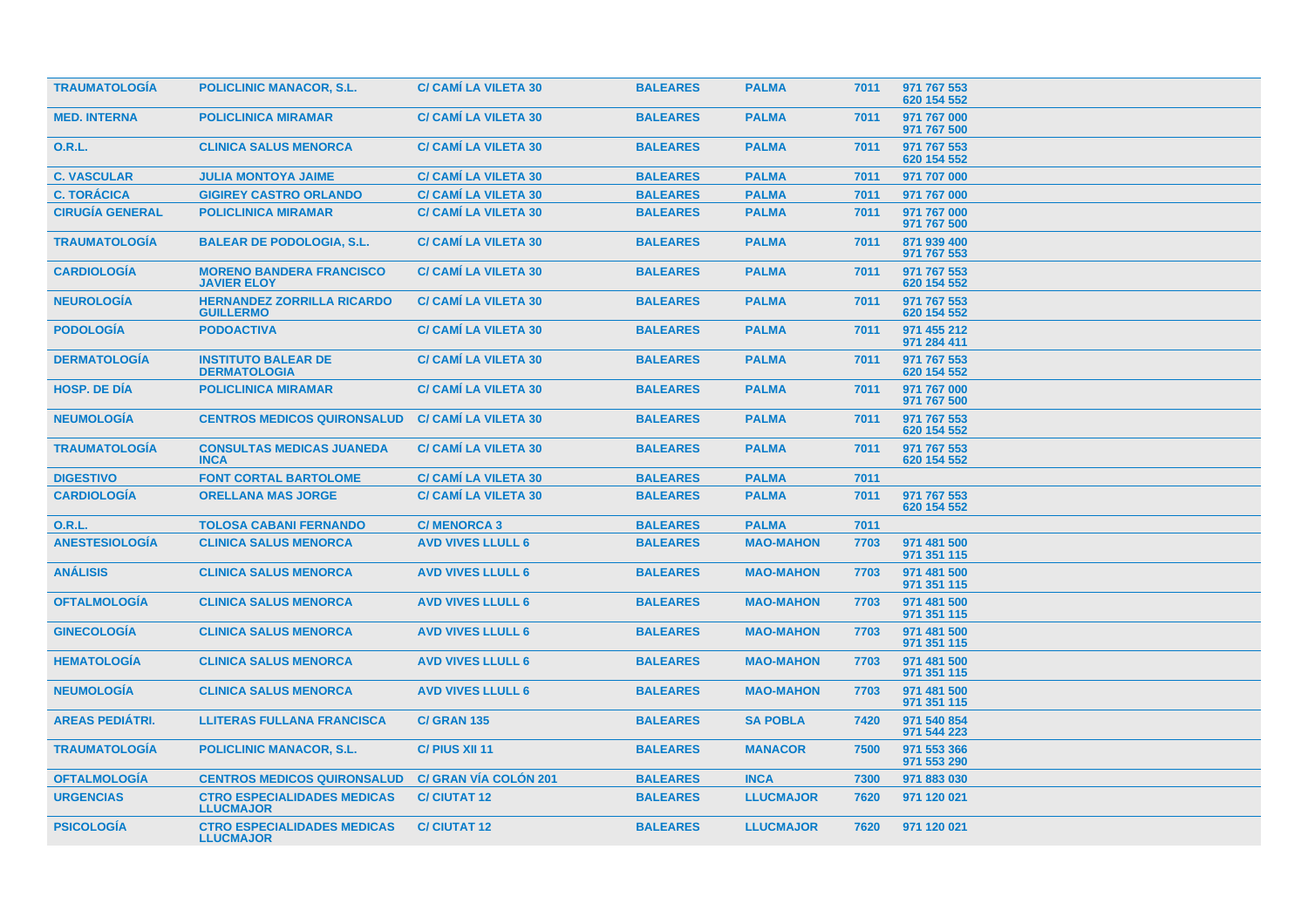| <b>TRAUMATOLOGIA</b>   | <b>POLICLINIC MANACOR, S.L.</b>                        | <b>C/ CAMI LA VILETA 30</b>  | <b>BALEARES</b> | <b>PALMA</b>     | 7011 | 971 767 553<br>620 154 552 |
|------------------------|--------------------------------------------------------|------------------------------|-----------------|------------------|------|----------------------------|
| <b>MED. INTERNA</b>    | <b>POLICLINICA MIRAMAR</b>                             | <b>C/ CAMI LA VILETA 30</b>  | <b>BALEARES</b> | <b>PALMA</b>     | 7011 | 971 767 000<br>971 767 500 |
| <b>O.R.L.</b>          | <b>CLINICA SALUS MENORCA</b>                           | <b>C/ CAMI LA VILETA 30</b>  | <b>BALEARES</b> | <b>PALMA</b>     | 7011 | 971 767 553<br>620 154 552 |
| <b>C. VASCULAR</b>     | <b>JULIA MONTOYA JAIME</b>                             | <b>C/ CAMI LA VILETA 30</b>  | <b>BALEARES</b> | <b>PALMA</b>     | 7011 | 971 707 000                |
| <b>C. TORÁCICA</b>     | <b>GIGIREY CASTRO ORLANDO</b>                          | <b>C/ CAMI LA VILETA 30</b>  | <b>BALEARES</b> | <b>PALMA</b>     | 7011 | 971 767 000                |
| <b>CIRUGÍA GENERAL</b> | <b>POLICLINICA MIRAMAR</b>                             | <b>C/ CAMI LA VILETA 30</b>  | <b>BALEARES</b> | <b>PALMA</b>     | 7011 | 971 767 000<br>971 767 500 |
| <b>TRAUMATOLOGIA</b>   | <b>BALEAR DE PODOLOGIA, S.L.</b>                       | <b>C/ CAMI LA VILETA 30</b>  | <b>BALEARES</b> | <b>PALMA</b>     | 7011 | 871 939 400<br>971 767 553 |
| <b>CARDIOLOGIA</b>     | <b>MORENO BANDERA FRANCISCO</b><br><b>JAVIER ELOY</b>  | <b>C/ CAMI LA VILETA 30</b>  | <b>BALEARES</b> | <b>PALMA</b>     | 7011 | 971 767 553<br>620 154 552 |
| <b>NEUROLOGÍA</b>      | <b>HERNANDEZ ZORRILLA RICARDO</b><br><b>GUILLERMO</b>  | <b>C/ CAMI LA VILETA 30</b>  | <b>BALEARES</b> | <b>PALMA</b>     | 7011 | 971 767 553<br>620 154 552 |
| <b>PODOLOGÍA</b>       | <b>PODOACTIVA</b>                                      | <b>C/ CAMI LA VILETA 30</b>  | <b>BALEARES</b> | <b>PALMA</b>     | 7011 | 971 455 212<br>971 284 411 |
| <b>DERMATOLOGÍA</b>    | <b>INSTITUTO BALEAR DE</b><br><b>DERMATOLOGIA</b>      | <b>C/ CAMI LA VILETA 30</b>  | <b>BALEARES</b> | <b>PALMA</b>     | 7011 | 971 767 553<br>620 154 552 |
| <b>HOSP, DE DIA</b>    | <b>POLICLINICA MIRAMAR</b>                             | <b>C/ CAMI LA VILETA 30</b>  | <b>BALEARES</b> | <b>PALMA</b>     | 7011 | 971 767 000<br>971 767 500 |
| <b>NEUMOLOGÍA</b>      | <b>CENTROS MEDICOS QUIRONSALUD</b>                     | <b>C/ CAMI LA VILETA 30</b>  | <b>BALEARES</b> | <b>PALMA</b>     | 7011 | 971 767 553<br>620 154 552 |
| <b>TRAUMATOLOGÍA</b>   | <b>CONSULTAS MEDICAS JUANEDA</b><br><b>INCA</b>        | <b>C/ CAMI LA VILETA 30</b>  | <b>BALEARES</b> | <b>PALMA</b>     | 7011 | 971 767 553<br>620 154 552 |
| <b>DIGESTIVO</b>       | <b>FONT CORTAL BARTOLOME</b>                           | <b>C/ CAMI LA VILETA 30</b>  | <b>BALEARES</b> | <b>PALMA</b>     | 7011 |                            |
| <b>CARDIOLOGÍA</b>     | <b>ORELLANA MAS JORGE</b>                              | <b>C/ CAMI LA VILETA 30</b>  | <b>BALEARES</b> | <b>PALMA</b>     | 7011 | 971 767 553<br>620 154 552 |
| <b>O.R.L.</b>          | <b>TOLOSA CABANI FERNANDO</b>                          | <b>C/MENORCA 3</b>           | <b>BALEARES</b> | <b>PALMA</b>     | 7011 |                            |
| <b>ANESTESIOLOGÍA</b>  | <b>CLINICA SALUS MENORCA</b>                           | <b>AVD VIVES LLULL 6</b>     | <b>BALEARES</b> | <b>MAO-MAHON</b> | 7703 | 971 481 500<br>971 351 115 |
| <b>ANÁLISIS</b>        | <b>CLINICA SALUS MENORCA</b>                           | <b>AVD VIVES LLULL 6</b>     | <b>BALEARES</b> | <b>MAO-MAHON</b> | 7703 | 971 481 500<br>971 351 115 |
| <b>OFTALMOLOGÍA</b>    | <b>CLINICA SALUS MENORCA</b>                           | <b>AVD VIVES LLULL 6</b>     | <b>BALEARES</b> | <b>MAO-MAHON</b> | 7703 | 971 481 500<br>971 351 115 |
| <b>GINECOLOGÍA</b>     | <b>CLINICA SALUS MENORCA</b>                           | <b>AVD VIVES LLULL 6</b>     | <b>BALEARES</b> | <b>MAO-MAHON</b> | 7703 | 971 481 500<br>971 351 115 |
| <b>HEMATOLOGIA</b>     | <b>CLINICA SALUS MENORCA</b>                           | <b>AVD VIVES LLULL 6</b>     | <b>BALEARES</b> | <b>MAO-MAHON</b> | 7703 | 971 481 500<br>971 351 115 |
| <b>NEUMOLOGIA</b>      | <b>CLINICA SALUS MENORCA</b>                           | <b>AVD VIVES LLULL 6</b>     | <b>BALEARES</b> | <b>MAO-MAHON</b> | 7703 | 971 481 500<br>971 351 115 |
| <b>AREAS PEDIÁTRI.</b> | <b>LLITERAS FULLANA FRANCISCA</b>                      | <b>C/ GRAN 135</b>           | <b>BALEARES</b> | <b>SA POBLA</b>  | 7420 | 971 540 854<br>971 544 223 |
| <b>TRAUMATOLOGÍA</b>   | <b>POLICLINIC MANACOR, S.L.</b>                        | C/ PIUS XII 11               | <b>BALEARES</b> | <b>MANACOR</b>   | 7500 | 971 553 366<br>971 553 290 |
| <b>OFTALMOLOGÍA</b>    | <b>CENTROS MEDICOS QUIRONSALUD</b>                     | <b>C/ GRAN VÍA COLÓN 201</b> | <b>BALEARES</b> | <b>INCA</b>      | 7300 | 971 883 030                |
| <b>URGENCIAS</b>       | <b>CTRO ESPECIALIDADES MEDICAS</b><br><b>LLUCMAJOR</b> | <b>C/CIUTAT 12</b>           | <b>BALEARES</b> | <b>LLUCMAJOR</b> | 7620 | 971 120 021                |
| <b>PSICOLOGIA</b>      | <b>CTRO ESPECIALIDADES MEDICAS</b><br><b>LLUCMAJOR</b> | <b>C/CIUTAT12</b>            | <b>BALEARES</b> | <b>LLUCMAJOR</b> | 7620 | 971 120 021                |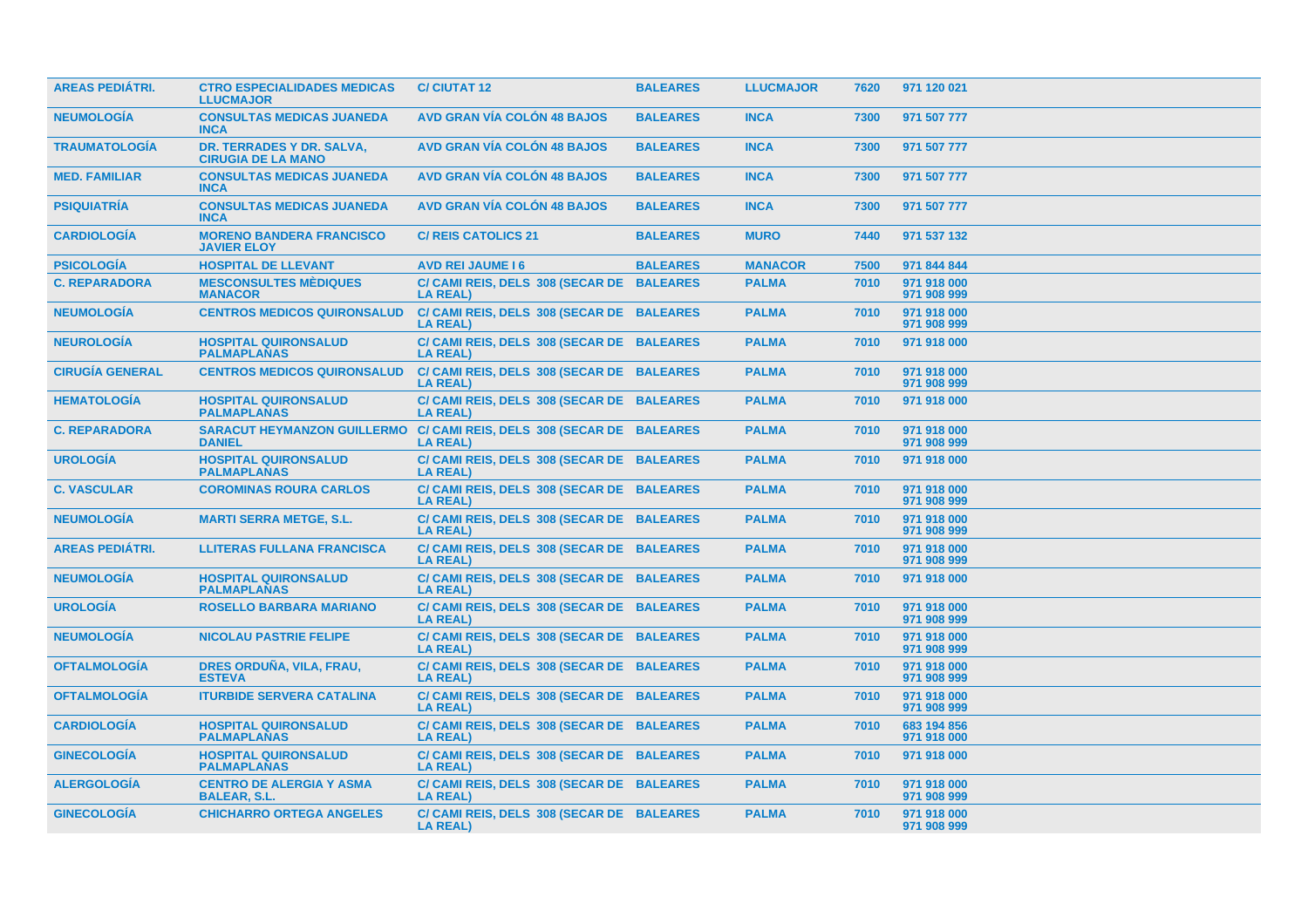| <b>AREAS PEDIÁTRI.</b> | <b>CTRO ESPECIALIDADES MEDICAS</b><br><b>LLUCMAJOR</b> | <b>C/ CIUTAT 12</b>                                                                      | <b>BALEARES</b> | <b>LLUCMAJOR</b> | 7620 | 971 120 021                |
|------------------------|--------------------------------------------------------|------------------------------------------------------------------------------------------|-----------------|------------------|------|----------------------------|
| <b>NEUMOLOGÍA</b>      | <b>CONSULTAS MEDICAS JUANEDA</b><br><b>INCA</b>        | <b>AVD GRAN VÍA COLÓN 48 BAJOS</b>                                                       | <b>BALEARES</b> | <b>INCA</b>      | 7300 | 971 507 777                |
| <b>TRAUMATOLOGÍA</b>   | DR. TERRADES Y DR. SALVA,<br><b>CIRUGIA DE LA MANO</b> | <b>AVD GRAN VÍA COLÓN 48 BAJOS</b>                                                       | <b>BALEARES</b> | <b>INCA</b>      | 7300 | 971 507 777                |
| <b>MED. FAMILIAR</b>   | <b>CONSULTAS MEDICAS JUANEDA</b><br><b>INCA</b>        | <b>AVD GRAN VÍA COLÓN 48 BAJOS</b>                                                       | <b>BALEARES</b> | <b>INCA</b>      | 7300 | 971 507 777                |
| <b>PSIQUIATRÍA</b>     | <b>CONSULTAS MEDICAS JUANEDA</b><br><b>INCA</b>        | <b>AVD GRAN VÍA COLÓN 48 BAJOS</b>                                                       | <b>BALEARES</b> | <b>INCA</b>      | 7300 | 971 507 777                |
| <b>CARDIOLOGÍA</b>     | <b>MORENO BANDERA FRANCISCO</b><br><b>JAVIER ELOY</b>  | <b>C/ REIS CATOLICS 21</b>                                                               | <b>BALEARES</b> | <b>MURO</b>      | 7440 | 971 537 132                |
| <b>PSICOLOGÍA</b>      | <b>HOSPITAL DE LLEVANT</b>                             | <b>AVD REI JAUME 16</b>                                                                  | <b>BALEARES</b> | <b>MANACOR</b>   | 7500 | 971 844 844                |
| <b>C. REPARADORA</b>   | <b>MESCONSULTES MÉDIQUES</b><br><b>MANACOR</b>         | C/ CAMI REIS, DELS 308 (SECAR DE BALEARES<br><b>LA REAL)</b>                             |                 | <b>PALMA</b>     | 7010 | 971 918 000<br>971 908 999 |
| <b>NEUMOLOGÍA</b>      | <b>CENTROS MEDICOS QUIRONSALUD</b>                     | C/ CAMI REIS, DELS 308 (SECAR DE BALEARES<br><b>LA REAL)</b>                             |                 | <b>PALMA</b>     | 7010 | 971 918 000<br>971 908 999 |
| <b>NEUROLOGÍA</b>      | <b>HOSPITAL QUIRONSALUD</b><br><b>PALMAPLANAS</b>      | C/ CAMI REIS, DELS 308 (SECAR DE BALEARES<br><b>LA REAL)</b>                             |                 | <b>PALMA</b>     | 7010 | 971 918 000                |
| <b>CIRUGIA GENERAL</b> | <b>CENTROS MEDICOS QUIRONSALUD</b>                     | C/ CAMI REIS, DELS 308 (SECAR DE BALEARES<br><b>LA REAL)</b>                             |                 | <b>PALMA</b>     | 7010 | 971 918 000<br>971 908 999 |
| <b>HEMATOLOGÍA</b>     | <b>HOSPITAL QUIRONSALUD</b><br><b>PALMAPLANAS</b>      | C/ CAMI REIS, DELS 308 (SECAR DE BALEARES<br><b>LA REAL)</b>                             |                 | <b>PALMA</b>     | 7010 | 971 918 000                |
| <b>C. REPARADORA</b>   | <b>DANIEL</b>                                          | SARACUT HEYMANZON GUILLERMO C/ CAMI REIS, DELS 308 (SECAR DE BALEARES<br><b>LA REAL)</b> |                 | <b>PALMA</b>     | 7010 | 971 918 000<br>971 908 999 |
| <b>UROLOGÍA</b>        | <b>HOSPITAL QUIRONSALUD</b><br><b>PALMAPLANAS</b>      | C/ CAMI REIS, DELS 308 (SECAR DE BALEARES<br><b>LA REAL)</b>                             |                 | <b>PALMA</b>     | 7010 | 971 918 000                |
| <b>C. VASCULAR</b>     | <b>COROMINAS ROURA CARLOS</b>                          | C/ CAMI REIS, DELS 308 (SECAR DE BALEARES<br><b>LA REAL)</b>                             |                 | <b>PALMA</b>     | 7010 | 971 918 000<br>971 908 999 |
| <b>NEUMOLOGÍA</b>      | <b>MARTI SERRA METGE, S.L.</b>                         | C/ CAMI REIS, DELS 308 (SECAR DE BALEARES<br><b>LA REAL)</b>                             |                 | <b>PALMA</b>     | 7010 | 971 918 000<br>971 908 999 |
| <b>AREAS PEDIÁTRI.</b> | <b>LLITERAS FULLANA FRANCISCA</b>                      | C/ CAMI REIS, DELS 308 (SECAR DE BALEARES<br><b>LA REAL)</b>                             |                 | <b>PALMA</b>     | 7010 | 971 918 000<br>971 908 999 |
| <b>NEUMOLOGÍA</b>      | <b>HOSPITAL QUIRONSALUD</b><br><b>PALMAPLANAS</b>      | C/ CAMI REIS, DELS 308 (SECAR DE BALEARES<br><b>LA REAL)</b>                             |                 | <b>PALMA</b>     | 7010 | 971 918 000                |
| <b>UROLOGÍA</b>        | <b>ROSELLO BARBARA MARIANO</b>                         | C/ CAMI REIS, DELS 308 (SECAR DE BALEARES<br><b>LA REAL)</b>                             |                 | <b>PALMA</b>     | 7010 | 971 918 000<br>971 908 999 |
| <b>NEUMOLOGÍA</b>      | <b>NICOLAU PASTRIE FELIPE</b>                          | C/ CAMI REIS, DELS 308 (SECAR DE BALEARES<br><b>LA REAL)</b>                             |                 | <b>PALMA</b>     | 7010 | 971 918 000<br>971 908 999 |
| <b>OFTALMOLOGÍA</b>    | DRES ORDUÑA, VILA, FRAU,<br><b>ESTEVA</b>              | C/ CAMI REIS, DELS 308 (SECAR DE BALEARES<br><b>LA REAL)</b>                             |                 | <b>PALMA</b>     | 7010 | 971 918 000<br>971 908 999 |
| <b>OFTALMOLOGÍA</b>    | <b>ITURBIDE SERVERA CATALINA</b>                       | C/ CAMI REIS, DELS 308 (SECAR DE BALEARES<br><b>LA REAL)</b>                             |                 | <b>PALMA</b>     | 7010 | 971 918 000<br>971 908 999 |
| <b>CARDIOLOGÍA</b>     | <b>HOSPITAL QUIRONSALUD</b><br><b>PALMAPLANAS</b>      | C/ CAMI REIS, DELS 308 (SECAR DE BALEARES<br><b>LA REAL)</b>                             |                 | <b>PALMA</b>     | 7010 | 683 194 856<br>971 918 000 |
| <b>GINECOLOGÍA</b>     | <b>HOSPITAL QUIRONSALUD</b><br><b>PALMAPLANAS</b>      | C/ CAMI REIS, DELS 308 (SECAR DE BALEARES<br><b>LA REAL)</b>                             |                 | <b>PALMA</b>     | 7010 | 971 918 000                |
| <b>ALERGOLOGÍA</b>     | <b>CENTRO DE ALERGIA Y ASMA</b><br><b>BALEAR, S.L.</b> | C/ CAMI REIS, DELS 308 (SECAR DE BALEARES<br><b>LA REAL)</b>                             |                 | <b>PALMA</b>     | 7010 | 971 918 000<br>971 908 999 |
| <b>GINECOLOGÍA</b>     | <b>CHICHARRO ORTEGA ANGELES</b>                        | C/ CAMI REIS, DELS 308 (SECAR DE BALEARES<br><b>LA REAL)</b>                             |                 | <b>PALMA</b>     | 7010 | 971 918 000<br>971 908 999 |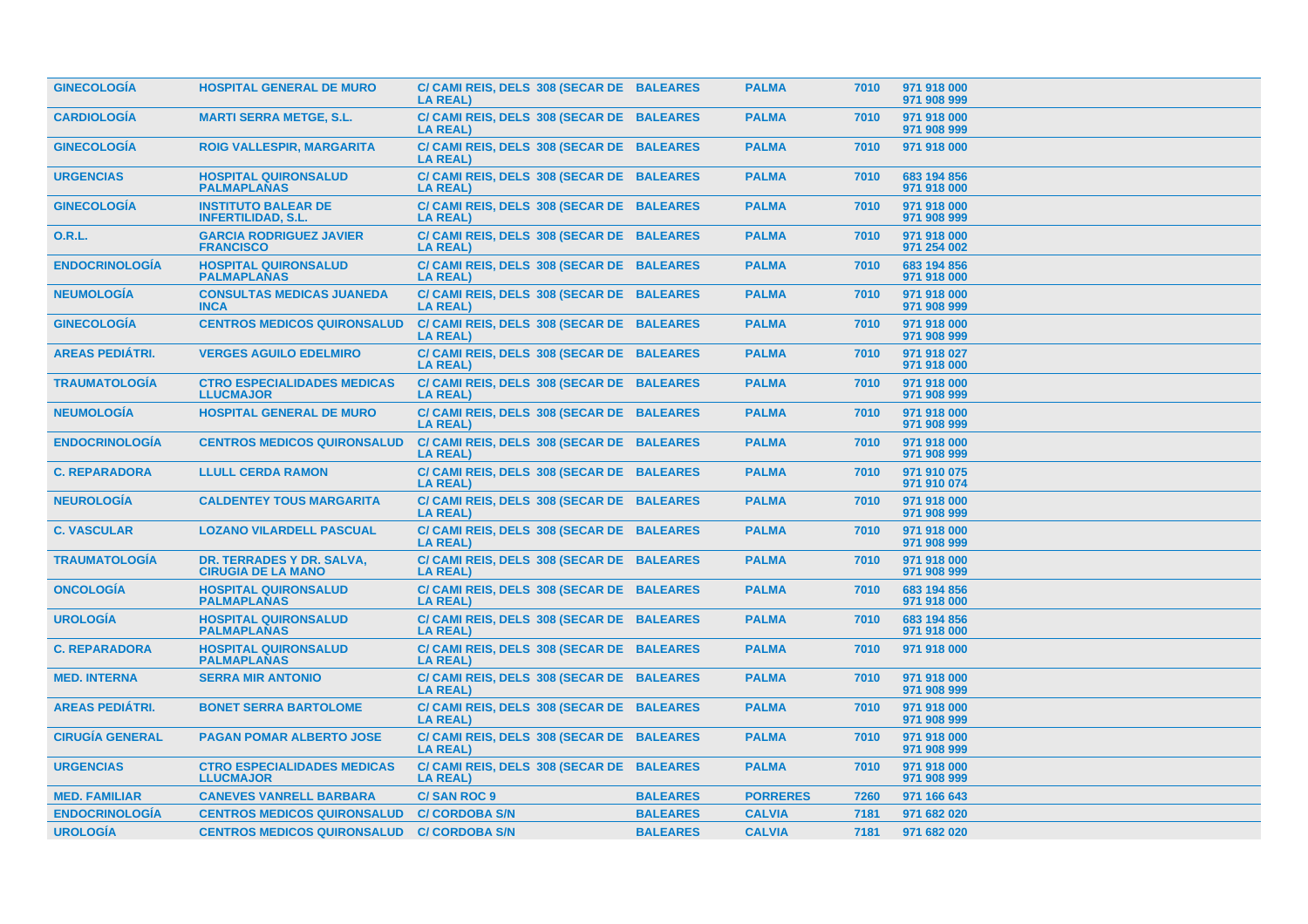| <b>GINECOLOGÍA</b>     | <b>HOSPITAL GENERAL DE MURO</b>                         | C/ CAMI REIS, DELS 308 (SECAR DE BALEARES<br><b>LA REAL)</b> |                 | <b>PALMA</b>    | 7010 | 971 918 000<br>971 908 999 |
|------------------------|---------------------------------------------------------|--------------------------------------------------------------|-----------------|-----------------|------|----------------------------|
| <b>CARDIOLOGÍA</b>     | <b>MARTI SERRA METGE, S.L.</b>                          | C/ CAMI REIS, DELS 308 (SECAR DE BALEARES<br><b>LA REAL)</b> |                 | <b>PALMA</b>    | 7010 | 971 918 000<br>971 908 999 |
| <b>GINECOLOGÍA</b>     | <b>ROIG VALLESPIR, MARGARITA</b>                        | C/ CAMI REIS, DELS 308 (SECAR DE BALEARES<br><b>LA REAL)</b> |                 | <b>PALMA</b>    | 7010 | 971 918 000                |
| <b>URGENCIAS</b>       | <b>HOSPITAL QUIRONSALUD</b><br><b>PALMAPLANAS</b>       | C/ CAMI REIS, DELS 308 (SECAR DE BALEARES<br><b>LA REAL)</b> |                 | <b>PALMA</b>    | 7010 | 683 194 856<br>971 918 000 |
| <b>GINECOLOGÍA</b>     | <b>INSTITUTO BALEAR DE</b><br><b>INFERTILIDAD, S.L.</b> | C/ CAMI REIS, DELS 308 (SECAR DE BALEARES<br><b>LA REAL)</b> |                 | <b>PALMA</b>    | 7010 | 971 918 000<br>971 908 999 |
| 0.R.L.                 | <b>GARCIA RODRIGUEZ JAVIER</b><br><b>FRANCISCO</b>      | C/ CAMI REIS, DELS 308 (SECAR DE BALEARES<br><b>LA REAL)</b> |                 | <b>PALMA</b>    | 7010 | 971 918 000<br>971 254 002 |
| <b>ENDOCRINOLOGÍA</b>  | <b>HOSPITAL QUIRONSALUD</b><br><b>PALMAPLANAS</b>       | C/ CAMI REIS, DELS 308 (SECAR DE BALEARES<br><b>LA REAL)</b> |                 | <b>PALMA</b>    | 7010 | 683 194 856<br>971 918 000 |
| <b>NEUMOLOGIA</b>      | <b>CONSULTAS MEDICAS JUANEDA</b><br><b>INCA</b>         | C/ CAMI REIS, DELS 308 (SECAR DE BALEARES<br><b>LA REAL)</b> |                 | <b>PALMA</b>    | 7010 | 971 918 000<br>971 908 999 |
| <b>GINECOLOGÍA</b>     | <b>CENTROS MEDICOS QUIRONSALUD</b>                      | C/ CAMI REIS, DELS 308 (SECAR DE BALEARES<br><b>LA REAL)</b> |                 | <b>PALMA</b>    | 7010 | 971 918 000<br>971 908 999 |
| <b>AREAS PEDIÁTRI.</b> | <b>VERGES AGUILO EDELMIRO</b>                           | C/ CAMI REIS, DELS 308 (SECAR DE BALEARES<br><b>LA REAL)</b> |                 | <b>PALMA</b>    | 7010 | 971 918 027<br>971 918 000 |
| <b>TRAUMATOLOGIA</b>   | <b>CTRO ESPECIALIDADES MEDICAS</b><br><b>LLUCMAJOR</b>  | C/ CAMI REIS, DELS 308 (SECAR DE BALEARES<br>LA REAL)        |                 | <b>PALMA</b>    | 7010 | 971 918 000<br>971 908 999 |
| <b>NEUMOLOGÍA</b>      | <b>HOSPITAL GENERAL DE MURO</b>                         | C/ CAMI REIS, DELS 308 (SECAR DE BALEARES<br><b>LA REAL)</b> |                 | <b>PALMA</b>    | 7010 | 971 918 000<br>971 908 999 |
| <b>ENDOCRINOLOGÍA</b>  | <b>CENTROS MEDICOS QUIRONSALUD</b>                      | C/ CAMI REIS, DELS 308 (SECAR DE BALEARES<br><b>LA REAL)</b> |                 | <b>PALMA</b>    | 7010 | 971 918 000<br>971 908 999 |
| <b>C. REPARADORA</b>   | <b>LLULL CERDA RAMON</b>                                | C/ CAMI REIS, DELS 308 (SECAR DE BALEARES<br><b>LA REAL)</b> |                 | <b>PALMA</b>    | 7010 | 971 910 075<br>971 910 074 |
| <b>NEUROLOGÍA</b>      | <b>CALDENTEY TOUS MARGARITA</b>                         | C/ CAMI REIS, DELS 308 (SECAR DE BALEARES<br><b>LA REAL)</b> |                 | <b>PALMA</b>    | 7010 | 971 918 000<br>971 908 999 |
| <b>C. VASCULAR</b>     | <b>LOZANO VILARDELL PASCUAL</b>                         | C/ CAMI REIS, DELS 308 (SECAR DE BALEARES<br><b>LA REAL)</b> |                 | <b>PALMA</b>    | 7010 | 971 918 000<br>971 908 999 |
| <b>TRAUMATOLOGÍA</b>   | DR. TERRADES Y DR. SALVA,<br><b>CIRUGIA DE LA MANO</b>  | C/ CAMI REIS, DELS 308 (SECAR DE BALEARES<br><b>LA REAL)</b> |                 | <b>PALMA</b>    | 7010 | 971 918 000<br>971 908 999 |
| <b>ONCOLOGIA</b>       | <b>HOSPITAL QUIRONSALUD</b><br><b>PALMAPLANAS</b>       | C/ CAMI REIS, DELS 308 (SECAR DE BALEARES<br><b>LA REAL)</b> |                 | <b>PALMA</b>    | 7010 | 683 194 856<br>971 918 000 |
| <b>UROLOGIA</b>        | <b>HOSPITAL QUIRONSALUD</b><br><b>PALMAPLANAS</b>       | C/ CAMI REIS, DELS 308 (SECAR DE BALEARES<br><b>LA REAL)</b> |                 | <b>PALMA</b>    | 7010 | 683 194 856<br>971 918 000 |
| <b>C. REPARADORA</b>   | <b>HOSPITAL QUIRONSALUD</b><br><b>PALMAPLANAS</b>       | C/ CAMI REIS, DELS 308 (SECAR DE BALEARES<br><b>LA REAL)</b> |                 | <b>PALMA</b>    | 7010 | 971 918 000                |
| <b>MED. INTERNA</b>    | <b>SERRA MIR ANTONIO</b>                                | C/ CAMI REIS, DELS 308 (SECAR DE BALEARES<br><b>LA REAL)</b> |                 | <b>PALMA</b>    | 7010 | 971 918 000<br>971 908 999 |
| <b>AREAS PEDIÁTRI.</b> | <b>BONET SERRA BARTOLOME</b>                            | C/ CAMI REIS, DELS 308 (SECAR DE BALEARES<br><b>LA REAL)</b> |                 | <b>PALMA</b>    | 7010 | 971 918 000<br>971 908 999 |
| <b>CIRUGÍA GENERAL</b> | <b>PAGAN POMAR ALBERTO JOSE</b>                         | C/ CAMI REIS, DELS 308 (SECAR DE BALEARES<br><b>LA REAL)</b> |                 | <b>PALMA</b>    | 7010 | 971 918 000<br>971 908 999 |
| <b>URGENCIAS</b>       | <b>CTRO ESPECIALIDADES MEDICAS</b><br><b>LLUCMAJOR</b>  | C/ CAMI REIS, DELS 308 (SECAR DE BALEARES<br><b>LA REAL)</b> |                 | <b>PALMA</b>    | 7010 | 971 918 000<br>971 908 999 |
| <b>MED. FAMILIAR</b>   | <b>CANEVES VANRELL BARBARA</b>                          | <b>C/SAN ROC 9</b>                                           | <b>BALEARES</b> | <b>PORRERES</b> | 7260 | 971 166 643                |
|                        |                                                         |                                                              |                 |                 |      |                            |
| <b>ENDOCRINOLOGÍA</b>  | <b>CENTROS MEDICOS QUIRONSALUD</b>                      | <b>C/ CORDOBA S/N</b>                                        | <b>BALEARES</b> | <b>CALVIA</b>   | 7181 | 971 682 020                |
| <b>UROLOGÍA</b>        | <b>CENTROS MEDICOS QUIRONSALUD</b>                      | <b>C/ CORDOBA S/N</b>                                        | <b>BALEARES</b> | <b>CALVIA</b>   | 7181 | 971 682 020                |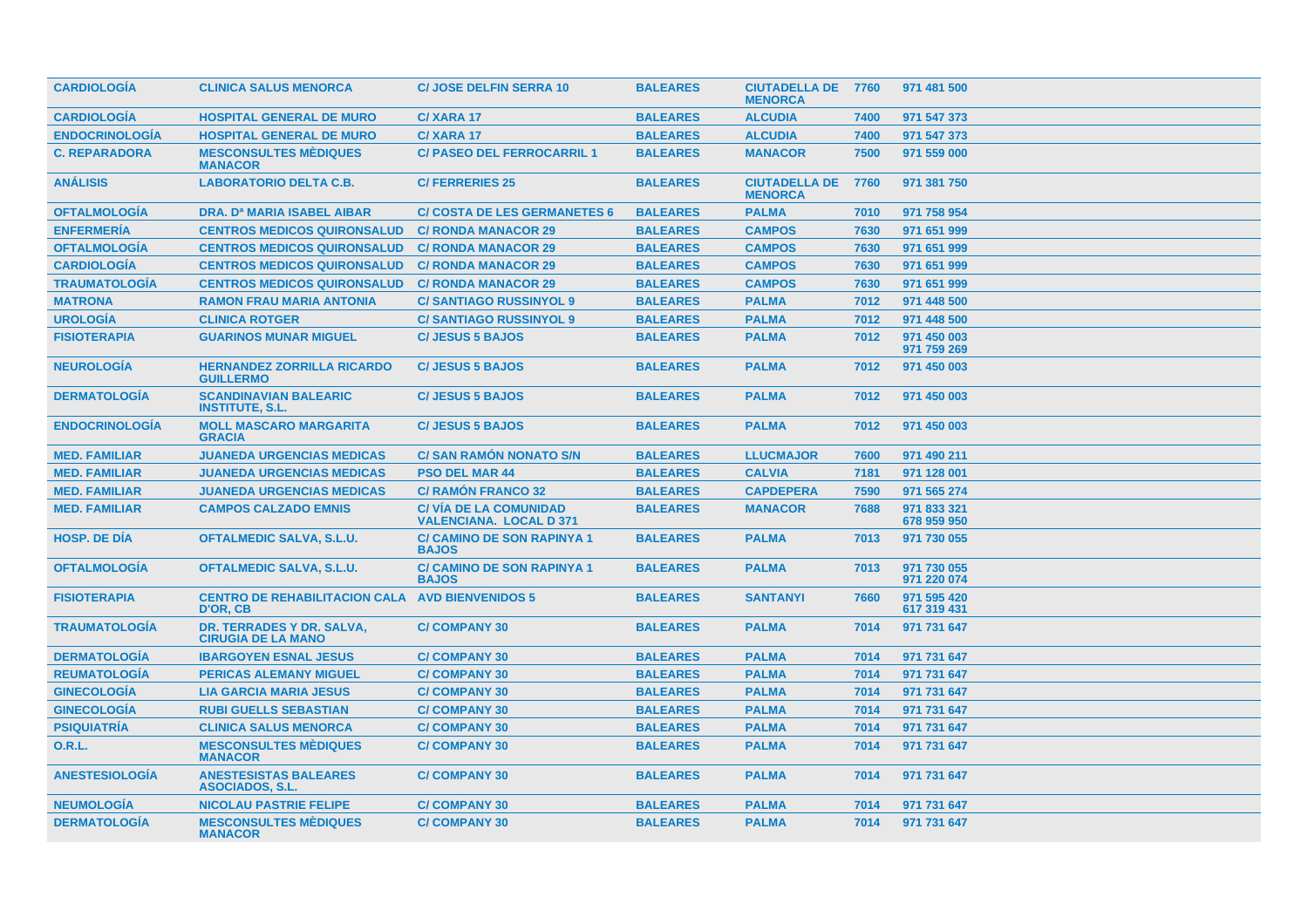| <b>CARDIOLOGIA</b>    | <b>CLINICA SALUS MENORCA</b>                           | <b>C/JOSE DELFIN SERRA 10</b>                                   | <b>BALEARES</b> | <b>CIUTADELLA DE 7760</b><br><b>MENORCA</b> |      | 971 481 500                |
|-----------------------|--------------------------------------------------------|-----------------------------------------------------------------|-----------------|---------------------------------------------|------|----------------------------|
| <b>CARDIOLOGÍA</b>    | <b>HOSPITAL GENERAL DE MURO</b>                        | C/XARA 17                                                       | <b>BALEARES</b> | <b>ALCUDIA</b>                              | 7400 | 971 547 373                |
| <b>ENDOCRINOLOGÍA</b> | <b>HOSPITAL GENERAL DE MURO</b>                        | C/XARA 17                                                       | <b>BALEARES</b> | <b>ALCUDIA</b>                              | 7400 | 971 547 373                |
| <b>C. REPARADORA</b>  | <b>MESCONSULTES MÉDIQUES</b><br><b>MANACOR</b>         | <b>C/ PASEO DEL FERROCARRIL 1</b>                               | <b>BALEARES</b> | <b>MANACOR</b>                              | 7500 | 971 559 000                |
| <b>ANÁLISIS</b>       | <b>LABORATORIO DELTA C.B.</b>                          | <b>C/FERRERIES 25</b>                                           | <b>BALEARES</b> | <b>CIUTADELLA DE</b><br><b>MENORCA</b>      | 7760 | 971 381 750                |
| <b>OFTALMOLOGIA</b>   | <b>DRA. D<sup>a</sup> MARIA ISABEL AIBAR</b>           | <b>C/ COSTA DE LES GERMANETES 6</b>                             | <b>BALEARES</b> | <b>PALMA</b>                                | 7010 | 971 758 954                |
| <b>ENFERMERÍA</b>     | <b>CENTROS MEDICOS QUIRONSALUD</b>                     | <b>C/ RONDA MANACOR 29</b>                                      | <b>BALEARES</b> | <b>CAMPOS</b>                               | 7630 | 971 651 999                |
| <b>OFTALMOLOGÍA</b>   | <b>CENTROS MEDICOS QUIRONSALUD</b>                     | <b>C/ RONDA MANACOR 29</b>                                      | <b>BALEARES</b> | <b>CAMPOS</b>                               | 7630 | 971 651 999                |
| <b>CARDIOLOGÍA</b>    | <b>CENTROS MEDICOS QUIRONSALUD</b>                     | <b>C/ RONDA MANACOR 29</b>                                      | <b>BALEARES</b> | <b>CAMPOS</b>                               | 7630 | 971 651 999                |
| <b>TRAUMATOLOGÍA</b>  | <b>CENTROS MEDICOS QUIRONSALUD</b>                     | <b>C/ RONDA MANACOR 29</b>                                      | <b>BALEARES</b> | <b>CAMPOS</b>                               | 7630 | 971 651 999                |
| <b>MATRONA</b>        | <b>RAMON FRAU MARIA ANTONIA</b>                        | <b>C/SANTIAGO RUSSINYOL 9</b>                                   | <b>BALEARES</b> | <b>PALMA</b>                                | 7012 | 971 448 500                |
| <b>UROLOGÍA</b>       | <b>CLINICA ROTGER</b>                                  | <b>C/SANTIAGO RUSSINYOL 9</b>                                   | <b>BALEARES</b> | <b>PALMA</b>                                | 7012 | 971 448 500                |
| <b>FISIOTERAPIA</b>   | <b>GUARINOS MUNAR MIGUEL</b>                           | <b>C/JESUS 5 BAJOS</b>                                          | <b>BALEARES</b> | <b>PALMA</b>                                | 7012 | 971 450 003<br>971 759 269 |
| <b>NEUROLOGÍA</b>     | <b>HERNANDEZ ZORRILLA RICARDO</b><br><b>GUILLERMO</b>  | <b>C/JESUS 5 BAJOS</b>                                          | <b>BALEARES</b> | <b>PALMA</b>                                | 7012 | 971 450 003                |
| <b>DERMATOLOGIA</b>   | <b>SCANDINAVIAN BALEARIC</b><br><b>INSTITUTE, S.L.</b> | <b>C/JESUS 5 BAJOS</b>                                          | <b>BALEARES</b> | <b>PALMA</b>                                | 7012 | 971 450 003                |
| <b>ENDOCRINOLOGÍA</b> | <b>MOLL MASCARO MARGARITA</b><br><b>GRACIA</b>         | <b>C/JESUS 5 BAJOS</b>                                          | <b>BALEARES</b> | <b>PALMA</b>                                | 7012 | 971 450 003                |
| <b>MED. FAMILIAR</b>  | <b>JUANEDA URGENCIAS MEDICAS</b>                       | <b>C/ SAN RAMON NONATO S/N</b>                                  | <b>BALEARES</b> | <b>LLUCMAJOR</b>                            | 7600 | 971 490 211                |
| <b>MED. FAMILIAR</b>  | <b>JUANEDA URGENCIAS MEDICAS</b>                       | <b>PSO DEL MAR 44</b>                                           | <b>BALEARES</b> | <b>CALVIA</b>                               | 7181 | 971 128 001                |
| <b>MED. FAMILIAR</b>  | <b>JUANEDA URGENCIAS MEDICAS</b>                       | <b>C/ RAMÓN FRANCO 32</b>                                       | <b>BALEARES</b> | <b>CAPDEPERA</b>                            | 7590 | 971 565 274                |
| <b>MED. FAMILIAR</b>  | <b>CAMPOS CALZADO EMNIS</b>                            | <b>C/ VÍA DE LA COMUNIDAD</b><br><b>VALENCIANA, LOCAL D 371</b> | <b>BALEARES</b> | <b>MANACOR</b>                              | 7688 | 971 833 321<br>678 959 950 |
| <b>HOSP, DE DIA</b>   | <b>OFTALMEDIC SALVA, S.L.U.</b>                        | <b>C/ CAMINO DE SON RAPINYA 1</b><br><b>BAJOS</b>               | <b>BALEARES</b> | <b>PALMA</b>                                | 7013 | 971 730 055                |
| <b>OFTALMOLOGIA</b>   | <b>OFTALMEDIC SALVA, S.L.U.</b>                        | <b>C/ CAMINO DE SON RAPINYA 1</b><br><b>BAJOS</b>               | <b>BALEARES</b> | <b>PALMA</b>                                | 7013 | 971 730 055<br>971 220 074 |
| <b>FISIOTERAPIA</b>   | <b>CENTRO DE REHABILITACION CALA</b><br>D'OR. CB       | <b>AVD BIENVENIDOS 5</b>                                        | <b>BALEARES</b> | <b>SANTANYI</b>                             | 7660 | 971 595 420<br>617 319 431 |
| <b>TRAUMATOLOGÍA</b>  | DR. TERRADES Y DR. SALVA,<br><b>CIRUGIA DE LA MANO</b> | <b>C/COMPANY 30</b>                                             | <b>BALEARES</b> | <b>PALMA</b>                                | 7014 | 971 731 647                |
| <b>DERMATOLOGÍA</b>   | <b>IBARGOYEN ESNAL JESUS</b>                           | <b>C/COMPANY 30</b>                                             | <b>BALEARES</b> | <b>PALMA</b>                                | 7014 | 971 731 647                |
| <b>REUMATOLOGÍA</b>   | <b>PERICAS ALEMANY MIGUEL</b>                          | <b>C/COMPANY 30</b>                                             | <b>BALEARES</b> | <b>PALMA</b>                                | 7014 | 971 731 647                |
| <b>GINECOLOGÍA</b>    | <b>LIA GARCIA MARIA JESUS</b>                          | <b>C/COMPANY 30</b>                                             | <b>BALEARES</b> | <b>PALMA</b>                                | 7014 | 971 731 647                |
| <b>GINECOLOGÍA</b>    | <b>RUBI GUELLS SEBASTIAN</b>                           | <b>C/COMPANY 30</b>                                             | <b>BALEARES</b> | <b>PALMA</b>                                | 7014 | 971 731 647                |
| <b>PSIQUIATRÍA</b>    | <b>CLINICA SALUS MENORCA</b>                           | <b>C/COMPANY 30</b>                                             | <b>BALEARES</b> | <b>PALMA</b>                                | 7014 | 971 731 647                |
| <b>O.R.L.</b>         | <b>MESCONSULTES MÈDIQUES</b><br><b>MANACOR</b>         | <b>C/COMPANY 30</b>                                             | <b>BALEARES</b> | <b>PALMA</b>                                | 7014 | 971 731 647                |
| <b>ANESTESIOLOGÍA</b> | <b>ANESTESISTAS BALEARES</b><br><b>ASOCIADOS, S.L.</b> | <b>C/COMPANY 30</b>                                             | <b>BALEARES</b> | <b>PALMA</b>                                | 7014 | 971 731 647                |
| <b>NEUMOLOGÍA</b>     | <b>NICOLAU PASTRIE FELIPE</b>                          | <b>C/COMPANY 30</b>                                             | <b>BALEARES</b> | <b>PALMA</b>                                | 7014 | 971 731 647                |
| <b>DERMATOLOGÍA</b>   | <b>MESCONSULTES MÉDIQUES</b><br><b>MANACOR</b>         | <b>C/COMPANY 30</b>                                             | <b>BALEARES</b> | <b>PALMA</b>                                | 7014 | 971 731 647                |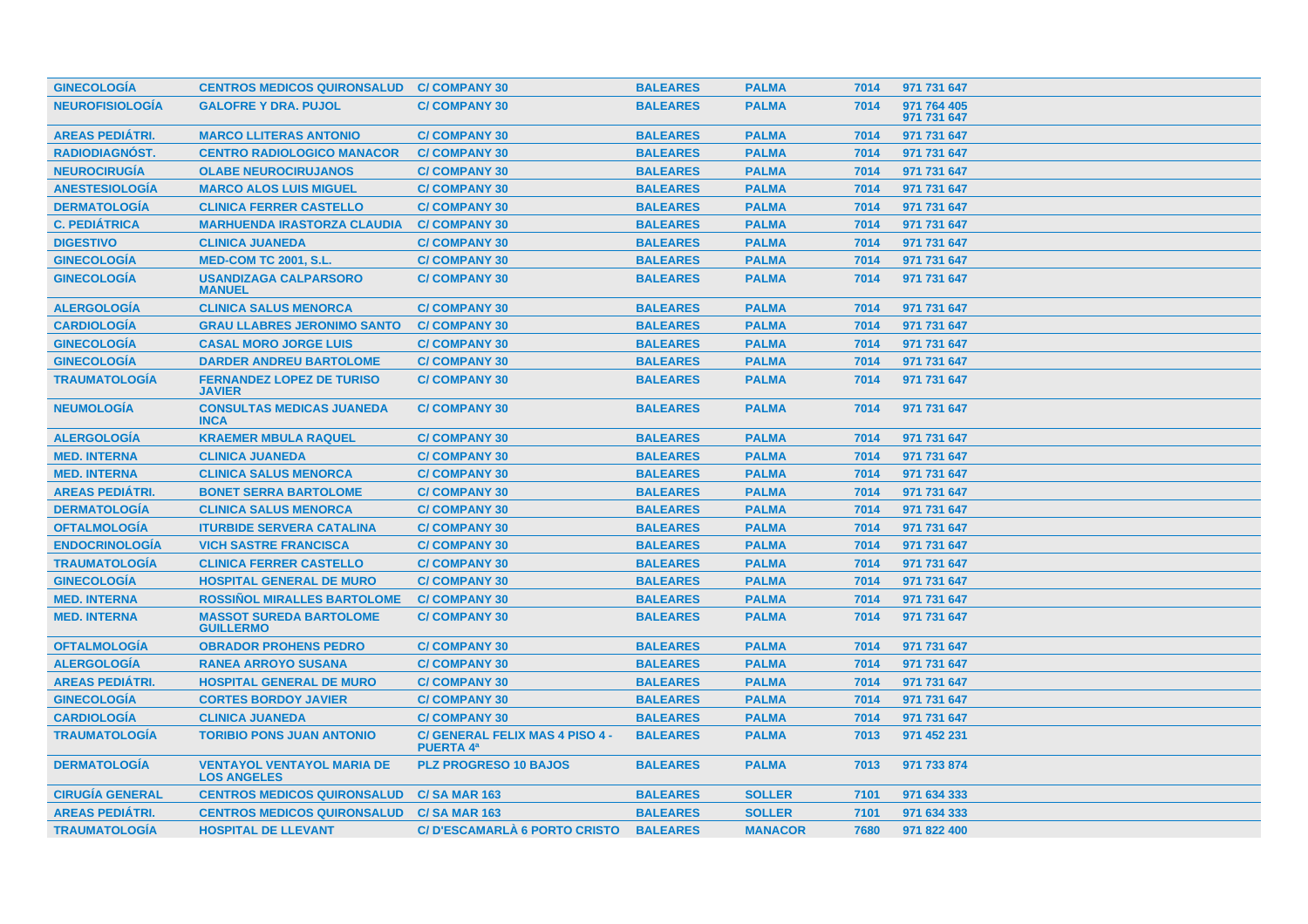| <b>GINECOLOGIA</b>     | <b>CENTROS MEDICOS QUIRONSALUD</b>                      | <b>C/COMPANY 30</b>                                 | <b>BALEARES</b> | <b>PALMA</b>   | 7014 | 971 731 647                |
|------------------------|---------------------------------------------------------|-----------------------------------------------------|-----------------|----------------|------|----------------------------|
| <b>NEUROFISIOLOGÍA</b> | <b>GALOFRE Y DRA. PUJOL</b>                             | <b>C/COMPANY 30</b>                                 | <b>BALEARES</b> | <b>PALMA</b>   | 7014 | 971 764 405<br>971 731 647 |
| <b>AREAS PEDIÁTRI.</b> | <b>MARCO LLITERAS ANTONIO</b>                           | <b>C/COMPANY 30</b>                                 | <b>BALEARES</b> | <b>PALMA</b>   | 7014 | 971 731 647                |
| RADIODIAGNÓST.         | <b>CENTRO RADIOLOGICO MANACOR</b>                       | <b>C/COMPANY 30</b>                                 | <b>BALEARES</b> | <b>PALMA</b>   | 7014 | 971 731 647                |
| <b>NEUROCIRUGIA</b>    | <b>OLABE NEUROCIRUJANOS</b>                             | <b>C/COMPANY 30</b>                                 | <b>BALEARES</b> | <b>PALMA</b>   | 7014 | 971 731 647                |
| <b>ANESTESIOLOGÍA</b>  | <b>MARCO ALOS LUIS MIGUEL</b>                           | <b>C/COMPANY 30</b>                                 | <b>BALEARES</b> | <b>PALMA</b>   | 7014 | 971 731 647                |
| <b>DERMATOLOGÍA</b>    | <b>CLINICA FERRER CASTELLO</b>                          | <b>C/COMPANY 30</b>                                 | <b>BALEARES</b> | <b>PALMA</b>   | 7014 | 971 731 647                |
| <b>C. PEDIÁTRICA</b>   | <b>MARHUENDA IRASTORZA CLAUDIA</b>                      | <b>C/COMPANY 30</b>                                 | <b>BALEARES</b> | <b>PALMA</b>   | 7014 | 971 731 647                |
| <b>DIGESTIVO</b>       | <b>CLINICA JUANEDA</b>                                  | <b>C/COMPANY 30</b>                                 | <b>BALEARES</b> | <b>PALMA</b>   | 7014 | 971 731 647                |
| <b>GINECOLOGÍA</b>     | <b>MED-COM TC 2001, S.L.</b>                            | <b>C/COMPANY 30</b>                                 | <b>BALEARES</b> | <b>PALMA</b>   | 7014 | 971 731 647                |
| <b>GINECOLOGÍA</b>     | <b>USANDIZAGA CALPARSORO</b><br><b>MANUEL</b>           | <b>C/COMPANY 30</b>                                 | <b>BALEARES</b> | <b>PALMA</b>   | 7014 | 971 731 647                |
| <b>ALERGOLOGÍA</b>     | <b>CLINICA SALUS MENORCA</b>                            | <b>C/COMPANY 30</b>                                 | <b>BALEARES</b> | <b>PALMA</b>   | 7014 | 971 731 647                |
| <b>CARDIOLOGÍA</b>     | <b>GRAU LLABRES JERONIMO SANTO</b>                      | <b>C/COMPANY 30</b>                                 | <b>BALEARES</b> | <b>PALMA</b>   | 7014 | 971 731 647                |
| <b>GINECOLOGÍA</b>     | <b>CASAL MORO JORGE LUIS</b>                            | <b>C/COMPANY 30</b>                                 | <b>BALEARES</b> | <b>PALMA</b>   | 7014 | 971 731 647                |
| <b>GINECOLOGÍA</b>     | <b>DARDER ANDREU BARTOLOME</b>                          | <b>C/COMPANY 30</b>                                 | <b>BALEARES</b> | <b>PALMA</b>   | 7014 | 971 731 647                |
| <b>TRAUMATOLOGÍA</b>   | <b>FERNANDEZ LOPEZ DE TURISO</b><br><b>JAVIER</b>       | <b>C/COMPANY 30</b>                                 | <b>BALEARES</b> | <b>PALMA</b>   | 7014 | 971 731 647                |
| <b>NEUMOLOGÍA</b>      | <b>CONSULTAS MEDICAS JUANEDA</b><br><b>INCA</b>         | <b>C/COMPANY 30</b>                                 | <b>BALEARES</b> | <b>PALMA</b>   | 7014 | 971 731 647                |
| <b>ALERGOLOGIA</b>     | <b>KRAEMER MBULA RAQUEL</b>                             | <b>C/COMPANY 30</b>                                 | <b>BALEARES</b> | <b>PALMA</b>   | 7014 | 971 731 647                |
| <b>MED. INTERNA</b>    | <b>CLINICA JUANEDA</b>                                  | <b>C/COMPANY 30</b>                                 | <b>BALEARES</b> | <b>PALMA</b>   | 7014 | 971 731 647                |
| <b>MED. INTERNA</b>    | <b>CLINICA SALUS MENORCA</b>                            | <b>C/COMPANY 30</b>                                 | <b>BALEARES</b> | <b>PALMA</b>   | 7014 | 971 731 647                |
| <b>AREAS PEDIÁTRI.</b> | <b>BONET SERRA BARTOLOME</b>                            | <b>C/COMPANY 30</b>                                 | <b>BALEARES</b> | <b>PALMA</b>   | 7014 | 971 731 647                |
| <b>DERMATOLOGÍA</b>    | <b>CLINICA SALUS MENORCA</b>                            | <b>C/COMPANY 30</b>                                 | <b>BALEARES</b> | <b>PALMA</b>   | 7014 | 971 731 647                |
| <b>OFTALMOLOGÍA</b>    | <b>ITURBIDE SERVERA CATALINA</b>                        | <b>C/COMPANY 30</b>                                 | <b>BALEARES</b> | <b>PALMA</b>   | 7014 | 971 731 647                |
| <b>ENDOCRINOLOGIA</b>  | <b>VICH SASTRE FRANCISCA</b>                            | <b>C/COMPANY 30</b>                                 | <b>BALEARES</b> | <b>PALMA</b>   | 7014 | 971 731 647                |
| <b>TRAUMATOLOGÍA</b>   | <b>CLINICA FERRER CASTELLO</b>                          | <b>C/COMPANY 30</b>                                 | <b>BALEARES</b> | <b>PALMA</b>   | 7014 | 971 731 647                |
| <b>GINECOLOGÍA</b>     | <b>HOSPITAL GENERAL DE MURO</b>                         | <b>C/COMPANY 30</b>                                 | <b>BALEARES</b> | <b>PALMA</b>   | 7014 | 971 731 647                |
| <b>MED. INTERNA</b>    | <b>ROSSIÑOL MIRALLES BARTOLOME</b>                      | <b>C/COMPANY 30</b>                                 | <b>BALEARES</b> | <b>PALMA</b>   | 7014 | 971 731 647                |
| <b>MED. INTERNA</b>    | <b>MASSOT SUREDA BARTOLOME</b><br><b>GUILLERMO</b>      | <b>C/COMPANY 30</b>                                 | <b>BALEARES</b> | <b>PALMA</b>   | 7014 | 971 731 647                |
| <b>OFTALMOLOGÍA</b>    | <b>OBRADOR PROHENS PEDRO</b>                            | <b>C/COMPANY 30</b>                                 | <b>BALEARES</b> | <b>PALMA</b>   | 7014 | 971 731 647                |
| <b>ALERGOLOGIA</b>     | <b>RANEA ARROYO SUSANA</b>                              | <b>C/COMPANY 30</b>                                 | <b>BALEARES</b> | <b>PALMA</b>   | 7014 | 971 731 647                |
| <b>AREAS PEDIATRI.</b> | <b>HOSPITAL GENERAL DE MURO</b>                         | <b>C/COMPANY 30</b>                                 | <b>BALEARES</b> | <b>PALMA</b>   | 7014 | 971 731 647                |
| <b>GINECOLOGÍA</b>     | <b>CORTES BORDOY JAVIER</b>                             | <b>C/COMPANY 30</b>                                 | <b>BALEARES</b> | <b>PALMA</b>   | 7014 | 971 731 647                |
| <b>CARDIOLOGÍA</b>     | <b>CLINICA JUANEDA</b>                                  | <b>C/COMPANY 30</b>                                 | <b>BALEARES</b> | <b>PALMA</b>   | 7014 | 971 731 647                |
| <b>TRAUMATOLOGÍA</b>   | <b>TORIBIO PONS JUAN ANTONIO</b>                        | C/ GENERAL FELIX MAS 4 PISO 4 -<br><b>PUERTA 4ª</b> | <b>BALEARES</b> | <b>PALMA</b>   | 7013 | 971 452 231                |
| <b>DERMATOLOGIA</b>    | <b>VENTAYOL VENTAYOL MARIA DE</b><br><b>LOS ANGELES</b> | <b>PLZ PROGRESO 10 BAJOS</b>                        | <b>BALEARES</b> | <b>PALMA</b>   | 7013 | 971 733 874                |
| <b>CIRUGIA GENERAL</b> | <b>CENTROS MEDICOS QUIRONSALUD</b>                      | <b>C/SA MAR 163</b>                                 | <b>BALEARES</b> | <b>SOLLER</b>  | 7101 | 971 634 333                |
| <b>AREAS PEDIÁTRI.</b> | <b>CENTROS MEDICOS QUIRONSALUD</b>                      | <b>C/SA MAR 163</b>                                 | <b>BALEARES</b> | <b>SOLLER</b>  | 7101 | 971 634 333                |
| <b>TRAUMATOLOGIA</b>   | <b>HOSPITAL DE LLEVANT</b>                              | C/ D'ESCAMARLÀ 6 PORTO CRISTO                       | <b>BALEARES</b> | <b>MANACOR</b> | 7680 | 971 822 400                |
|                        |                                                         |                                                     |                 |                |      |                            |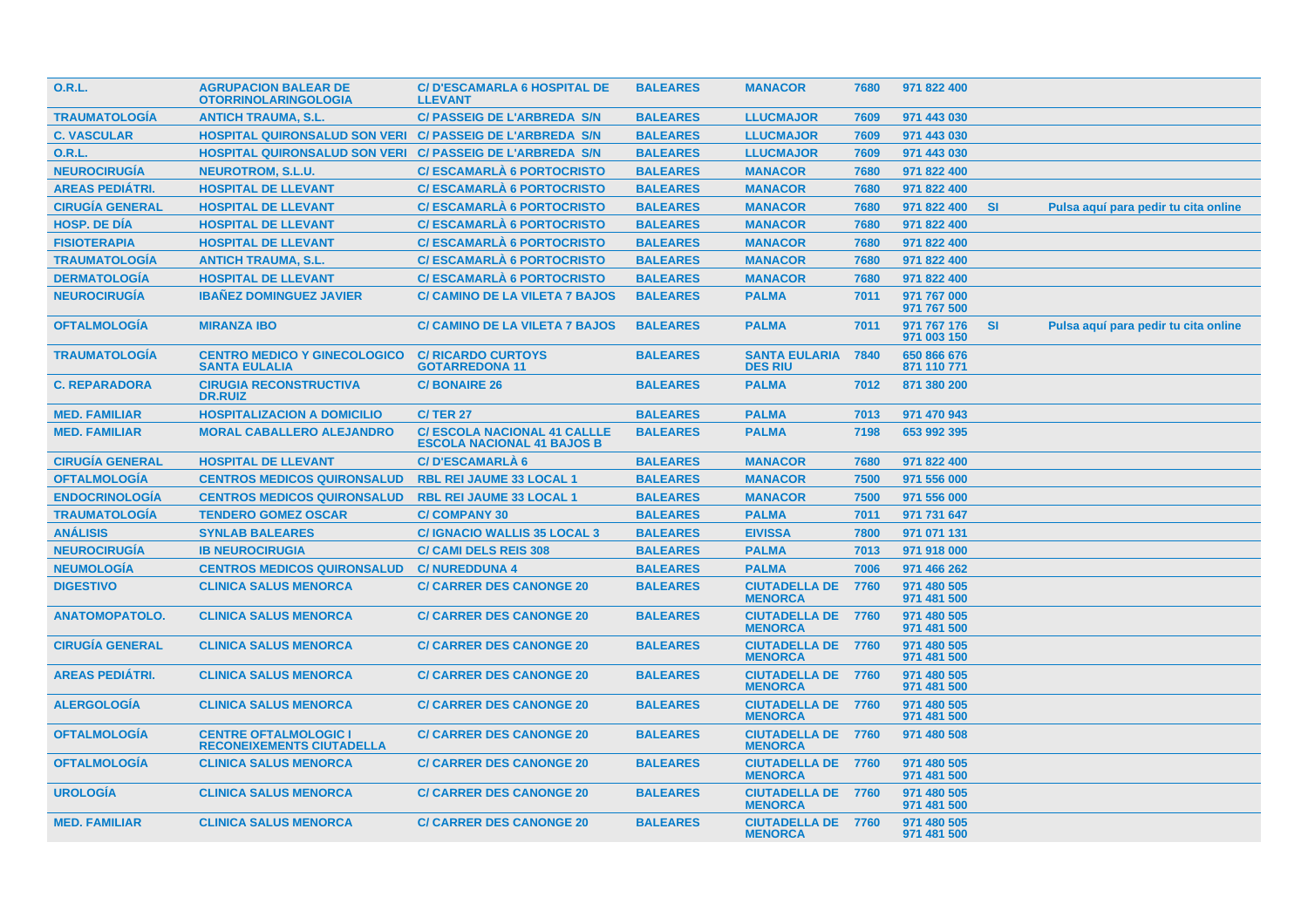| 0.R.L.                 | <b>AGRUPACION BALEAR DE</b><br><b>OTORRINOLARINGOLOGIA</b>       | <b>C/D'ESCAMARLA 6 HOSPITAL DE</b><br><b>LLEVANT</b>                     | <b>BALEARES</b> | <b>MANACOR</b>                              | 7680 | 971 822 400                |           |                                      |
|------------------------|------------------------------------------------------------------|--------------------------------------------------------------------------|-----------------|---------------------------------------------|------|----------------------------|-----------|--------------------------------------|
| <b>TRAUMATOLOGÍA</b>   | <b>ANTICH TRAUMA, S.L.</b>                                       | <b>C/ PASSEIG DE L'ARBREDA S/N</b>                                       | <b>BALEARES</b> | <b>LLUCMAJOR</b>                            | 7609 | 971 443 030                |           |                                      |
| <b>C. VASCULAR</b>     | HOSPITAL QUIRONSALUD SON VERI C/ PASSEIG DE L'ARBREDA S/N        |                                                                          | <b>BALEARES</b> | <b>LLUCMAJOR</b>                            | 7609 | 971 443 030                |           |                                      |
| <b>O.R.L.</b>          | <b>HOSPITAL QUIRONSALUD SON VERI</b>                             | <b>C/ PASSEIG DE L'ARBREDA S/N</b>                                       | <b>BALEARES</b> | <b>LLUCMAJOR</b>                            | 7609 | 971 443 030                |           |                                      |
| <b>NEUROCIRUGÍA</b>    | <b>NEUROTROM, S.L.U.</b>                                         | <b>C/ESCAMARLA 6 PORTOCRISTO</b>                                         | <b>BALEARES</b> | <b>MANACOR</b>                              | 7680 | 971 822 400                |           |                                      |
| <b>AREAS PEDIÁTRI.</b> | <b>HOSPITAL DE LLEVANT</b>                                       | <b>C/ESCAMARLA 6 PORTOCRISTO</b>                                         | <b>BALEARES</b> | <b>MANACOR</b>                              | 7680 | 971 822 400                |           |                                      |
| <b>CIRUGÍA GENERAL</b> | <b>HOSPITAL DE LLEVANT</b>                                       | <b>C/ESCAMARLA 6 PORTOCRISTO</b>                                         | <b>BALEARES</b> | <b>MANACOR</b>                              | 7680 | 971 822 400                | <b>SI</b> | Pulsa aquí para pedir tu cita online |
| <b>HOSP. DE DIA</b>    | <b>HOSPITAL DE LLEVANT</b>                                       | <b>C/ESCAMARLA 6 PORTOCRISTO</b>                                         | <b>BALEARES</b> | <b>MANACOR</b>                              | 7680 | 971 822 400                |           |                                      |
| <b>FISIOTERAPIA</b>    | <b>HOSPITAL DE LLEVANT</b>                                       | <b>C/ESCAMARLA 6 PORTOCRISTO</b>                                         | <b>BALEARES</b> | <b>MANACOR</b>                              | 7680 | 971 822 400                |           |                                      |
| <b>TRAUMATOLOGIA</b>   | <b>ANTICH TRAUMA, S.L.</b>                                       | <b>C/ESCAMARLA 6 PORTOCRISTO</b>                                         | <b>BALEARES</b> | <b>MANACOR</b>                              | 7680 | 971 822 400                |           |                                      |
| <b>DERMATOLOGÍA</b>    | <b>HOSPITAL DE LLEVANT</b>                                       | <b>C/ESCAMARLA 6 PORTOCRISTO</b>                                         | <b>BALEARES</b> | <b>MANACOR</b>                              | 7680 | 971 822 400                |           |                                      |
| <b>NEUROCIRUGÍA</b>    | <b>IBANEZ DOMINGUEZ JAVIER</b>                                   | <b>C/ CAMINO DE LA VILETA 7 BAJOS</b>                                    | <b>BALEARES</b> | <b>PALMA</b>                                | 7011 | 971 767 000<br>971 767 500 |           |                                      |
| <b>OFTALMOLOGÍA</b>    | <b>MIRANZA IBO</b>                                               | <b>C/ CAMINO DE LA VILETA 7 BAJOS</b>                                    | <b>BALEARES</b> | <b>PALMA</b>                                | 7011 | 971 767 176<br>971 003 150 | <b>SI</b> | Pulsa aquí para pedir tu cita online |
| <b>TRAUMATOLOGIA</b>   | <b>CENTRO MEDICO Y GINECOLOGICO</b><br><b>SANTA EULALIA</b>      | <b>C/ RICARDO CURTOYS</b><br><b>GOTARREDONA 11</b>                       | <b>BALEARES</b> | <b>SANTA EULARIA</b><br><b>DES RIU</b>      | 7840 | 650 866 676<br>871 110 771 |           |                                      |
| <b>C. REPARADORA</b>   | <b>CIRUGIA RECONSTRUCTIVA</b><br><b>DR.RUIZ</b>                  | <b>C/BONAIRE 26</b>                                                      | <b>BALEARES</b> | <b>PALMA</b>                                | 7012 | 871 380 200                |           |                                      |
| <b>MED. FAMILIAR</b>   | <b>HOSPITALIZACION A DOMICILIO</b>                               | <b>C/TER 27</b>                                                          | <b>BALEARES</b> | <b>PALMA</b>                                | 7013 | 971 470 943                |           |                                      |
| <b>MED. FAMILIAR</b>   | <b>MORAL CABALLERO ALEJANDRO</b>                                 | <b>C/ ESCOLA NACIONAL 41 CALLLE</b><br><b>ESCOLA NACIONAL 41 BAJOS B</b> | <b>BALEARES</b> | <b>PALMA</b>                                | 7198 | 653 992 395                |           |                                      |
| <b>CIRUGÍA GENERAL</b> | <b>HOSPITAL DE LLEVANT</b>                                       | <b>C/D'ESCAMARLÀ 6</b>                                                   | <b>BALEARES</b> | <b>MANACOR</b>                              | 7680 | 971 822 400                |           |                                      |
| <b>OFTALMOLOGÍA</b>    | <b>CENTROS MEDICOS QUIRONSALUD</b>                               | <b>RBL REI JAUME 33 LOCAL 1</b>                                          | <b>BALEARES</b> | <b>MANACOR</b>                              | 7500 | 971 556 000                |           |                                      |
| <b>ENDOCRINOLOGÍA</b>  | <b>CENTROS MEDICOS QUIRONSALUD</b>                               | <b>RBL REI JAUME 33 LOCAL 1</b>                                          | <b>BALEARES</b> | <b>MANACOR</b>                              | 7500 | 971 556 000                |           |                                      |
| <b>TRAUMATOLOGÍA</b>   | <b>TENDERO GOMEZ OSCAR</b>                                       | <b>C/COMPANY 30</b>                                                      | <b>BALEARES</b> | <b>PALMA</b>                                | 7011 | 971 731 647                |           |                                      |
| <b>ANÁLISIS</b>        | <b>SYNLAB BALEARES</b>                                           | <b>C/ IGNACIO WALLIS 35 LOCAL 3</b>                                      | <b>BALEARES</b> | <b>EIVISSA</b>                              | 7800 | 971 071 131                |           |                                      |
| <b>NEUROCIRUGÍA</b>    | <b>IB NEUROCIRUGIA</b>                                           | <b>C/ CAMI DELS REIS 308</b>                                             | <b>BALEARES</b> | <b>PALMA</b>                                | 7013 | 971 918 000                |           |                                      |
| <b>NEUMOLOGÍA</b>      | <b>CENTROS MEDICOS QUIRONSALUD</b>                               | <b>C/NUREDDUNA 4</b>                                                     | <b>BALEARES</b> | <b>PALMA</b>                                | 7006 | 971 466 262                |           |                                      |
| <b>DIGESTIVO</b>       | <b>CLINICA SALUS MENORCA</b>                                     | <b>C/ CARRER DES CANONGE 20</b>                                          | <b>BALEARES</b> | <b>CIUTADELLA DE</b><br><b>MENORCA</b>      | 7760 | 971 480 505<br>971 481 500 |           |                                      |
| <b>ANATOMOPATOLO.</b>  | <b>CLINICA SALUS MENORCA</b>                                     | <b>C/ CARRER DES CANONGE 20</b>                                          | <b>BALEARES</b> | <b>CIUTADELLA DE 7760</b><br><b>MENORCA</b> |      | 971 480 505<br>971 481 500 |           |                                      |
| <b>CIRUGIA GENERAL</b> | <b>CLINICA SALUS MENORCA</b>                                     | <b>C/ CARRER DES CANONGE 20</b>                                          | <b>BALEARES</b> | <b>CIUTADELLA DE 7760</b><br><b>MENORCA</b> |      | 971 480 505<br>971 481 500 |           |                                      |
| <b>AREAS PEDIATRI.</b> | <b>CLINICA SALUS MENORCA</b>                                     | <b>C/ CARRER DES CANONGE 20</b>                                          | <b>BALEARES</b> | <b>CIUTADELLA DE 7760</b><br><b>MENORCA</b> |      | 971 480 505<br>971 481 500 |           |                                      |
| <b>ALERGOLOGÍA</b>     | <b>CLINICA SALUS MENORCA</b>                                     | <b>C/ CARRER DES CANONGE 20</b>                                          | <b>BALEARES</b> | <b>CIUTADELLA DE 7760</b><br><b>MENORCA</b> |      | 971 480 505<br>971 481 500 |           |                                      |
| <b>OFTALMOLOGIA</b>    | <b>CENTRE OFTALMOLOGIC I</b><br><b>RECONEIXEMENTS CIUTADELLA</b> | <b>C/ CARRER DES CANONGE 20</b>                                          | <b>BALEARES</b> | <b>CIUTADELLA DE 7760</b><br><b>MENORCA</b> |      | 971 480 508                |           |                                      |
| <b>OFTALMOLOGÍA</b>    | <b>CLINICA SALUS MENORCA</b>                                     | <b>C/ CARRER DES CANONGE 20</b>                                          | <b>BALEARES</b> | <b>CIUTADELLA DE 7760</b><br><b>MENORCA</b> |      | 971 480 505<br>971 481 500 |           |                                      |
| <b>UROLOGIA</b>        | <b>CLINICA SALUS MENORCA</b>                                     | <b>C/ CARRER DES CANONGE 20</b>                                          | <b>BALEARES</b> | <b>CIUTADELLA DE 7760</b><br><b>MENORCA</b> |      | 971 480 505<br>971 481 500 |           |                                      |
| <b>MED. FAMILIAR</b>   | <b>CLINICA SALUS MENORCA</b>                                     | <b>C/ CARRER DES CANONGE 20</b>                                          | <b>BALEARES</b> | <b>CIUTADELLA DE 7760</b><br><b>MENORCA</b> |      | 971 480 505<br>971 481 500 |           |                                      |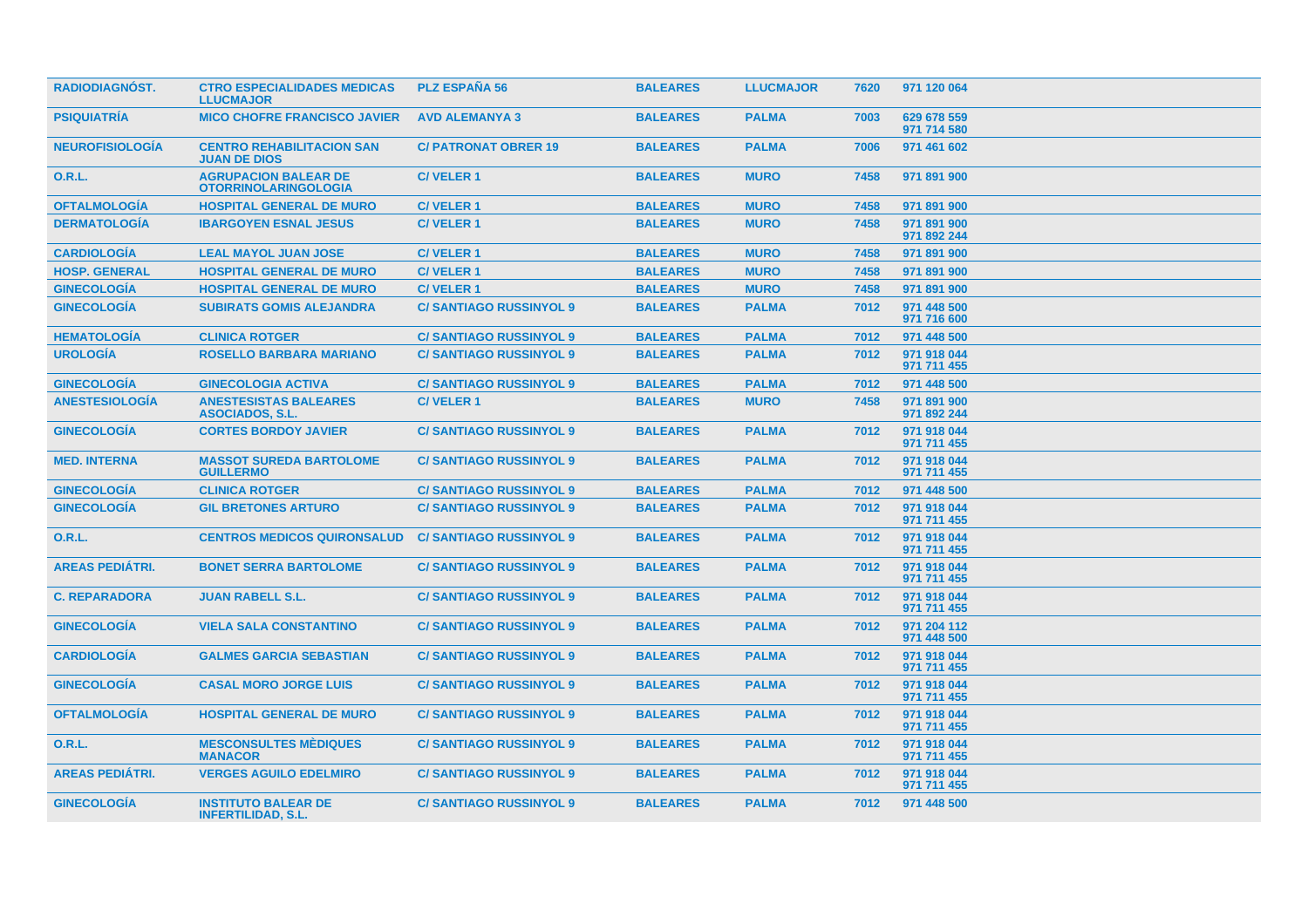| <b>RADIODIAGNÓST.</b>  | <b>CTRO ESPECIALIDADES MEDICAS</b><br><b>LLUCMAJOR</b>     | <b>PLZ ESPAÑA 56</b>          | <b>BALEARES</b> | <b>LLUCMAJOR</b> | 7620 | 971 120 064                |  |
|------------------------|------------------------------------------------------------|-------------------------------|-----------------|------------------|------|----------------------------|--|
| <b>PSIQUIATRÍA</b>     | <b>MICO CHOFRE FRANCISCO JAVIER</b>                        | <b>AVD ALEMANYA 3</b>         | <b>BALEARES</b> | <b>PALMA</b>     | 7003 | 629 678 559<br>971 714 580 |  |
| <b>NEUROFISIOLOGÍA</b> | <b>CENTRO REHABILITACION SAN</b><br><b>JUAN DE DIOS</b>    | <b>C/PATRONAT OBRER 19</b>    | <b>BALEARES</b> | <b>PALMA</b>     | 7006 | 971 461 602                |  |
| <b>O.R.L.</b>          | <b>AGRUPACION BALEAR DE</b><br><b>OTORRINOLARINGOLOGIA</b> | <b>C/VELER1</b>               | <b>BALEARES</b> | <b>MURO</b>      | 7458 | 971 891 900                |  |
| <b>OFTALMOLOGIA</b>    | <b>HOSPITAL GENERAL DE MURO</b>                            | <b>C/VELER1</b>               | <b>BALEARES</b> | <b>MURO</b>      | 7458 | 971 891 900                |  |
| <b>DERMATOLOGIA</b>    | <b>IBARGOYEN ESNAL JESUS</b>                               | <b>C/VELER1</b>               | <b>BALEARES</b> | <b>MURO</b>      | 7458 | 971 891 900<br>971 892 244 |  |
| <b>CARDIOLOGÍA</b>     | <b>LEAL MAYOL JUAN JOSE</b>                                | <b>C/VELER1</b>               | <b>BALEARES</b> | <b>MURO</b>      | 7458 | 971 891 900                |  |
| <b>HOSP. GENERAL</b>   | <b>HOSPITAL GENERAL DE MURO</b>                            | <b>C/VELER1</b>               | <b>BALEARES</b> | <b>MURO</b>      | 7458 | 971 891 900                |  |
| <b>GINECOLOGÍA</b>     | <b>HOSPITAL GENERAL DE MURO</b>                            | <b>C/VELER1</b>               | <b>BALEARES</b> | <b>MURO</b>      | 7458 | 971 891 900                |  |
| <b>GINECOLOGÍA</b>     | <b>SUBIRATS GOMIS ALEJANDRA</b>                            | <b>C/SANTIAGO RUSSINYOL 9</b> | <b>BALEARES</b> | <b>PALMA</b>     | 7012 | 971 448 500<br>971 716 600 |  |
| <b>HEMATOLOGÍA</b>     | <b>CLINICA ROTGER</b>                                      | <b>C/SANTIAGO RUSSINYOL 9</b> | <b>BALEARES</b> | <b>PALMA</b>     | 7012 | 971 448 500                |  |
| <b>UROLOGÍA</b>        | <b>ROSELLO BARBARA MARIANO</b>                             | <b>C/SANTIAGO RUSSINYOL 9</b> | <b>BALEARES</b> | <b>PALMA</b>     | 7012 | 971 918 044<br>971 711 455 |  |
| <b>GINECOLOGÍA</b>     | <b>GINECOLOGIA ACTIVA</b>                                  | <b>C/SANTIAGO RUSSINYOL 9</b> | <b>BALEARES</b> | <b>PALMA</b>     | 7012 | 971 448 500                |  |
| <b>ANESTESIOLOGÍA</b>  | <b>ANESTESISTAS BALEARES</b><br><b>ASOCIADOS, S.L.</b>     | <b>C/VELER1</b>               | <b>BALEARES</b> | <b>MURO</b>      | 7458 | 971 891 900<br>971 892 244 |  |
| <b>GINECOLOGIA</b>     | <b>CORTES BORDOY JAVIER</b>                                | <b>C/SANTIAGO RUSSINYOL 9</b> | <b>BALEARES</b> | <b>PALMA</b>     | 7012 | 971 918 044<br>971 711 455 |  |
| <b>MED. INTERNA</b>    | <b>MASSOT SUREDA BARTOLOME</b><br><b>GUILLERMO</b>         | <b>C/SANTIAGO RUSSINYOL 9</b> | <b>BALEARES</b> | <b>PALMA</b>     | 7012 | 971 918 044<br>971 711 455 |  |
| <b>GINECOLOGÍA</b>     | <b>CLINICA ROTGER</b>                                      | <b>C/SANTIAGO RUSSINYOL 9</b> | <b>BALEARES</b> | <b>PALMA</b>     | 7012 | 971 448 500                |  |
| <b>GINECOLOGÍA</b>     | <b>GIL BRETONES ARTURO</b>                                 | <b>C/SANTIAGO RUSSINYOL 9</b> | <b>BALEARES</b> | <b>PALMA</b>     | 7012 | 971 918 044<br>971 711 455 |  |
| 0.R.L.                 | <b>CENTROS MEDICOS QUIRONSALUD</b>                         | <b>C/SANTIAGO RUSSINYOL 9</b> | <b>BALEARES</b> | <b>PALMA</b>     | 7012 | 971 918 044<br>971 711 455 |  |
| <b>AREAS PEDIÁTRI.</b> | <b>BONET SERRA BARTOLOME</b>                               | <b>C/SANTIAGO RUSSINYOL 9</b> | <b>BALEARES</b> | <b>PALMA</b>     | 7012 | 971 918 044<br>971 711 455 |  |
| <b>C. REPARADORA</b>   | <b>JUAN RABELL S.L.</b>                                    | <b>C/SANTIAGO RUSSINYOL 9</b> | <b>BALEARES</b> | <b>PALMA</b>     | 7012 | 971 918 044<br>971 711 455 |  |
| <b>GINECOLOGÍA</b>     | <b>VIELA SALA CONSTANTINO</b>                              | <b>C/SANTIAGO RUSSINYOL 9</b> | <b>BALEARES</b> | <b>PALMA</b>     | 7012 | 971 204 112<br>971 448 500 |  |
| <b>CARDIOLOGIA</b>     | <b>GALMES GARCIA SEBASTIAN</b>                             | <b>C/SANTIAGO RUSSINYOL 9</b> | <b>BALEARES</b> | <b>PALMA</b>     | 7012 | 971 918 044<br>971 711 455 |  |
| <b>GINECOLOGIA</b>     | <b>CASAL MORO JORGE LUIS</b>                               | <b>C/SANTIAGO RUSSINYOL 9</b> | <b>BALEARES</b> | <b>PALMA</b>     | 7012 | 971 918 044<br>971 711 455 |  |
| <b>OFTALMOLOGÍA</b>    | <b>HOSPITAL GENERAL DE MURO</b>                            | <b>C/SANTIAGO RUSSINYOL 9</b> | <b>BALEARES</b> | <b>PALMA</b>     | 7012 | 971 918 044<br>971 711 455 |  |
| 0.R.L.                 | <b>MESCONSULTES MÉDIQUES</b><br><b>MANACOR</b>             | <b>C/SANTIAGO RUSSINYOL 9</b> | <b>BALEARES</b> | <b>PALMA</b>     | 7012 | 971 918 044<br>971 711 455 |  |
| <b>AREAS PEDIATRI.</b> | <b>VERGES AGUILO EDELMIRO</b>                              | <b>C/SANTIAGO RUSSINYOL 9</b> | <b>BALEARES</b> | <b>PALMA</b>     | 7012 | 971 918 044<br>971 711 455 |  |
| <b>GINECOLOGIA</b>     | <b>INSTITUTO BALEAR DE</b><br><b>INFERTILIDAD, S.L.</b>    | <b>C/SANTIAGO RUSSINYOL 9</b> | <b>BALEARES</b> | <b>PALMA</b>     | 7012 | 971 448 500                |  |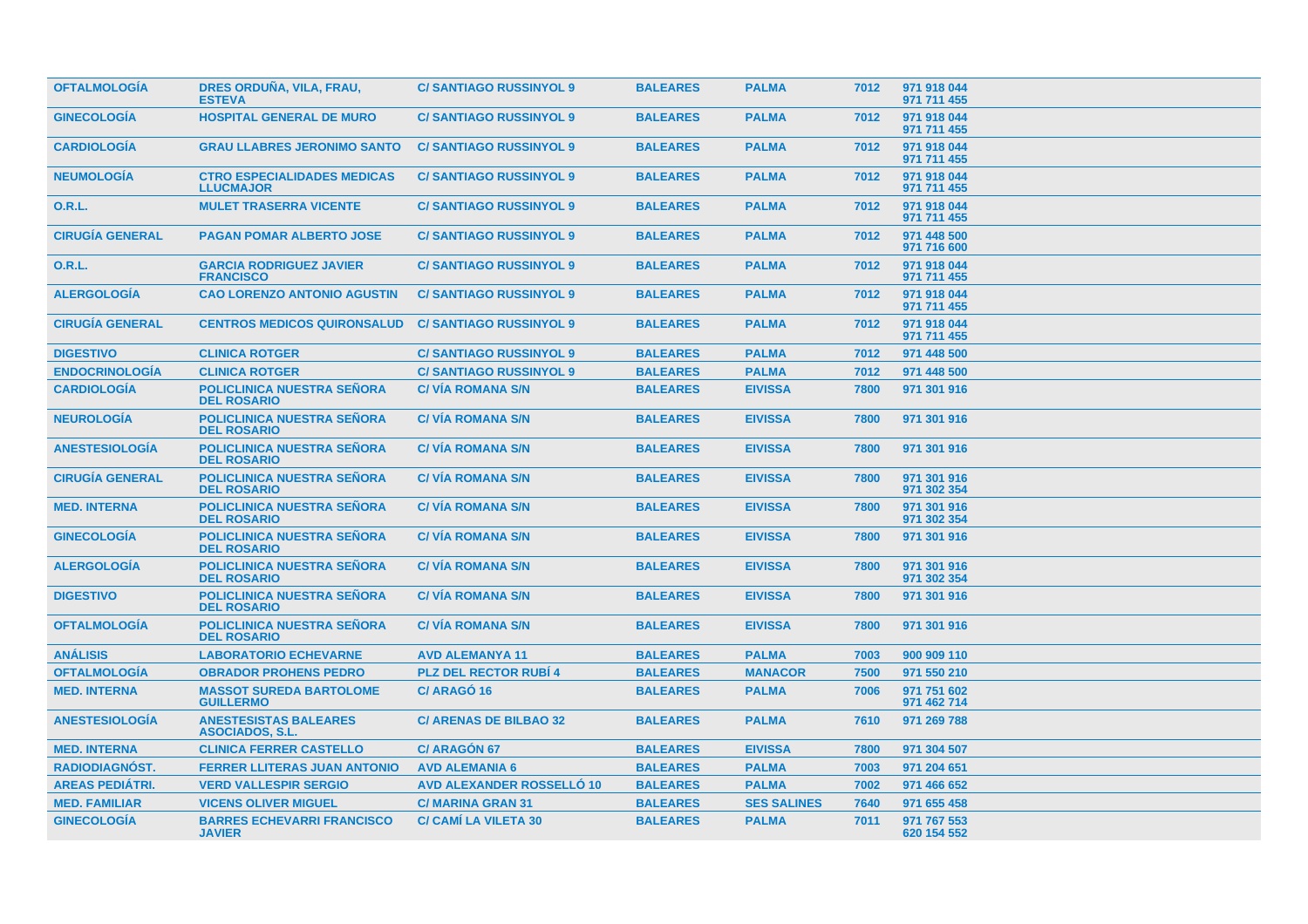| <b>OFTALMOLOGIA</b>    | DRES ORDUÑA, VILA, FRAU,<br><b>ESTEVA</b>               | <b>C/SANTIAGO RUSSINYOL 9</b>    | <b>BALEARES</b> | <b>PALMA</b>       | 7012 | 971 918 044<br>971 711 455 |
|------------------------|---------------------------------------------------------|----------------------------------|-----------------|--------------------|------|----------------------------|
| <b>GINECOLOGÍA</b>     | <b>HOSPITAL GENERAL DE MURO</b>                         | <b>C/SANTIAGO RUSSINYOL 9</b>    | <b>BALEARES</b> | <b>PALMA</b>       | 7012 | 971 918 044<br>971 711 455 |
| <b>CARDIOLOGÍA</b>     | <b>GRAU LLABRES JERONIMO SANTO</b>                      | <b>C/SANTIAGO RUSSINYOL 9</b>    | <b>BALEARES</b> | <b>PALMA</b>       | 7012 | 971 918 044<br>971 711 455 |
| <b>NEUMOLOGÍA</b>      | <b>CTRO ESPECIALIDADES MEDICAS</b><br><b>LLUCMAJOR</b>  | <b>C/SANTIAGO RUSSINYOL 9</b>    | <b>BALEARES</b> | <b>PALMA</b>       | 7012 | 971 918 044<br>971 711 455 |
| 0.R.L.                 | <b>MULET TRASERRA VICENTE</b>                           | <b>C/SANTIAGO RUSSINYOL 9</b>    | <b>BALEARES</b> | <b>PALMA</b>       | 7012 | 971 918 044<br>971 711 455 |
| <b>CIRUGÍA GENERAL</b> | <b>PAGAN POMAR ALBERTO JOSE</b>                         | <b>C/SANTIAGO RUSSINYOL 9</b>    | <b>BALEARES</b> | <b>PALMA</b>       | 7012 | 971 448 500<br>971 716 600 |
| <b>O.R.L.</b>          | <b>GARCIA RODRIGUEZ JAVIER</b><br><b>FRANCISCO</b>      | <b>C/SANTIAGO RUSSINYOL 9</b>    | <b>BALEARES</b> | <b>PALMA</b>       | 7012 | 971 918 044<br>971 711 455 |
| <b>ALERGOLOGÍA</b>     | <b>CAO LORENZO ANTONIO AGUSTIN</b>                      | <b>C/SANTIAGO RUSSINYOL 9</b>    | <b>BALEARES</b> | <b>PALMA</b>       | 7012 | 971 918 044<br>971 711 455 |
| <b>CIRUGÍA GENERAL</b> | <b>CENTROS MEDICOS QUIRONSALUD</b>                      | <b>C/SANTIAGO RUSSINYOL 9</b>    | <b>BALEARES</b> | <b>PALMA</b>       | 7012 | 971 918 044<br>971 711 455 |
| <b>DIGESTIVO</b>       | <b>CLINICA ROTGER</b>                                   | <b>C/SANTIAGO RUSSINYOL 9</b>    | <b>BALEARES</b> | <b>PALMA</b>       | 7012 | 971 448 500                |
| <b>ENDOCRINOLOGÍA</b>  | <b>CLINICA ROTGER</b>                                   | <b>C/SANTIAGO RUSSINYOL 9</b>    | <b>BALEARES</b> | <b>PALMA</b>       | 7012 | 971 448 500                |
| <b>CARDIOLOGÍA</b>     | <b>POLICLINICA NUESTRA SEÑORA</b><br><b>DEL ROSARIO</b> | <b>C/VIA ROMANA S/N</b>          | <b>BALEARES</b> | <b>EIVISSA</b>     | 7800 | 971 301 916                |
| <b>NEUROLOGÍA</b>      | <b>POLICLINICA NUESTRA SENORA</b><br><b>DEL ROSARIO</b> | <b>C/VÍA ROMANA S/N</b>          | <b>BALEARES</b> | <b>EIVISSA</b>     | 7800 | 971 301 916                |
| <b>ANESTESIOLOGÍA</b>  | <b>POLICLINICA NUESTRA SEÑORA</b><br><b>DEL ROSARIO</b> | <b>C/VIA ROMANA S/N</b>          | <b>BALEARES</b> | <b>EIVISSA</b>     | 7800 | 971 301 916                |
| <b>CIRUGÍA GENERAL</b> | <b>POLICLINICA NUESTRA SEÑORA</b><br><b>DEL ROSARIO</b> | <b>C/VIA ROMANA S/N</b>          | <b>BALEARES</b> | <b>EIVISSA</b>     | 7800 | 971 301 916<br>971 302 354 |
| <b>MED. INTERNA</b>    | <b>POLICLINICA NUESTRA SENORA</b><br><b>DEL ROSARIO</b> | <b>C/VIA ROMANA S/N</b>          | <b>BALEARES</b> | <b>EIVISSA</b>     | 7800 | 971 301 916<br>971 302 354 |
| <b>GINECOLOGIA</b>     | <b>POLICLINICA NUESTRA SEÑORA</b><br><b>DEL ROSARIO</b> | <b>C/VIA ROMANA S/N</b>          | <b>BALEARES</b> | <b>EIVISSA</b>     | 7800 | 971 301 916                |
| <b>ALERGOLOGÍA</b>     | <b>POLICLINICA NUESTRA SEÑORA</b><br><b>DEL ROSARIO</b> | <b>C/VIA ROMANA S/N</b>          | <b>BALEARES</b> | <b>EIVISSA</b>     | 7800 | 971 301 916<br>971 302 354 |
| <b>DIGESTIVO</b>       | <b>POLICLINICA NUESTRA SEÑORA</b><br><b>DEL ROSARIO</b> | <b>C/VIA ROMANA S/N</b>          | <b>BALEARES</b> | <b>EIVISSA</b>     | 7800 | 971 301 916                |
| <b>OFTALMOLOGÍA</b>    | <b>POLICLINICA NUESTRA SEÑORA</b><br><b>DEL ROSARIO</b> | <b>C/VIA ROMANA S/N</b>          | <b>BALEARES</b> | <b>EIVISSA</b>     | 7800 | 971 301 916                |
| <b>ANÁLISIS</b>        | <b>LABORATORIO ECHEVARNE</b>                            | <b>AVD ALEMANYA 11</b>           | <b>BALEARES</b> | <b>PALMA</b>       | 7003 | 900 909 110                |
| <b>OFTALMOLOGÍA</b>    | <b>OBRADOR PROHENS PEDRO</b>                            | <b>PLZ DEL RECTOR RUBI 4</b>     | <b>BALEARES</b> | <b>MANACOR</b>     | 7500 | 971 550 210                |
| <b>MED. INTERNA</b>    | <b>MASSOT SUREDA BARTOLOME</b><br><b>GUILLERMO</b>      | C/ARAGO 16                       | <b>BALEARES</b> | <b>PALMA</b>       | 7006 | 971 751 602<br>971 462 714 |
| <b>ANESTESIOLOGÍA</b>  | <b>ANESTESISTAS BALEARES</b><br><b>ASOCIADOS, S.L.</b>  | <b>C/ ARENAS DE BILBAO 32</b>    | <b>BALEARES</b> | <b>PALMA</b>       | 7610 | 971 269 788                |
| <b>MED. INTERNA</b>    | <b>CLINICA FERRER CASTELLO</b>                          | <b>C/ ARAGÓN 67</b>              | <b>BALEARES</b> | <b>EIVISSA</b>     | 7800 | 971 304 507                |
| <b>RADIODIAGNÓST.</b>  | <b>FERRER LLITERAS JUAN ANTONIO</b>                     | <b>AVD ALEMANIA 6</b>            | <b>BALEARES</b> | <b>PALMA</b>       | 7003 | 971 204 651                |
| <b>AREAS PEDIÁTRI.</b> | <b>VERD VALLESPIR SERGIO</b>                            | <b>AVD ALEXANDER ROSSELLO 10</b> | <b>BALEARES</b> | <b>PALMA</b>       | 7002 | 971 466 652                |
| <b>MED. FAMILIAR</b>   | <b>VICENS OLIVER MIGUEL</b>                             | <b>C/MARINA GRAN 31</b>          | <b>BALEARES</b> | <b>SES SALINES</b> | 7640 | 971 655 458                |
| <b>GINECOLOGÍA</b>     | <b>BARRES ECHEVARRI FRANCISCO</b><br><b>JAVIER</b>      | <b>C/ CAMI LA VILETA 30</b>      | <b>BALEARES</b> | <b>PALMA</b>       | 7011 | 971 767 553<br>620 154 552 |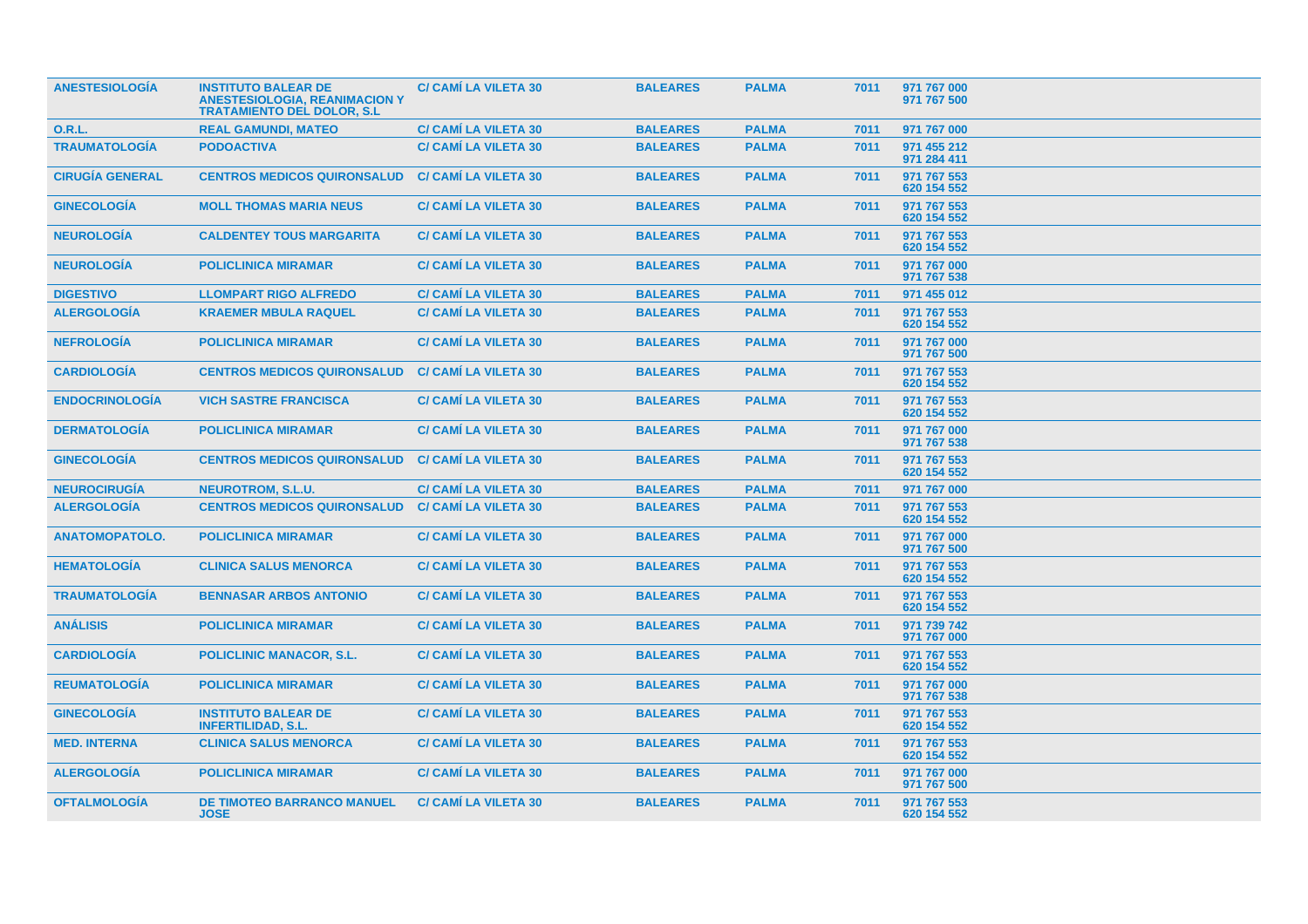| <b>ANESTESIOLOGÍA</b>  | <b>INSTITUTO BALEAR DE</b><br><b>ANESTESIOLOGIA, REANIMACION Y</b><br><b>TRATAMIENTO DEL DOLOR, S.L.</b> | <b>C/ CAMI LA VILETA 30</b> | <b>BALEARES</b> | <b>PALMA</b> | 7011 | 971 767 000<br>971 767 500 |  |
|------------------------|----------------------------------------------------------------------------------------------------------|-----------------------------|-----------------|--------------|------|----------------------------|--|
| <b>O.R.L.</b>          | <b>REAL GAMUNDI, MATEO</b>                                                                               | <b>C/ CAMI LA VILETA 30</b> | <b>BALEARES</b> | <b>PALMA</b> | 7011 | 971 767 000                |  |
| <b>TRAUMATOLOGÍA</b>   | <b>PODOACTIVA</b>                                                                                        | <b>C/ CAMI LA VILETA 30</b> | <b>BALEARES</b> | <b>PALMA</b> | 7011 | 971 455 212<br>971 284 411 |  |
| <b>CIRUGÍA GENERAL</b> | <b>CENTROS MEDICOS QUIRONSALUD</b>                                                                       | <b>C/ CAMI LA VILETA 30</b> | <b>BALEARES</b> | <b>PALMA</b> | 7011 | 971 767 553<br>620 154 552 |  |
| <b>GINECOLOGÍA</b>     | <b>MOLL THOMAS MARIA NEUS</b>                                                                            | <b>C/ CAMI LA VILETA 30</b> | <b>BALEARES</b> | <b>PALMA</b> | 7011 | 971 767 553<br>620 154 552 |  |
| <b>NEUROLOGÍA</b>      | <b>CALDENTEY TOUS MARGARITA</b>                                                                          | <b>C/ CAMI LA VILETA 30</b> | <b>BALEARES</b> | <b>PALMA</b> | 7011 | 971 767 553<br>620 154 552 |  |
| <b>NEUROLOGÍA</b>      | <b>POLICLINICA MIRAMAR</b>                                                                               | <b>C/ CAMI LA VILETA 30</b> | <b>BALEARES</b> | <b>PALMA</b> | 7011 | 971 767 000<br>971 767 538 |  |
| <b>DIGESTIVO</b>       | <b>LLOMPART RIGO ALFREDO</b>                                                                             | <b>C/ CAMI LA VILETA 30</b> | <b>BALEARES</b> | <b>PALMA</b> | 7011 | 971 455 012                |  |
| <b>ALERGOLOGÍA</b>     | <b>KRAEMER MBULA RAQUEL</b>                                                                              | <b>C/ CAMI LA VILETA 30</b> | <b>BALEARES</b> | <b>PALMA</b> | 7011 | 971 767 553<br>620 154 552 |  |
| <b>NEFROLOGIA</b>      | <b>POLICLINICA MIRAMAR</b>                                                                               | <b>C/ CAMI LA VILETA 30</b> | <b>BALEARES</b> | <b>PALMA</b> | 7011 | 971 767 000<br>971 767 500 |  |
| <b>CARDIOLOGÍA</b>     | <b>CENTROS MEDICOS QUIRONSALUD</b>                                                                       | <b>C/ CAMI LA VILETA 30</b> | <b>BALEARES</b> | <b>PALMA</b> | 7011 | 971 767 553<br>620 154 552 |  |
| <b>ENDOCRINOLOGÍA</b>  | <b>VICH SASTRE FRANCISCA</b>                                                                             | <b>C/ CAMI LA VILETA 30</b> | <b>BALEARES</b> | <b>PALMA</b> | 7011 | 971 767 553<br>620 154 552 |  |
| <b>DERMATOLOGÍA</b>    | <b>POLICLINICA MIRAMAR</b>                                                                               | <b>C/ CAMI LA VILETA 30</b> | <b>BALEARES</b> | <b>PALMA</b> | 7011 | 971 767 000<br>971 767 538 |  |
| <b>GINECOLOGÍA</b>     | <b>CENTROS MEDICOS QUIRONSALUD</b>                                                                       | <b>C/ CAMI LA VILETA 30</b> | <b>BALEARES</b> | <b>PALMA</b> | 7011 | 971 767 553<br>620 154 552 |  |
| <b>NEUROCIRUGÍA</b>    | <b>NEUROTROM, S.L.U.</b>                                                                                 | <b>C/ CAMI LA VILETA 30</b> | <b>BALEARES</b> | <b>PALMA</b> | 7011 | 971 767 000                |  |
| <b>ALERGOLOGÍA</b>     | <b>CENTROS MEDICOS QUIRONSALUD</b>                                                                       | <b>C/ CAMÍ LA VILETA 30</b> | <b>BALEARES</b> | <b>PALMA</b> | 7011 | 971 767 553<br>620 154 552 |  |
| <b>ANATOMOPATOLO.</b>  | <b>POLICLINICA MIRAMAR</b>                                                                               | <b>C/ CAMI LA VILETA 30</b> | <b>BALEARES</b> | <b>PALMA</b> | 7011 | 971 767 000<br>971 767 500 |  |
| <b>HEMATOLOGÍA</b>     | <b>CLINICA SALUS MENORCA</b>                                                                             | <b>C/ CAMI LA VILETA 30</b> | <b>BALEARES</b> | <b>PALMA</b> | 7011 | 971 767 553<br>620 154 552 |  |
| <b>TRAUMATOLOGÍA</b>   | <b>BENNASAR ARBOS ANTONIO</b>                                                                            | <b>C/ CAMI LA VILETA 30</b> | <b>BALEARES</b> | <b>PALMA</b> | 7011 | 971 767 553<br>620 154 552 |  |
| <b>ANÁLISIS</b>        | <b>POLICLINICA MIRAMAR</b>                                                                               | <b>C/ CAMI LA VILETA 30</b> | <b>BALEARES</b> | <b>PALMA</b> | 7011 | 971 739 742<br>971 767 000 |  |
| <b>CARDIOLOGIA</b>     | <b>POLICLINIC MANACOR, S.L.</b>                                                                          | <b>C/ CAMI LA VILETA 30</b> | <b>BALEARES</b> | <b>PALMA</b> | 7011 | 971 767 553<br>620 154 552 |  |
| <b>REUMATOLOGIA</b>    | <b>POLICLINICA MIRAMAR</b>                                                                               | <b>C/ CAMI LA VILETA 30</b> | <b>BALEARES</b> | <b>PALMA</b> | 7011 | 971 767 000<br>971 767 538 |  |
| <b>GINECOLOGIA</b>     | <b>INSTITUTO BALEAR DE</b><br><b>INFERTILIDAD, S.L.</b>                                                  | <b>C/ CAMI LA VILETA 30</b> | <b>BALEARES</b> | <b>PALMA</b> | 7011 | 971 767 553<br>620 154 552 |  |
| <b>MED. INTERNA</b>    | <b>CLINICA SALUS MENORCA</b>                                                                             | <b>C/ CAMI LA VILETA 30</b> | <b>BALEARES</b> | <b>PALMA</b> | 7011 | 971 767 553<br>620 154 552 |  |
| <b>ALERGOLOGÍA</b>     | <b>POLICLINICA MIRAMAR</b>                                                                               | <b>C/ CAMI LA VILETA 30</b> | <b>BALEARES</b> | <b>PALMA</b> | 7011 | 971 767 000<br>971 767 500 |  |
| <b>OFTALMOLOGÍA</b>    | <b>DE TIMOTEO BARRANCO MANUEL</b><br><b>JOSE</b>                                                         | <b>C/ CAMI LA VILETA 30</b> | <b>BALEARES</b> | <b>PALMA</b> | 7011 | 971 767 553<br>620 154 552 |  |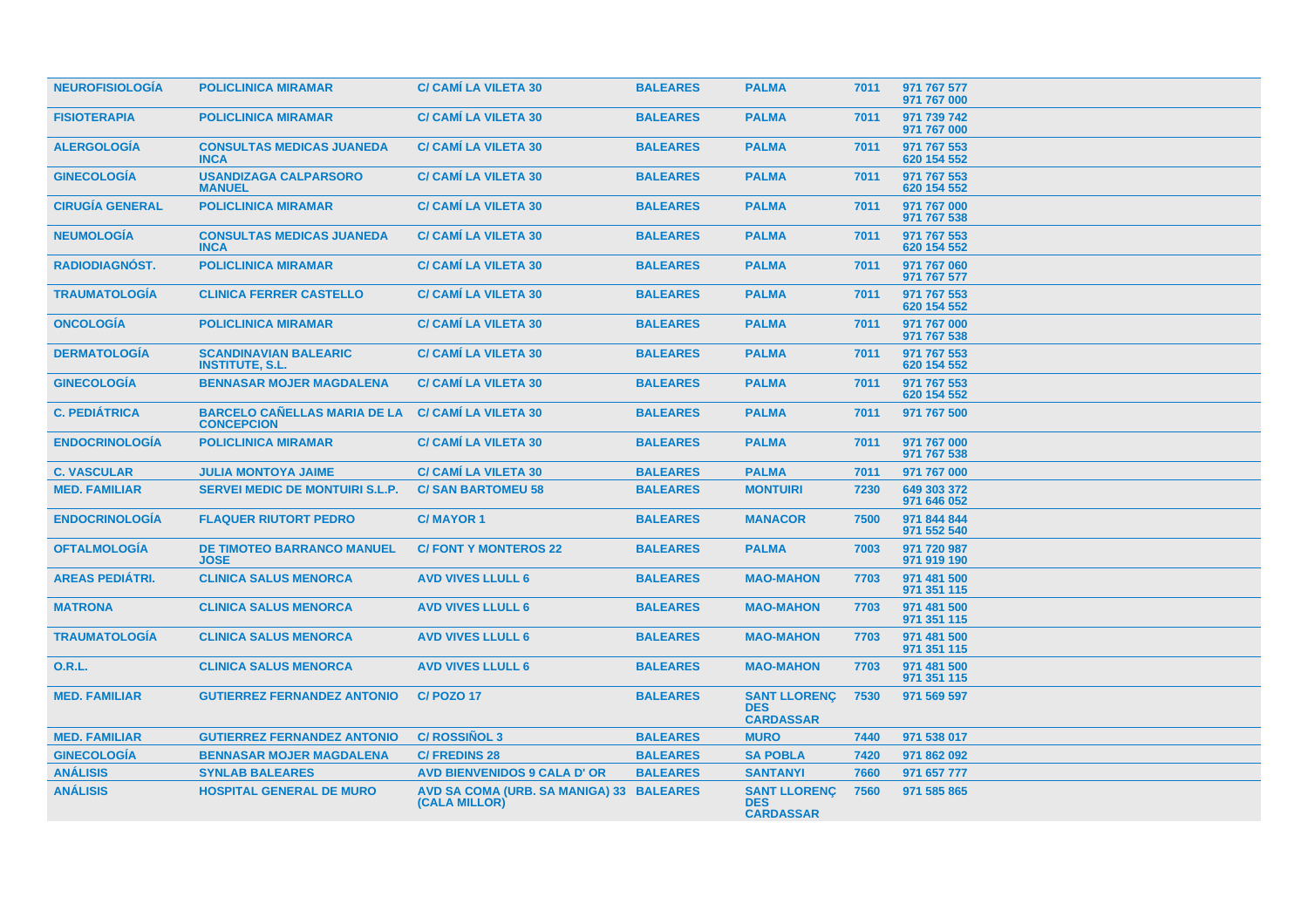| <b>NEUROFISIOLOGÍA</b> | <b>POLICLINICA MIRAMAR</b>                               | <b>C/ CAMÍ LA VILETA 30</b>                               | <b>BALEARES</b> | <b>PALMA</b>                                          | 7011 | 971 767 577<br>971 767 000 |
|------------------------|----------------------------------------------------------|-----------------------------------------------------------|-----------------|-------------------------------------------------------|------|----------------------------|
| <b>FISIOTERAPIA</b>    | <b>POLICLINICA MIRAMAR</b>                               | <b>C/ CAMÍ LA VILETA 30</b>                               | <b>BALEARES</b> | <b>PALMA</b>                                          | 7011 | 971 739 742<br>971 767 000 |
| <b>ALERGOLOGÍA</b>     | <b>CONSULTAS MEDICAS JUANEDA</b><br><b>INCA</b>          | <b>C/ CAMÍ LA VILETA 30</b>                               | <b>BALEARES</b> | <b>PALMA</b>                                          | 7011 | 971 767 553<br>620 154 552 |
| <b>GINECOLOGÍA</b>     | <b>USANDIZAGA CALPARSORO</b><br><b>MANUEL</b>            | <b>C/ CAMÍ LA VILETA 30</b>                               | <b>BALEARES</b> | <b>PALMA</b>                                          | 7011 | 971 767 553<br>620 154 552 |
| <b>CIRUGÍA GENERAL</b> | <b>POLICLINICA MIRAMAR</b>                               | <b>C/ CAMÍ LA VILETA 30</b>                               | <b>BALEARES</b> | <b>PALMA</b>                                          | 7011 | 971 767 000<br>971 767 538 |
| <b>NEUMOLOGÍA</b>      | <b>CONSULTAS MEDICAS JUANEDA</b><br><b>INCA</b>          | <b>C/ CAMÍ LA VILETA 30</b>                               | <b>BALEARES</b> | <b>PALMA</b>                                          | 7011 | 971 767 553<br>620 154 552 |
| RADIODIAGNÓST.         | <b>POLICLINICA MIRAMAR</b>                               | <b>C/ CAMÍ LA VILETA 30</b>                               | <b>BALEARES</b> | <b>PALMA</b>                                          | 7011 | 971 767 060<br>971 767 577 |
| <b>TRAUMATOLOGÍA</b>   | <b>CLINICA FERRER CASTELLO</b>                           | <b>C/ CAMÍ LA VILETA 30</b>                               | <b>BALEARES</b> | <b>PALMA</b>                                          | 7011 | 971 767 553<br>620 154 552 |
| <b>ONCOLOGÍA</b>       | <b>POLICLINICA MIRAMAR</b>                               | <b>C/ CAMÍ LA VILETA 30</b>                               | <b>BALEARES</b> | <b>PALMA</b>                                          | 7011 | 971 767 000<br>971 767 538 |
| <b>DERMATOLOGÍA</b>    | <b>SCANDINAVIAN BALEARIC</b><br><b>INSTITUTE, S.L.</b>   | <b>C/ CAMÍ LA VILETA 30</b>                               | <b>BALEARES</b> | <b>PALMA</b>                                          | 7011 | 971 767 553<br>620 154 552 |
| <b>GINECOLOGÍA</b>     | <b>BENNASAR MOJER MAGDALENA</b>                          | <b>C/ CAMÍ LA VILETA 30</b>                               | <b>BALEARES</b> | <b>PALMA</b>                                          | 7011 | 971 767 553<br>620 154 552 |
| <b>C. PEDIÁTRICA</b>   | <b>BARCELO CAÑELLAS MARIA DE LA</b><br><b>CONCEPCION</b> | <b>C/ CAMÍ LA VILETA 30</b>                               | <b>BALEARES</b> | <b>PALMA</b>                                          | 7011 | 971 767 500                |
| <b>ENDOCRINOLOGÍA</b>  | <b>POLICLINICA MIRAMAR</b>                               | <b>C/ CAMÍ LA VILETA 30</b>                               | <b>BALEARES</b> | <b>PALMA</b>                                          | 7011 | 971 767 000<br>971 767 538 |
| <b>C. VASCULAR</b>     | <b>JULIA MONTOYA JAIME</b>                               | <b>C/ CAMÍ LA VILETA 30</b>                               | <b>BALEARES</b> | <b>PALMA</b>                                          | 7011 | 971 767 000                |
| <b>MED. FAMILIAR</b>   | <b>SERVEI MEDIC DE MONTUIRI S.L.P.</b>                   | <b>C/SAN BARTOMEU 58</b>                                  | <b>BALEARES</b> | <b>MONTUIRI</b>                                       | 7230 | 649 303 372<br>971 646 052 |
| <b>ENDOCRINOLOGÍA</b>  | <b>FLAQUER RIUTORT PEDRO</b>                             | <b>C/MAYOR 1</b>                                          | <b>BALEARES</b> | <b>MANACOR</b>                                        | 7500 | 971 844 844<br>971 552 540 |
| <b>OFTALMOLOGÍA</b>    | <b>DE TIMOTEO BARRANCO MANUEL</b><br><b>JOSE</b>         | <b>C/FONTY MONTEROS 22</b>                                | <b>BALEARES</b> | <b>PALMA</b>                                          | 7003 | 971 720 987<br>971 919 190 |
| <b>AREAS PEDIÁTRI.</b> | <b>CLINICA SALUS MENORCA</b>                             | <b>AVD VIVES LLULL 6</b>                                  | <b>BALEARES</b> | <b>MAO-MAHON</b>                                      | 7703 | 971 481 500<br>971 351 115 |
| <b>MATRONA</b>         | <b>CLINICA SALUS MENORCA</b>                             | <b>AVD VIVES LLULL 6</b>                                  | <b>BALEARES</b> | <b>MAO-MAHON</b>                                      | 7703 | 971 481 500<br>971 351 115 |
| <b>TRAUMATOLOGÍA</b>   | <b>CLINICA SALUS MENORCA</b>                             | <b>AVD VIVES LLULL 6</b>                                  | <b>BALEARES</b> | <b>MAO-MAHON</b>                                      | 7703 | 971 481 500<br>971 351 115 |
| <b>O.R.L.</b>          | <b>CLINICA SALUS MENORCA</b>                             | <b>AVD VIVES LLULL 6</b>                                  | <b>BALEARES</b> | <b>MAO-MAHON</b>                                      | 7703 | 971 481 500<br>971 351 115 |
| <b>MED. FAMILIAR</b>   | <b>GUTIERREZ FERNANDEZ ANTONIO</b>                       | <b>C/POZO17</b>                                           | <b>BALEARES</b> | <b>SANT LLORENC</b><br><b>DES</b><br><b>CARDASSAR</b> | 7530 | 971 569 597                |
| <b>MED. FAMILIAR</b>   | <b>GUTIERREZ FERNANDEZ ANTONIO</b>                       | <b>C/ ROSSIÑOL 3</b>                                      | <b>BALEARES</b> | <b>MURO</b>                                           | 7440 | 971 538 017                |
| <b>GINECOLOGÍA</b>     | <b>BENNASAR MOJER MAGDALENA</b>                          | <b>C/FREDINS 28</b>                                       | <b>BALEARES</b> | <b>SA POBLA</b>                                       | 7420 | 971 862 092                |
| <b>ANÁLISIS</b>        | <b>SYNLAB BALEARES</b>                                   | <b>AVD BIENVENIDOS 9 CALA D' OR</b>                       | <b>BALEARES</b> | <b>SANTANYI</b>                                       | 7660 | 971 657 777                |
| <b>ANÁLISIS</b>        | <b>HOSPITAL GENERAL DE MURO</b>                          | AVD SA COMA (URB. SA MANIGA) 33 BALEARES<br>(CALA MILLOR) |                 | <b>SANT LLORENC</b><br><b>DES</b><br><b>CARDASSAR</b> | 7560 | 971 585 865                |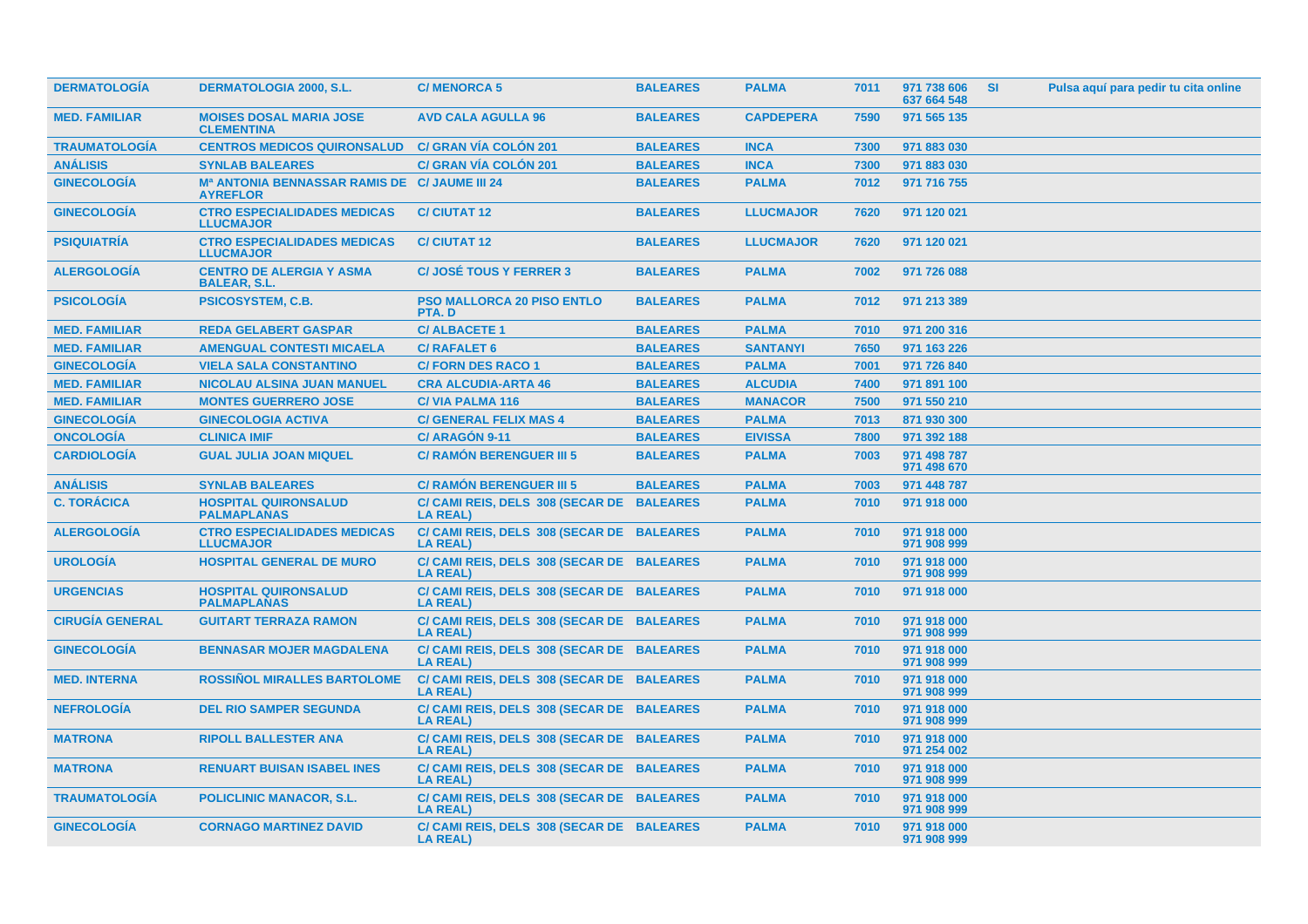| <b>DERMATOLOGIA</b>    | <b>DERMATOLOGIA 2000, S.L.</b>                                               | <b>C/MENORCA 5</b>                                           | <b>BALEARES</b> | <b>PALMA</b>     | 7011 | 971 738 606<br>637 664 548 | <b>SI</b> | Pulsa aquí para pedir tu cita online |
|------------------------|------------------------------------------------------------------------------|--------------------------------------------------------------|-----------------|------------------|------|----------------------------|-----------|--------------------------------------|
| <b>MED. FAMILIAR</b>   | <b>MOISES DOSAL MARIA JOSE</b><br><b>CLEMENTINA</b>                          | <b>AVD CALA AGULLA 96</b>                                    | <b>BALEARES</b> | <b>CAPDEPERA</b> | 7590 | 971 565 135                |           |                                      |
| <b>TRAUMATOLOGÍA</b>   | <b>CENTROS MEDICOS QUIRONSALUD</b>                                           | <b>C/ GRAN VÍA COLÓN 201</b>                                 | <b>BALEARES</b> | <b>INCA</b>      | 7300 | 971 883 030                |           |                                      |
| <b>ANÁLISIS</b>        | <b>SYNLAB BALEARES</b>                                                       | <b>C/ GRAN VÍA COLÓN 201</b>                                 | <b>BALEARES</b> | <b>INCA</b>      | 7300 | 971 883 030                |           |                                      |
| <b>GINECOLOGÍA</b>     | M <sup>a</sup> ANTONIA BENNASSAR RAMIS DE C/ JAUME III 24<br><b>AYREFLOR</b> |                                                              | <b>BALEARES</b> | <b>PALMA</b>     | 7012 | 971 716 755                |           |                                      |
| <b>GINECOLOGIA</b>     | <b>CTRO ESPECIALIDADES MEDICAS</b><br><b>LLUCMAJOR</b>                       | <b>C/CIUTAT 12</b>                                           | <b>BALEARES</b> | <b>LLUCMAJOR</b> | 7620 | 971 120 021                |           |                                      |
| <b>PSIQUIATRÍA</b>     | <b>CTRO ESPECIALIDADES MEDICAS</b><br><b>LLUCMAJOR</b>                       | <b>C/CIUTAT 12</b>                                           | <b>BALEARES</b> | <b>LLUCMAJOR</b> | 7620 | 971 120 021                |           |                                      |
| <b>ALERGOLOGÍA</b>     | <b>CENTRO DE ALERGIA Y ASMA</b><br><b>BALEAR, S.L.</b>                       | <b>C/JOSÉ TOUS Y FERRER 3</b>                                | <b>BALEARES</b> | <b>PALMA</b>     | 7002 | 971 726 088                |           |                                      |
| <b>PSICOLOGÍA</b>      | <b>PSICOSYSTEM, C.B.</b>                                                     | <b>PSO MALLORCA 20 PISO ENTLO</b><br>PTA.D                   | <b>BALEARES</b> | <b>PALMA</b>     | 7012 | 971 213 389                |           |                                      |
| <b>MED. FAMILIAR</b>   | <b>REDA GELABERT GASPAR</b>                                                  | <b>C/ALBACETE 1</b>                                          | <b>BALEARES</b> | <b>PALMA</b>     | 7010 | 971 200 316                |           |                                      |
| <b>MED. FAMILIAR</b>   | <b>AMENGUAL CONTESTI MICAELA</b>                                             | <b>C/ RAFALET 6</b>                                          | <b>BALEARES</b> | <b>SANTANYI</b>  | 7650 | 971 163 226                |           |                                      |
| <b>GINECOLOGÍA</b>     | <b>VIELA SALA CONSTANTINO</b>                                                | <b>C/FORN DES RACO 1</b>                                     | <b>BALEARES</b> | <b>PALMA</b>     | 7001 | 971 726 840                |           |                                      |
| <b>MED. FAMILIAR</b>   | <b>NICOLAU ALSINA JUAN MANUEL</b>                                            | <b>CRA ALCUDIA-ARTA 46</b>                                   | <b>BALEARES</b> | <b>ALCUDIA</b>   | 7400 | 971 891 100                |           |                                      |
| <b>MED. FAMILIAR</b>   | <b>MONTES GUERRERO JOSE</b>                                                  | <b>C/VIA PALMA 116</b>                                       | <b>BALEARES</b> | <b>MANACOR</b>   | 7500 | 971 550 210                |           |                                      |
| <b>GINECOLOGÍA</b>     | <b>GINECOLOGIA ACTIVA</b>                                                    | <b>C/ GENERAL FELIX MAS 4</b>                                | <b>BALEARES</b> | <b>PALMA</b>     | 7013 | 871 930 300                |           |                                      |
| <b>ONCOLOGÍA</b>       | <b>CLINICA IMIF</b>                                                          | C/ ARAGÓN 9-11                                               | <b>BALEARES</b> | <b>EIVISSA</b>   | 7800 | 971 392 188                |           |                                      |
| <b>CARDIOLOGÍA</b>     | <b>GUAL JULIA JOAN MIQUEL</b>                                                | <b>C/ RAMÓN BERENGUER III 5</b>                              | <b>BALEARES</b> | <b>PALMA</b>     | 7003 | 971 498 787<br>971 498 670 |           |                                      |
| <b>ANÁLISIS</b>        | <b>SYNLAB BALEARES</b>                                                       | <b>C/ RAMÓN BERENGUER III 5</b>                              | <b>BALEARES</b> | <b>PALMA</b>     | 7003 | 971 448 787                |           |                                      |
| <b>C. TORÁCICA</b>     | <b>HOSPITAL QUIRONSALUD</b><br><b>PALMAPLANAS</b>                            | C/ CAMI REIS, DELS 308 (SECAR DE BALEARES<br><b>LA REAL)</b> |                 | <b>PALMA</b>     | 7010 | 971 918 000                |           |                                      |
| <b>ALERGOLOGÍA</b>     | <b>CTRO ESPECIALIDADES MEDICAS</b><br><b>LLUCMAJOR</b>                       | C/ CAMI REIS, DELS 308 (SECAR DE BALEARES<br><b>LA REAL)</b> |                 | <b>PALMA</b>     | 7010 | 971 918 000<br>971 908 999 |           |                                      |
| <b>UROLOGIA</b>        | <b>HOSPITAL GENERAL DE MURO</b>                                              | C/ CAMI REIS, DELS 308 (SECAR DE BALEARES<br><b>LA REAL)</b> |                 | <b>PALMA</b>     | 7010 | 971 918 000<br>971 908 999 |           |                                      |
| <b>URGENCIAS</b>       | <b>HOSPITAL QUIRONSALUD</b><br><b>PALMAPLANAS</b>                            | C/ CAMI REIS, DELS 308 (SECAR DE BALEARES<br><b>LA REAL)</b> |                 | <b>PALMA</b>     | 7010 | 971 918 000                |           |                                      |
| <b>CIRUGÍA GENERAL</b> | <b>GUITART TERRAZA RAMON</b>                                                 | C/ CAMI REIS, DELS 308 (SECAR DE BALEARES<br><b>LA REAL)</b> |                 | <b>PALMA</b>     | 7010 | 971 918 000<br>971 908 999 |           |                                      |
| <b>GINECOLOGÍA</b>     | <b>BENNASAR MOJER MAGDALENA</b>                                              | C/ CAMI REIS, DELS 308 (SECAR DE BALEARES<br><b>LA REAL)</b> |                 | <b>PALMA</b>     | 7010 | 971 918 000<br>971 908 999 |           |                                      |
| <b>MED. INTERNA</b>    | <b>ROSSINOL MIRALLES BARTOLOME</b>                                           | C/ CAMI REIS, DELS 308 (SECAR DE BALEARES<br><b>LA REAL)</b> |                 | <b>PALMA</b>     | 7010 | 971 918 000<br>971 908 999 |           |                                      |
| <b>NEFROLOGÍA</b>      | <b>DEL RIO SAMPER SEGUNDA</b>                                                | C/ CAMI REIS, DELS 308 (SECAR DE BALEARES<br><b>LA REAL)</b> |                 | <b>PALMA</b>     | 7010 | 971 918 000<br>971 908 999 |           |                                      |
| <b>MATRONA</b>         | <b>RIPOLL BALLESTER ANA</b>                                                  | C/ CAMI REIS, DELS 308 (SECAR DE BALEARES<br><b>LA REAL)</b> |                 | <b>PALMA</b>     | 7010 | 971 918 000<br>971 254 002 |           |                                      |
| <b>MATRONA</b>         | <b>RENUART BUISAN ISABEL INES</b>                                            | C/ CAMI REIS, DELS 308 (SECAR DE BALEARES<br><b>LA REAL)</b> |                 | <b>PALMA</b>     | 7010 | 971 918 000<br>971 908 999 |           |                                      |
| <b>TRAUMATOLOGIA</b>   | <b>POLICLINIC MANACOR, S.L.</b>                                              | C/ CAMI REIS, DELS 308 (SECAR DE BALEARES<br><b>LA REAL)</b> |                 | <b>PALMA</b>     | 7010 | 971 918 000<br>971 908 999 |           |                                      |
| <b>GINECOLOGIA</b>     | <b>CORNAGO MARTINEZ DAVID</b>                                                | C/ CAMI REIS, DELS 308 (SECAR DE BALEARES<br><b>LA REAL)</b> |                 | <b>PALMA</b>     | 7010 | 971 918 000<br>971 908 999 |           |                                      |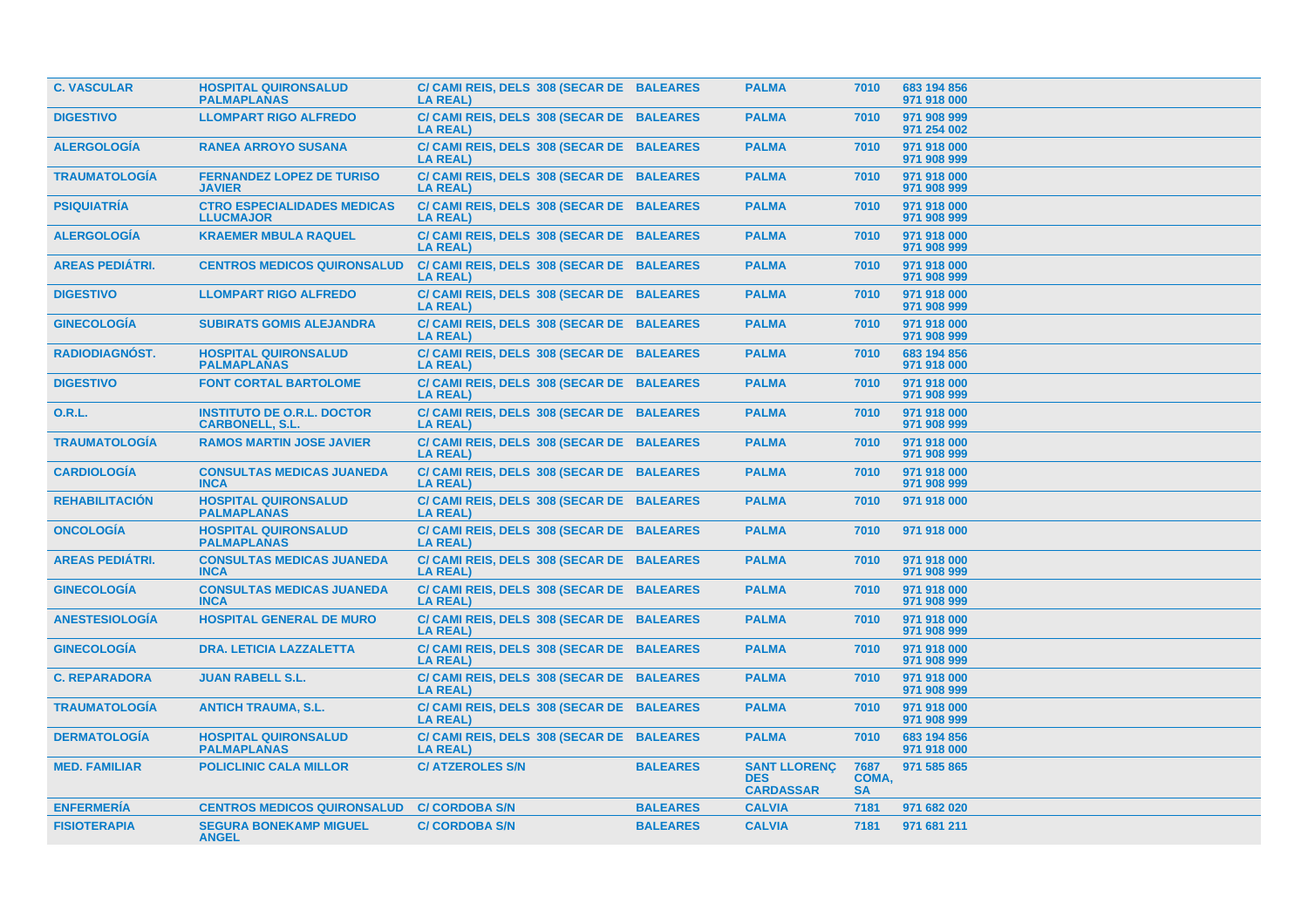| <b>C. VASCULAR</b>     | <b>HOSPITAL QUIRONSALUD</b><br><b>PALMAPLANAS</b>           | C/ CAMI REIS, DELS 308 (SECAR DE BALEARES<br><b>LA REAL)</b> |                 | <b>PALMA</b>                                          | 7010                       | 683 194 856<br>971 918 000 |
|------------------------|-------------------------------------------------------------|--------------------------------------------------------------|-----------------|-------------------------------------------------------|----------------------------|----------------------------|
| <b>DIGESTIVO</b>       | <b>LLOMPART RIGO ALFREDO</b>                                | C/ CAMI REIS, DELS 308 (SECAR DE BALEARES<br><b>LA REAL)</b> |                 | <b>PALMA</b>                                          | 7010                       | 971 908 999<br>971 254 002 |
| <b>ALERGOLOGÍA</b>     | <b>RANEA ARROYO SUSANA</b>                                  | C/ CAMI REIS, DELS 308 (SECAR DE BALEARES<br><b>LA REAL)</b> |                 | <b>PALMA</b>                                          | 7010                       | 971 918 000<br>971 908 999 |
| <b>TRAUMATOLOGÍA</b>   | <b>FERNANDEZ LOPEZ DE TURISO</b><br><b>JAVIER</b>           | C/ CAMI REIS, DELS 308 (SECAR DE BALEARES<br><b>LA REAL)</b> |                 | <b>PALMA</b>                                          | 7010                       | 971 918 000<br>971 908 999 |
| <b>PSIQUIATRÍA</b>     | <b>CTRO ESPECIALIDADES MEDICAS</b><br><b>LLUCMAJOR</b>      | C/ CAMI REIS, DELS 308 (SECAR DE BALEARES<br><b>LA REAL)</b> |                 | <b>PALMA</b>                                          | 7010                       | 971 918 000<br>971 908 999 |
| <b>ALERGOLOGÍA</b>     | <b>KRAEMER MBULA RAQUEL</b>                                 | C/ CAMI REIS, DELS 308 (SECAR DE BALEARES<br><b>LA REAL)</b> |                 | <b>PALMA</b>                                          | 7010                       | 971 918 000<br>971 908 999 |
| <b>AREAS PEDIÁTRI.</b> | <b>CENTROS MEDICOS QUIRONSALUD</b>                          | C/ CAMI REIS, DELS 308 (SECAR DE BALEARES<br><b>LA REAL)</b> |                 | <b>PALMA</b>                                          | 7010                       | 971 918 000<br>971 908 999 |
| <b>DIGESTIVO</b>       | <b>LLOMPART RIGO ALFREDO</b>                                | C/ CAMI REIS, DELS 308 (SECAR DE BALEARES<br><b>LA REAL)</b> |                 | <b>PALMA</b>                                          | 7010                       | 971 918 000<br>971 908 999 |
| <b>GINECOLOGIA</b>     | <b>SUBIRATS GOMIS ALEJANDRA</b>                             | C/ CAMI REIS, DELS 308 (SECAR DE BALEARES<br><b>LA REAL)</b> |                 | <b>PALMA</b>                                          | 7010                       | 971 918 000<br>971 908 999 |
| <b>RADIODIAGNÓST.</b>  | <b>HOSPITAL QUIRONSALUD</b><br><b>PALMAPLANAS</b>           | C/ CAMI REIS, DELS 308 (SECAR DE BALEARES<br><b>LA REAL)</b> |                 | <b>PALMA</b>                                          | 7010                       | 683 194 856<br>971 918 000 |
| <b>DIGESTIVO</b>       | <b>FONT CORTAL BARTOLOME</b>                                | C/ CAMI REIS, DELS 308 (SECAR DE BALEARES<br><b>LA REAL)</b> |                 | <b>PALMA</b>                                          | 7010                       | 971 918 000<br>971 908 999 |
| <b>O.R.L.</b>          | <b>INSTITUTO DE O.R.L. DOCTOR</b><br><b>CARBONELL, S.L.</b> | C/ CAMI REIS, DELS 308 (SECAR DE BALEARES<br><b>LA REAL)</b> |                 | <b>PALMA</b>                                          | 7010                       | 971 918 000<br>971 908 999 |
| <b>TRAUMATOLOGÍA</b>   | <b>RAMOS MARTIN JOSE JAVIER</b>                             | C/ CAMI REIS, DELS 308 (SECAR DE BALEARES<br><b>LA REAL)</b> |                 | <b>PALMA</b>                                          | 7010                       | 971 918 000<br>971 908 999 |
| <b>CARDIOLOGÍA</b>     | <b>CONSULTAS MEDICAS JUANEDA</b><br><b>INCA</b>             | C/ CAMI REIS, DELS 308 (SECAR DE BALEARES<br><b>LA REAL)</b> |                 | <b>PALMA</b>                                          | 7010                       | 971 918 000<br>971 908 999 |
| <b>REHABILITACIÓN</b>  | <b>HOSPITAL QUIRONSALUD</b><br><b>PALMAPLANAS</b>           | C/ CAMI REIS, DELS 308 (SECAR DE BALEARES<br><b>LA REAL)</b> |                 | <b>PALMA</b>                                          | 7010                       | 971 918 000                |
| <b>ONCOLOGIA</b>       | <b>HOSPITAL QUIRONSALUD</b><br><b>PALMAPLANAS</b>           | C/ CAMI REIS, DELS 308 (SECAR DE BALEARES<br><b>LA REAL)</b> |                 | <b>PALMA</b>                                          | 7010                       | 971 918 000                |
| <b>AREAS PEDIÁTRI.</b> | <b>CONSULTAS MEDICAS JUANEDA</b><br><b>INCA</b>             | C/ CAMI REIS, DELS 308 (SECAR DE BALEARES<br><b>LA REAL)</b> |                 | <b>PALMA</b>                                          | 7010                       | 971 918 000<br>971 908 999 |
| <b>GINECOLOGÍA</b>     | <b>CONSULTAS MEDICAS JUANEDA</b><br><b>INCA</b>             | C/ CAMI REIS, DELS 308 (SECAR DE BALEARES<br><b>LA REAL)</b> |                 | <b>PALMA</b>                                          | 7010                       | 971 918 000<br>971 908 999 |
| <b>ANESTESIOLOGÍA</b>  | <b>HOSPITAL GENERAL DE MURO</b>                             | C/ CAMI REIS, DELS 308 (SECAR DE BALEARES<br><b>LA REAL)</b> |                 | <b>PALMA</b>                                          | 7010                       | 971 918 000<br>971 908 999 |
| <b>GINECOLOGÍA</b>     | <b>DRA. LETICIA LAZZALETTA</b>                              | C/ CAMI REIS, DELS 308 (SECAR DE BALEARES<br><b>LA REAL)</b> |                 | <b>PALMA</b>                                          | 7010                       | 971 918 000<br>971 908 999 |
| <b>C. REPARADORA</b>   | <b>JUAN RABELL S.L.</b>                                     | C/ CAMI REIS, DELS 308 (SECAR DE BALEARES<br><b>LA REAL)</b> |                 | <b>PALMA</b>                                          | 7010                       | 971 918 000<br>971 908 999 |
| <b>TRAUMATOLOGÍA</b>   | <b>ANTICH TRAUMA, S.L.</b>                                  | C/ CAMI REIS, DELS 308 (SECAR DE BALEARES<br><b>LA REAL)</b> |                 | <b>PALMA</b>                                          | 7010                       | 971 918 000<br>971 908 999 |
| <b>DERMATOLOGÍA</b>    | <b>HOSPITAL QUIRONSALUD</b><br><b>PALMAPLANAS</b>           | C/ CAMI REIS, DELS 308 (SECAR DE BALEARES<br><b>LA REAL)</b> |                 | <b>PALMA</b>                                          | 7010                       | 683 194 856<br>971 918 000 |
| <b>MED. FAMILIAR</b>   | <b>POLICLINIC CALA MILLOR</b>                               | <b>C/ATZEROLES S/N</b>                                       | <b>BALEARES</b> | <b>SANT LLORENC</b><br><b>DES</b><br><b>CARDASSAR</b> | 7687<br>COMA,<br><b>SA</b> | 971 585 865                |
| <b>ENFERMERÍA</b>      | <b>CENTROS MEDICOS QUIRONSALUD</b>                          | <b>C/ CORDOBA S/N</b>                                        | <b>BALEARES</b> | <b>CALVIA</b>                                         | 7181                       | 971 682 020                |
| <b>FISIOTERAPIA</b>    | <b>SEGURA BONEKAMP MIGUEL</b><br><b>ANGEL</b>               | <b>C/ CORDOBA S/N</b>                                        | <b>BALEARES</b> | <b>CALVIA</b>                                         | 7181                       | 971 681 211                |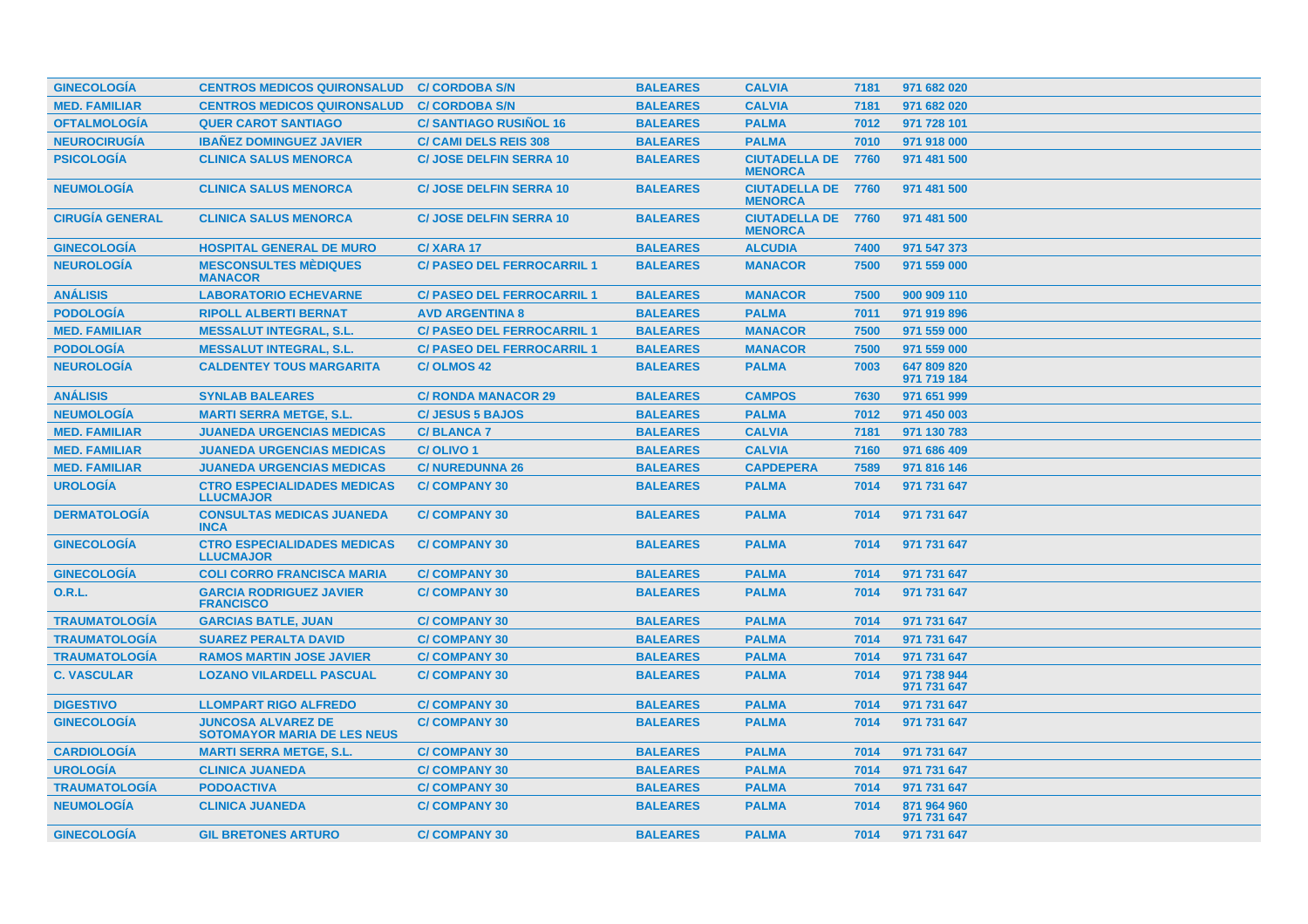| <b>GINECOLOGIA</b>     | <b>CENTROS MEDICOS QUIRONSALUD</b>                              | <b>C/ CORDOBA S/N</b>             | <b>BALEARES</b> | <b>CALVIA</b>                               | 7181 | 971 682 020                |
|------------------------|-----------------------------------------------------------------|-----------------------------------|-----------------|---------------------------------------------|------|----------------------------|
| <b>MED. FAMILIAR</b>   | <b>CENTROS MEDICOS QUIRONSALUD</b>                              | <b>C/ CORDOBA S/N</b>             | <b>BALEARES</b> | <b>CALVIA</b>                               | 7181 | 971 682 020                |
| <b>OFTALMOLOGÍA</b>    | <b>QUER CAROT SANTIAGO</b>                                      | <b>C/SANTIAGO RUSINOL 16</b>      | <b>BALEARES</b> | <b>PALMA</b>                                | 7012 | 971 728 101                |
| <b>NEUROCIRUGÍA</b>    | <b>IBANEZ DOMINGUEZ JAVIER</b>                                  | <b>C/ CAMI DELS REIS 308</b>      | <b>BALEARES</b> | <b>PALMA</b>                                | 7010 | 971 918 000                |
| <b>PSICOLOGIA</b>      | <b>CLINICA SALUS MENORCA</b>                                    | <b>C/JOSE DELFIN SERRA 10</b>     | <b>BALEARES</b> | <b>CIUTADELLA DE</b><br><b>MENORCA</b>      | 7760 | 971 481 500                |
| <b>NEUMOLOGIA</b>      | <b>CLINICA SALUS MENORCA</b>                                    | <b>C/JOSE DELFIN SERRA 10</b>     | <b>BALEARES</b> | <b>CIUTADELLA DE 7760</b><br><b>MENORCA</b> |      | 971 481 500                |
| <b>CIRUGÍA GENERAL</b> | <b>CLINICA SALUS MENORCA</b>                                    | <b>C/ JOSE DELFIN SERRA 10</b>    | <b>BALEARES</b> | <b>CIUTADELLA DE 7760</b><br><b>MENORCA</b> |      | 971 481 500                |
| <b>GINECOLOGIA</b>     | <b>HOSPITAL GENERAL DE MURO</b>                                 | C/XARA 17                         | <b>BALEARES</b> | <b>ALCUDIA</b>                              | 7400 | 971 547 373                |
| <b>NEUROLOGÍA</b>      | <b>MESCONSULTES MÈDIQUES</b><br><b>MANACOR</b>                  | <b>C/ PASEO DEL FERROCARRIL 1</b> | <b>BALEARES</b> | <b>MANACOR</b>                              | 7500 | 971 559 000                |
| <b>ANÁLISIS</b>        | <b>LABORATORIO ECHEVARNE</b>                                    | <b>C/ PASEO DEL FERROCARRIL 1</b> | <b>BALEARES</b> | <b>MANACOR</b>                              | 7500 | 900 909 110                |
| <b>PODOLOGIA</b>       | <b>RIPOLL ALBERTI BERNAT</b>                                    | <b>AVD ARGENTINA 8</b>            | <b>BALEARES</b> | <b>PALMA</b>                                | 7011 | 971 919 896                |
| <b>MED. FAMILIAR</b>   | <b>MESSALUT INTEGRAL, S.L.</b>                                  | <b>C/ PASEO DEL FERROCARRIL 1</b> | <b>BALEARES</b> | <b>MANACOR</b>                              | 7500 | 971 559 000                |
| <b>PODOLOGÍA</b>       | <b>MESSALUT INTEGRAL, S.L.</b>                                  | <b>C/ PASEO DEL FERROCARRIL 1</b> | <b>BALEARES</b> | <b>MANACOR</b>                              | 7500 | 971 559 000                |
| <b>NEUROLOGIA</b>      | <b>CALDENTEY TOUS MARGARITA</b>                                 | <b>C/OLMOS 42</b>                 | <b>BALEARES</b> | <b>PALMA</b>                                | 7003 | 647 809 820<br>971 719 184 |
| <b>ANÁLISIS</b>        | <b>SYNLAB BALEARES</b>                                          | <b>C/ RONDA MANACOR 29</b>        | <b>BALEARES</b> | <b>CAMPOS</b>                               | 7630 | 971 651 999                |
| <b>NEUMOLOGÍA</b>      | <b>MARTI SERRA METGE, S.L.</b>                                  | <b>C/JESUS 5 BAJOS</b>            | <b>BALEARES</b> | <b>PALMA</b>                                | 7012 | 971 450 003                |
| <b>MED. FAMILIAR</b>   | <b>JUANEDA URGENCIAS MEDICAS</b>                                | <b>C/BLANCA7</b>                  | <b>BALEARES</b> | <b>CALVIA</b>                               | 7181 | 971 130 783                |
| <b>MED. FAMILIAR</b>   | <b>JUANEDA URGENCIAS MEDICAS</b>                                | C/OLIVO <sub>1</sub>              | <b>BALEARES</b> | <b>CALVIA</b>                               | 7160 | 971 686 409                |
| <b>MED. FAMILIAR</b>   | <b>JUANEDA URGENCIAS MEDICAS</b>                                | <b>C/NUREDUNNA 26</b>             | <b>BALEARES</b> | <b>CAPDEPERA</b>                            | 7589 | 971 816 146                |
| <b>UROLOGÍA</b>        | <b>CTRO ESPECIALIDADES MEDICAS</b><br><b>LLUCMAJOR</b>          | <b>C/COMPANY 30</b>               | <b>BALEARES</b> | <b>PALMA</b>                                | 7014 | 971 731 647                |
| <b>DERMATOLOGIA</b>    | <b>CONSULTAS MEDICAS JUANEDA</b><br><b>INCA</b>                 | <b>C/COMPANY 30</b>               | <b>BALEARES</b> | <b>PALMA</b>                                | 7014 | 971 731 647                |
| <b>GINECOLOGIA</b>     | <b>CTRO ESPECIALIDADES MEDICAS</b><br><b>LLUCMAJOR</b>          | <b>C/COMPANY 30</b>               | <b>BALEARES</b> | <b>PALMA</b>                                | 7014 | 971 731 647                |
| <b>GINECOLOGIA</b>     | <b>COLI CORRO FRANCISCA MARIA</b>                               | <b>C/COMPANY 30</b>               | <b>BALEARES</b> | <b>PALMA</b>                                | 7014 | 971 731 647                |
| 0.R.L.                 | <b>GARCIA RODRIGUEZ JAVIER</b><br><b>FRANCISCO</b>              | <b>C/COMPANY 30</b>               | <b>BALEARES</b> | <b>PALMA</b>                                | 7014 | 971 731 647                |
| <b>TRAUMATOLOGIA</b>   | <b>GARCIAS BATLE, JUAN</b>                                      | <b>C/COMPANY 30</b>               | <b>BALEARES</b> | <b>PALMA</b>                                | 7014 | 971 731 647                |
| <b>TRAUMATOLOGÍA</b>   | <b>SUAREZ PERALTA DAVID</b>                                     | <b>C/COMPANY 30</b>               | <b>BALEARES</b> | <b>PALMA</b>                                | 7014 | 971 731 647                |
| <b>TRAUMATOLOGÍA</b>   | <b>RAMOS MARTIN JOSE JAVIER</b>                                 | <b>C/COMPANY 30</b>               | <b>BALEARES</b> | <b>PALMA</b>                                | 7014 | 971 731 647                |
| <b>C. VASCULAR</b>     | <b>LOZANO VILARDELL PASCUAL</b>                                 | <b>C/COMPANY 30</b>               | <b>BALEARES</b> | <b>PALMA</b>                                | 7014 | 971 738 944<br>971 731 647 |
| <b>DIGESTIVO</b>       | <b>LLOMPART RIGO ALFREDO</b>                                    | <b>C/COMPANY 30</b>               | <b>BALEARES</b> | <b>PALMA</b>                                | 7014 | 971 731 647                |
| <b>GINECOLOGIA</b>     | <b>JUNCOSA ALVAREZ DE</b><br><b>SOTOMAYOR MARIA DE LES NEUS</b> | <b>C/COMPANY 30</b>               | <b>BALEARES</b> | <b>PALMA</b>                                | 7014 | 971 731 647                |
| <b>CARDIOLOGÍA</b>     | <b>MARTI SERRA METGE, S.L.</b>                                  | <b>C/COMPANY 30</b>               | <b>BALEARES</b> | <b>PALMA</b>                                | 7014 | 971 731 647                |
| <b>UROLOGÍA</b>        | <b>CLINICA JUANEDA</b>                                          | <b>C/COMPANY 30</b>               | <b>BALEARES</b> | <b>PALMA</b>                                | 7014 | 971 731 647                |
| <b>TRAUMATOLOGIA</b>   | <b>PODOACTIVA</b>                                               | <b>C/COMPANY 30</b>               | <b>BALEARES</b> | <b>PALMA</b>                                | 7014 | 971 731 647                |
| <b>NEUMOLOGÍA</b>      | <b>CLINICA JUANEDA</b>                                          | <b>C/COMPANY 30</b>               | <b>BALEARES</b> | <b>PALMA</b>                                | 7014 | 871 964 960<br>971 731 647 |
| <b>GINECOLOGIA</b>     | <b>GIL BRETONES ARTURO</b>                                      | <b>C/COMPANY 30</b>               | <b>BALEARES</b> | <b>PALMA</b>                                | 7014 | 971 731 647                |
|                        |                                                                 |                                   |                 |                                             |      |                            |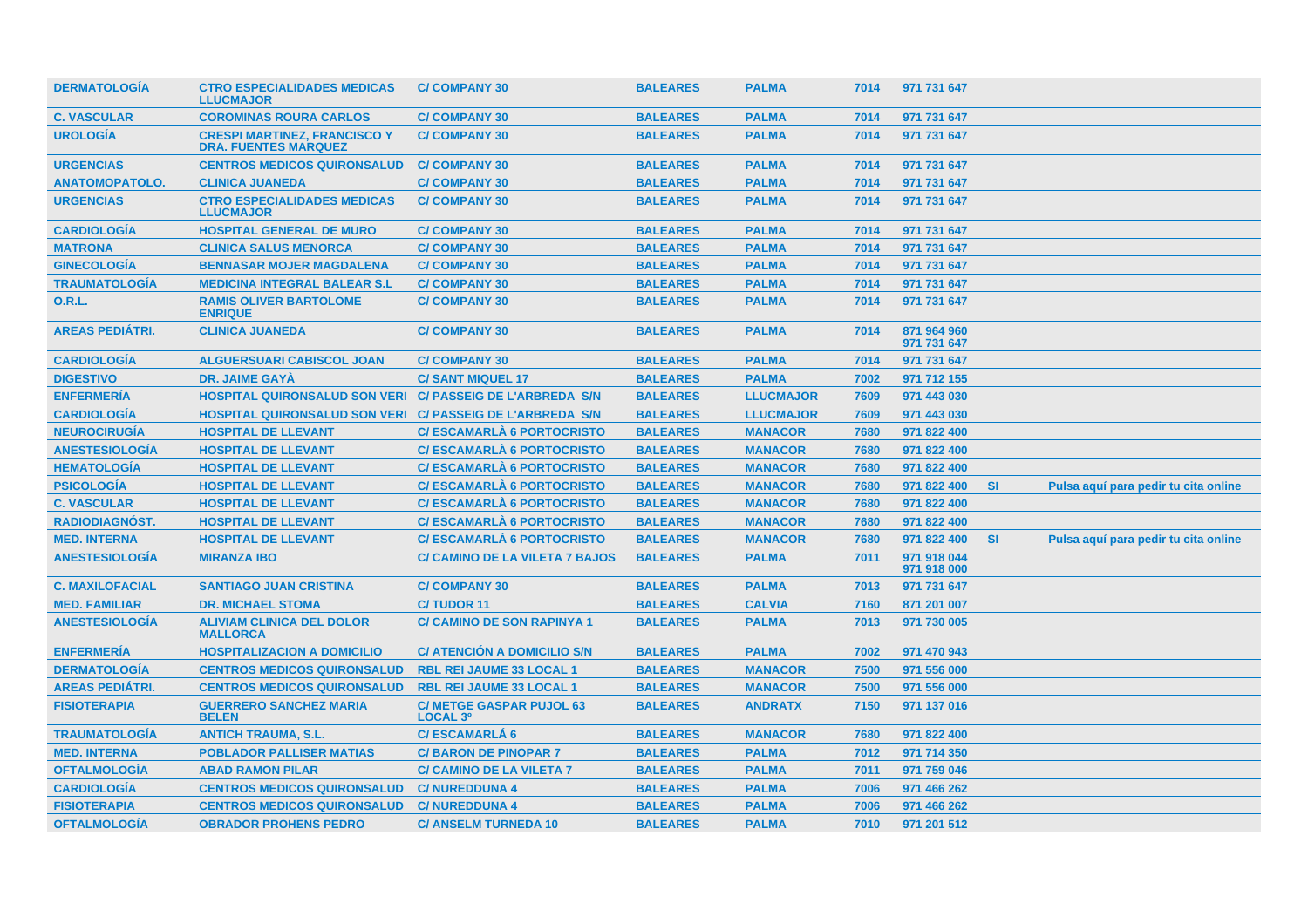| <b>DERMATOLOGIA</b>    | <b>CTRO ESPECIALIDADES MEDICAS</b><br><b>LLUCMAJOR</b>             | <b>C/COMPANY 30</b>                                | <b>BALEARES</b> | <b>PALMA</b>     | 7014 | 971 731 647                |           |                                      |  |
|------------------------|--------------------------------------------------------------------|----------------------------------------------------|-----------------|------------------|------|----------------------------|-----------|--------------------------------------|--|
| <b>C. VASCULAR</b>     | <b>COROMINAS ROURA CARLOS</b>                                      | <b>C/COMPANY 30</b>                                | <b>BALEARES</b> | <b>PALMA</b>     | 7014 | 971 731 647                |           |                                      |  |
| <b>UROLOGÍA</b>        | <b>CRESPI MARTINEZ, FRANCISCO Y</b><br><b>DRA. FUENTES MARQUEZ</b> | <b>C/COMPANY 30</b>                                | <b>BALEARES</b> | <b>PALMA</b>     | 7014 | 971 731 647                |           |                                      |  |
| <b>URGENCIAS</b>       | <b>CENTROS MEDICOS QUIRONSALUD</b>                                 | <b>C/COMPANY 30</b>                                | <b>BALEARES</b> | <b>PALMA</b>     | 7014 | 971 731 647                |           |                                      |  |
| <b>ANATOMOPATOLO.</b>  | <b>CLINICA JUANEDA</b>                                             | <b>C/COMPANY 30</b>                                | <b>BALEARES</b> | <b>PALMA</b>     | 7014 | 971 731 647                |           |                                      |  |
| <b>URGENCIAS</b>       | <b>CTRO ESPECIALIDADES MEDICAS</b><br><b>LLUCMAJOR</b>             | <b>C/COMPANY 30</b>                                | <b>BALEARES</b> | <b>PALMA</b>     | 7014 | 971 731 647                |           |                                      |  |
| <b>CARDIOLOGIA</b>     | <b>HOSPITAL GENERAL DE MURO</b>                                    | <b>C/COMPANY 30</b>                                | <b>BALEARES</b> | <b>PALMA</b>     | 7014 | 971 731 647                |           |                                      |  |
| <b>MATRONA</b>         | <b>CLINICA SALUS MENORCA</b>                                       | <b>C/COMPANY 30</b>                                | <b>BALEARES</b> | <b>PALMA</b>     | 7014 | 971 731 647                |           |                                      |  |
| <b>GINECOLOGÍA</b>     | <b>BENNASAR MOJER MAGDALENA</b>                                    | <b>C/COMPANY 30</b>                                | <b>BALEARES</b> | <b>PALMA</b>     | 7014 | 971 731 647                |           |                                      |  |
| <b>TRAUMATOLOGIA</b>   | <b>MEDICINA INTEGRAL BALEAR S.L</b>                                | <b>C/COMPANY 30</b>                                | <b>BALEARES</b> | <b>PALMA</b>     | 7014 | 971 731 647                |           |                                      |  |
| <b>O.R.L.</b>          | <b>RAMIS OLIVER BARTOLOME</b><br><b>ENRIQUE</b>                    | <b>C/COMPANY 30</b>                                | <b>BALEARES</b> | <b>PALMA</b>     | 7014 | 971 731 647                |           |                                      |  |
| <b>AREAS PEDIATRI.</b> | <b>CLINICA JUANEDA</b>                                             | <b>C/COMPANY 30</b>                                | <b>BALEARES</b> | <b>PALMA</b>     | 7014 | 871 964 960<br>971 731 647 |           |                                      |  |
| <b>CARDIOLOGÍA</b>     | <b>ALGUERSUARI CABISCOL JOAN</b>                                   | <b>C/COMPANY 30</b>                                | <b>BALEARES</b> | <b>PALMA</b>     | 7014 | 971 731 647                |           |                                      |  |
| <b>DIGESTIVO</b>       | <b>DR. JAIME GAYA</b>                                              | <b>C/SANT MIQUEL 17</b>                            | <b>BALEARES</b> | <b>PALMA</b>     | 7002 | 971 712 155                |           |                                      |  |
| <b>ENFERMERÍA</b>      | <b>HOSPITAL QUIRONSALUD SON VERI C/ PASSEIG DE L'ARBREDA S/N</b>   |                                                    | <b>BALEARES</b> | <b>LLUCMAJOR</b> | 7609 | 971 443 030                |           |                                      |  |
| <b>CARDIOLOGÍA</b>     | <b>HOSPITAL QUIRONSALUD SON VERI C/ PASSEIG DE L'ARBREDA S/N</b>   |                                                    | <b>BALEARES</b> | <b>LLUCMAJOR</b> | 7609 | 971 443 030                |           |                                      |  |
| <b>NEUROCIRUGÍA</b>    | <b>HOSPITAL DE LLEVANT</b>                                         | <b>C/ESCAMARLA 6 PORTOCRISTO</b>                   | <b>BALEARES</b> | <b>MANACOR</b>   | 7680 | 971 822 400                |           |                                      |  |
| <b>ANESTESIOLOGÍA</b>  | <b>HOSPITAL DE LLEVANT</b>                                         | <b>C/ESCAMARLA 6 PORTOCRISTO</b>                   | <b>BALEARES</b> | <b>MANACOR</b>   | 7680 | 971 822 400                |           |                                      |  |
| <b>HEMATOLOGÍA</b>     | <b>HOSPITAL DE LLEVANT</b>                                         | <b>C/ESCAMARLA 6 PORTOCRISTO</b>                   | <b>BALEARES</b> | <b>MANACOR</b>   | 7680 | 971 822 400                |           |                                      |  |
| <b>PSICOLOGÍA</b>      | <b>HOSPITAL DE LLEVANT</b>                                         | <b>C/ ESCAMARLÀ 6 PORTOCRISTO</b>                  | <b>BALEARES</b> | <b>MANACOR</b>   | 7680 | 971 822 400                | <b>SI</b> | Pulsa aquí para pedir tu cita online |  |
| <b>C. VASCULAR</b>     | <b>HOSPITAL DE LLEVANT</b>                                         | <b>C/ESCAMARLA 6 PORTOCRISTO</b>                   | <b>BALEARES</b> | <b>MANACOR</b>   | 7680 | 971 822 400                |           |                                      |  |
| <b>RADIODIAGNÓST.</b>  | <b>HOSPITAL DE LLEVANT</b>                                         | <b>C/ESCAMARLÀ 6 PORTOCRISTO</b>                   | <b>BALEARES</b> | <b>MANACOR</b>   | 7680 | 971 822 400                |           |                                      |  |
| <b>MED. INTERNA</b>    | <b>HOSPITAL DE LLEVANT</b>                                         | <b>C/ESCAMARLA 6 PORTOCRISTO</b>                   | <b>BALEARES</b> | <b>MANACOR</b>   | 7680 | 971 822 400                | <b>SI</b> | Pulsa aquí para pedir tu cita online |  |
| <b>ANESTESIOLOGÍA</b>  | <b>MIRANZA IBO</b>                                                 | <b>C/ CAMINO DE LA VILETA 7 BAJOS</b>              | <b>BALEARES</b> | <b>PALMA</b>     | 7011 | 971 918 044<br>971 918 000 |           |                                      |  |
| <b>C. MAXILOFACIAL</b> | <b>SANTIAGO JUAN CRISTINA</b>                                      | <b>C/COMPANY 30</b>                                | <b>BALEARES</b> | <b>PALMA</b>     | 7013 | 971 731 647                |           |                                      |  |
| <b>MED. FAMILIAR</b>   | <b>DR. MICHAEL STOMA</b>                                           | <b>C/TUDOR 11</b>                                  | <b>BALEARES</b> | <b>CALVIA</b>    | 7160 | 871 201 007                |           |                                      |  |
| <b>ANESTESIOLOGÍA</b>  | <b>ALIVIAM CLINICA DEL DOLOR</b><br><b>MALLORCA</b>                | <b>C/ CAMINO DE SON RAPINYA 1</b>                  | <b>BALEARES</b> | <b>PALMA</b>     | 7013 | 971 730 005                |           |                                      |  |
| <b>ENFERMERÍA</b>      | <b>HOSPITALIZACION A DOMICILIO</b>                                 | <b>C/ ATENCION A DOMICILIO S/N</b>                 | <b>BALEARES</b> | <b>PALMA</b>     | 7002 | 971 470 943                |           |                                      |  |
| <b>DERMATOLOGÍA</b>    | <b>CENTROS MEDICOS QUIRONSALUD</b>                                 | <b>RBL REI JAUME 33 LOCAL 1</b>                    | <b>BALEARES</b> | <b>MANACOR</b>   | 7500 | 971 556 000                |           |                                      |  |
| <b>AREAS PEDIATRI.</b> | <b>CENTROS MEDICOS QUIRONSALUD</b>                                 | <b>RBL REI JAUME 33 LOCAL 1</b>                    | <b>BALEARES</b> | <b>MANACOR</b>   | 7500 | 971 556 000                |           |                                      |  |
| <b>FISIOTERAPIA</b>    | <b>GUERRERO SANCHEZ MARIA</b><br><b>BELEN</b>                      | <b>C/ METGE GASPAR PUJOL 63</b><br><b>LOCAL 3º</b> | <b>BALEARES</b> | <b>ANDRATX</b>   | 7150 | 971 137 016                |           |                                      |  |
| <b>TRAUMATOLOGIA</b>   | <b>ANTICH TRAUMA, S.L.</b>                                         | <b>C/ESCAMARLA 6</b>                               | <b>BALEARES</b> | <b>MANACOR</b>   | 7680 | 971 822 400                |           |                                      |  |
| <b>MED. INTERNA</b>    | <b>POBLADOR PALLISER MATIAS</b>                                    | <b>C/BARON DE PINOPAR 7</b>                        | <b>BALEARES</b> | <b>PALMA</b>     | 7012 | 971 714 350                |           |                                      |  |
| <b>OFTALMOLOGÍA</b>    | <b>ABAD RAMON PILAR</b>                                            | <b>C/ CAMINO DE LA VILETA 7</b>                    | <b>BALEARES</b> | <b>PALMA</b>     | 7011 | 971 759 046                |           |                                      |  |
| <b>CARDIOLOGIA</b>     | <b>CENTROS MEDICOS QUIRONSALUD</b>                                 | <b>C/NUREDDUNA 4</b>                               | <b>BALEARES</b> | <b>PALMA</b>     | 7006 | 971 466 262                |           |                                      |  |
| <b>FISIOTERAPIA</b>    | <b>CENTROS MEDICOS QUIRONSALUD</b>                                 | <b>C/NUREDDUNA 4</b>                               | <b>BALEARES</b> | <b>PALMA</b>     | 7006 | 971 466 262                |           |                                      |  |
| <b>OFTALMOLOGÍA</b>    | <b>OBRADOR PROHENS PEDRO</b>                                       | <b>C/ ANSELM TURNEDA 10</b>                        | <b>BALEARES</b> | <b>PALMA</b>     | 7010 | 971 201 512                |           |                                      |  |
|                        |                                                                    |                                                    |                 |                  |      |                            |           |                                      |  |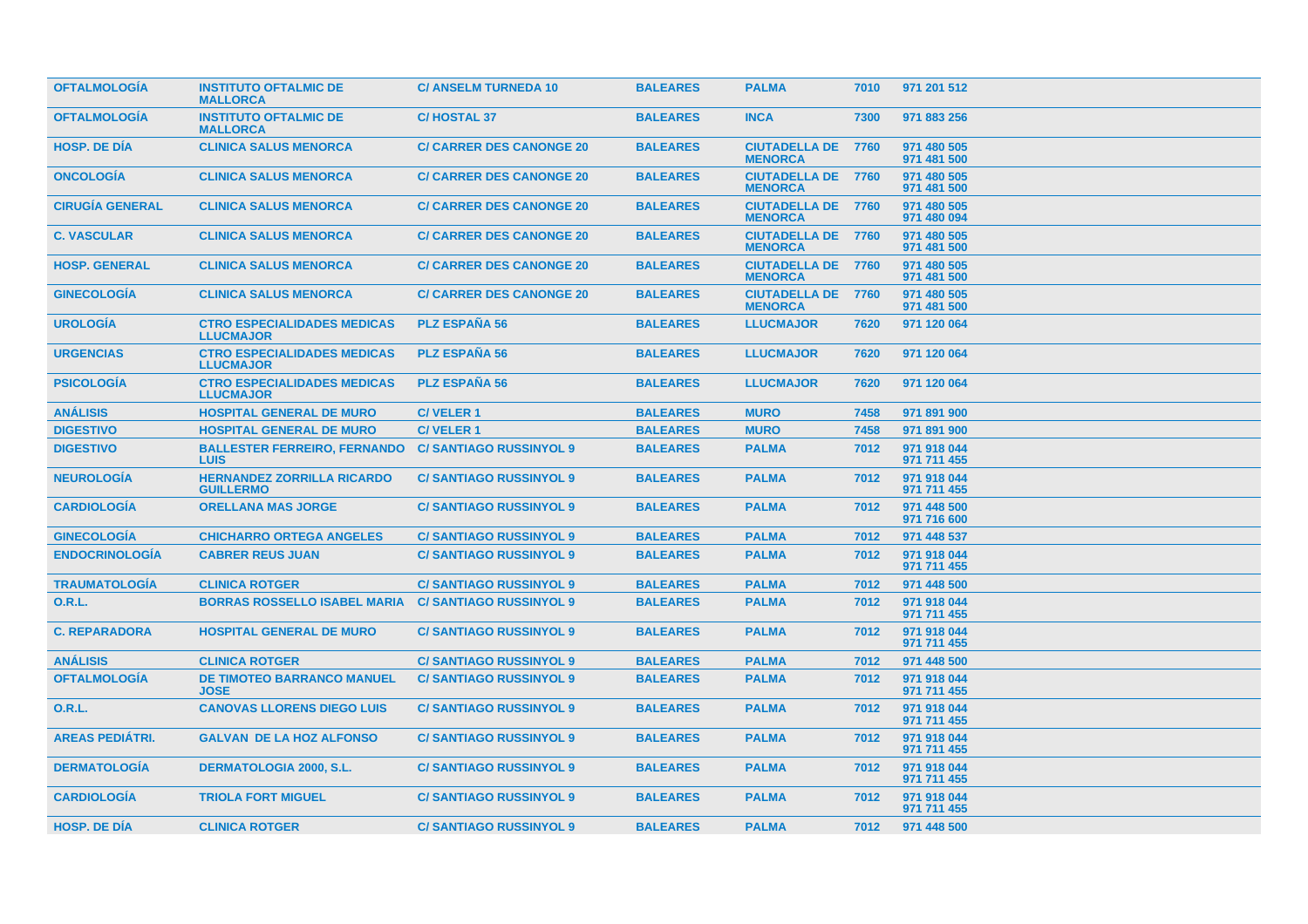| <b>OFTALMOLOGIA</b>    | <b>INSTITUTO OFTALMIC DE</b><br><b>MALLORCA</b>        | <b>C/ ANSELM TURNEDA 10</b>     | <b>BALEARES</b> | <b>PALMA</b>                                | 7010 | 971 201 512                |  |  |
|------------------------|--------------------------------------------------------|---------------------------------|-----------------|---------------------------------------------|------|----------------------------|--|--|
| <b>OFTALMOLOGÍA</b>    | <b>INSTITUTO OFTALMIC DE</b><br><b>MALLORCA</b>        | <b>C/HOSTAL 37</b>              | <b>BALEARES</b> | <b>INCA</b>                                 | 7300 | 971 883 256                |  |  |
| <b>HOSP. DE DÍA</b>    | <b>CLINICA SALUS MENORCA</b>                           | <b>C/ CARRER DES CANONGE 20</b> | <b>BALEARES</b> | <b>CIUTADELLA DE 7760</b><br><b>MENORCA</b> |      | 971 480 505<br>971 481 500 |  |  |
| <b>ONCOLOGIA</b>       | <b>CLINICA SALUS MENORCA</b>                           | <b>C/ CARRER DES CANONGE 20</b> | <b>BALEARES</b> | <b>CIUTADELLA DE 7760</b><br><b>MENORCA</b> |      | 971 480 505<br>971 481 500 |  |  |
| <b>CIRUGIA GENERAL</b> | <b>CLINICA SALUS MENORCA</b>                           | <b>C/ CARRER DES CANONGE 20</b> | <b>BALEARES</b> | <b>CIUTADELLA DE 7760</b><br><b>MENORCA</b> |      | 971 480 505<br>971 480 094 |  |  |
| <b>C. VASCULAR</b>     | <b>CLINICA SALUS MENORCA</b>                           | <b>C/ CARRER DES CANONGE 20</b> | <b>BALEARES</b> | <b>CIUTADELLA DE 7760</b><br><b>MENORCA</b> |      | 971 480 505<br>971 481 500 |  |  |
| <b>HOSP. GENERAL</b>   | <b>CLINICA SALUS MENORCA</b>                           | <b>C/ CARRER DES CANONGE 20</b> | <b>BALEARES</b> | <b>CIUTADELLA DE 7760</b><br><b>MENORCA</b> |      | 971 480 505<br>971 481 500 |  |  |
| <b>GINECOLOGÍA</b>     | <b>CLINICA SALUS MENORCA</b>                           | <b>C/ CARRER DES CANONGE 20</b> | <b>BALEARES</b> | <b>CIUTADELLA DE 7760</b><br><b>MENORCA</b> |      | 971 480 505<br>971 481 500 |  |  |
| <b>UROLOGÍA</b>        | <b>CTRO ESPECIALIDADES MEDICAS</b><br><b>LLUCMAJOR</b> | <b>PLZ ESPAÑA 56</b>            | <b>BALEARES</b> | <b>LLUCMAJOR</b>                            | 7620 | 971 120 064                |  |  |
| <b>URGENCIAS</b>       | <b>CTRO ESPECIALIDADES MEDICAS</b><br><b>LLUCMAJOR</b> | <b>PLZ ESPANA 56</b>            | <b>BALEARES</b> | <b>LLUCMAJOR</b>                            | 7620 | 971 120 064                |  |  |
| <b>PSICOLOGIA</b>      | <b>CTRO ESPECIALIDADES MEDICAS</b><br><b>LLUCMAJOR</b> | <b>PLZ ESPAÑA 56</b>            | <b>BALEARES</b> | <b>LLUCMAJOR</b>                            | 7620 | 971 120 064                |  |  |
| <b>ANÁLISIS</b>        | <b>HOSPITAL GENERAL DE MURO</b>                        | <b>C/VELER1</b>                 | <b>BALEARES</b> | <b>MURO</b>                                 | 7458 | 971 891 900                |  |  |
| <b>DIGESTIVO</b>       | <b>HOSPITAL GENERAL DE MURO</b>                        | <b>C/VELER1</b>                 | <b>BALEARES</b> | <b>MURO</b>                                 | 7458 | 971 891 900                |  |  |
| <b>DIGESTIVO</b>       | <b>BALLESTER FERREIRO, FERNANDO</b><br><b>LUIS</b>     | <b>C/SANTIAGO RUSSINYOL 9</b>   | <b>BALEARES</b> | <b>PALMA</b>                                | 7012 | 971 918 044<br>971 711 455 |  |  |
| <b>NEUROLOGIA</b>      | <b>HERNANDEZ ZORRILLA RICARDO</b><br><b>GUILLERMO</b>  | <b>C/SANTIAGO RUSSINYOL 9</b>   | <b>BALEARES</b> | <b>PALMA</b>                                | 7012 | 971 918 044<br>971 711 455 |  |  |
| <b>CARDIOLOGÍA</b>     | <b>ORELLANA MAS JORGE</b>                              | <b>C/SANTIAGO RUSSINYOL 9</b>   | <b>BALEARES</b> | <b>PALMA</b>                                | 7012 | 971 448 500<br>971 716 600 |  |  |
| <b>GINECOLOGIA</b>     | <b>CHICHARRO ORTEGA ANGELES</b>                        | <b>C/SANTIAGO RUSSINYOL 9</b>   | <b>BALEARES</b> | <b>PALMA</b>                                | 7012 | 971 448 537                |  |  |
| <b>ENDOCRINOLOGÍA</b>  | <b>CABRER REUS JUAN</b>                                | <b>C/SANTIAGO RUSSINYOL 9</b>   | <b>BALEARES</b> | <b>PALMA</b>                                | 7012 | 971 918 044<br>971 711 455 |  |  |
| <b>TRAUMATOLOGIA</b>   | <b>CLINICA ROTGER</b>                                  | <b>C/SANTIAGO RUSSINYOL 9</b>   | <b>BALEARES</b> | <b>PALMA</b>                                | 7012 | 971 448 500                |  |  |
| <b>O.R.L.</b>          | <b>BORRAS ROSSELLO ISABEL MARIA</b>                    | <b>C/SANTIAGO RUSSINYOL 9</b>   | <b>BALEARES</b> | <b>PALMA</b>                                | 7012 | 971 918 044<br>971 711 455 |  |  |
| <b>C. REPARADORA</b>   | <b>HOSPITAL GENERAL DE MURO</b>                        | <b>C/SANTIAGO RUSSINYOL 9</b>   | <b>BALEARES</b> | <b>PALMA</b>                                | 7012 | 971 918 044<br>971 711 455 |  |  |
| <b>ANÁLISIS</b>        | <b>CLINICA ROTGER</b>                                  | <b>C/SANTIAGO RUSSINYOL 9</b>   | <b>BALEARES</b> | <b>PALMA</b>                                | 7012 | 971 448 500                |  |  |
| <b>OFTALMOLOGÍA</b>    | <b>DE TIMOTEO BARRANCO MANUEL</b><br><b>JOSE</b>       | <b>C/SANTIAGO RUSSINYOL 9</b>   | <b>BALEARES</b> | <b>PALMA</b>                                | 7012 | 971 918 044<br>971 711 455 |  |  |
| O.R.L.                 | <b>CANOVAS LLORENS DIEGO LUIS</b>                      | <b>C/SANTIAGO RUSSINYOL 9</b>   | <b>BALEARES</b> | <b>PALMA</b>                                | 7012 | 971 918 044<br>971 711 455 |  |  |
| <b>AREAS PEDIÁTRI.</b> | <b>GALVAN DE LA HOZ ALFONSO</b>                        | <b>C/SANTIAGO RUSSINYOL 9</b>   | <b>BALEARES</b> | <b>PALMA</b>                                | 7012 | 971 918 044<br>971 711 455 |  |  |
| <b>DERMATOLOGIA</b>    | <b>DERMATOLOGIA 2000, S.L.</b>                         | <b>C/SANTIAGO RUSSINYOL 9</b>   | <b>BALEARES</b> | <b>PALMA</b>                                | 7012 | 971 918 044<br>971 711 455 |  |  |
| <b>CARDIOLOGIA</b>     | <b>TRIOLA FORT MIGUEL</b>                              | <b>C/SANTIAGO RUSSINYOL 9</b>   | <b>BALEARES</b> | <b>PALMA</b>                                | 7012 | 971 918 044<br>971 711 455 |  |  |
| <b>HOSP. DE DIA</b>    | <b>CLINICA ROTGER</b>                                  | <b>C/SANTIAGO RUSSINYOL 9</b>   | <b>BALEARES</b> | <b>PALMA</b>                                | 7012 | 971 448 500                |  |  |
|                        |                                                        |                                 |                 |                                             |      |                            |  |  |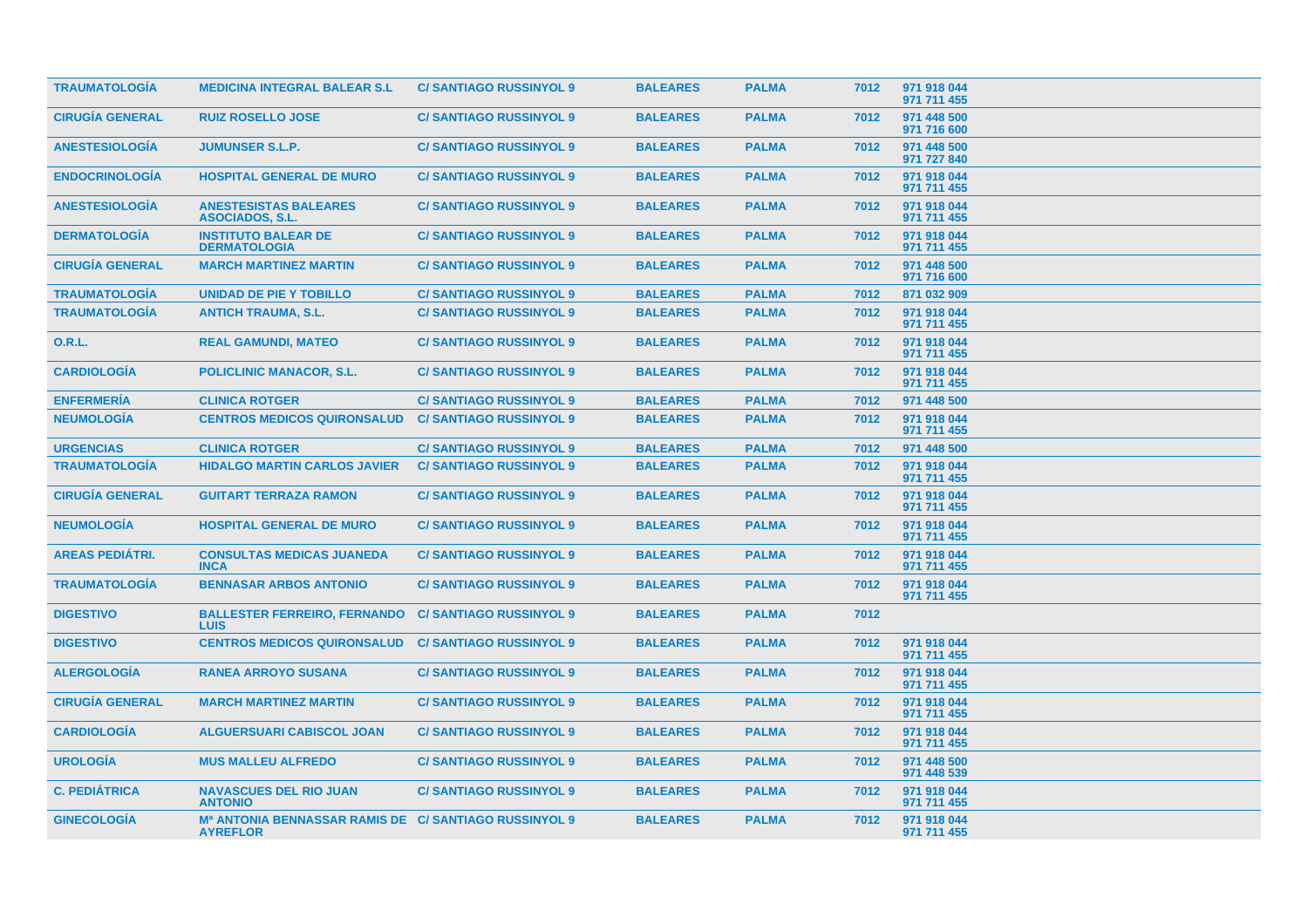| <b>TRAUMATOLOGIA</b>   | <b>MEDICINA INTEGRAL BALEAR S.L</b>                                                  | <b>C/SANTIAGO RUSSINYOL 9</b> | <b>BALEARES</b> | <b>PALMA</b> | 7012 | 971 918 044<br>971 711 455 |  |
|------------------------|--------------------------------------------------------------------------------------|-------------------------------|-----------------|--------------|------|----------------------------|--|
| <b>CIRUGÍA GENERAL</b> | <b>RUIZ ROSELLO JOSE</b>                                                             | <b>C/SANTIAGO RUSSINYOL 9</b> | <b>BALEARES</b> | <b>PALMA</b> | 7012 | 971 448 500<br>971 716 600 |  |
| <b>ANESTESIOLOGÍA</b>  | <b>JUMUNSER S.L.P.</b>                                                               | <b>C/SANTIAGO RUSSINYOL 9</b> | <b>BALEARES</b> | <b>PALMA</b> | 7012 | 971 448 500<br>971 727 840 |  |
| <b>ENDOCRINOLOGÍA</b>  | <b>HOSPITAL GENERAL DE MURO</b>                                                      | <b>C/SANTIAGO RUSSINYOL 9</b> | <b>BALEARES</b> | <b>PALMA</b> | 7012 | 971 918 044<br>971 711 455 |  |
| <b>ANESTESIOLOGIA</b>  | <b>ANESTESISTAS BALEARES</b><br><b>ASOCIADOS, S.L.</b>                               | <b>C/SANTIAGO RUSSINYOL 9</b> | <b>BALEARES</b> | <b>PALMA</b> | 7012 | 971 918 044<br>971 711 455 |  |
| <b>DERMATOLOGÍA</b>    | <b>INSTITUTO BALEAR DE</b><br><b>DERMATOLOGIA</b>                                    | <b>C/SANTIAGO RUSSINYOL 9</b> | <b>BALEARES</b> | <b>PALMA</b> | 7012 | 971 918 044<br>971 711 455 |  |
| <b>CIRUGÍA GENERAL</b> | <b>MARCH MARTINEZ MARTIN</b>                                                         | <b>C/SANTIAGO RUSSINYOL 9</b> | <b>BALEARES</b> | <b>PALMA</b> | 7012 | 971 448 500<br>971 716 600 |  |
| <b>TRAUMATOLOGIA</b>   | UNIDAD DE PIE Y TOBILLO                                                              | <b>C/SANTIAGO RUSSINYOL 9</b> | <b>BALEARES</b> | <b>PALMA</b> | 7012 | 871 032 909                |  |
| <b>TRAUMATOLOGÍA</b>   | <b>ANTICH TRAUMA, S.L.</b>                                                           | <b>C/SANTIAGO RUSSINYOL 9</b> | <b>BALEARES</b> | <b>PALMA</b> | 7012 | 971 918 044<br>971 711 455 |  |
| <b>O.R.L.</b>          | <b>REAL GAMUNDI, MATEO</b>                                                           | <b>C/SANTIAGO RUSSINYOL 9</b> | <b>BALEARES</b> | <b>PALMA</b> | 7012 | 971 918 044<br>971 711 455 |  |
| <b>CARDIOLOGÍA</b>     | <b>POLICLINIC MANACOR, S.L.</b>                                                      | <b>C/SANTIAGO RUSSINYOL 9</b> | <b>BALEARES</b> | <b>PALMA</b> | 7012 | 971 918 044<br>971 711 455 |  |
| <b>ENFERMERÍA</b>      | <b>CLINICA ROTGER</b>                                                                | <b>C/SANTIAGO RUSSINYOL 9</b> | <b>BALEARES</b> | <b>PALMA</b> | 7012 | 971 448 500                |  |
| <b>NEUMOLOGÍA</b>      | <b>CENTROS MEDICOS QUIRONSALUD</b>                                                   | <b>C/SANTIAGO RUSSINYOL 9</b> | <b>BALEARES</b> | <b>PALMA</b> | 7012 | 971 918 044<br>971 711 455 |  |
| <b>URGENCIAS</b>       | <b>CLINICA ROTGER</b>                                                                | <b>C/SANTIAGO RUSSINYOL 9</b> | <b>BALEARES</b> | <b>PALMA</b> | 7012 | 971 448 500                |  |
| <b>TRAUMATOLOGIA</b>   | <b>HIDALGO MARTIN CARLOS JAVIER</b>                                                  | <b>C/SANTIAGO RUSSINYOL 9</b> | <b>BALEARES</b> | <b>PALMA</b> | 7012 | 971 918 044<br>971 711 455 |  |
| <b>CIRUGIA GENERAL</b> | <b>GUITART TERRAZA RAMON</b>                                                         | <b>C/SANTIAGO RUSSINYOL 9</b> | <b>BALEARES</b> | <b>PALMA</b> | 7012 | 971 918 044<br>971 711 455 |  |
| <b>NEUMOLOGÍA</b>      | <b>HOSPITAL GENERAL DE MURO</b>                                                      | <b>C/SANTIAGO RUSSINYOL 9</b> | <b>BALEARES</b> | <b>PALMA</b> | 7012 | 971 918 044<br>971 711 455 |  |
| <b>AREAS PEDIÁTRI.</b> | <b>CONSULTAS MEDICAS JUANEDA</b><br><b>INCA</b>                                      | <b>C/SANTIAGO RUSSINYOL 9</b> | <b>BALEARES</b> | <b>PALMA</b> | 7012 | 971 918 044<br>971 711 455 |  |
| <b>TRAUMATOLOGIA</b>   | <b>BENNASAR ARBOS ANTONIO</b>                                                        | <b>C/SANTIAGO RUSSINYOL 9</b> | <b>BALEARES</b> | <b>PALMA</b> | 7012 | 971 918 044<br>971 711 455 |  |
| <b>DIGESTIVO</b>       | <b>BALLESTER FERREIRO, FERNANDO</b><br><b>LUIS</b>                                   | <b>C/SANTIAGO RUSSINYOL 9</b> | <b>BALEARES</b> | <b>PALMA</b> | 7012 |                            |  |
| <b>DIGESTIVO</b>       | <b>CENTROS MEDICOS QUIRONSALUD</b>                                                   | <b>C/SANTIAGO RUSSINYOL 9</b> | <b>BALEARES</b> | <b>PALMA</b> | 7012 | 971 918 044<br>971 711 455 |  |
| <b>ALERGOLOGÍA</b>     | <b>RANEA ARROYO SUSANA</b>                                                           | <b>C/SANTIAGO RUSSINYOL 9</b> | <b>BALEARES</b> | <b>PALMA</b> | 7012 | 971 918 044<br>971 711 455 |  |
| <b>CIRUGÍA GENERAL</b> | <b>MARCH MARTINEZ MARTIN</b>                                                         | <b>C/SANTIAGO RUSSINYOL 9</b> | <b>BALEARES</b> | <b>PALMA</b> | 7012 | 971 918 044<br>971 711 455 |  |
| <b>CARDIOLOGÍA</b>     | <b>ALGUERSUARI CABISCOL JOAN</b>                                                     | <b>C/SANTIAGO RUSSINYOL 9</b> | <b>BALEARES</b> | <b>PALMA</b> | 7012 | 971 918 044<br>971 711 455 |  |
| <b>UROLOGÍA</b>        | <b>MUS MALLEU ALFREDO</b>                                                            | <b>C/SANTIAGO RUSSINYOL 9</b> | <b>BALEARES</b> | <b>PALMA</b> | 7012 | 971 448 500<br>971 448 539 |  |
| <b>C. PEDIÁTRICA</b>   | <b>NAVASCUES DEL RIO JUAN</b><br><b>ANTONIO</b>                                      | <b>C/SANTIAGO RUSSINYOL 9</b> | <b>BALEARES</b> | <b>PALMA</b> | 7012 | 971 918 044<br>971 711 455 |  |
| <b>GINECOLOGÍA</b>     | M <sup>a</sup> ANTONIA BENNASSAR RAMIS DE C/ SANTIAGO RUSSINYOL 9<br><b>AYREFLOR</b> |                               | <b>BALEARES</b> | <b>PALMA</b> | 7012 | 971 918 044<br>971 711 455 |  |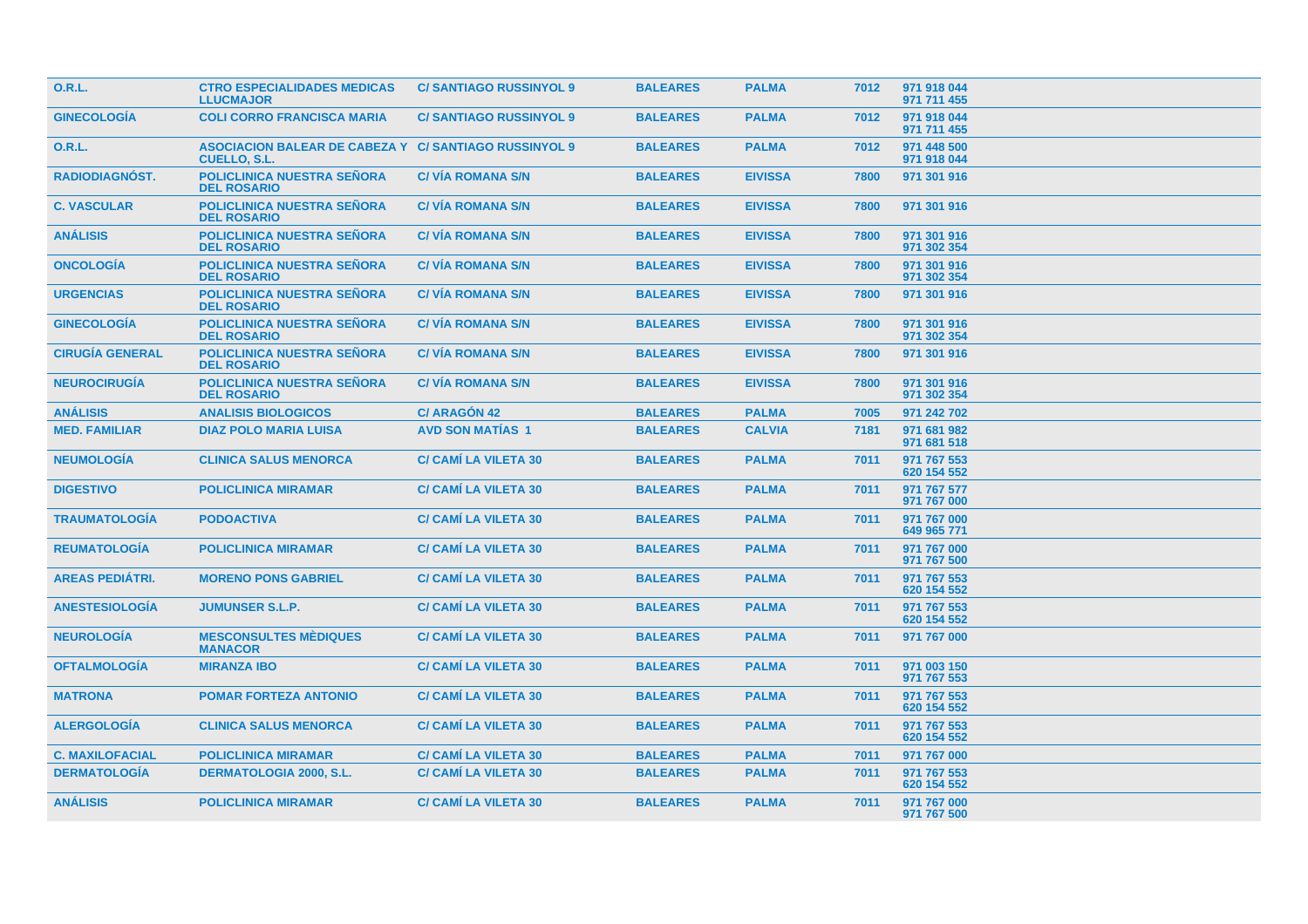| 0.R.L.                 | <b>CTRO ESPECIALIDADES MEDICAS</b><br><b>LLUCMAJOR</b>                              | <b>C/SANTIAGO RUSSINYOL 9</b> | <b>BALEARES</b> | <b>PALMA</b>   | 7012 | 971 918 044<br>971 711 455 |
|------------------------|-------------------------------------------------------------------------------------|-------------------------------|-----------------|----------------|------|----------------------------|
| <b>GINECOLOGÍA</b>     | <b>COLI CORRO FRANCISCA MARIA</b>                                                   | <b>C/SANTIAGO RUSSINYOL 9</b> | <b>BALEARES</b> | <b>PALMA</b>   | 7012 | 971 918 044<br>971 711 455 |
| <b>O.R.L.</b>          | <b>ASOCIACION BALEAR DE CABEZA Y C/ SANTIAGO RUSSINYOL 9</b><br><b>CUELLO, S.L.</b> |                               | <b>BALEARES</b> | <b>PALMA</b>   | 7012 | 971 448 500<br>971 918 044 |
| <b>RADIODIAGNÓST.</b>  | <b>POLICLINICA NUESTRA SEÑORA</b><br><b>DEL ROSARIO</b>                             | <b>C/ VÍA ROMANA S/N</b>      | <b>BALEARES</b> | <b>EIVISSA</b> | 7800 | 971 301 916                |
| <b>C. VASCULAR</b>     | <b>POLICLINICA NUESTRA SEÑORA</b><br><b>DEL ROSARIO</b>                             | <b>C/VIA ROMANA S/N</b>       | <b>BALEARES</b> | <b>EIVISSA</b> | 7800 | 971 301 916                |
| <b>ANÁLISIS</b>        | <b>POLICLINICA NUESTRA SEÑORA</b><br><b>DEL ROSARIO</b>                             | <b>C/VIA ROMANA S/N</b>       | <b>BALEARES</b> | <b>EIVISSA</b> | 7800 | 971 301 916<br>971 302 354 |
| <b>ONCOLOGIA</b>       | <b>POLICLINICA NUESTRA SEÑORA</b><br><b>DEL ROSARIO</b>                             | <b>C/VIA ROMANA S/N</b>       | <b>BALEARES</b> | <b>EIVISSA</b> | 7800 | 971 301 916<br>971 302 354 |
| <b>URGENCIAS</b>       | <b>POLICLINICA NUESTRA SEÑORA</b><br><b>DEL ROSARIO</b>                             | <b>C/VIA ROMANA S/N</b>       | <b>BALEARES</b> | <b>EIVISSA</b> | 7800 | 971 301 916                |
| <b>GINECOLOGIA</b>     | <b>POLICLINICA NUESTRA SEÑORA</b><br><b>DEL ROSARIO</b>                             | <b>C/VIA ROMANA S/N</b>       | <b>BALEARES</b> | <b>EIVISSA</b> | 7800 | 971 301 916<br>971 302 354 |
| <b>CIRUGÍA GENERAL</b> | <b>POLICLINICA NUESTRA SEÑORA</b><br><b>DEL ROSARIO</b>                             | <b>C/VIA ROMANA S/N</b>       | <b>BALEARES</b> | <b>EIVISSA</b> | 7800 | 971 301 916                |
| <b>NEUROCIRUGIA</b>    | <b>POLICLINICA NUESTRA SEÑORA</b><br><b>DEL ROSARIO</b>                             | <b>C/VIA ROMANA S/N</b>       | <b>BALEARES</b> | <b>EIVISSA</b> | 7800 | 971 301 916<br>971 302 354 |
| <b>ANÁLISIS</b>        | <b>ANALISIS BIOLOGICOS</b>                                                          | <b>C/ ARAGÓN 42</b>           | <b>BALEARES</b> | <b>PALMA</b>   | 7005 | 971 242 702                |
| <b>MED. FAMILIAR</b>   | <b>DIAZ POLO MARIA LUISA</b>                                                        | <b>AVD SON MATIAS 1</b>       | <b>BALEARES</b> | <b>CALVIA</b>  | 7181 | 971 681 982<br>971 681 518 |
| <b>NEUMOLOGIA</b>      | <b>CLINICA SALUS MENORCA</b>                                                        | <b>C/ CAMI LA VILETA 30</b>   | <b>BALEARES</b> | <b>PALMA</b>   | 7011 | 971 767 553<br>620 154 552 |
| <b>DIGESTIVO</b>       | <b>POLICLINICA MIRAMAR</b>                                                          | <b>C/ CAMI LA VILETA 30</b>   | <b>BALEARES</b> | <b>PALMA</b>   | 7011 | 971 767 577<br>971 767 000 |
| <b>TRAUMATOLOGÍA</b>   | <b>PODOACTIVA</b>                                                                   | <b>C/ CAMI LA VILETA 30</b>   | <b>BALEARES</b> | <b>PALMA</b>   | 7011 | 971 767 000<br>649 965 771 |
| <b>REUMATOLOGÍA</b>    | <b>POLICLINICA MIRAMAR</b>                                                          | <b>C/ CAMÍ LA VILETA 30</b>   | <b>BALEARES</b> | <b>PALMA</b>   | 7011 | 971 767 000<br>971 767 500 |
| <b>AREAS PEDIÁTRI.</b> | <b>MORENO PONS GABRIEL</b>                                                          | <b>C/ CAMÍ LA VILETA 30</b>   | <b>BALEARES</b> | <b>PALMA</b>   | 7011 | 971 767 553<br>620 154 552 |
| <b>ANESTESIOLOGÍA</b>  | <b>JUMUNSER S.L.P.</b>                                                              | <b>C/ CAMÍ LA VILETA 30</b>   | <b>BALEARES</b> | <b>PALMA</b>   | 7011 | 971 767 553<br>620 154 552 |
| <b>NEUROLOGÍA</b>      | <b>MESCONSULTES MÈDIQUES</b><br><b>MANACOR</b>                                      | <b>C/ CAMÍ LA VILETA 30</b>   | <b>BALEARES</b> | <b>PALMA</b>   | 7011 | 971 767 000                |
| <b>OFTALMOLOGÍA</b>    | <b>MIRANZA IBO</b>                                                                  | <b>C/ CAMÍ LA VILETA 30</b>   | <b>BALEARES</b> | <b>PALMA</b>   | 7011 | 971 003 150<br>971 767 553 |
| <b>MATRONA</b>         | <b>POMAR FORTEZA ANTONIO</b>                                                        | <b>C/ CAMÍ LA VILETA 30</b>   | <b>BALEARES</b> | <b>PALMA</b>   | 7011 | 971 767 553<br>620 154 552 |
| <b>ALERGOLOGÍA</b>     | <b>CLINICA SALUS MENORCA</b>                                                        | <b>C/ CAMÍ LA VILETA 30</b>   | <b>BALEARES</b> | <b>PALMA</b>   | 7011 | 971 767 553<br>620 154 552 |
| <b>C. MAXILOFACIAL</b> | <b>POLICLINICA MIRAMAR</b>                                                          | <b>C/ CAMI LA VILETA 30</b>   | <b>BALEARES</b> | <b>PALMA</b>   | 7011 | 971 767 000                |
| <b>DERMATOLOGÍA</b>    | <b>DERMATOLOGIA 2000, S.L.</b>                                                      | <b>C/ CAMI LA VILETA 30</b>   | <b>BALEARES</b> | <b>PALMA</b>   | 7011 | 971 767 553<br>620 154 552 |
| <b>ANÁLISIS</b>        | <b>POLICLINICA MIRAMAR</b>                                                          | <b>C/ CAMI LA VILETA 30</b>   | <b>BALEARES</b> | <b>PALMA</b>   | 7011 | 971 767 000<br>971 767 500 |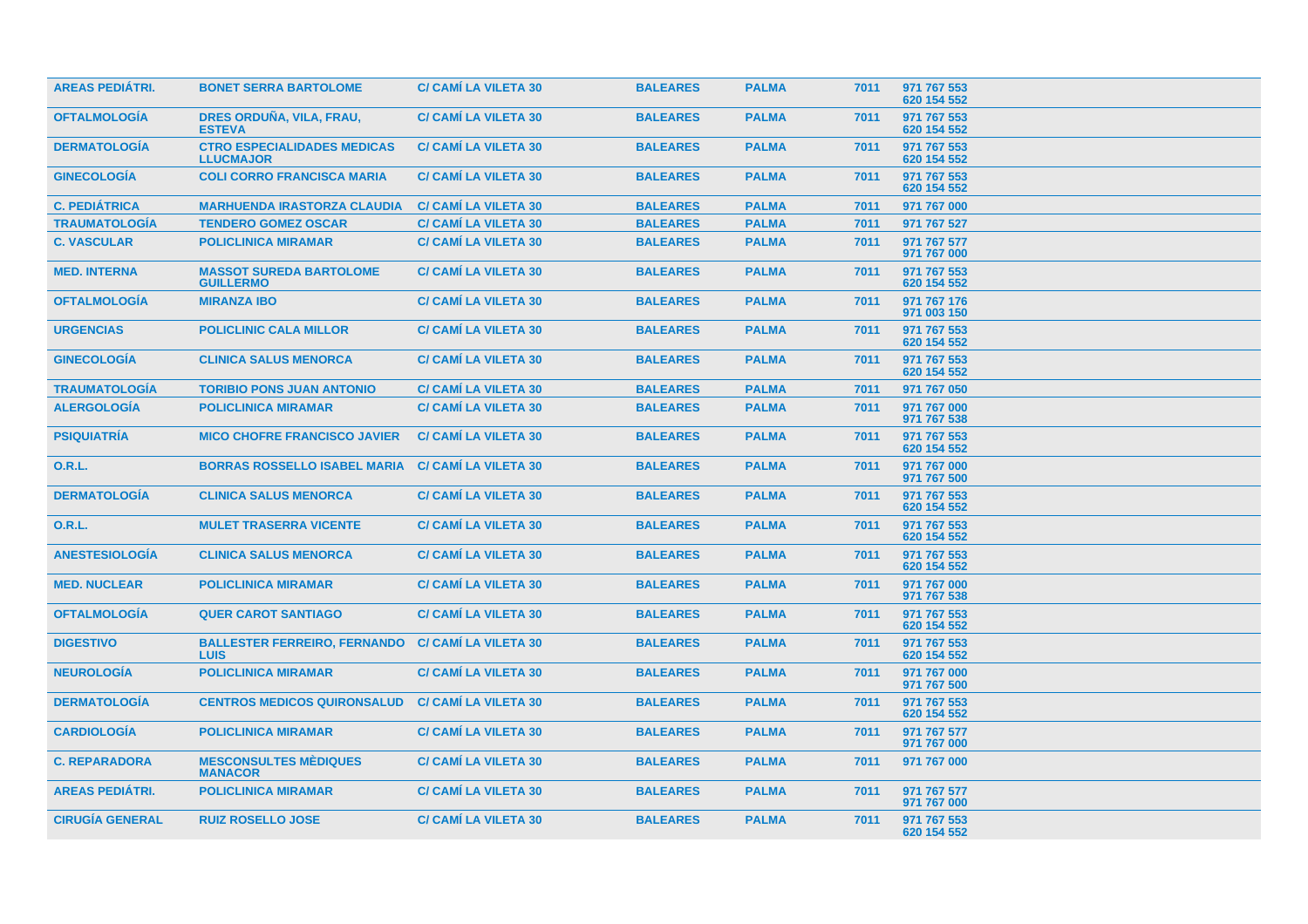| <b>AREAS PEDIÁTRI.</b> | <b>BONET SERRA BARTOLOME</b>                           | <b>C/ CAMI LA VILETA 30</b> | <b>BALEARES</b> | <b>PALMA</b> | 7011 | 971 767 553<br>620 154 552 |  |
|------------------------|--------------------------------------------------------|-----------------------------|-----------------|--------------|------|----------------------------|--|
| <b>OFTALMOLOGÍA</b>    | DRES ORDUÑA, VILA, FRAU,<br><b>ESTEVA</b>              | <b>C/ CAMI LA VILETA 30</b> | <b>BALEARES</b> | <b>PALMA</b> | 7011 | 971 767 553<br>620 154 552 |  |
| <b>DERMATOLOGÍA</b>    | <b>CTRO ESPECIALIDADES MEDICAS</b><br><b>LLUCMAJOR</b> | <b>C/ CAMI LA VILETA 30</b> | <b>BALEARES</b> | <b>PALMA</b> | 7011 | 971 767 553<br>620 154 552 |  |
| <b>GINECOLOGÍA</b>     | <b>COLI CORRO FRANCISCA MARIA</b>                      | <b>C/ CAMI LA VILETA 30</b> | <b>BALEARES</b> | <b>PALMA</b> | 7011 | 971 767 553<br>620 154 552 |  |
| <b>C. PEDIÁTRICA</b>   | <b>MARHUENDA IRASTORZA CLAUDIA</b>                     | <b>C/ CAMI LA VILETA 30</b> | <b>BALEARES</b> | <b>PALMA</b> | 7011 | 971 767 000                |  |
| <b>TRAUMATOLOGÍA</b>   | <b>TENDERO GOMEZ OSCAR</b>                             | <b>C/ CAMI LA VILETA 30</b> | <b>BALEARES</b> | <b>PALMA</b> | 7011 | 971 767 527                |  |
| <b>C. VASCULAR</b>     | <b>POLICLINICA MIRAMAR</b>                             | <b>C/ CAMI LA VILETA 30</b> | <b>BALEARES</b> | <b>PALMA</b> | 7011 | 971 767 577<br>971 767 000 |  |
| <b>MED. INTERNA</b>    | <b>MASSOT SUREDA BARTOLOME</b><br><b>GUILLERMO</b>     | <b>C/ CAMI LA VILETA 30</b> | <b>BALEARES</b> | <b>PALMA</b> | 7011 | 971 767 553<br>620 154 552 |  |
| <b>OFTALMOLOGÍA</b>    | <b>MIRANZA IBO</b>                                     | <b>C/ CAMI LA VILETA 30</b> | <b>BALEARES</b> | <b>PALMA</b> | 7011 | 971 767 176<br>971 003 150 |  |
| <b>URGENCIAS</b>       | <b>POLICLINIC CALA MILLOR</b>                          | <b>C/ CAMI LA VILETA 30</b> | <b>BALEARES</b> | <b>PALMA</b> | 7011 | 971 767 553<br>620 154 552 |  |
| <b>GINECOLOGIA</b>     | <b>CLINICA SALUS MENORCA</b>                           | <b>C/ CAMI LA VILETA 30</b> | <b>BALEARES</b> | <b>PALMA</b> | 7011 | 971 767 553<br>620 154 552 |  |
| <b>TRAUMATOLOGÍA</b>   | <b>TORIBIO PONS JUAN ANTONIO</b>                       | <b>C/ CAMI LA VILETA 30</b> | <b>BALEARES</b> | <b>PALMA</b> | 7011 | 971 767 050                |  |
| <b>ALERGOLOGIA</b>     | <b>POLICLINICA MIRAMAR</b>                             | <b>C/ CAMI LA VILETA 30</b> | <b>BALEARES</b> | <b>PALMA</b> | 7011 | 971 767 000<br>971 767 538 |  |
| <b>PSIQUIATRÍA</b>     | <b>MICO CHOFRE FRANCISCO JAVIER</b>                    | <b>C/ CAMÍ LA VILETA 30</b> | <b>BALEARES</b> | <b>PALMA</b> | 7011 | 971 767 553<br>620 154 552 |  |
| 0.R.L.                 | <b>BORRAS ROSSELLO ISABEL MARIA</b>                    | <b>C/ CAMI LA VILETA 30</b> | <b>BALEARES</b> | <b>PALMA</b> | 7011 | 971 767 000<br>971 767 500 |  |
| <b>DERMATOLOGÍA</b>    | <b>CLINICA SALUS MENORCA</b>                           | <b>C/ CAMI LA VILETA 30</b> | <b>BALEARES</b> | <b>PALMA</b> | 7011 | 971 767 553<br>620 154 552 |  |
| <b>O.R.L.</b>          | <b>MULET TRASERRA VICENTE</b>                          | <b>C/ CAMI LA VILETA 30</b> | <b>BALEARES</b> | <b>PALMA</b> | 7011 | 971 767 553<br>620 154 552 |  |
| <b>ANESTESIOLOGÍA</b>  | <b>CLINICA SALUS MENORCA</b>                           | <b>C/ CAMI LA VILETA 30</b> | <b>BALEARES</b> | <b>PALMA</b> | 7011 | 971 767 553<br>620 154 552 |  |
| <b>MED. NUCLEAR</b>    | <b>POLICLINICA MIRAMAR</b>                             | <b>C/ CAMI LA VILETA 30</b> | <b>BALEARES</b> | <b>PALMA</b> | 7011 | 971 767 000<br>971 767 538 |  |
| <b>OFTALMOLOGIA</b>    | <b>QUER CAROT SANTIAGO</b>                             | <b>C/ CAMI LA VILETA 30</b> | <b>BALEARES</b> | <b>PALMA</b> | 7011 | 971 767 553<br>620 154 552 |  |
| <b>DIGESTIVO</b>       | <b>BALLESTER FERREIRO, FERNANDO</b><br><b>LUIS</b>     | <b>C/ CAMI LA VILETA 30</b> | <b>BALEARES</b> | <b>PALMA</b> | 7011 | 971 767 553<br>620 154 552 |  |
| <b>NEUROLOGÍA</b>      | <b>POLICLINICA MIRAMAR</b>                             | <b>C/ CAMI LA VILETA 30</b> | <b>BALEARES</b> | <b>PALMA</b> | 7011 | 971 767 000<br>971 767 500 |  |
| <b>DERMATOLOGIA</b>    | <b>CENTROS MEDICOS QUIRONSALUD</b>                     | <b>C/ CAMI LA VILETA 30</b> | <b>BALEARES</b> | <b>PALMA</b> | 7011 | 971 767 553<br>620 154 552 |  |
| <b>CARDIOLOGÍA</b>     | <b>POLICLINICA MIRAMAR</b>                             | <b>C/ CAMI LA VILETA 30</b> | <b>BALEARES</b> | <b>PALMA</b> | 7011 | 971 767 577<br>971 767 000 |  |
| <b>C. REPARADORA</b>   | <b>MESCONSULTES MÈDIQUES</b><br><b>MANACOR</b>         | <b>C/ CAMI LA VILETA 30</b> | <b>BALEARES</b> | <b>PALMA</b> | 7011 | 971 767 000                |  |
| <b>AREAS PEDIÁTRI.</b> | <b>POLICLINICA MIRAMAR</b>                             | <b>C/ CAMÍ LA VILETA 30</b> | <b>BALEARES</b> | <b>PALMA</b> | 7011 | 971 767 577<br>971 767 000 |  |
| <b>CIRUGÍA GENERAL</b> | <b>RUIZ ROSELLO JOSE</b>                               | <b>C/ CAMI LA VILETA 30</b> | <b>BALEARES</b> | <b>PALMA</b> | 7011 | 971 767 553<br>620 154 552 |  |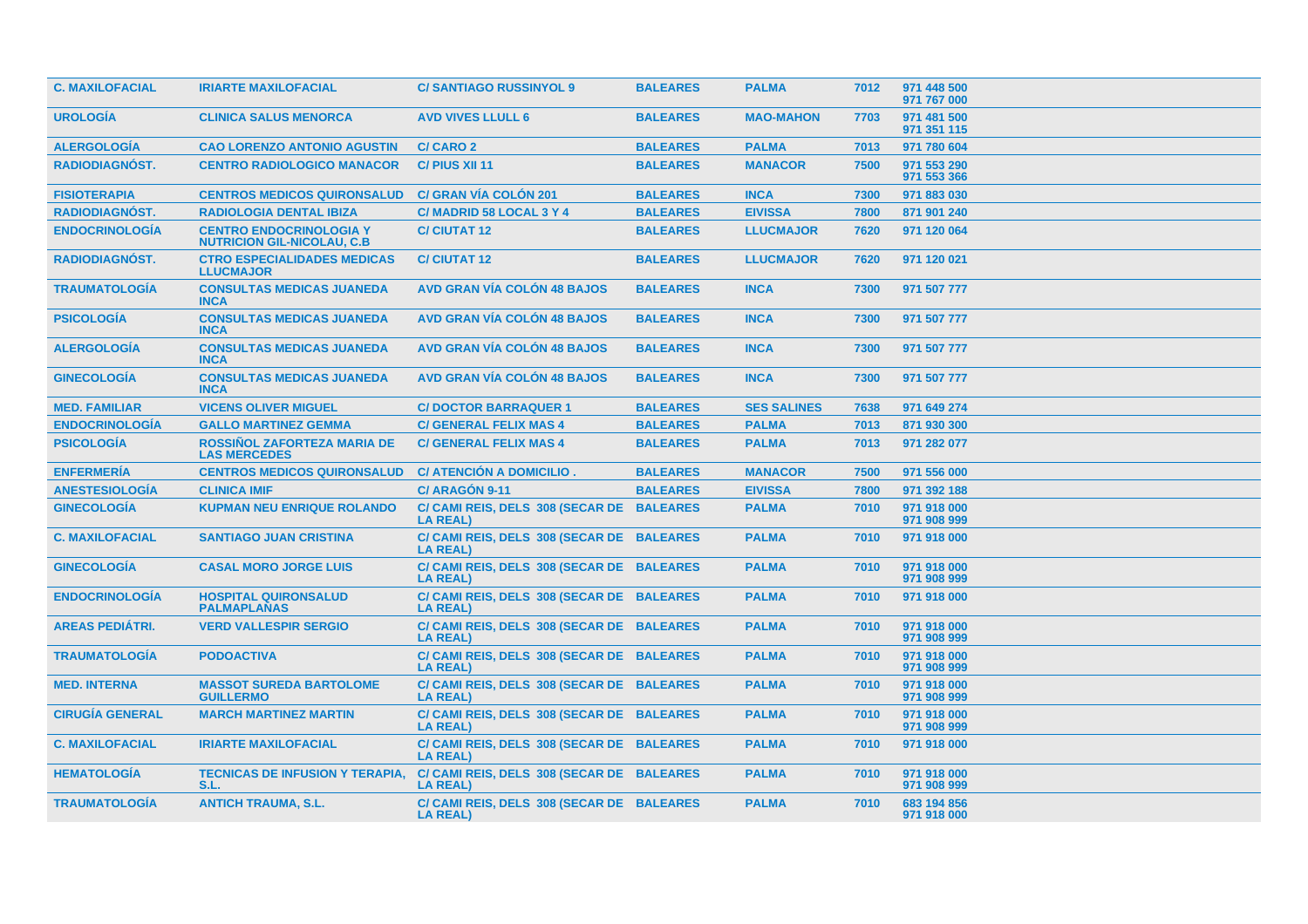| <b>C. MAXILOFACIAL</b> | <b>IRIARTE MAXILOFACIAL</b>                                          | <b>C/SANTIAGO RUSSINYOL 9</b>                                | <b>BALEARES</b> | <b>PALMA</b>       | 7012 | 971 448 500<br>971 767 000 |
|------------------------|----------------------------------------------------------------------|--------------------------------------------------------------|-----------------|--------------------|------|----------------------------|
| <b>UROLOGÍA</b>        | <b>CLINICA SALUS MENORCA</b>                                         | <b>AVD VIVES LLULL 6</b>                                     | <b>BALEARES</b> | <b>MAO-MAHON</b>   | 7703 | 971 481 500<br>971 351 115 |
| <b>ALERGOLOGÍA</b>     | <b>CAO LORENZO ANTONIO AGUSTIN</b>                                   | <b>C/CARO 2</b>                                              | <b>BALEARES</b> | <b>PALMA</b>       | 7013 | 971 780 604                |
| <b>RADIODIAGNÓST.</b>  | <b>CENTRO RADIOLOGICO MANACOR</b>                                    | C/ PIUS XII 11                                               | <b>BALEARES</b> | <b>MANACOR</b>     | 7500 | 971 553 290<br>971 553 366 |
| <b>FISIOTERAPIA</b>    | <b>CENTROS MEDICOS QUIRONSALUD</b>                                   | <b>C/ GRAN VÍA COLÓN 201</b>                                 | <b>BALEARES</b> | <b>INCA</b>        | 7300 | 971 883 030                |
| RADIODIAGNÓST.         | <b>RADIOLOGIA DENTAL IBIZA</b>                                       | C/MADRID 58 LOCAL 3 Y 4                                      | <b>BALEARES</b> | <b>EIVISSA</b>     | 7800 | 871 901 240                |
| <b>ENDOCRINOLOGÍA</b>  | <b>CENTRO ENDOCRINOLOGIA Y</b><br><b>NUTRICION GIL-NICOLAU, C.B.</b> | <b>C/CIUTAT 12</b>                                           | <b>BALEARES</b> | <b>LLUCMAJOR</b>   | 7620 | 971 120 064                |
| <b>RADIODIAGNÓST.</b>  | <b>CTRO ESPECIALIDADES MEDICAS</b><br><b>LLUCMAJOR</b>               | <b>C/CIUTAT 12</b>                                           | <b>BALEARES</b> | <b>LLUCMAJOR</b>   | 7620 | 971 120 021                |
| <b>TRAUMATOLOGIA</b>   | <b>CONSULTAS MEDICAS JUANEDA</b><br><b>INCA</b>                      | <b>AVD GRAN VÍA COLÓN 48 BAJOS</b>                           | <b>BALEARES</b> | <b>INCA</b>        | 7300 | 971 507 777                |
| <b>PSICOLOGÍA</b>      | <b>CONSULTAS MEDICAS JUANEDA</b><br><b>INCA</b>                      | <b>AVD GRAN VÍA COLÓN 48 BAJOS</b>                           | <b>BALEARES</b> | <b>INCA</b>        | 7300 | 971 507 777                |
| <b>ALERGOLOGÍA</b>     | <b>CONSULTAS MEDICAS JUANEDA</b><br><b>INCA</b>                      | <b>AVD GRAN VÍA COLÓN 48 BAJOS</b>                           | <b>BALEARES</b> | <b>INCA</b>        | 7300 | 971 507 777                |
| <b>GINECOLOGÍA</b>     | <b>CONSULTAS MEDICAS JUANEDA</b><br><b>INCA</b>                      | <b>AVD GRAN VÍA COLÓN 48 BAJOS</b>                           | <b>BALEARES</b> | <b>INCA</b>        | 7300 | 971 507 777                |
| <b>MED. FAMILIAR</b>   | <b>VICENS OLIVER MIGUEL</b>                                          | <b>C/DOCTOR BARRAQUER 1</b>                                  | <b>BALEARES</b> | <b>SES SALINES</b> | 7638 | 971 649 274                |
| <b>ENDOCRINOLOGÍA</b>  | <b>GALLO MARTINEZ GEMMA</b>                                          | <b>C/ GENERAL FELIX MAS 4</b>                                | <b>BALEARES</b> | <b>PALMA</b>       | 7013 | 871 930 300                |
| <b>PSICOLOGÍA</b>      | <b>ROSSIÑOL ZAFORTEZA MARIA DE</b><br><b>LAS MERCEDES</b>            | <b>C/ GENERAL FELIX MAS 4</b>                                | <b>BALEARES</b> | <b>PALMA</b>       | 7013 | 971 282 077                |
| <b>ENFERMERÍA</b>      | <b>CENTROS MEDICOS QUIRONSALUD</b>                                   | <b>C/ ATENCIÓN A DOMICILIO</b>                               | <b>BALEARES</b> | <b>MANACOR</b>     | 7500 | 971 556 000                |
| <b>ANESTESIOLOGÍA</b>  | <b>CLINICA IMIF</b>                                                  | C/ ARAGÓN 9-11                                               | <b>BALEARES</b> | <b>EIVISSA</b>     | 7800 | 971 392 188                |
| <b>GINECOLOGÍA</b>     | <b>KUPMAN NEU ENRIQUE ROLANDO</b>                                    | C/ CAMI REIS, DELS 308 (SECAR DE BALEARES<br><b>LA REAL)</b> |                 | <b>PALMA</b>       | 7010 | 971 918 000<br>971 908 999 |
| <b>C. MAXILOFACIAL</b> | <b>SANTIAGO JUAN CRISTINA</b>                                        | C/ CAMI REIS, DELS 308 (SECAR DE BALEARES<br><b>LA REAL)</b> |                 | <b>PALMA</b>       | 7010 | 971 918 000                |
| <b>GINECOLOGÍA</b>     | <b>CASAL MORO JORGE LUIS</b>                                         | C/ CAMI REIS, DELS 308 (SECAR DE BALEARES<br><b>LA REAL)</b> |                 | <b>PALMA</b>       | 7010 | 971 918 000<br>971 908 999 |
| <b>ENDOCRINOLOGÍA</b>  | <b>HOSPITAL QUIRONSALUD</b><br><b>PALMAPLANAS</b>                    | C/ CAMI REIS, DELS 308 (SECAR DE BALEARES<br><b>LA REAL)</b> |                 | <b>PALMA</b>       | 7010 | 971 918 000                |
| <b>AREAS PEDIÁTRI.</b> | <b>VERD VALLESPIR SERGIO</b>                                         | C/ CAMI REIS, DELS 308 (SECAR DE BALEARES<br><b>LA REAL)</b> |                 | <b>PALMA</b>       | 7010 | 971 918 000<br>971 908 999 |
| <b>TRAUMATOLOGÍA</b>   | <b>PODOACTIVA</b>                                                    | C/ CAMI REIS, DELS 308 (SECAR DE BALEARES<br><b>LA REAL)</b> |                 | <b>PALMA</b>       | 7010 | 971 918 000<br>971 908 999 |
| <b>MED. INTERNA</b>    | <b>MASSOT SUREDA BARTOLOME</b><br><b>GUILLERMO</b>                   | C/ CAMI REIS, DELS 308 (SECAR DE BALEARES<br><b>LA REAL)</b> |                 | <b>PALMA</b>       | 7010 | 971 918 000<br>971 908 999 |
| <b>CIRUGÍA GENERAL</b> | <b>MARCH MARTINEZ MARTIN</b>                                         | C/ CAMI REIS, DELS 308 (SECAR DE BALEARES<br><b>LA REAL)</b> |                 | <b>PALMA</b>       | 7010 | 971 918 000<br>971 908 999 |
| <b>C. MAXILOFACIAL</b> | <b>IRIARTE MAXILOFACIAL</b>                                          | C/ CAMI REIS, DELS 308 (SECAR DE BALEARES<br><b>LA REAL)</b> |                 | <b>PALMA</b>       | 7010 | 971 918 000                |
| <b>HEMATOLOGIA</b>     | <b>TECNICAS DE INFUSION Y TERAPIA.</b><br>S.L.                       | C/ CAMI REIS, DELS 308 (SECAR DE BALEARES<br><b>LA REAL)</b> |                 | <b>PALMA</b>       | 7010 | 971 918 000<br>971 908 999 |
| <b>TRAUMATOLOGÍA</b>   | <b>ANTICH TRAUMA, S.L.</b>                                           | C/ CAMI REIS, DELS 308 (SECAR DE BALEARES<br><b>LA REAL)</b> |                 | <b>PALMA</b>       | 7010 | 683 194 856<br>971 918 000 |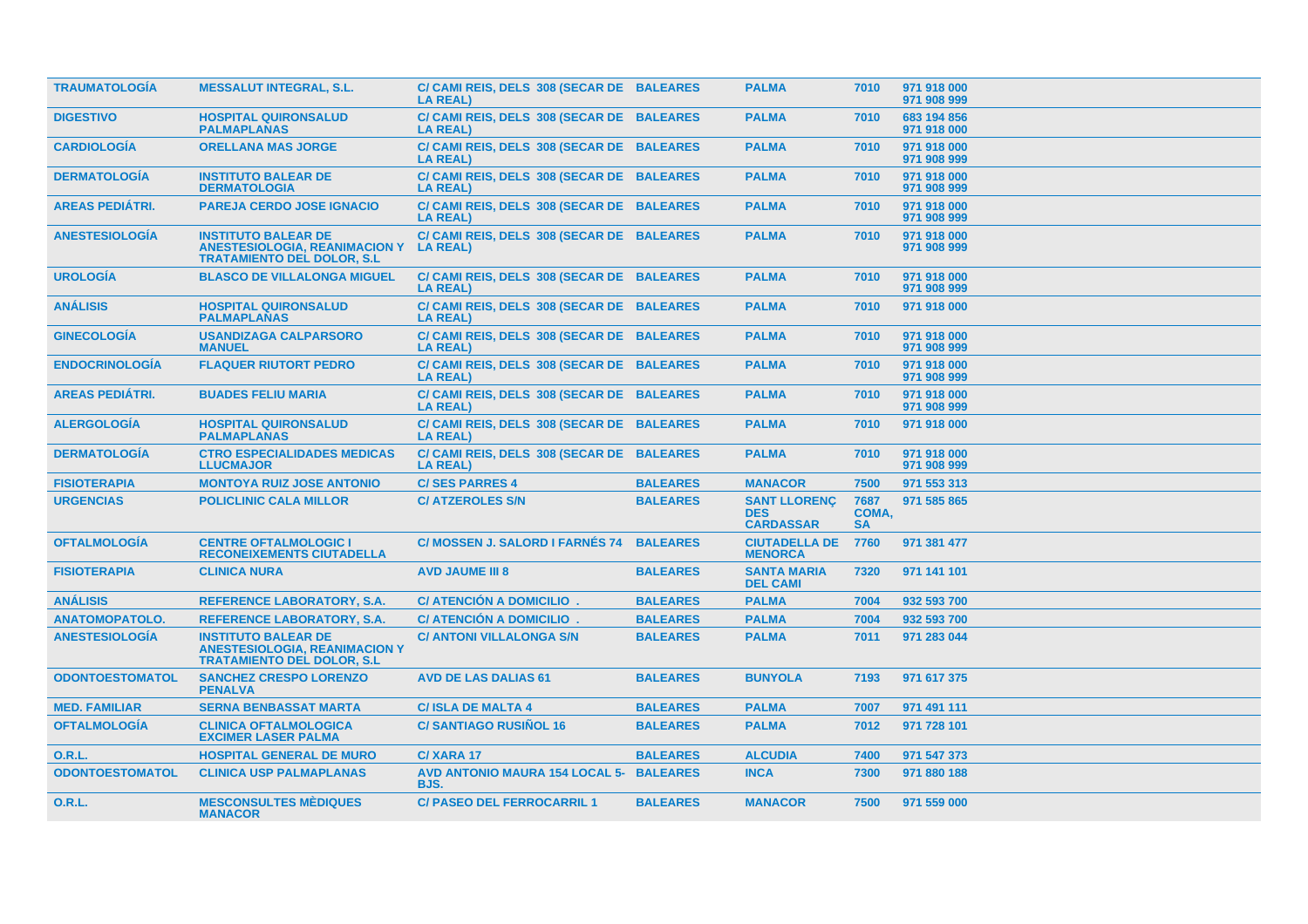| <b>TRAUMATOLOGÍA</b>   | <b>MESSALUT INTEGRAL, S.L.</b>                                                                           | C/ CAMI REIS, DELS 308 (SECAR DE BALEARES<br><b>LA REAL)</b> |                 | <b>PALMA</b>                                          | 7010                       | 971 918 000<br>971 908 999 |
|------------------------|----------------------------------------------------------------------------------------------------------|--------------------------------------------------------------|-----------------|-------------------------------------------------------|----------------------------|----------------------------|
| <b>DIGESTIVO</b>       | <b>HOSPITAL QUIRONSALUD</b><br><b>PALMAPLANAS</b>                                                        | C/ CAMI REIS, DELS 308 (SECAR DE BALEARES<br><b>LA REAL)</b> |                 | <b>PALMA</b>                                          | 7010                       | 683 194 856<br>971 918 000 |
| <b>CARDIOLOGÍA</b>     | <b>ORELLANA MAS JORGE</b>                                                                                | C/ CAMI REIS, DELS 308 (SECAR DE BALEARES<br><b>LA REAL)</b> |                 | <b>PALMA</b>                                          | 7010                       | 971 918 000<br>971 908 999 |
| <b>DERMATOLOGÍA</b>    | <b>INSTITUTO BALEAR DE</b><br><b>DERMATOLOGIA</b>                                                        | C/ CAMI REIS, DELS 308 (SECAR DE BALEARES<br><b>LA REAL)</b> |                 | <b>PALMA</b>                                          | 7010                       | 971 918 000<br>971 908 999 |
| <b>AREAS PEDIÁTRI.</b> | <b>PAREJA CERDO JOSE IGNACIO</b>                                                                         | C/ CAMI REIS, DELS 308 (SECAR DE BALEARES<br><b>LA REAL)</b> |                 | <b>PALMA</b>                                          | 7010                       | 971 918 000<br>971 908 999 |
| <b>ANESTESIOLOGÍA</b>  | <b>INSTITUTO BALEAR DE</b><br><b>ANESTESIOLOGIA, REANIMACION Y</b><br><b>TRATAMIENTO DEL DOLOR, S.L</b>  | C/ CAMI REIS, DELS 308 (SECAR DE BALEARES<br>LA REAL)        |                 | <b>PALMA</b>                                          | 7010                       | 971 918 000<br>971 908 999 |
| <b>UROLOGIA</b>        | <b>BLASCO DE VILLALONGA MIGUEL</b>                                                                       | C/ CAMI REIS, DELS 308 (SECAR DE BALEARES<br><b>LA REAL)</b> |                 | <b>PALMA</b>                                          | 7010                       | 971 918 000<br>971 908 999 |
| <b>ANÁLISIS</b>        | <b>HOSPITAL QUIRONSALUD</b><br><b>PALMAPLANAS</b>                                                        | C/ CAMI REIS, DELS 308 (SECAR DE BALEARES<br><b>LA REAL)</b> |                 | <b>PALMA</b>                                          | 7010                       | 971 918 000                |
| <b>GINECOLOGIA</b>     | <b>USANDIZAGA CALPARSORO</b><br><b>MANUEL</b>                                                            | C/ CAMI REIS, DELS 308 (SECAR DE BALEARES<br><b>LA REAL)</b> |                 | <b>PALMA</b>                                          | 7010                       | 971 918 000<br>971 908 999 |
| <b>ENDOCRINOLOGIA</b>  | <b>FLAQUER RIUTORT PEDRO</b>                                                                             | C/ CAMI REIS, DELS 308 (SECAR DE BALEARES<br><b>LA REAL)</b> |                 | <b>PALMA</b>                                          | 7010                       | 971 918 000<br>971 908 999 |
| <b>AREAS PEDIÁTRI.</b> | <b>BUADES FELIU MARIA</b>                                                                                | C/ CAMI REIS, DELS 308 (SECAR DE BALEARES<br><b>LA REAL)</b> |                 | <b>PALMA</b>                                          | 7010                       | 971 918 000<br>971 908 999 |
| <b>ALERGOLOGÍA</b>     | <b>HOSPITAL QUIRONSALUD</b><br><b>PALMAPLANAS</b>                                                        | C/ CAMI REIS, DELS 308 (SECAR DE BALEARES<br><b>LA REAL)</b> |                 | <b>PALMA</b>                                          | 7010                       | 971 918 000                |
| <b>DERMATOLOGÍA</b>    | <b>CTRO ESPECIALIDADES MEDICAS</b><br><b>LLUCMAJOR</b>                                                   | C/ CAMI REIS, DELS 308 (SECAR DE BALEARES<br><b>LA REAL)</b> |                 | <b>PALMA</b>                                          | 7010                       | 971 918 000<br>971 908 999 |
| <b>FISIOTERAPIA</b>    | <b>MONTOYA RUIZ JOSE ANTONIO</b>                                                                         | <b>C/SES PARRES 4</b>                                        | <b>BALEARES</b> | <b>MANACOR</b>                                        | 7500                       | 971 553 313                |
| <b>URGENCIAS</b>       | <b>POLICLINIC CALA MILLOR</b>                                                                            | <b>C/ ATZEROLES S/N</b>                                      | <b>BALEARES</b> | <b>SANT LLORENC</b><br><b>DES</b><br><b>CARDASSAR</b> | 7687<br>COMA,<br><b>SA</b> | 971 585 865                |
| <b>OFTALMOLOGÍA</b>    | <b>CENTRE OFTALMOLOGIC I</b><br><b>RECONEIXEMENTS CIUTADELLA</b>                                         | <b>C/ MOSSEN J. SALORD I FARNÉS 74</b>                       | <b>BALEARES</b> | <b>CIUTADELLA DE</b><br><b>MENORCA</b>                | 7760                       | 971 381 477                |
| <b>FISIOTERAPIA</b>    | <b>CLINICA NURA</b>                                                                                      | <b>AVD JAUME III 8</b>                                       | <b>BALEARES</b> | <b>SANTA MARIA</b><br><b>DEL CAMI</b>                 | 7320                       | 971 141 101                |
| <b>ANÁLISIS</b>        | <b>REFERENCE LABORATORY, S.A.</b>                                                                        | C/ ATENCIÓN A DOMICILIO.                                     | <b>BALEARES</b> | <b>PALMA</b>                                          | 7004                       | 932 593 700                |
| <b>ANATOMOPATOLO.</b>  | <b>REFERENCE LABORATORY, S.A.</b>                                                                        | <b>C/ ATENCION A DOMICILIO.</b>                              | <b>BALEARES</b> | <b>PALMA</b>                                          | 7004                       | 932 593 700                |
| <b>ANESTESIOLOGÍA</b>  | <b>INSTITUTO BALEAR DE</b><br><b>ANESTESIOLOGIA, REANIMACION Y</b><br><b>TRATAMIENTO DEL DOLOR, S.L.</b> | <b>C/ ANTONI VILLALONGA S/N</b>                              | <b>BALEARES</b> | <b>PALMA</b>                                          | 7011                       | 971 283 044                |
| <b>ODONTOESTOMATOL</b> | <b>SANCHEZ CRESPO LORENZO</b><br><b>PENALVA</b>                                                          | <b>AVD DE LAS DALIAS 61</b>                                  | <b>BALEARES</b> | <b>BUNYOLA</b>                                        | 7193                       | 971 617 375                |
| <b>MED. FAMILIAR</b>   | <b>SERNA BENBASSAT MARTA</b>                                                                             | <b>C/ISLA DE MALTA 4</b>                                     | <b>BALEARES</b> | <b>PALMA</b>                                          | 7007                       | 971 491 111                |
| <b>OFTALMOLOGÍA</b>    | <b>CLINICA OFTALMOLOGICA</b><br><b>EXCIMER LASER PALMA</b>                                               | <b>C/SANTIAGO RUSIÑOL 16</b>                                 | <b>BALEARES</b> | <b>PALMA</b>                                          | 7012                       | 971 728 101                |
| O.R.L.                 | <b>HOSPITAL GENERAL DE MURO</b>                                                                          | C/XARA 17                                                    | <b>BALEARES</b> | <b>ALCUDIA</b>                                        | 7400                       | 971 547 373                |
| <b>ODONTOESTOMATOL</b> | <b>CLINICA USP PALMAPLANAS</b>                                                                           | AVD ANTONIO MAURA 154 LOCAL 5- BALEARES<br>BJS.              |                 | <b>INCA</b>                                           | 7300                       | 971 880 188                |
| <b>O.R.L.</b>          | <b>MESCONSULTES MÉDIQUES</b><br><b>MANACOR</b>                                                           | <b>C/ PASEO DEL FERROCARRIL 1</b>                            | <b>BALEARES</b> | <b>MANACOR</b>                                        | 7500                       | 971 559 000                |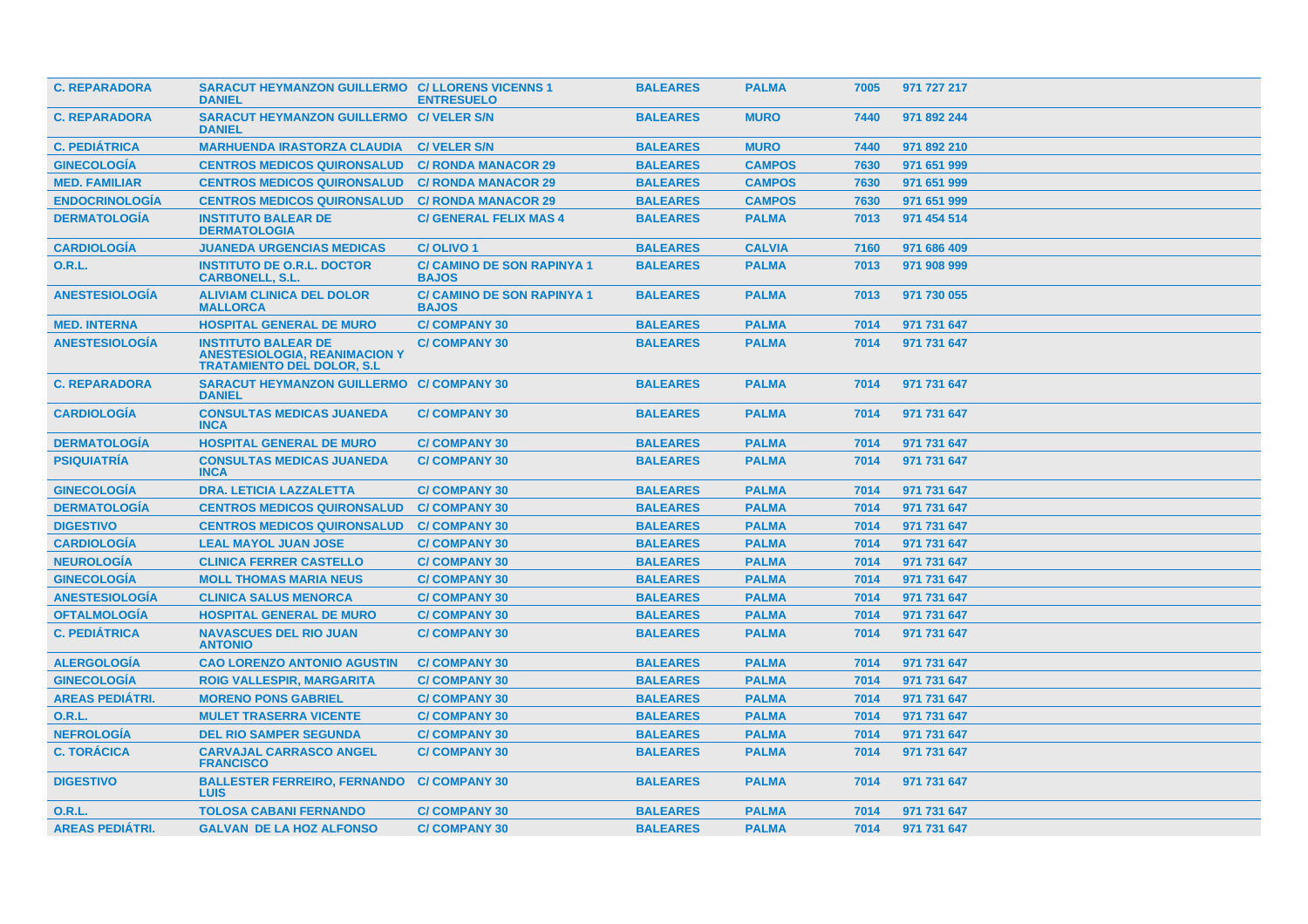| <b>C. REPARADORA</b>   | <b>SARACUT HEYMANZON GUILLERMO C/ LLORENS VICENNS 1</b><br><b>DANIEL</b>                                 | <b>ENTRESUELO</b>                                 | <b>BALEARES</b> | <b>PALMA</b>  | 7005 | 971 727 217 |
|------------------------|----------------------------------------------------------------------------------------------------------|---------------------------------------------------|-----------------|---------------|------|-------------|
| <b>C. REPARADORA</b>   | SARACUT HEYMANZON GUILLERMO C/ VELER S/N<br><b>DANIEL</b>                                                |                                                   | <b>BALEARES</b> | <b>MURO</b>   | 7440 | 971 892 244 |
| <b>C. PEDIATRICA</b>   | <b>MARHUENDA IRASTORZA CLAUDIA</b>                                                                       | <b>C/VELER S/N</b>                                | <b>BALEARES</b> | <b>MURO</b>   | 7440 | 971 892 210 |
| <b>GINECOLOGIA</b>     | <b>CENTROS MEDICOS QUIRONSALUD</b>                                                                       | <b>C/ RONDA MANACOR 29</b>                        | <b>BALEARES</b> | <b>CAMPOS</b> | 7630 | 971 651 999 |
| <b>MED. FAMILIAR</b>   | <b>CENTROS MEDICOS QUIRONSALUD</b>                                                                       | <b>C/ RONDA MANACOR 29</b>                        | <b>BALEARES</b> | <b>CAMPOS</b> | 7630 | 971 651 999 |
| <b>ENDOCRINOLOGÍA</b>  | <b>CENTROS MEDICOS QUIRONSALUD</b>                                                                       | <b>C/ RONDA MANACOR 29</b>                        | <b>BALEARES</b> | <b>CAMPOS</b> | 7630 | 971 651 999 |
| <b>DERMATOLOGÍA</b>    | <b>INSTITUTO BALEAR DE</b><br><b>DERMATOLOGIA</b>                                                        | <b>C/ GENERAL FELIX MAS 4</b>                     | <b>BALEARES</b> | <b>PALMA</b>  | 7013 | 971 454 514 |
| <b>CARDIOLOGÍA</b>     | <b>JUANEDA URGENCIAS MEDICAS</b>                                                                         | C/OLIVO <sub>1</sub>                              | <b>BALEARES</b> | <b>CALVIA</b> | 7160 | 971 686 409 |
| 0.R.L.                 | <b>INSTITUTO DE O.R.L. DOCTOR</b><br><b>CARBONELL, S.L.</b>                                              | <b>C/ CAMINO DE SON RAPINYA 1</b><br><b>BAJOS</b> | <b>BALEARES</b> | <b>PALMA</b>  | 7013 | 971 908 999 |
| <b>ANESTESIOLOGIA</b>  | <b>ALIVIAM CLINICA DEL DOLOR</b><br><b>MALLORCA</b>                                                      | <b>C/ CAMINO DE SON RAPINYA 1</b><br><b>BAJOS</b> | <b>BALEARES</b> | <b>PALMA</b>  | 7013 | 971 730 055 |
| <b>MED. INTERNA</b>    | <b>HOSPITAL GENERAL DE MURO</b>                                                                          | <b>C/COMPANY 30</b>                               | <b>BALEARES</b> | <b>PALMA</b>  | 7014 | 971 731 647 |
| <b>ANESTESIOLOGIA</b>  | <b>INSTITUTO BALEAR DE</b><br><b>ANESTESIOLOGIA, REANIMACION Y</b><br><b>TRATAMIENTO DEL DOLOR. S.L.</b> | <b>C/COMPANY 30</b>                               | <b>BALEARES</b> | <b>PALMA</b>  | 7014 | 971 731 647 |
| <b>C. REPARADORA</b>   | SARACUT HEYMANZON GUILLERMO C/ COMPANY 30<br><b>DANIEL</b>                                               |                                                   | <b>BALEARES</b> | <b>PALMA</b>  | 7014 | 971 731 647 |
| <b>CARDIOLOGIA</b>     | <b>CONSULTAS MEDICAS JUANEDA</b><br><b>INCA</b>                                                          | <b>C/COMPANY 30</b>                               | <b>BALEARES</b> | <b>PALMA</b>  | 7014 | 971 731 647 |
| <b>DERMATOLOGÍA</b>    | <b>HOSPITAL GENERAL DE MURO</b>                                                                          | <b>C/COMPANY 30</b>                               | <b>BALEARES</b> | <b>PALMA</b>  | 7014 | 971 731 647 |
| <b>PSIQUIATRÍA</b>     | <b>CONSULTAS MEDICAS JUANEDA</b><br><b>INCA</b>                                                          | <b>C/COMPANY 30</b>                               | <b>BALEARES</b> | <b>PALMA</b>  | 7014 | 971 731 647 |
| <b>GINECOLOGIA</b>     | <b>DRA. LETICIA LAZZALETTA</b>                                                                           | <b>C/COMPANY 30</b>                               | <b>BALEARES</b> | <b>PALMA</b>  | 7014 | 971 731 647 |
| <b>DERMATOLOGÍA</b>    | <b>CENTROS MEDICOS QUIRONSALUD</b>                                                                       | <b>C/COMPANY 30</b>                               | <b>BALEARES</b> | <b>PALMA</b>  | 7014 | 971 731 647 |
| <b>DIGESTIVO</b>       | <b>CENTROS MEDICOS QUIRONSALUD</b>                                                                       | <b>C/COMPANY 30</b>                               | <b>BALEARES</b> | <b>PALMA</b>  | 7014 | 971 731 647 |
| <b>CARDIOLOGÍA</b>     | <b>LEAL MAYOL JUAN JOSE</b>                                                                              | <b>C/COMPANY 30</b>                               | <b>BALEARES</b> | <b>PALMA</b>  | 7014 | 971 731 647 |
| <b>NEUROLOGIA</b>      | <b>CLINICA FERRER CASTELLO</b>                                                                           | <b>C/COMPANY 30</b>                               | <b>BALEARES</b> | <b>PALMA</b>  | 7014 | 971 731 647 |
| <b>GINECOLOGÍA</b>     | <b>MOLL THOMAS MARIA NEUS</b>                                                                            | <b>C/COMPANY 30</b>                               | <b>BALEARES</b> | <b>PALMA</b>  | 7014 | 971 731 647 |
| <b>ANESTESIOLOGÍA</b>  | <b>CLINICA SALUS MENORCA</b>                                                                             | <b>C/COMPANY 30</b>                               | <b>BALEARES</b> | <b>PALMA</b>  | 7014 | 971 731 647 |
| <b>OFTALMOLOGÍA</b>    | <b>HOSPITAL GENERAL DE MURO</b>                                                                          | <b>C/COMPANY 30</b>                               | <b>BALEARES</b> | <b>PALMA</b>  | 7014 | 971 731 647 |
| <b>C. PEDIÁTRICA</b>   | <b>NAVASCUES DEL RIO JUAN</b><br><b>ANTONIO</b>                                                          | <b>C/COMPANY 30</b>                               | <b>BALEARES</b> | <b>PALMA</b>  | 7014 | 971 731 647 |
| <b>ALERGOLOGÍA</b>     | <b>CAO LORENZO ANTONIO AGUSTIN</b>                                                                       | <b>C/COMPANY 30</b>                               | <b>BALEARES</b> | <b>PALMA</b>  | 7014 | 971 731 647 |
| <b>GINECOLOGÍA</b>     | <b>ROIG VALLESPIR, MARGARITA</b>                                                                         | <b>C/COMPANY 30</b>                               | <b>BALEARES</b> | <b>PALMA</b>  | 7014 | 971 731 647 |
| <b>AREAS PEDIATRI.</b> | <b>MORENO PONS GABRIEL</b>                                                                               | <b>C/COMPANY 30</b>                               | <b>BALEARES</b> | <b>PALMA</b>  | 7014 | 971 731 647 |
| <b>O.R.L.</b>          | <b>MULET TRASERRA VICENTE</b>                                                                            | <b>C/COMPANY 30</b>                               | <b>BALEARES</b> | <b>PALMA</b>  | 7014 | 971 731 647 |
| <b>NEFROLOGÍA</b>      | <b>DEL RIO SAMPER SEGUNDA</b>                                                                            | <b>C/COMPANY 30</b>                               | <b>BALEARES</b> | <b>PALMA</b>  | 7014 | 971 731 647 |
| <b>C. TORÁCICA</b>     | <b>CARVAJAL CARRASCO ANGEL</b><br><b>FRANCISCO</b>                                                       | <b>C/COMPANY 30</b>                               | <b>BALEARES</b> | <b>PALMA</b>  | 7014 | 971 731 647 |
| <b>DIGESTIVO</b>       | <b>BALLESTER FERREIRO, FERNANDO</b><br><b>LUIS</b>                                                       | <b>C/COMPANY 30</b>                               | <b>BALEARES</b> | <b>PALMA</b>  | 7014 | 971 731 647 |
| 0.R.L.                 | <b>TOLOSA CABANI FERNANDO</b>                                                                            | <b>C/COMPANY 30</b>                               | <b>BALEARES</b> | <b>PALMA</b>  | 7014 | 971 731 647 |
| <b>AREAS PEDIÁTRI.</b> | <b>GALVAN DE LA HOZ ALFONSO</b>                                                                          | <b>C/COMPANY 30</b>                               | <b>BALEARES</b> | <b>PALMA</b>  | 7014 | 971 731 647 |
|                        |                                                                                                          |                                                   |                 |               |      |             |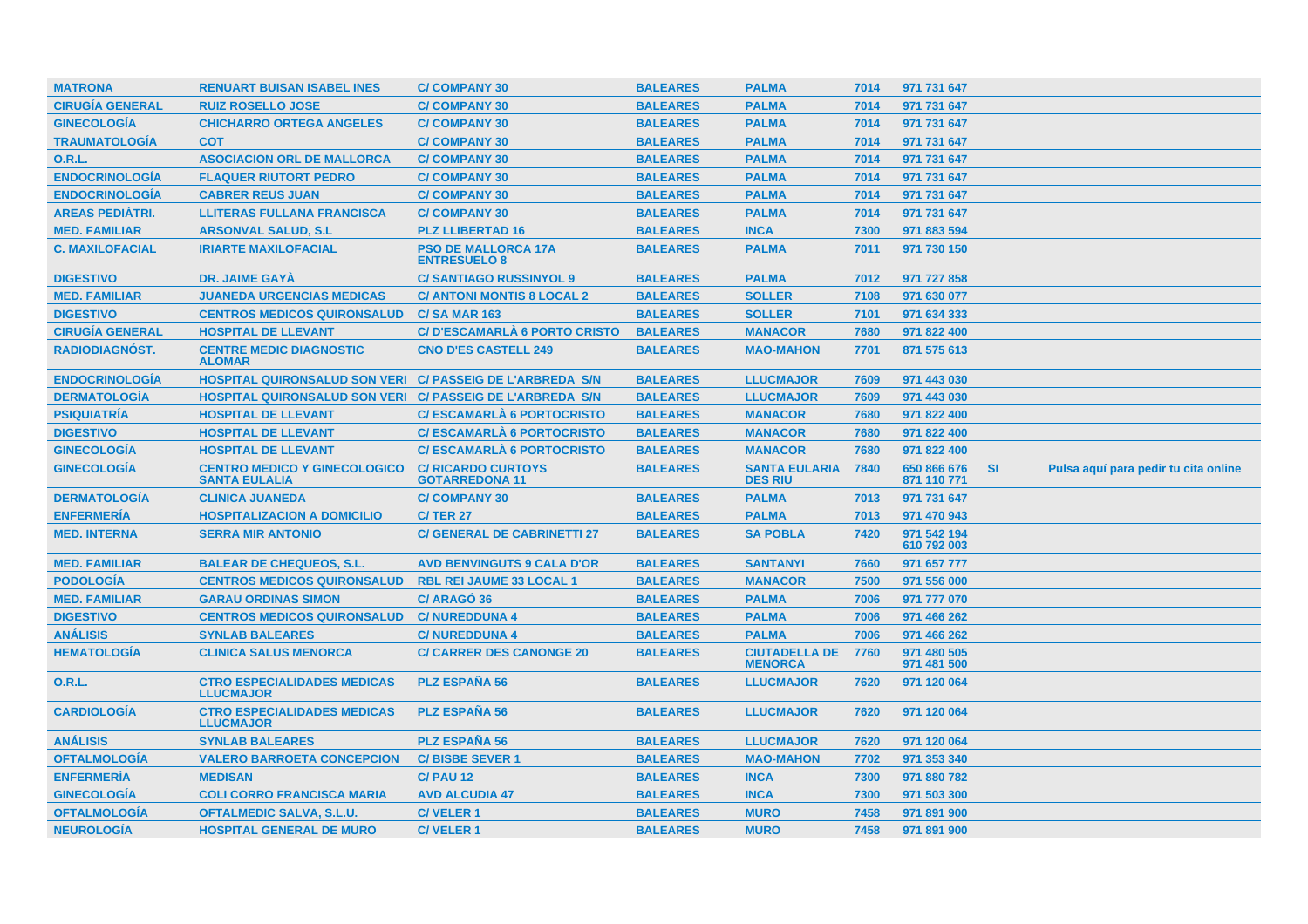|                                          |                                                             |                                                    | <b>BALEARES</b> | <b>PALMA</b>                           |      |                            |           |                                      |
|------------------------------------------|-------------------------------------------------------------|----------------------------------------------------|-----------------|----------------------------------------|------|----------------------------|-----------|--------------------------------------|
| <b>MATRONA</b><br><b>CIRUGÍA GENERAL</b> | <b>RENUART BUISAN ISABEL INES</b>                           | <b>C/COMPANY 30</b>                                |                 |                                        | 7014 | 971 731 647                |           |                                      |
|                                          | <b>RUIZ ROSELLO JOSE</b>                                    | <b>C/COMPANY 30</b>                                | <b>BALEARES</b> | <b>PALMA</b>                           | 7014 | 971 731 647                |           |                                      |
| <b>GINECOLOGÍA</b>                       | <b>CHICHARRO ORTEGA ANGELES</b>                             | <b>C/COMPANY 30</b>                                | <b>BALEARES</b> | <b>PALMA</b>                           | 7014 | 971 731 647                |           |                                      |
| <b>TRAUMATOLOGÍA</b>                     | <b>COT</b>                                                  | <b>C/COMPANY 30</b>                                | <b>BALEARES</b> | <b>PALMA</b>                           | 7014 | 971 731 647                |           |                                      |
| <b>O.R.L.</b>                            | <b>ASOCIACION ORL DE MALLORCA</b>                           | <b>C/COMPANY 30</b>                                | <b>BALEARES</b> | <b>PALMA</b>                           | 7014 | 971 731 647                |           |                                      |
| <b>ENDOCRINOLOGÍA</b>                    | <b>FLAQUER RIUTORT PEDRO</b>                                | <b>C/COMPANY 30</b>                                | <b>BALEARES</b> | <b>PALMA</b>                           | 7014 | 971 731 647                |           |                                      |
| <b>ENDOCRINOLOGÍA</b>                    | <b>CABRER REUS JUAN</b>                                     | <b>C/COMPANY 30</b>                                | <b>BALEARES</b> | <b>PALMA</b>                           | 7014 | 971 731 647                |           |                                      |
| <b>AREAS PEDIÁTRI.</b>                   | <b>LLITERAS FULLANA FRANCISCA</b>                           | <b>C/COMPANY 30</b>                                | <b>BALEARES</b> | <b>PALMA</b>                           | 7014 | 971 731 647                |           |                                      |
| <b>MED. FAMILIAR</b>                     | <b>ARSONVAL SALUD, S.L.</b>                                 | <b>PLZ LLIBERTAD 16</b>                            | <b>BALEARES</b> | <b>INCA</b>                            | 7300 | 971 883 594                |           |                                      |
| <b>C. MAXILOFACIAL</b>                   | <b>IRIARTE MAXILOFACIAL</b>                                 | <b>PSO DE MALLORCA 17A</b><br><b>ENTRESUELO 8</b>  | <b>BALEARES</b> | <b>PALMA</b>                           | 7011 | 971 730 150                |           |                                      |
| <b>DIGESTIVO</b>                         | <b>DR. JAIME GAYA</b>                                       | <b>C/SANTIAGO RUSSINYOL 9</b>                      | <b>BALEARES</b> | <b>PALMA</b>                           | 7012 | 971 727 858                |           |                                      |
| <b>MED. FAMILIAR</b>                     | <b>JUANEDA URGENCIAS MEDICAS</b>                            | <b>C/ ANTONI MONTIS 8 LOCAL 2</b>                  | <b>BALEARES</b> | <b>SOLLER</b>                          | 7108 | 971 630 077                |           |                                      |
| <b>DIGESTIVO</b>                         | <b>CENTROS MEDICOS QUIRONSALUD</b>                          | <b>C/SA MAR 163</b>                                | <b>BALEARES</b> | <b>SOLLER</b>                          | 7101 | 971 634 333                |           |                                      |
| <b>CIRUGÍA GENERAL</b>                   | <b>HOSPITAL DE LLEVANT</b>                                  | <b>C/D'ESCAMARLA 6 PORTO CRISTO</b>                | <b>BALEARES</b> | <b>MANACOR</b>                         | 7680 | 971 822 400                |           |                                      |
| <b>RADIODIAGNÓST.</b>                    | <b>CENTRE MEDIC DIAGNOSTIC</b><br><b>ALOMAR</b>             | <b>CNO D'ES CASTELL 249</b>                        | <b>BALEARES</b> | <b>MAO-MAHON</b>                       | 7701 | 871 575 613                |           |                                      |
| <b>ENDOCRINOLOGÍA</b>                    | HOSPITAL QUIRONSALUD SON VERI C/ PASSEIG DE L'ARBREDA S/N   |                                                    | <b>BALEARES</b> | <b>LLUCMAJOR</b>                       | 7609 | 971 443 030                |           |                                      |
| <b>DERMATOLOGÍA</b>                      | HOSPITAL QUIRONSALUD SON VERI C/ PASSEIG DE L'ARBREDA S/N   |                                                    | <b>BALEARES</b> | <b>LLUCMAJOR</b>                       | 7609 | 971 443 030                |           |                                      |
| <b>PSIQUIATRÍA</b>                       | <b>HOSPITAL DE LLEVANT</b>                                  | <b>C/ESCAMARLA 6 PORTOCRISTO</b>                   | <b>BALEARES</b> | <b>MANACOR</b>                         | 7680 | 971 822 400                |           |                                      |
| <b>DIGESTIVO</b>                         | <b>HOSPITAL DE LLEVANT</b>                                  | <b>C/ESCAMARLA 6 PORTOCRISTO</b>                   | <b>BALEARES</b> | <b>MANACOR</b>                         | 7680 | 971 822 400                |           |                                      |
| <b>GINECOLOGÍA</b>                       | <b>HOSPITAL DE LLEVANT</b>                                  | <b>C/ESCAMARLA 6 PORTOCRISTO</b>                   | <b>BALEARES</b> | <b>MANACOR</b>                         | 7680 | 971 822 400                |           |                                      |
|                                          |                                                             |                                                    |                 |                                        |      |                            |           |                                      |
| <b>GINECOLOGÍA</b>                       | <b>CENTRO MEDICO Y GINECOLOGICO</b><br><b>SANTA EULALIA</b> | <b>C/ RICARDO CURTOYS</b><br><b>GOTARREDONA 11</b> | <b>BALEARES</b> | <b>SANTA EULARIA</b><br><b>DES RIU</b> | 7840 | 650 866 676<br>871 110 771 | <b>SI</b> | Pulsa aquí para pedir tu cita online |
| <b>DERMATOLOGIA</b>                      | <b>CLINICA JUANEDA</b>                                      | <b>C/COMPANY 30</b>                                | <b>BALEARES</b> | <b>PALMA</b>                           | 7013 | 971 731 647                |           |                                      |
| <b>ENFERMERÍA</b>                        | <b>HOSPITALIZACION A DOMICILIO</b>                          | <b>C/TER 27</b>                                    | <b>BALEARES</b> | <b>PALMA</b>                           | 7013 | 971 470 943                |           |                                      |
| <b>MED. INTERNA</b>                      | <b>SERRA MIR ANTONIO</b>                                    | <b>C/ GENERAL DE CABRINETTI 27</b>                 | <b>BALEARES</b> | <b>SA POBLA</b>                        | 7420 | 971 542 194<br>610 792 003 |           |                                      |
| <b>MED. FAMILIAR</b>                     | <b>BALEAR DE CHEQUEOS, S.L.</b>                             | <b>AVD BENVINGUTS 9 CALA D'OR</b>                  | <b>BALEARES</b> | <b>SANTANYI</b>                        | 7660 | 971 657 777                |           |                                      |
| <b>PODOLOGÍA</b>                         | <b>CENTROS MEDICOS QUIRONSALUD</b>                          | <b>RBL REI JAUME 33 LOCAL 1</b>                    | <b>BALEARES</b> | <b>MANACOR</b>                         | 7500 | 971 556 000                |           |                                      |
| <b>MED. FAMILIAR</b>                     | <b>GARAU ORDINAS SIMON</b>                                  | C/ARAGÓ 36                                         | <b>BALEARES</b> | <b>PALMA</b>                           | 7006 | 971 777 070                |           |                                      |
| <b>DIGESTIVO</b>                         | <b>CENTROS MEDICOS QUIRONSALUD</b>                          | <b>C/NUREDDUNA 4</b>                               | <b>BALEARES</b> | <b>PALMA</b>                           | 7006 | 971 466 262                |           |                                      |
| <b>ANÁLISIS</b>                          | <b>SYNLAB BALEARES</b>                                      | <b>C/NUREDDUNA 4</b>                               | <b>BALEARES</b> | <b>PALMA</b>                           | 7006 | 971 466 262                |           |                                      |
| <b>HEMATOLOGÍA</b>                       | <b>CLINICA SALUS MENORCA</b>                                | <b>C/ CARRER DES CANONGE 20</b>                    | <b>BALEARES</b> | <b>CIUTADELLA DE</b><br><b>MENORCA</b> | 7760 | 971 480 505<br>971 481 500 |           |                                      |
| <b>O.R.L.</b>                            | <b>CTRO ESPECIALIDADES MEDICAS</b><br><b>LLUCMAJOR</b>      | <b>PLZ ESPAÑA 56</b>                               | <b>BALEARES</b> | <b>LLUCMAJOR</b>                       | 7620 | 971 120 064                |           |                                      |
| <b>CARDIOLOGIA</b>                       | <b>CTRO ESPECIALIDADES MEDICAS</b><br><b>LLUCMAJOR</b>      | <b>PLZ ESPAÑA 56</b>                               | <b>BALEARES</b> | <b>LLUCMAJOR</b>                       | 7620 | 971 120 064                |           |                                      |
| <b>ANÁLISIS</b>                          | <b>SYNLAB BALEARES</b>                                      | <b>PLZ ESPAÑA 56</b>                               | <b>BALEARES</b> | <b>LLUCMAJOR</b>                       | 7620 | 971 120 064                |           |                                      |
| <b>OFTALMOLOGÍA</b>                      | <b>VALERO BARROETA CONCEPCION</b>                           | <b>C/BISBE SEVER 1</b>                             | <b>BALEARES</b> | <b>MAO-MAHON</b>                       | 7702 | 971 353 340                |           |                                      |
| <b>ENFERMERÍA</b>                        | <b>MEDISAN</b>                                              | <b>C/ PAU 12</b>                                   | <b>BALEARES</b> | <b>INCA</b>                            | 7300 | 971 880 782                |           |                                      |
| <b>GINECOLOGÍA</b>                       | <b>COLI CORRO FRANCISCA MARIA</b>                           | <b>AVD ALCUDIA 47</b>                              | <b>BALEARES</b> | <b>INCA</b>                            | 7300 | 971 503 300                |           |                                      |
| <b>OFTALMOLOGÍA</b>                      | <b>OFTALMEDIC SALVA, S.L.U.</b>                             | <b>C/VELER1</b>                                    | <b>BALEARES</b> | <b>MURO</b>                            | 7458 | 971 891 900                |           |                                      |
| <b>NEUROLOGÍA</b>                        | <b>HOSPITAL GENERAL DE MURO</b>                             | <b>C/VELER1</b>                                    | <b>BALEARES</b> | <b>MURO</b>                            | 7458 | 971 891 900                |           |                                      |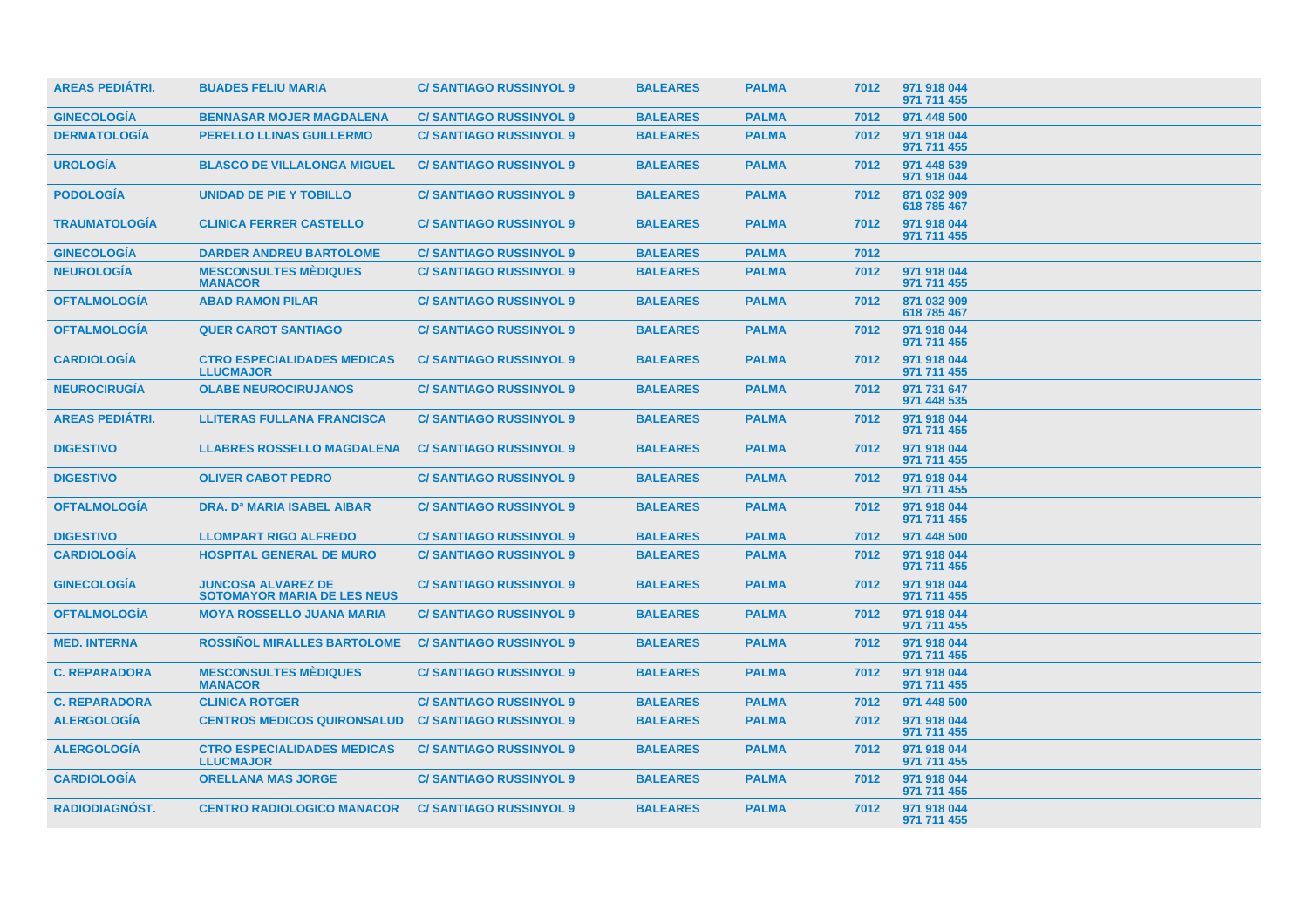| <b>AREAS PEDIÁTRI.</b> | <b>BUADES FELIU MARIA</b>                                       | <b>C/SANTIAGO RUSSINYOL 9</b> | <b>BALEARES</b> | <b>PALMA</b> | 7012 | 971 918 044<br>971 711 455 |  |
|------------------------|-----------------------------------------------------------------|-------------------------------|-----------------|--------------|------|----------------------------|--|
| <b>GINECOLOGÍA</b>     | <b>BENNASAR MOJER MAGDALENA</b>                                 | <b>C/SANTIAGO RUSSINYOL 9</b> | <b>BALEARES</b> | <b>PALMA</b> | 7012 | 971 448 500                |  |
| <b>DERMATOLOGÍA</b>    | <b>PERELLO LLINAS GUILLERMO</b>                                 | <b>C/SANTIAGO RUSSINYOL 9</b> | <b>BALEARES</b> | <b>PALMA</b> | 7012 | 971 918 044<br>971 711 455 |  |
| <b>UROLOGÍA</b>        | <b>BLASCO DE VILLALONGA MIGUEL</b>                              | <b>C/SANTIAGO RUSSINYOL 9</b> | <b>BALEARES</b> | <b>PALMA</b> | 7012 | 971 448 539<br>971 918 044 |  |
| <b>PODOLOGÍA</b>       | <b>UNIDAD DE PIE Y TOBILLO</b>                                  | <b>C/SANTIAGO RUSSINYOL 9</b> | <b>BALEARES</b> | <b>PALMA</b> | 7012 | 871 032 909<br>618 785 467 |  |
| <b>TRAUMATOLOGIA</b>   | <b>CLINICA FERRER CASTELLO</b>                                  | <b>C/SANTIAGO RUSSINYOL 9</b> | <b>BALEARES</b> | <b>PALMA</b> | 7012 | 971 918 044<br>971 711 455 |  |
| <b>GINECOLOGIA</b>     | <b>DARDER ANDREU BARTOLOME</b>                                  | <b>C/SANTIAGO RUSSINYOL 9</b> | <b>BALEARES</b> | <b>PALMA</b> | 7012 |                            |  |
| <b>NEUROLOGÍA</b>      | <b>MESCONSULTES MÉDIQUES</b><br><b>MANACOR</b>                  | <b>C/SANTIAGO RUSSINYOL 9</b> | <b>BALEARES</b> | <b>PALMA</b> | 7012 | 971 918 044<br>971 711 455 |  |
| <b>OFTALMOLOGÍA</b>    | <b>ABAD RAMON PILAR</b>                                         | <b>C/SANTIAGO RUSSINYOL 9</b> | <b>BALEARES</b> | <b>PALMA</b> | 7012 | 871 032 909<br>618 785 467 |  |
| <b>OFTALMOLOGÍA</b>    | <b>QUER CAROT SANTIAGO</b>                                      | <b>C/SANTIAGO RUSSINYOL 9</b> | <b>BALEARES</b> | <b>PALMA</b> | 7012 | 971 918 044<br>971 711 455 |  |
| <b>CARDIOLOGÍA</b>     | <b>CTRO ESPECIALIDADES MEDICAS</b><br><b>LLUCMAJOR</b>          | <b>C/SANTIAGO RUSSINYOL 9</b> | <b>BALEARES</b> | <b>PALMA</b> | 7012 | 971 918 044<br>971 711 455 |  |
| <b>NEUROCIRUGIA</b>    | <b>OLABE NEUROCIRUJANOS</b>                                     | <b>C/SANTIAGO RUSSINYOL 9</b> | <b>BALEARES</b> | <b>PALMA</b> | 7012 | 971 731 647<br>971 448 535 |  |
| <b>AREAS PEDIATRI.</b> | <b>LLITERAS FULLANA FRANCISCA</b>                               | <b>C/SANTIAGO RUSSINYOL 9</b> | <b>BALEARES</b> | <b>PALMA</b> | 7012 | 971 918 044<br>971 711 455 |  |
| <b>DIGESTIVO</b>       | <b>LLABRES ROSSELLO MAGDALENA</b>                               | <b>C/SANTIAGO RUSSINYOL 9</b> | <b>BALEARES</b> | <b>PALMA</b> | 7012 | 971 918 044<br>971 711 455 |  |
| <b>DIGESTIVO</b>       | <b>OLIVER CABOT PEDRO</b>                                       | <b>C/SANTIAGO RUSSINYOL 9</b> | <b>BALEARES</b> | <b>PALMA</b> | 7012 | 971 918 044<br>971 711 455 |  |
| <b>OFTALMOLOGÍA</b>    | <b>DRA. Da MARIA ISABEL AIBAR</b>                               | <b>C/SANTIAGO RUSSINYOL 9</b> | <b>BALEARES</b> | <b>PALMA</b> | 7012 | 971 918 044<br>971 711 455 |  |
| <b>DIGESTIVO</b>       | <b>LLOMPART RIGO ALFREDO</b>                                    | <b>C/SANTIAGO RUSSINYOL 9</b> | <b>BALEARES</b> | <b>PALMA</b> | 7012 | 971 448 500                |  |
| <b>CARDIOLOGÍA</b>     | <b>HOSPITAL GENERAL DE MURO</b>                                 | <b>C/SANTIAGO RUSSINYOL 9</b> | <b>BALEARES</b> | <b>PALMA</b> | 7012 | 971 918 044<br>971 711 455 |  |
| <b>GINECOLOGIA</b>     | <b>JUNCOSA ALVAREZ DE</b><br><b>SOTOMAYOR MARIA DE LES NEUS</b> | <b>C/SANTIAGO RUSSINYOL 9</b> | <b>BALEARES</b> | <b>PALMA</b> | 7012 | 971 918 044<br>971 711 455 |  |
| <b>OFTALMOLOGÍA</b>    | <b>MOYA ROSSELLO JUANA MARIA</b>                                | <b>C/SANTIAGO RUSSINYOL 9</b> | <b>BALEARES</b> | <b>PALMA</b> | 7012 | 971 918 044<br>971 711 455 |  |
| <b>MED. INTERNA</b>    | <b>ROSSINOL MIRALLES BARTOLOME</b>                              | <b>C/SANTIAGO RUSSINYOL 9</b> | <b>BALEARES</b> | <b>PALMA</b> | 7012 | 971 918 044<br>971 711 455 |  |
| <b>C. REPARADORA</b>   | <b>MESCONSULTES MÉDIQUES</b><br><b>MANACOR</b>                  | <b>C/SANTIAGO RUSSINYOL 9</b> | <b>BALEARES</b> | <b>PALMA</b> | 7012 | 971 918 044<br>971 711 455 |  |
| <b>C. REPARADORA</b>   | <b>CLINICA ROTGER</b>                                           | <b>C/SANTIAGO RUSSINYOL 9</b> | <b>BALEARES</b> | <b>PALMA</b> | 7012 | 971 448 500                |  |
| <b>ALERGOLOGÍA</b>     | <b>CENTROS MEDICOS QUIRONSALUD</b>                              | <b>C/SANTIAGO RUSSINYOL 9</b> | <b>BALEARES</b> | <b>PALMA</b> | 7012 | 971 918 044<br>971 711 455 |  |
| <b>ALERGOLOGIA</b>     | <b>CTRO ESPECIALIDADES MEDICAS</b><br><b>LLUCMAJOR</b>          | <b>C/SANTIAGO RUSSINYOL 9</b> | <b>BALEARES</b> | <b>PALMA</b> | 7012 | 971 918 044<br>971 711 455 |  |
| <b>CARDIOLOGIA</b>     | <b>ORELLANA MAS JORGE</b>                                       | <b>C/SANTIAGO RUSSINYOL 9</b> | <b>BALEARES</b> | <b>PALMA</b> | 7012 | 971 918 044<br>971 711 455 |  |
| <b>RADIODIAGNOST.</b>  | <b>CENTRO RADIOLOGICO MANACOR</b>                               | <b>C/SANTIAGO RUSSINYOL 9</b> | <b>BALEARES</b> | <b>PALMA</b> | 7012 | 971 918 044<br>971 711 455 |  |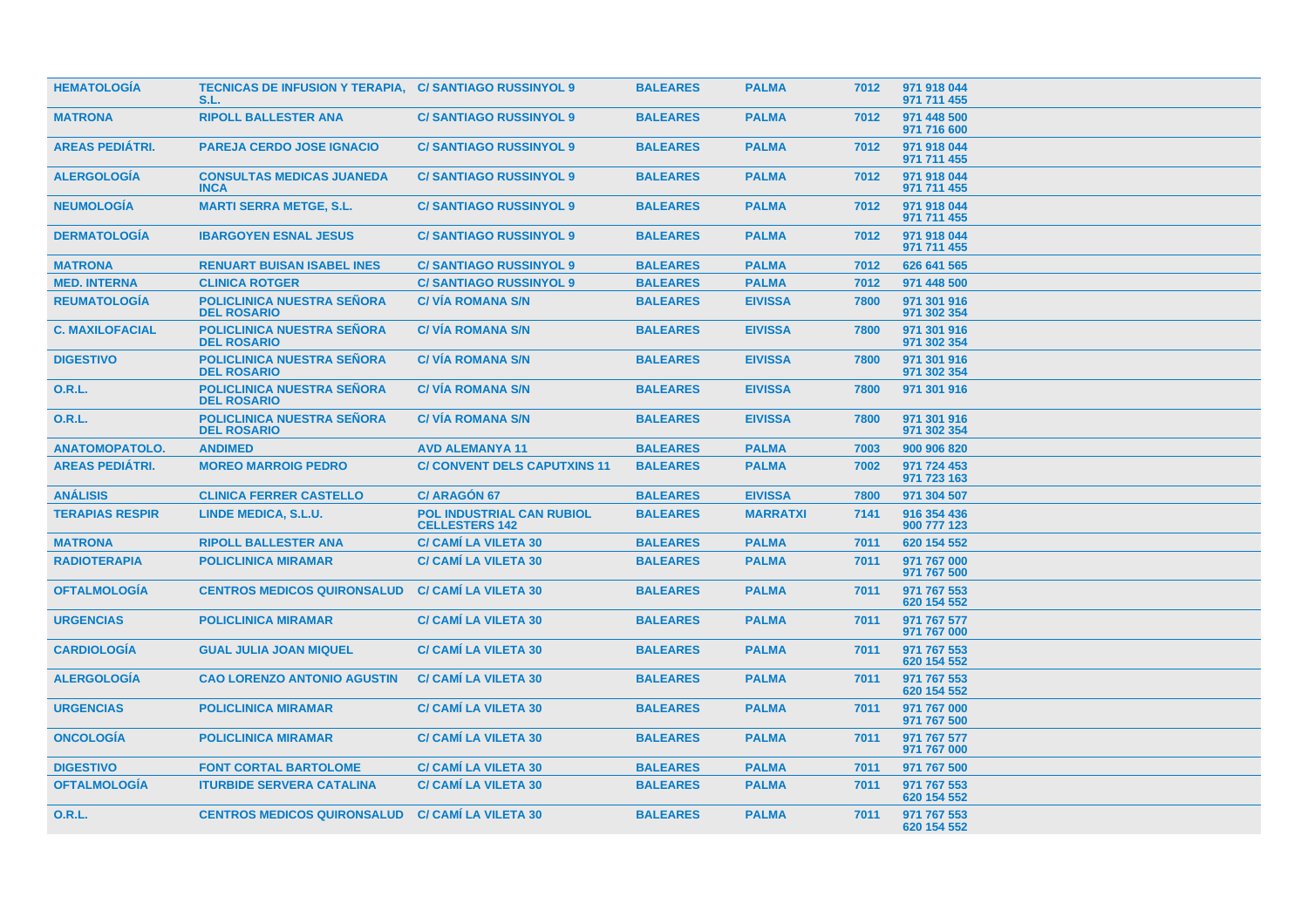| <b>HEMATOLOGIA</b>     | <b>TECNICAS DE INFUSION Y TERAPIA, C/ SANTIAGO RUSSINYOL 9</b><br>S.L. |                                                           | <b>BALEARES</b> | <b>PALMA</b>    | 7012 | 971 918 044<br>971 711 455 |
|------------------------|------------------------------------------------------------------------|-----------------------------------------------------------|-----------------|-----------------|------|----------------------------|
| <b>MATRONA</b>         | <b>RIPOLL BALLESTER ANA</b>                                            | <b>C/SANTIAGO RUSSINYOL 9</b>                             | <b>BALEARES</b> | <b>PALMA</b>    | 7012 | 971 448 500<br>971 716 600 |
| <b>AREAS PEDIÁTRI.</b> | <b>PAREJA CERDO JOSE IGNACIO</b>                                       | <b>C/SANTIAGO RUSSINYOL 9</b>                             | <b>BALEARES</b> | <b>PALMA</b>    | 7012 | 971 918 044<br>971 711 455 |
| <b>ALERGOLOGÍA</b>     | <b>CONSULTAS MEDICAS JUANEDA</b><br><b>INCA</b>                        | <b>C/SANTIAGO RUSSINYOL 9</b>                             | <b>BALEARES</b> | <b>PALMA</b>    | 7012 | 971 918 044<br>971 711 455 |
| <b>NEUMOLOGÍA</b>      | <b>MARTI SERRA METGE, S.L.</b>                                         | <b>C/SANTIAGO RUSSINYOL 9</b>                             | <b>BALEARES</b> | <b>PALMA</b>    | 7012 | 971 918 044<br>971 711 455 |
| <b>DERMATOLOGÍA</b>    | <b>IBARGOYEN ESNAL JESUS</b>                                           | <b>C/SANTIAGO RUSSINYOL 9</b>                             | <b>BALEARES</b> | <b>PALMA</b>    | 7012 | 971 918 044<br>971 711 455 |
| <b>MATRONA</b>         | <b>RENUART BUISAN ISABEL INES</b>                                      | <b>C/SANTIAGO RUSSINYOL 9</b>                             | <b>BALEARES</b> | <b>PALMA</b>    | 7012 | 626 641 565                |
| <b>MED. INTERNA</b>    | <b>CLINICA ROTGER</b>                                                  | <b>C/SANTIAGO RUSSINYOL 9</b>                             | <b>BALEARES</b> | <b>PALMA</b>    | 7012 | 971 448 500                |
| <b>REUMATOLOGÍA</b>    | <b>POLICLINICA NUESTRA SEÑORA</b><br><b>DEL ROSARIO</b>                | <b>C/ VIA ROMANA S/N</b>                                  | <b>BALEARES</b> | <b>EIVISSA</b>  | 7800 | 971 301 916<br>971 302 354 |
| <b>C. MAXILOFACIAL</b> | <b>POLICLINICA NUESTRA SEÑORA</b><br><b>DEL ROSARIO</b>                | <b>C/VIA ROMANA S/N</b>                                   | <b>BALEARES</b> | <b>EIVISSA</b>  | 7800 | 971 301 916<br>971 302 354 |
| <b>DIGESTIVO</b>       | <b>POLICLINICA NUESTRA SEÑORA</b><br><b>DEL ROSARIO</b>                | <b>C/VIA ROMANA S/N</b>                                   | <b>BALEARES</b> | <b>EIVISSA</b>  | 7800 | 971 301 916<br>971 302 354 |
| <b>O.R.L.</b>          | <b>POLICLINICA NUESTRA SEÑORA</b><br><b>DEL ROSARIO</b>                | <b>C/VIA ROMANA S/N</b>                                   | <b>BALEARES</b> | <b>EIVISSA</b>  | 7800 | 971 301 916                |
| 0.R.L.                 | <b>POLICLINICA NUESTRA SEÑORA</b><br><b>DEL ROSARIO</b>                | <b>C/VIA ROMANA S/N</b>                                   | <b>BALEARES</b> | <b>EIVISSA</b>  | 7800 | 971 301 916<br>971 302 354 |
| <b>ANATOMOPATOLO.</b>  | <b>ANDIMED</b>                                                         | <b>AVD ALEMANYA 11</b>                                    | <b>BALEARES</b> | <b>PALMA</b>    | 7003 | 900 906 820                |
| <b>AREAS PEDIÁTRI.</b> | <b>MOREO MARROIG PEDRO</b>                                             | <b>C/ CONVENT DELS CAPUTXINS 11</b>                       | <b>BALEARES</b> | <b>PALMA</b>    | 7002 | 971 724 453<br>971 723 163 |
| <b>ANÁLISIS</b>        | <b>CLINICA FERRER CASTELLO</b>                                         | <b>C/ ARAGÓN 67</b>                                       | <b>BALEARES</b> | <b>EIVISSA</b>  | 7800 | 971 304 507                |
| <b>TERAPIAS RESPIR</b> | LINDE MEDICA, S.L.U.                                                   | <b>POL INDUSTRIAL CAN RUBIOL</b><br><b>CELLESTERS 142</b> | <b>BALEARES</b> | <b>MARRATXI</b> | 7141 | 916 354 436<br>900 777 123 |
| <b>MATRONA</b>         | <b>RIPOLL BALLESTER ANA</b>                                            | <b>C/ CAMI LA VILETA 30</b>                               | <b>BALEARES</b> | <b>PALMA</b>    | 7011 | 620 154 552                |
| <b>RADIOTERAPIA</b>    | <b>POLICLINICA MIRAMAR</b>                                             | <b>C/ CAMI LA VILETA 30</b>                               | <b>BALEARES</b> | <b>PALMA</b>    | 7011 | 971 767 000<br>971 767 500 |
| <b>OFTALMOLOGIA</b>    | <b>CENTROS MEDICOS QUIRONSALUD</b>                                     | <b>C/ CAMI LA VILETA 30</b>                               | <b>BALEARES</b> | <b>PALMA</b>    | 7011 | 971 767 553<br>620 154 552 |
| <b>URGENCIAS</b>       | <b>POLICLINICA MIRAMAR</b>                                             | <b>C/ CAMI LA VILETA 30</b>                               | <b>BALEARES</b> | <b>PALMA</b>    | 7011 | 971 767 577<br>971 767 000 |
| <b>CARDIOLOGIA</b>     | <b>GUAL JULIA JOAN MIQUEL</b>                                          | <b>C/ CAMI LA VILETA 30</b>                               | <b>BALEARES</b> | <b>PALMA</b>    | 7011 | 971 767 553<br>620 154 552 |
| <b>ALERGOLOGÍA</b>     | <b>CAO LORENZO ANTONIO AGUSTIN</b>                                     | <b>C/ CAMI LA VILETA 30</b>                               | <b>BALEARES</b> | <b>PALMA</b>    | 7011 | 971 767 553<br>620 154 552 |
| <b>URGENCIAS</b>       | <b>POLICLINICA MIRAMAR</b>                                             | <b>C/ CAMI LA VILETA 30</b>                               | <b>BALEARES</b> | <b>PALMA</b>    | 7011 | 971 767 000<br>971 767 500 |
| <b>ONCOLOGIA</b>       | <b>POLICLINICA MIRAMAR</b>                                             | <b>C/ CAMI LA VILETA 30</b>                               | <b>BALEARES</b> | <b>PALMA</b>    | 7011 | 971 767 577<br>971 767 000 |
| <b>DIGESTIVO</b>       | <b>FONT CORTAL BARTOLOME</b>                                           | <b>C/ CAMI LA VILETA 30</b>                               | <b>BALEARES</b> | <b>PALMA</b>    | 7011 | 971 767 500                |
| <b>OFTALMOLOGIA</b>    | <b>ITURBIDE SERVERA CATALINA</b>                                       | <b>C/ CAMI LA VILETA 30</b>                               | <b>BALEARES</b> | <b>PALMA</b>    | 7011 | 971 767 553<br>620 154 552 |
| 0.R.L.                 | <b>CENTROS MEDICOS QUIRONSALUD</b>                                     | <b>C/ CAMI LA VILETA 30</b>                               | <b>BALEARES</b> | <b>PALMA</b>    | 7011 | 971 767 553<br>620 154 552 |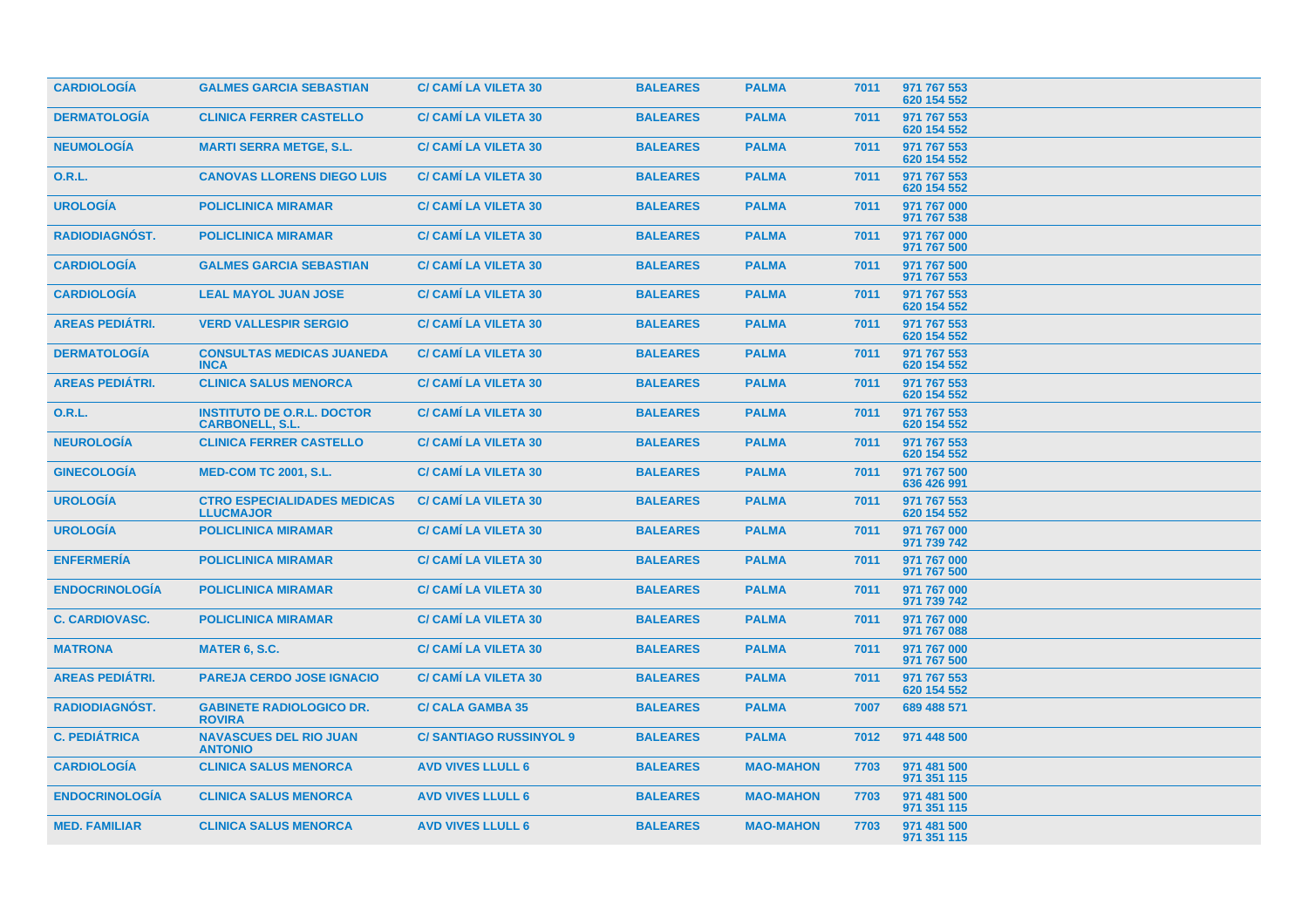| <b>CARDIOLOGIA</b>     | <b>GALMES GARCIA SEBASTIAN</b>                              | <b>C/ CAMI LA VILETA 30</b>   | <b>BALEARES</b> | <b>PALMA</b>     | 7011 | 971 767 553<br>620 154 552 |
|------------------------|-------------------------------------------------------------|-------------------------------|-----------------|------------------|------|----------------------------|
| <b>DERMATOLOGÍA</b>    | <b>CLINICA FERRER CASTELLO</b>                              | <b>C/ CAMI LA VILETA 30</b>   | <b>BALEARES</b> | <b>PALMA</b>     | 7011 | 971 767 553<br>620 154 552 |
| <b>NEUMOLOGÍA</b>      | <b>MARTI SERRA METGE, S.L.</b>                              | <b>C/ CAMI LA VILETA 30</b>   | <b>BALEARES</b> | <b>PALMA</b>     | 7011 | 971 767 553<br>620 154 552 |
| <b>O.R.L.</b>          | <b>CANOVAS LLORENS DIEGO LUIS</b>                           | <b>C/ CAMI LA VILETA 30</b>   | <b>BALEARES</b> | <b>PALMA</b>     | 7011 | 971 767 553<br>620 154 552 |
| <b>UROLOGÍA</b>        | <b>POLICLINICA MIRAMAR</b>                                  | <b>C/ CAMI LA VILETA 30</b>   | <b>BALEARES</b> | <b>PALMA</b>     | 7011 | 971 767 000<br>971 767 538 |
| <b>RADIODIAGNÓST.</b>  | <b>POLICLINICA MIRAMAR</b>                                  | <b>C/ CAMÍ LA VILETA 30</b>   | <b>BALEARES</b> | <b>PALMA</b>     | 7011 | 971 767 000<br>971 767 500 |
| <b>CARDIOLOGÍA</b>     | <b>GALMES GARCIA SEBASTIAN</b>                              | <b>C/ CAMI LA VILETA 30</b>   | <b>BALEARES</b> | <b>PALMA</b>     | 7011 | 971 767 500<br>971 767 553 |
| <b>CARDIOLOGÍA</b>     | <b>LEAL MAYOL JUAN JOSE</b>                                 | <b>C/ CAMI LA VILETA 30</b>   | <b>BALEARES</b> | <b>PALMA</b>     | 7011 | 971 767 553<br>620 154 552 |
| <b>AREAS PEDIÁTRI.</b> | <b>VERD VALLESPIR SERGIO</b>                                | <b>C/ CAMI LA VILETA 30</b>   | <b>BALEARES</b> | <b>PALMA</b>     | 7011 | 971 767 553<br>620 154 552 |
| <b>DERMATOLOGIA</b>    | <b>CONSULTAS MEDICAS JUANEDA</b><br><b>INCA</b>             | <b>C/ CAMI LA VILETA 30</b>   | <b>BALEARES</b> | <b>PALMA</b>     | 7011 | 971 767 553<br>620 154 552 |
| <b>AREAS PEDIÁTRI.</b> | <b>CLINICA SALUS MENORCA</b>                                | <b>C/ CAMI LA VILETA 30</b>   | <b>BALEARES</b> | <b>PALMA</b>     | 7011 | 971 767 553<br>620 154 552 |
| <b>O.R.L.</b>          | <b>INSTITUTO DE O.R.L. DOCTOR</b><br><b>CARBONELL, S.L.</b> | <b>C/ CAMI LA VILETA 30</b>   | <b>BALEARES</b> | <b>PALMA</b>     | 7011 | 971 767 553<br>620 154 552 |
| <b>NEUROLOGÍA</b>      | <b>CLINICA FERRER CASTELLO</b>                              | <b>C/ CAMI LA VILETA 30</b>   | <b>BALEARES</b> | <b>PALMA</b>     | 7011 | 971 767 553<br>620 154 552 |
| <b>GINECOLOGIA</b>     | <b>MED-COM TC 2001, S.L.</b>                                | <b>C/ CAMI LA VILETA 30</b>   | <b>BALEARES</b> | <b>PALMA</b>     | 7011 | 971 767 500<br>636 426 991 |
| <b>UROLOGÍA</b>        | <b>CTRO ESPECIALIDADES MEDICAS</b><br><b>LLUCMAJOR</b>      | <b>C/ CAMI LA VILETA 30</b>   | <b>BALEARES</b> | <b>PALMA</b>     | 7011 | 971 767 553<br>620 154 552 |
| <b>UROLOGÍA</b>        | <b>POLICLINICA MIRAMAR</b>                                  | <b>C/ CAMI LA VILETA 30</b>   | <b>BALEARES</b> | <b>PALMA</b>     | 7011 | 971 767 000<br>971 739 742 |
| <b>ENFERMERÍA</b>      | <b>POLICLINICA MIRAMAR</b>                                  | <b>C/ CAMI LA VILETA 30</b>   | <b>BALEARES</b> | <b>PALMA</b>     | 7011 | 971 767 000<br>971 767 500 |
| <b>ENDOCRINOLOGIA</b>  | <b>POLICLINICA MIRAMAR</b>                                  | <b>C/ CAMI LA VILETA 30</b>   | <b>BALEARES</b> | <b>PALMA</b>     | 7011 | 971 767 000<br>971 739 742 |
| <b>C. CARDIOVASC.</b>  | <b>POLICLINICA MIRAMAR</b>                                  | <b>C/ CAMI LA VILETA 30</b>   | <b>BALEARES</b> | <b>PALMA</b>     | 7011 | 971 767 000<br>971 767 088 |
| <b>MATRONA</b>         | <b>MATER 6, S.C.</b>                                        | <b>C/ CAMI LA VILETA 30</b>   | <b>BALEARES</b> | <b>PALMA</b>     | 7011 | 971 767 000<br>971 767 500 |
| <b>AREAS PEDIÁTRI.</b> | <b>PAREJA CERDO JOSE IGNACIO</b>                            | <b>C/ CAMI LA VILETA 30</b>   | <b>BALEARES</b> | <b>PALMA</b>     | 7011 | 971 767 553<br>620 154 552 |
| <b>RADIODIAGNOST.</b>  | <b>GABINETE RADIOLOGICO DR.</b><br><b>ROVIRA</b>            | <b>C/ CALA GAMBA 35</b>       | <b>BALEARES</b> | <b>PALMA</b>     | 7007 | 689 488 571                |
| <b>C. PEDIÁTRICA</b>   | <b>NAVASCUES DEL RIO JUAN</b><br><b>ANTONIO</b>             | <b>C/SANTIAGO RUSSINYOL 9</b> | <b>BALEARES</b> | <b>PALMA</b>     | 7012 | 971 448 500                |
| <b>CARDIOLOGÍA</b>     | <b>CLINICA SALUS MENORCA</b>                                | <b>AVD VIVES LLULL 6</b>      | <b>BALEARES</b> | <b>MAO-MAHON</b> | 7703 | 971 481 500<br>971 351 115 |
| <b>ENDOCRINOLOGIA</b>  | <b>CLINICA SALUS MENORCA</b>                                | <b>AVD VIVES LLULL 6</b>      | <b>BALEARES</b> | <b>MAO-MAHON</b> | 7703 | 971 481 500<br>971 351 115 |
| <b>MED. FAMILIAR</b>   | <b>CLINICA SALUS MENORCA</b>                                | <b>AVD VIVES LLULL 6</b>      | <b>BALEARES</b> | <b>MAO-MAHON</b> | 7703 | 971 481 500<br>971 351 115 |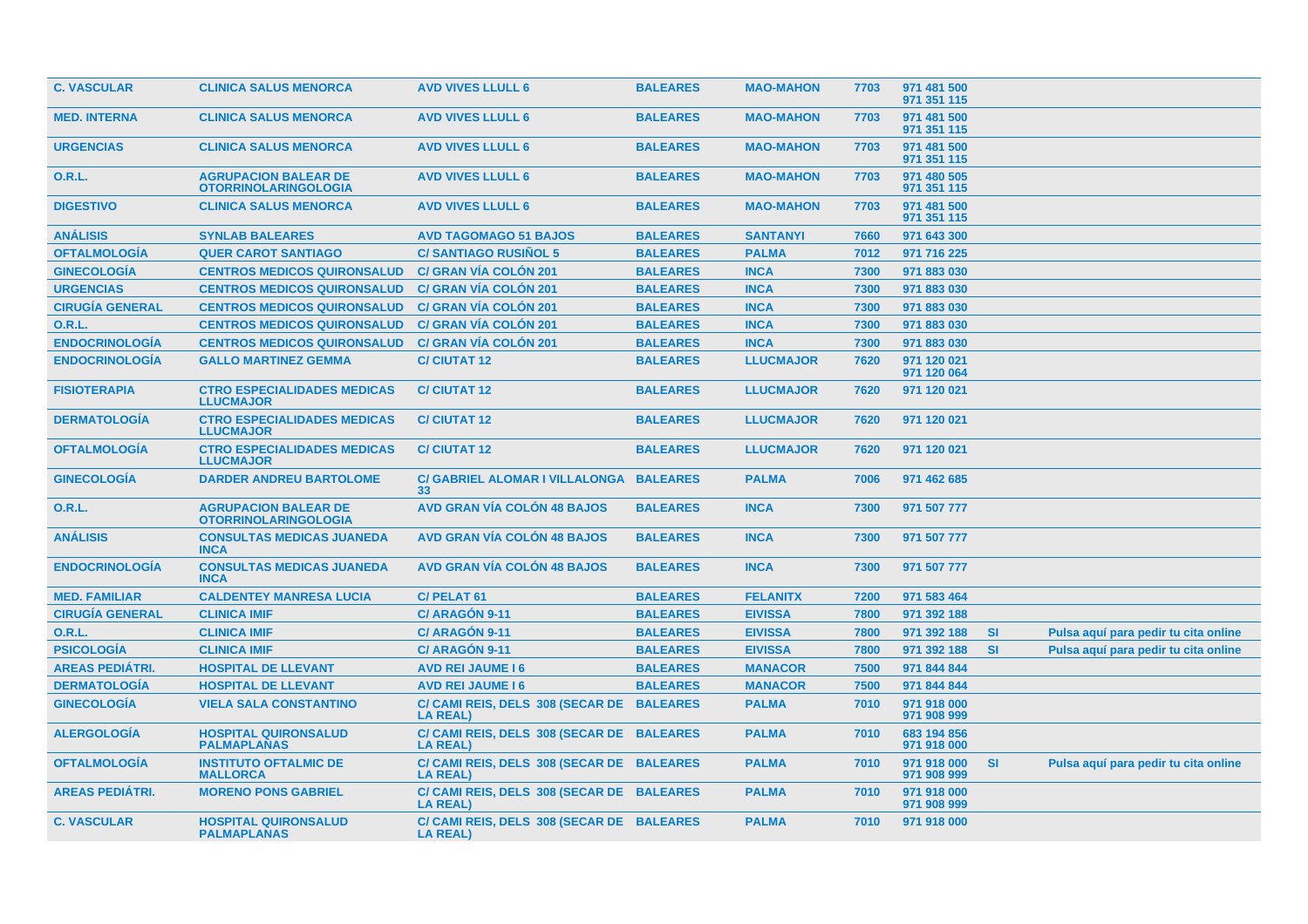| <b>C. VASCULAR</b>     | <b>CLINICA SALUS MENORCA</b>                               | <b>AVD VIVES LLULL 6</b>                                     | <b>BALEARES</b> | <b>MAO-MAHON</b> | 7703 | 971 481 500<br>971 351 115 |           |                                      |
|------------------------|------------------------------------------------------------|--------------------------------------------------------------|-----------------|------------------|------|----------------------------|-----------|--------------------------------------|
| <b>MED. INTERNA</b>    | <b>CLINICA SALUS MENORCA</b>                               | <b>AVD VIVES LLULL 6</b>                                     | <b>BALEARES</b> | <b>MAO-MAHON</b> | 7703 | 971 481 500<br>971 351 115 |           |                                      |
| <b>URGENCIAS</b>       | <b>CLINICA SALUS MENORCA</b>                               | <b>AVD VIVES LLULL 6</b>                                     | <b>BALEARES</b> | <b>MAO-MAHON</b> | 7703 | 971 481 500<br>971 351 115 |           |                                      |
| <b>O.R.L.</b>          | <b>AGRUPACION BALEAR DE</b><br><b>OTORRINOLARINGOLOGIA</b> | <b>AVD VIVES LLULL 6</b>                                     | <b>BALEARES</b> | <b>MAO-MAHON</b> | 7703 | 971 480 505<br>971 351 115 |           |                                      |
| <b>DIGESTIVO</b>       | <b>CLINICA SALUS MENORCA</b>                               | <b>AVD VIVES LLULL 6</b>                                     | <b>BALEARES</b> | <b>MAO-MAHON</b> | 7703 | 971 481 500<br>971 351 115 |           |                                      |
| <b>ANÁLISIS</b>        | <b>SYNLAB BALEARES</b>                                     | <b>AVD TAGOMAGO 51 BAJOS</b>                                 | <b>BALEARES</b> | <b>SANTANYI</b>  | 7660 | 971 643 300                |           |                                      |
| <b>OFTALMOLOGÍA</b>    | <b>QUER CAROT SANTIAGO</b>                                 | <b>C/SANTIAGO RUSIÑOL 5</b>                                  | <b>BALEARES</b> | <b>PALMA</b>     | 7012 | 971 716 225                |           |                                      |
| <b>GINECOLOGÍA</b>     | <b>CENTROS MEDICOS QUIRONSALUD</b>                         | <b>C/ GRAN VÍA COLÓN 201</b>                                 | <b>BALEARES</b> | <b>INCA</b>      | 7300 | 971 883 030                |           |                                      |
| <b>URGENCIAS</b>       | <b>CENTROS MEDICOS QUIRONSALUD</b>                         | <b>C/ GRAN VÍA COLÓN 201</b>                                 | <b>BALEARES</b> | <b>INCA</b>      | 7300 | 971 883 030                |           |                                      |
| <b>CIRUGÍA GENERAL</b> | <b>CENTROS MEDICOS QUIRONSALUD</b>                         | <b>C/ GRAN VÍA COLÓN 201</b>                                 | <b>BALEARES</b> | <b>INCA</b>      | 7300 | 971 883 030                |           |                                      |
| <b>O.R.L.</b>          | <b>CENTROS MEDICOS QUIRONSALUD</b>                         | <b>C/ GRAN VÍA COLÓN 201</b>                                 | <b>BALEARES</b> | <b>INCA</b>      | 7300 | 971 883 030                |           |                                      |
| <b>ENDOCRINOLOGÍA</b>  | <b>CENTROS MEDICOS QUIRONSALUD</b>                         | <b>C/ GRAN VÍA COLÓN 201</b>                                 | <b>BALEARES</b> | <b>INCA</b>      | 7300 | 971 883 030                |           |                                      |
| <b>ENDOCRINOLOGÍA</b>  | <b>GALLO MARTINEZ GEMMA</b>                                | <b>C/CIUTAT 12</b>                                           | <b>BALEARES</b> | <b>LLUCMAJOR</b> | 7620 | 971 120 021<br>971 120 064 |           |                                      |
| <b>FISIOTERAPIA</b>    | <b>CTRO ESPECIALIDADES MEDICAS</b><br><b>LLUCMAJOR</b>     | <b>C/ CIUTAT 12</b>                                          | <b>BALEARES</b> | <b>LLUCMAJOR</b> | 7620 | 971 120 021                |           |                                      |
| <b>DERMATOLOGÍA</b>    | <b>CTRO ESPECIALIDADES MEDICAS</b><br><b>LLUCMAJOR</b>     | <b>C/CIUTAT 12</b>                                           | <b>BALEARES</b> | <b>LLUCMAJOR</b> | 7620 | 971 120 021                |           |                                      |
| <b>OFTALMOLOGÍA</b>    | <b>CTRO ESPECIALIDADES MEDICAS</b><br><b>LLUCMAJOR</b>     | <b>C/CIUTAT12</b>                                            | <b>BALEARES</b> | <b>LLUCMAJOR</b> | 7620 | 971 120 021                |           |                                      |
| <b>GINECOLOGÍA</b>     | <b>DARDER ANDREU BARTOLOME</b>                             | C/ GABRIEL ALOMAR I VILLALONGA BALEARES<br>33                |                 | <b>PALMA</b>     | 7006 | 971 462 685                |           |                                      |
| 0.R.L.                 | <b>AGRUPACION BALEAR DE</b><br><b>OTORRINOLARINGOLOGIA</b> | <b>AVD GRAN VÍA COLÓN 48 BAJOS</b>                           | <b>BALEARES</b> | <b>INCA</b>      | 7300 | 971 507 777                |           |                                      |
| <b>ANÁLISIS</b>        | <b>CONSULTAS MEDICAS JUANEDA</b><br><b>INCA</b>            | <b>AVD GRAN VÍA COLÓN 48 BAJOS</b>                           | <b>BALEARES</b> | <b>INCA</b>      | 7300 | 971 507 777                |           |                                      |
| <b>ENDOCRINOLOGÍA</b>  | <b>CONSULTAS MEDICAS JUANEDA</b><br><b>INCA</b>            | <b>AVD GRAN VÍA COLÓN 48 BAJOS</b>                           | <b>BALEARES</b> | <b>INCA</b>      | 7300 | 971 507 777                |           |                                      |
| <b>MED. FAMILIAR</b>   | <b>CALDENTEY MANRESA LUCIA</b>                             | C/PELAT <sub>61</sub>                                        | <b>BALEARES</b> | <b>FELANITX</b>  | 7200 | 971 583 464                |           |                                      |
| <b>CIRUGÍA GENERAL</b> | <b>CLINICA IMIF</b>                                        | C/ARAGÓN 9-11                                                | <b>BALEARES</b> | <b>EIVISSA</b>   | 7800 | 971 392 188                |           |                                      |
| O.R.L.                 | <b>CLINICA IMIF</b>                                        | C/ARAGÓN 9-11                                                | <b>BALEARES</b> | <b>EIVISSA</b>   | 7800 | 971 392 188                | <b>SI</b> | Pulsa aguí para pedir tu cita online |
| <b>PSICOLOGÍA</b>      | <b>CLINICA IMIF</b>                                        | C/ ARAGON 9-11                                               | <b>BALEARES</b> | <b>EIVISSA</b>   | 7800 | 971 392 188                | <b>SI</b> | Pulsa aquí para pedir tu cita online |
| <b>AREAS PEDIÁTRI.</b> | <b>HOSPITAL DE LLEVANT</b>                                 | <b>AVD REI JAUME 16</b>                                      | <b>BALEARES</b> | <b>MANACOR</b>   | 7500 | 971 844 844                |           |                                      |
| <b>DERMATOLOGÍA</b>    | <b>HOSPITAL DE LLEVANT</b>                                 | <b>AVD REI JAUME 16</b>                                      | <b>BALEARES</b> | <b>MANACOR</b>   | 7500 | 971 844 844                |           |                                      |
| <b>GINECOLOGÍA</b>     | <b>VIELA SALA CONSTANTINO</b>                              | C/ CAMI REIS, DELS 308 (SECAR DE<br><b>LA REAL)</b>          | <b>BALEARES</b> | <b>PALMA</b>     | 7010 | 971 918 000<br>971 908 999 |           |                                      |
| <b>ALERGOLOGÍA</b>     | <b>HOSPITAL QUIRONSALUD</b><br><b>PALMAPLANAS</b>          | C/ CAMI REIS, DELS 308 (SECAR DE BALEARES<br><b>LA REAL)</b> |                 | <b>PALMA</b>     | 7010 | 683 194 856<br>971 918 000 |           |                                      |
| <b>OFTALMOLOGIA</b>    | <b>INSTITUTO OFTALMIC DE</b><br><b>MALLORCA</b>            | C/ CAMI REIS, DELS 308 (SECAR DE BALEARES<br><b>LA REAL)</b> |                 | <b>PALMA</b>     | 7010 | 971 918 000<br>971 908 999 | <b>SI</b> | Pulsa aquí para pedir tu cita online |
| <b>AREAS PEDIATRI.</b> | <b>MORENO PONS GABRIEL</b>                                 | C/ CAMI REIS, DELS 308 (SECAR DE BALEARES<br><b>LA REAL)</b> |                 | <b>PALMA</b>     | 7010 | 971 918 000<br>971 908 999 |           |                                      |
| <b>C. VASCULAR</b>     | <b>HOSPITAL QUIRONSALUD</b><br><b>PALMAPLANAS</b>          | C/ CAMI REIS, DELS 308 (SECAR DE BALEARES<br><b>LA REAL)</b> |                 | <b>PALMA</b>     | 7010 | 971 918 000                |           |                                      |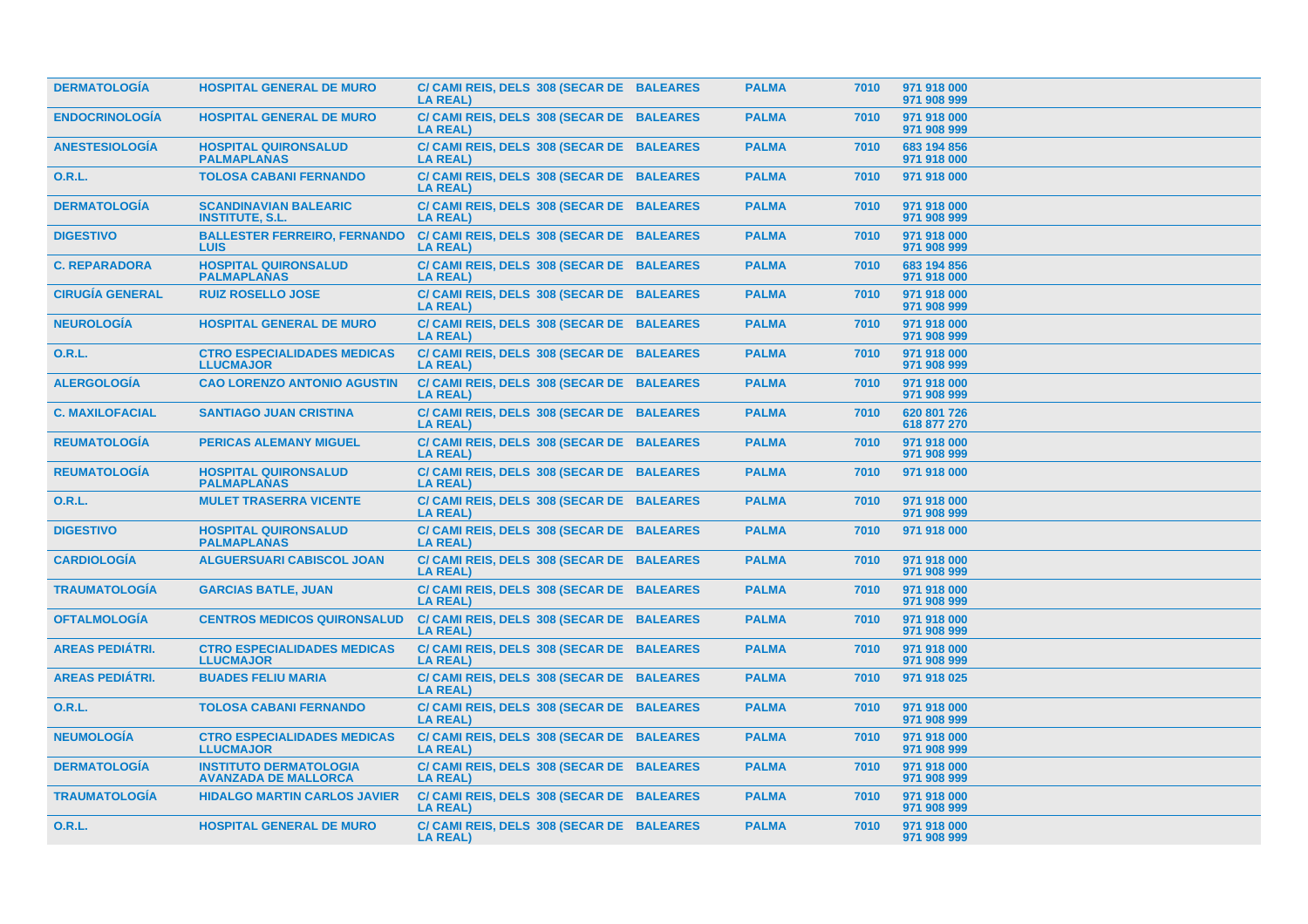| <b>DERMATOLOGÍA</b>    | <b>HOSPITAL GENERAL DE MURO</b>                              | C/ CAMI REIS, DELS 308 (SECAR DE BALEARES<br><b>LA REAL)</b> | <b>PALMA</b> | 7010 | 971 918 000<br>971 908 999 |
|------------------------|--------------------------------------------------------------|--------------------------------------------------------------|--------------|------|----------------------------|
| <b>ENDOCRINOLOGÍA</b>  | <b>HOSPITAL GENERAL DE MURO</b>                              | C/ CAMI REIS, DELS 308 (SECAR DE BALEARES<br><b>LA REAL)</b> | <b>PALMA</b> | 7010 | 971 918 000<br>971 908 999 |
| <b>ANESTESIOLOGÍA</b>  | <b>HOSPITAL QUIRONSALUD</b><br><b>PALMAPLANAS</b>            | C/ CAMI REIS, DELS 308 (SECAR DE BALEARES<br><b>LA REAL)</b> | <b>PALMA</b> | 7010 | 683 194 856<br>971 918 000 |
| 0.R.L.                 | <b>TOLOSA CABANI FERNANDO</b>                                | C/ CAMI REIS, DELS 308 (SECAR DE BALEARES<br>LA REAL)        | <b>PALMA</b> | 7010 | 971 918 000                |
| <b>DERMATOLOGÍA</b>    | <b>SCANDINAVIAN BALEARIC</b><br><b>INSTITUTE, S.L.</b>       | C/ CAMI REIS, DELS 308 (SECAR DE BALEARES<br><b>LA REAL)</b> | <b>PALMA</b> | 7010 | 971 918 000<br>971 908 999 |
| <b>DIGESTIVO</b>       | <b>BALLESTER FERREIRO, FERNANDO</b><br><b>LUIS</b>           | C/ CAMI REIS, DELS 308 (SECAR DE BALEARES<br><b>LA REAL)</b> | <b>PALMA</b> | 7010 | 971 918 000<br>971 908 999 |
| <b>C. REPARADORA</b>   | <b>HOSPITAL QUIRONSALUD</b><br><b>PALMAPLANAS</b>            | C/ CAMI REIS, DELS 308 (SECAR DE BALEARES<br><b>LA REAL)</b> | <b>PALMA</b> | 7010 | 683 194 856<br>971 918 000 |
| <b>CIRUGÍA GENERAL</b> | <b>RUIZ ROSELLO JOSE</b>                                     | C/ CAMI REIS, DELS 308 (SECAR DE BALEARES<br><b>LA REAL)</b> | <b>PALMA</b> | 7010 | 971 918 000<br>971 908 999 |
| <b>NEUROLOGÍA</b>      | <b>HOSPITAL GENERAL DE MURO</b>                              | C/ CAMI REIS, DELS 308 (SECAR DE BALEARES<br><b>LA REAL)</b> | <b>PALMA</b> | 7010 | 971 918 000<br>971 908 999 |
| 0.R.L.                 | <b>CTRO ESPECIALIDADES MEDICAS</b><br><b>LLUCMAJOR</b>       | C/ CAMI REIS, DELS 308 (SECAR DE BALEARES<br><b>LA REAL)</b> | <b>PALMA</b> | 7010 | 971 918 000<br>971 908 999 |
| <b>ALERGOLOGÍA</b>     | <b>CAO LORENZO ANTONIO AGUSTIN</b>                           | C/ CAMI REIS, DELS 308 (SECAR DE BALEARES<br><b>LA REAL)</b> | <b>PALMA</b> | 7010 | 971 918 000<br>971 908 999 |
| <b>C. MAXILOFACIAL</b> | <b>SANTIAGO JUAN CRISTINA</b>                                | C/ CAMI REIS, DELS 308 (SECAR DE BALEARES<br><b>LA REAL)</b> | <b>PALMA</b> | 7010 | 620 801 726<br>618 877 270 |
| <b>REUMATOLOGÍA</b>    | <b>PERICAS ALEMANY MIGUEL</b>                                | C/ CAMI REIS, DELS 308 (SECAR DE BALEARES<br><b>LA REAL)</b> | <b>PALMA</b> | 7010 | 971 918 000<br>971 908 999 |
| <b>REUMATOLOGÍA</b>    | <b>HOSPITAL QUIRONSALUD</b><br><b>PALMAPLANAS</b>            | C/ CAMI REIS, DELS 308 (SECAR DE BALEARES<br><b>LA REAL)</b> | <b>PALMA</b> | 7010 | 971 918 000                |
| <b>O.R.L.</b>          | <b>MULET TRASERRA VICENTE</b>                                | C/ CAMI REIS, DELS 308 (SECAR DE BALEARES<br><b>LA REAL)</b> | <b>PALMA</b> | 7010 | 971 918 000<br>971 908 999 |
| <b>DIGESTIVO</b>       | <b>HOSPITAL QUIRONSALUD</b><br><b>PALMAPLANAS</b>            | C/ CAMI REIS, DELS 308 (SECAR DE BALEARES<br><b>LA REAL)</b> | <b>PALMA</b> | 7010 | 971 918 000                |
| <b>CARDIOLOGIA</b>     | <b>ALGUERSUARI CABISCOL JOAN</b>                             | C/ CAMI REIS, DELS 308 (SECAR DE BALEARES<br><b>LA REAL)</b> | <b>PALMA</b> | 7010 | 971 918 000<br>971 908 999 |
| <b>TRAUMATOLOGÍA</b>   | <b>GARCIAS BATLE, JUAN</b>                                   | C/ CAMI REIS, DELS 308 (SECAR DE BALEARES<br><b>LA REAL)</b> | <b>PALMA</b> | 7010 | 971 918 000<br>971 908 999 |
| <b>OFTALMOLOGÍA</b>    | <b>CENTROS MEDICOS QUIRONSALUD</b>                           | C/ CAMI REIS, DELS 308 (SECAR DE BALEARES<br><b>LA REAL)</b> | <b>PALMA</b> | 7010 | 971 918 000<br>971 908 999 |
| <b>AREAS PEDIÁTRI.</b> | <b>CTRO ESPECIALIDADES MEDICAS</b><br><b>LLUCMAJOR</b>       | C/ CAMI REIS, DELS 308 (SECAR DE BALEARES<br><b>LA REAL)</b> | <b>PALMA</b> | 7010 | 971 918 000<br>971 908 999 |
| <b>AREAS PEDIÁTRI.</b> | <b>BUADES FELIU MARIA</b>                                    | C/ CAMI REIS, DELS 308 (SECAR DE BALEARES<br><b>LA REAL)</b> | <b>PALMA</b> | 7010 | 971 918 025                |
| <b>O.R.L.</b>          | <b>TOLOSA CABANI FERNANDO</b>                                | C/ CAMI REIS, DELS 308 (SECAR DE BALEARES<br><b>LA REAL)</b> | <b>PALMA</b> | 7010 | 971 918 000<br>971 908 999 |
| <b>NEUMOLOGÍA</b>      | <b>CTRO ESPECIALIDADES MEDICAS</b><br><b>LLUCMAJOR</b>       | C/ CAMI REIS, DELS 308 (SECAR DE BALEARES<br><b>LA REAL)</b> | <b>PALMA</b> | 7010 | 971 918 000<br>971 908 999 |
| <b>DERMATOLOGÍA</b>    | <b>INSTITUTO DERMATOLOGIA</b><br><b>AVANZADA DE MALLORCA</b> | C/ CAMI REIS, DELS 308 (SECAR DE BALEARES<br><b>LA REAL)</b> | <b>PALMA</b> | 7010 | 971 918 000<br>971 908 999 |
| <b>TRAUMATOLOGÍA</b>   | <b>HIDALGO MARTIN CARLOS JAVIER</b>                          | C/ CAMI REIS, DELS 308 (SECAR DE BALEARES<br><b>LA REAL)</b> | <b>PALMA</b> | 7010 | 971 918 000<br>971 908 999 |
| <b>O.R.L.</b>          | <b>HOSPITAL GENERAL DE MURO</b>                              | C/ CAMI REIS, DELS 308 (SECAR DE BALEARES<br>LA REAL)        | <b>PALMA</b> | 7010 | 971 918 000<br>971 908 999 |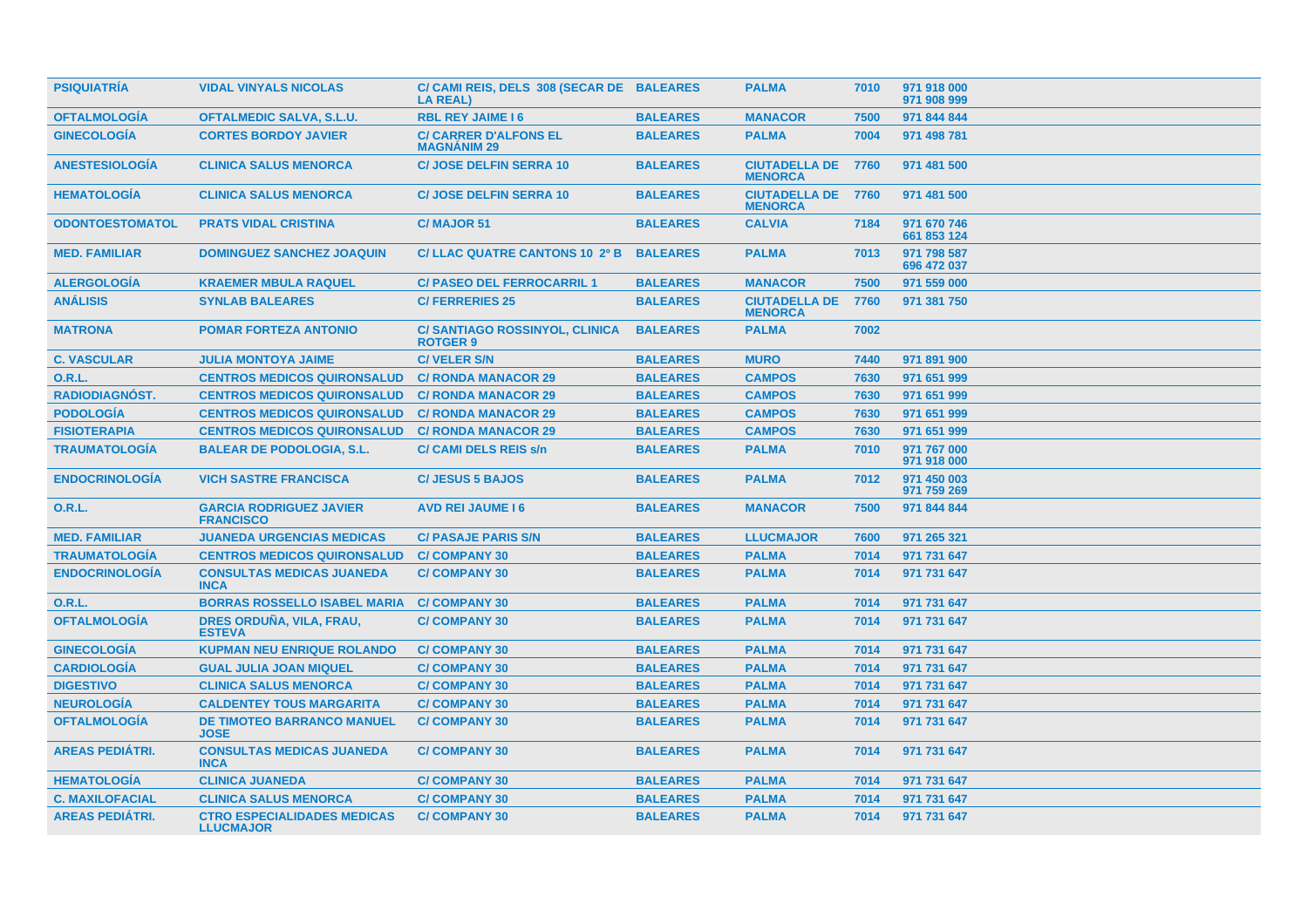| <b>PSIQUIATRIA</b>     | <b>VIDAL VINYALS NICOLAS</b>                           | C/ CAMI REIS, DELS 308 (SECAR DE BALEARES<br><b>LA REAL)</b> |                 | <b>PALMA</b>                           | 7010 | 971 918 000<br>971 908 999 |
|------------------------|--------------------------------------------------------|--------------------------------------------------------------|-----------------|----------------------------------------|------|----------------------------|
| <b>OFTALMOLOGIA</b>    | <b>OFTALMEDIC SALVA, S.L.U.</b>                        | <b>RBL REY JAIME 16</b>                                      | <b>BALEARES</b> | <b>MANACOR</b>                         | 7500 | 971 844 844                |
| <b>GINECOLOGÍA</b>     | <b>CORTES BORDOY JAVIER</b>                            | <b>C/ CARRER D'ALFONS EL</b><br><b>MAGNÁNIM 29</b>           | <b>BALEARES</b> | <b>PALMA</b>                           | 7004 | 971 498 781                |
| <b>ANESTESIOLOGIA</b>  | <b>CLINICA SALUS MENORCA</b>                           | <b>C/JOSE DELFIN SERRA 10</b>                                | <b>BALEARES</b> | <b>CIUTADELLA DE</b><br><b>MENORCA</b> | 7760 | 971 481 500                |
| <b>HEMATOLOGIA</b>     | <b>CLINICA SALUS MENORCA</b>                           | <b>C/ JOSE DELFIN SERRA 10</b>                               | <b>BALEARES</b> | <b>CIUTADELLA DE</b><br><b>MENORCA</b> | 7760 | 971 481 500                |
| <b>ODONTOESTOMATOL</b> | <b>PRATS VIDAL CRISTINA</b>                            | C/MAJOR 51                                                   | <b>BALEARES</b> | <b>CALVIA</b>                          | 7184 | 971 670 746<br>661 853 124 |
| <b>MED. FAMILIAR</b>   | <b>DOMINGUEZ SANCHEZ JOAQUIN</b>                       | C/ LLAC QUATRE CANTONS 10 2º B                               | <b>BALEARES</b> | <b>PALMA</b>                           | 7013 | 971 798 587<br>696 472 037 |
| <b>ALERGOLOGÍA</b>     | <b>KRAEMER MBULA RAQUEL</b>                            | <b>C/ PASEO DEL FERROCARRIL 1</b>                            | <b>BALEARES</b> | <b>MANACOR</b>                         | 7500 | 971 559 000                |
| <b>ANALISIS</b>        | <b>SYNLAB BALEARES</b>                                 | <b>C/FERRERIES 25</b>                                        | <b>BALEARES</b> | <b>CIUTADELLA DE</b><br><b>MENORCA</b> | 7760 | 971 381 750                |
| <b>MATRONA</b>         | <b>POMAR FORTEZA ANTONIO</b>                           | <b>C/SANTIAGO ROSSINYOL, CLINICA</b><br><b>ROTGER 9</b>      | <b>BALEARES</b> | <b>PALMA</b>                           | 7002 |                            |
| <b>C. VASCULAR</b>     | <b>JULIA MONTOYA JAIME</b>                             | <b>C/VELER S/N</b>                                           | <b>BALEARES</b> | <b>MURO</b>                            | 7440 | 971 891 900                |
| 0.R.L.                 | <b>CENTROS MEDICOS QUIRONSALUD</b>                     | <b>C/ RONDA MANACOR 29</b>                                   | <b>BALEARES</b> | <b>CAMPOS</b>                          | 7630 | 971 651 999                |
| RADIODIAGNÓST.         | <b>CENTROS MEDICOS QUIRONSALUD</b>                     | <b>C/ RONDA MANACOR 29</b>                                   | <b>BALEARES</b> | <b>CAMPOS</b>                          | 7630 | 971 651 999                |
| <b>PODOLOGÍA</b>       | <b>CENTROS MEDICOS QUIRONSALUD</b>                     | <b>C/ RONDA MANACOR 29</b>                                   | <b>BALEARES</b> | <b>CAMPOS</b>                          | 7630 | 971 651 999                |
| <b>FISIOTERAPIA</b>    | <b>CENTROS MEDICOS QUIRONSALUD</b>                     | <b>C/ RONDA MANACOR 29</b>                                   | <b>BALEARES</b> | <b>CAMPOS</b>                          | 7630 | 971 651 999                |
| <b>TRAUMATOLOGÍA</b>   | <b>BALEAR DE PODOLOGIA, S.L.</b>                       | <b>C/ CAMI DELS REIS s/n</b>                                 | <b>BALEARES</b> | <b>PALMA</b>                           | 7010 | 971 767 000<br>971 918 000 |
| <b>ENDOCRINOLOGÍA</b>  | <b>VICH SASTRE FRANCISCA</b>                           | <b>C/JESUS 5 BAJOS</b>                                       | <b>BALEARES</b> | <b>PALMA</b>                           | 7012 | 971 450 003<br>971 759 269 |
| 0.R.L.                 | <b>GARCIA RODRIGUEZ JAVIER</b><br><b>FRANCISCO</b>     | <b>AVD REI JAUME 16</b>                                      | <b>BALEARES</b> | <b>MANACOR</b>                         | 7500 | 971 844 844                |
| <b>MED. FAMILIAR</b>   | <b>JUANEDA URGENCIAS MEDICAS</b>                       | <b>C/ PASAJE PARIS S/N</b>                                   | <b>BALEARES</b> | <b>LLUCMAJOR</b>                       | 7600 | 971 265 321                |
| <b>TRAUMATOLOGÍA</b>   | <b>CENTROS MEDICOS QUIRONSALUD</b>                     | <b>C/COMPANY 30</b>                                          | <b>BALEARES</b> | <b>PALMA</b>                           | 7014 | 971 731 647                |
| <b>ENDOCRINOLOGÍA</b>  | <b>CONSULTAS MEDICAS JUANEDA</b><br><b>INCA</b>        | <b>C/COMPANY 30</b>                                          | <b>BALEARES</b> | <b>PALMA</b>                           | 7014 | 971 731 647                |
| 0.R.L.                 | <b>BORRAS ROSSELLO ISABEL MARIA</b>                    | <b>C/COMPANY 30</b>                                          | <b>BALEARES</b> | <b>PALMA</b>                           | 7014 | 971 731 647                |
| <b>OFTALMOLOGÍA</b>    | DRES ORDUÑA, VILA, FRAU,<br><b>ESTEVA</b>              | <b>C/COMPANY 30</b>                                          | <b>BALEARES</b> | <b>PALMA</b>                           | 7014 | 971 731 647                |
| <b>GINECOLOGÍA</b>     | <b>KUPMAN NEU ENRIQUE ROLANDO</b>                      | <b>C/COMPANY 30</b>                                          | <b>BALEARES</b> | <b>PALMA</b>                           | 7014 | 971 731 647                |
| <b>CARDIOLOGÍA</b>     | <b>GUAL JULIA JOAN MIQUEL</b>                          | <b>C/COMPANY 30</b>                                          | <b>BALEARES</b> | <b>PALMA</b>                           | 7014 | 971 731 647                |
| <b>DIGESTIVO</b>       | <b>CLINICA SALUS MENORCA</b>                           | <b>C/COMPANY 30</b>                                          | <b>BALEARES</b> | <b>PALMA</b>                           | 7014 | 971 731 647                |
| <b>NEUROLOGÍA</b>      | <b>CALDENTEY TOUS MARGARITA</b>                        | <b>C/COMPANY 30</b>                                          | <b>BALEARES</b> | <b>PALMA</b>                           | 7014 | 971 731 647                |
| <b>OFTALMOLOGÍA</b>    | <b>DE TIMOTEO BARRANCO MANUEL</b><br><b>JOSE</b>       | <b>C/COMPANY 30</b>                                          | <b>BALEARES</b> | <b>PALMA</b>                           | 7014 | 971 731 647                |
| <b>AREAS PEDIÁTRI.</b> | <b>CONSULTAS MEDICAS JUANEDA</b><br><b>INCA</b>        | <b>C/COMPANY 30</b>                                          | <b>BALEARES</b> | <b>PALMA</b>                           | 7014 | 971 731 647                |
| <b>HEMATOLOGÍA</b>     | <b>CLINICA JUANEDA</b>                                 | <b>C/COMPANY 30</b>                                          | <b>BALEARES</b> | <b>PALMA</b>                           | 7014 | 971 731 647                |
| <b>C. MAXILOFACIAL</b> | <b>CLINICA SALUS MENORCA</b>                           | <b>C/COMPANY 30</b>                                          | <b>BALEARES</b> | <b>PALMA</b>                           | 7014 | 971 731 647                |
| <b>AREAS PEDIÁTRI.</b> | <b>CTRO ESPECIALIDADES MEDICAS</b><br><b>LLUCMAJOR</b> | <b>C/COMPANY 30</b>                                          | <b>BALEARES</b> | <b>PALMA</b>                           | 7014 | 971 731 647                |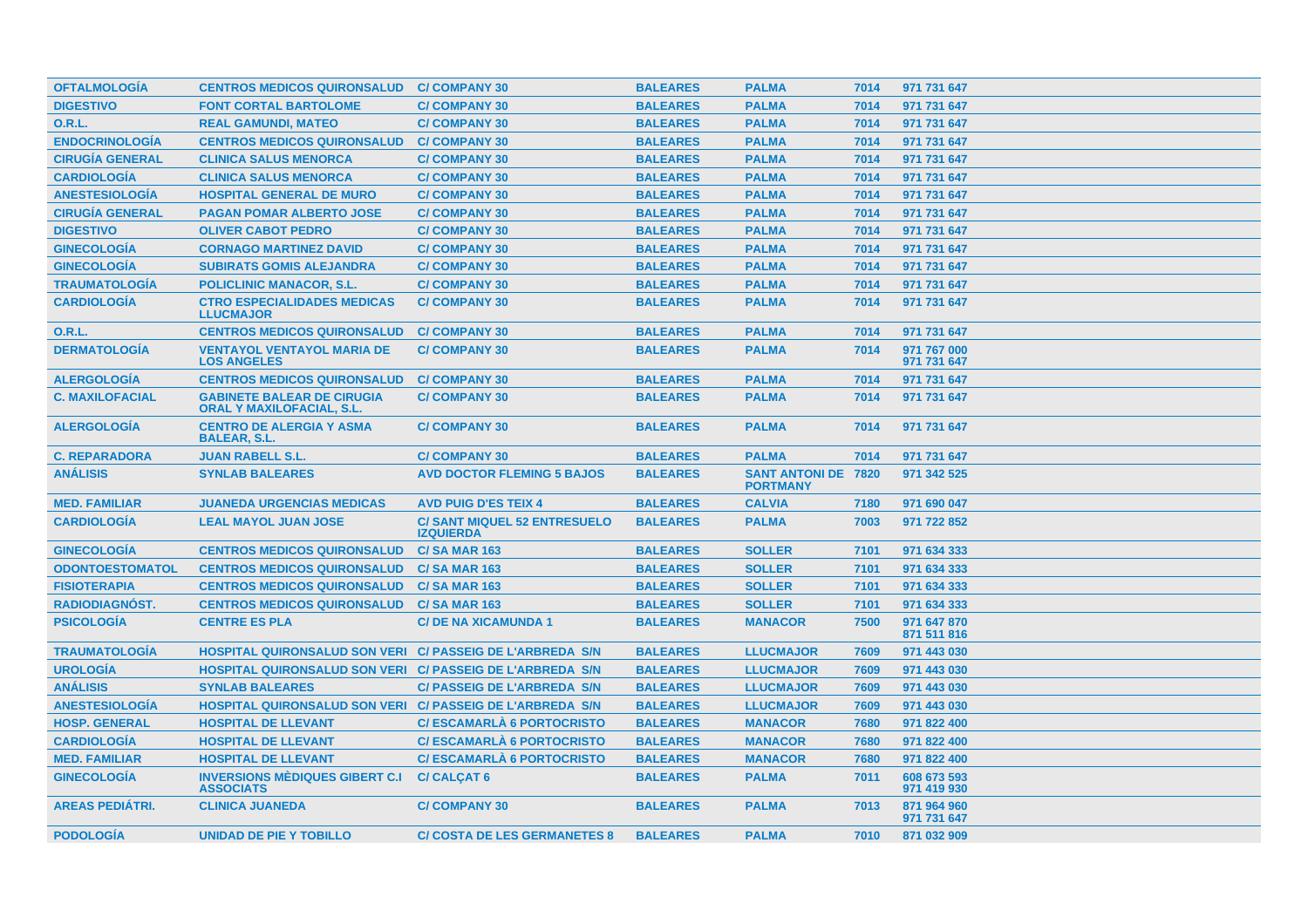| <b>OFTALMOLOGÍA</b>    | <b>CENTROS MEDICOS QUIRONSALUD</b>                                    | <b>C/COMPANY 30</b>                                    | <b>BALEARES</b> | <b>PALMA</b>                                  | 7014 | 971 731 647                |
|------------------------|-----------------------------------------------------------------------|--------------------------------------------------------|-----------------|-----------------------------------------------|------|----------------------------|
| <b>DIGESTIVO</b>       | <b>FONT CORTAL BARTOLOME</b>                                          | <b>C/COMPANY 30</b>                                    | <b>BALEARES</b> | <b>PALMA</b>                                  | 7014 | 971 731 647                |
| <b>O.R.L.</b>          | <b>REAL GAMUNDI, MATEO</b>                                            | <b>C/COMPANY 30</b>                                    | <b>BALEARES</b> | <b>PALMA</b>                                  | 7014 | 971 731 647                |
| <b>ENDOCRINOLOGIA</b>  | <b>CENTROS MEDICOS QUIRONSALUD</b>                                    | <b>C/COMPANY 30</b>                                    | <b>BALEARES</b> | <b>PALMA</b>                                  | 7014 | 971 731 647                |
| <b>CIRUGIA GENERAL</b> | <b>CLINICA SALUS MENORCA</b>                                          | <b>C/COMPANY 30</b>                                    | <b>BALEARES</b> | <b>PALMA</b>                                  | 7014 | 971 731 647                |
| <b>CARDIOLOGIA</b>     | <b>CLINICA SALUS MENORCA</b>                                          | <b>C/COMPANY 30</b>                                    | <b>BALEARES</b> | <b>PALMA</b>                                  | 7014 | 971 731 647                |
| <b>ANESTESIOLOGÍA</b>  | <b>HOSPITAL GENERAL DE MURO</b>                                       | <b>C/COMPANY 30</b>                                    | <b>BALEARES</b> | <b>PALMA</b>                                  | 7014 | 971 731 647                |
| <b>CIRUGÍA GENERAL</b> | <b>PAGAN POMAR ALBERTO JOSE</b>                                       | <b>C/COMPANY 30</b>                                    | <b>BALEARES</b> | <b>PALMA</b>                                  | 7014 | 971 731 647                |
| <b>DIGESTIVO</b>       | <b>OLIVER CABOT PEDRO</b>                                             | <b>C/COMPANY 30</b>                                    | <b>BALEARES</b> | <b>PALMA</b>                                  | 7014 | 971 731 647                |
| <b>GINECOLOGÍA</b>     | <b>CORNAGO MARTINEZ DAVID</b>                                         | <b>C/COMPANY 30</b>                                    | <b>BALEARES</b> | <b>PALMA</b>                                  | 7014 | 971 731 647                |
| <b>GINECOLOGÍA</b>     | <b>SUBIRATS GOMIS ALEJANDRA</b>                                       | <b>C/COMPANY 30</b>                                    | <b>BALEARES</b> | <b>PALMA</b>                                  | 7014 | 971 731 647                |
| <b>TRAUMATOLOGÍA</b>   | <b>POLICLINIC MANACOR, S.L.</b>                                       | <b>C/COMPANY 30</b>                                    | <b>BALEARES</b> | <b>PALMA</b>                                  | 7014 | 971 731 647                |
| <b>CARDIOLOGÍA</b>     | <b>CTRO ESPECIALIDADES MEDICAS</b><br><b>LLUCMAJOR</b>                | <b>C/COMPANY 30</b>                                    | <b>BALEARES</b> | <b>PALMA</b>                                  | 7014 | 971 731 647                |
| <b>O.R.L.</b>          | <b>CENTROS MEDICOS QUIRONSALUD</b>                                    | <b>C/COMPANY 30</b>                                    | <b>BALEARES</b> | <b>PALMA</b>                                  | 7014 | 971 731 647                |
| <b>DERMATOLOGÍA</b>    | <b>VENTAYOL VENTAYOL MARIA DE</b><br><b>LOS ANGELES</b>               | <b>C/COMPANY 30</b>                                    | <b>BALEARES</b> | <b>PALMA</b>                                  | 7014 | 971 767 000<br>971 731 647 |
| <b>ALERGOLOGÍA</b>     | <b>CENTROS MEDICOS QUIRONSALUD</b>                                    | <b>C/COMPANY 30</b>                                    | <b>BALEARES</b> | <b>PALMA</b>                                  | 7014 | 971 731 647                |
| <b>C. MAXILOFACIAL</b> | <b>GABINETE BALEAR DE CIRUGIA</b><br><b>ORAL Y MAXILOFACIAL, S.L.</b> | <b>C/COMPANY 30</b>                                    | <b>BALEARES</b> | <b>PALMA</b>                                  | 7014 | 971 731 647                |
| <b>ALERGOLOGIA</b>     | <b>CENTRO DE ALERGIA Y ASMA</b><br><b>BALEAR, S.L.</b>                | <b>C/COMPANY 30</b>                                    | <b>BALEARES</b> | <b>PALMA</b>                                  | 7014 | 971 731 647                |
| <b>C. REPARADORA</b>   | <b>JUAN RABELL S.L.</b>                                               | <b>C/COMPANY 30</b>                                    | <b>BALEARES</b> | <b>PALMA</b>                                  | 7014 | 971 731 647                |
| <b>ANÁLISIS</b>        | <b>SYNLAB BALEARES</b>                                                | <b>AVD DOCTOR FLEMING 5 BAJOS</b>                      | <b>BALEARES</b> | <b>SANT ANTONI DE 7820</b><br><b>PORTMANY</b> |      | 971 342 525                |
| <b>MED. FAMILIAR</b>   | <b>JUANEDA URGENCIAS MEDICAS</b>                                      | <b>AVD PUIG D'ES TEIX 4</b>                            | <b>BALEARES</b> | <b>CALVIA</b>                                 | 7180 | 971 690 047                |
| <b>CARDIOLOGÍA</b>     | <b>LEAL MAYOL JUAN JOSE</b>                                           | <b>C/SANT MIQUEL 52 ENTRESUELO</b><br><b>IZQUIERDA</b> | <b>BALEARES</b> | <b>PALMA</b>                                  | 7003 | 971 722 852                |
| <b>GINECOLOGÍA</b>     | <b>CENTROS MEDICOS QUIRONSALUD</b>                                    | <b>C/SA MAR 163</b>                                    | <b>BALEARES</b> | <b>SOLLER</b>                                 | 7101 | 971 634 333                |
| <b>ODONTOESTOMATOL</b> | <b>CENTROS MEDICOS QUIRONSALUD</b>                                    | <b>C/SA MAR 163</b>                                    | <b>BALEARES</b> | <b>SOLLER</b>                                 | 7101 | 971 634 333                |
| <b>FISIOTERAPIA</b>    | <b>CENTROS MEDICOS QUIRONSALUD</b>                                    | <b>C/SA MAR 163</b>                                    | <b>BALEARES</b> | <b>SOLLER</b>                                 | 7101 | 971 634 333                |
| <b>RADIODIAGNÓST.</b>  | <b>CENTROS MEDICOS QUIRONSALUD</b>                                    | <b>C/SA MAR 163</b>                                    | <b>BALEARES</b> | <b>SOLLER</b>                                 | 7101 | 971 634 333                |
| <b>PSICOLOGÍA</b>      | <b>CENTRE ES PLA</b>                                                  | <b>C/DE NA XICAMUNDA 1</b>                             | <b>BALEARES</b> | <b>MANACOR</b>                                | 7500 | 971 647 870<br>871 511 816 |
| <b>TRAUMATOLOGÍA</b>   | HOSPITAL QUIRONSALUD SON VERI C/ PASSEIG DE L'ARBREDA S/N             |                                                        | <b>BALEARES</b> | <b>LLUCMAJOR</b>                              | 7609 | 971 443 030                |
| <b>UROLOGÍA</b>        | HOSPITAL QUIRONSALUD SON VERI C/ PASSEIG DE L'ARBREDA S/N             |                                                        | <b>BALEARES</b> | <b>LLUCMAJOR</b>                              | 7609 | 971 443 030                |
| <b>ANÁLISIS</b>        | <b>SYNLAB BALEARES</b>                                                | <b>C/ PASSEIG DE L'ARBREDA S/N</b>                     | <b>BALEARES</b> | <b>LLUCMAJOR</b>                              | 7609 | 971 443 030                |
| <b>ANESTESIOLOGÍA</b>  | <b>HOSPITAL QUIRONSALUD SON VERI C/ PASSEIG DE L'ARBREDA S/N</b>      |                                                        | <b>BALEARES</b> | <b>LLUCMAJOR</b>                              | 7609 | 971 443 030                |
| <b>HOSP. GENERAL</b>   | <b>HOSPITAL DE LLEVANT</b>                                            | <b>C/ESCAMARLA 6 PORTOCRISTO</b>                       | <b>BALEARES</b> | <b>MANACOR</b>                                | 7680 | 971 822 400                |
| <b>CARDIOLOGÍA</b>     | <b>HOSPITAL DE LLEVANT</b>                                            | <b>C/ESCAMARLA 6 PORTOCRISTO</b>                       | <b>BALEARES</b> | <b>MANACOR</b>                                | 7680 | 971 822 400                |
| <b>MED. FAMILIAR</b>   | <b>HOSPITAL DE LLEVANT</b>                                            | <b>C/ESCAMARLA 6 PORTOCRISTO</b>                       | <b>BALEARES</b> | <b>MANACOR</b>                                | 7680 | 971 822 400                |
| <b>GINECOLOGÍA</b>     | <b>INVERSIONS MÈDIQUES GIBERT C.I</b><br><b>ASSOCIATS</b>             | <b>C/ CALÇAT 6</b>                                     | <b>BALEARES</b> | <b>PALMA</b>                                  | 7011 | 608 673 593<br>971 419 930 |
| <b>AREAS PEDIATRI.</b> | <b>CLINICA JUANEDA</b>                                                | <b>C/COMPANY 30</b>                                    | <b>BALEARES</b> | <b>PALMA</b>                                  | 7013 | 871 964 960<br>971 731 647 |
| <b>PODOLOGIA</b>       | UNIDAD DE PIE Y TOBILLO                                               | <b>C/ COSTA DE LES GERMANETES 8</b>                    | <b>BALEARES</b> | <b>PALMA</b>                                  | 7010 | 871 032 909                |
|                        |                                                                       |                                                        |                 |                                               |      |                            |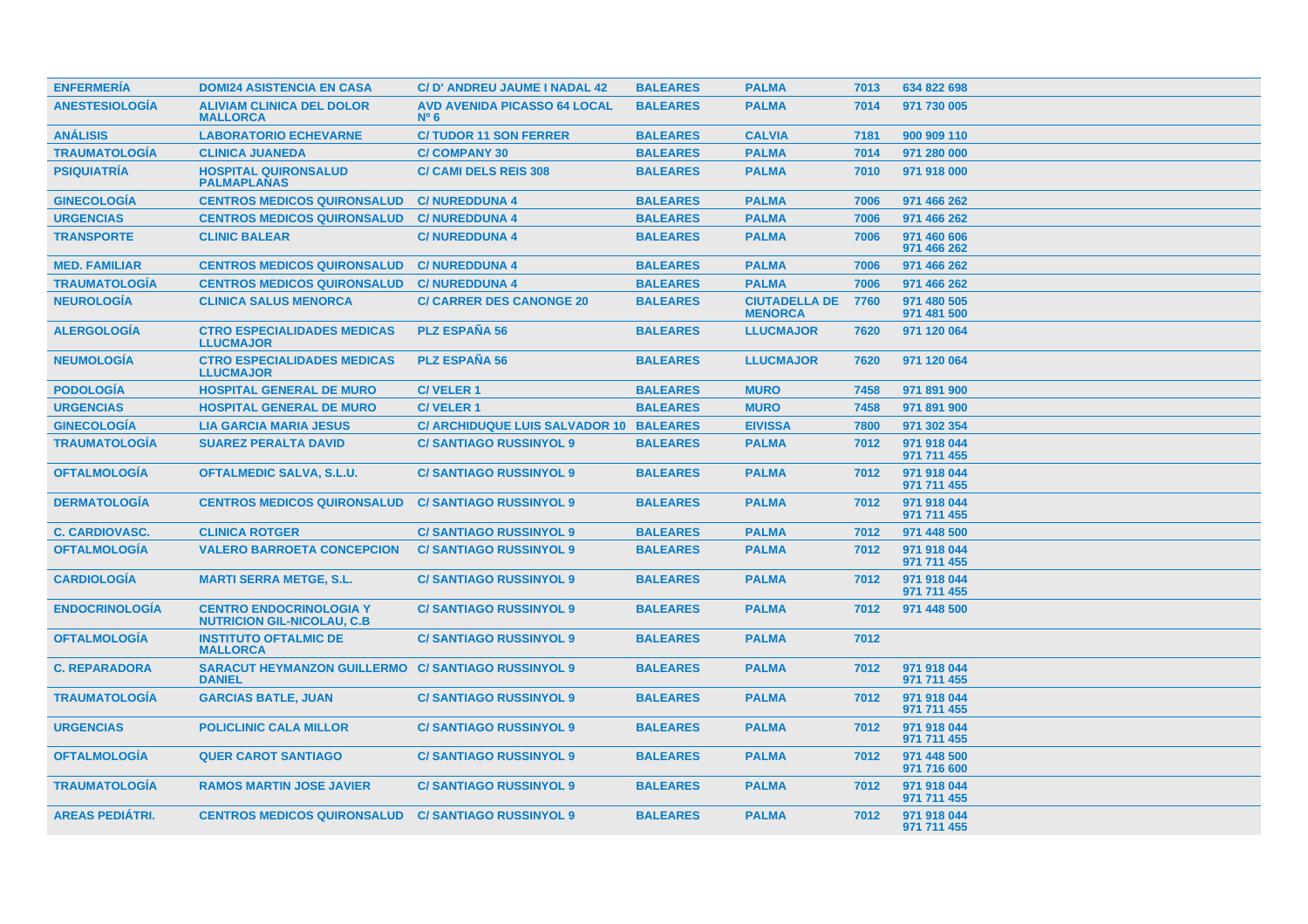| <b>ENFERMERIA</b>      | <b>DOMI24 ASISTENCIA EN CASA</b>                                            | C/D' ANDREU JAUME I NADAL 42                         | <b>BALEARES</b> | <b>PALMA</b>                           | 7013 | 634 822 698                |
|------------------------|-----------------------------------------------------------------------------|------------------------------------------------------|-----------------|----------------------------------------|------|----------------------------|
| <b>ANESTESIOLOGÍA</b>  | <b>ALIVIAM CLINICA DEL DOLOR</b><br><b>MALLORCA</b>                         | <b>AVD AVENIDA PICASSO 64 LOCAL</b><br>$N^{\circ}$ 6 | <b>BALEARES</b> | <b>PALMA</b>                           | 7014 | 971 730 005                |
| <b>ANÁLISIS</b>        | <b>LABORATORIO ECHEVARNE</b>                                                | <b>C/TUDOR 11 SON FERRER</b>                         | <b>BALEARES</b> | <b>CALVIA</b>                          | 7181 | 900 909 110                |
| <b>TRAUMATOLOGÍA</b>   | <b>CLINICA JUANEDA</b>                                                      | <b>C/COMPANY 30</b>                                  | <b>BALEARES</b> | <b>PALMA</b>                           | 7014 | 971 280 000                |
| <b>PSIQUIATRÍA</b>     | <b>HOSPITAL QUIRONSALUD</b><br><b>PALMAPLANAS</b>                           | <b>C/ CAMI DELS REIS 308</b>                         | <b>BALEARES</b> | <b>PALMA</b>                           | 7010 | 971 918 000                |
| <b>GINECOLOGIA</b>     | <b>CENTROS MEDICOS QUIRONSALUD</b>                                          | <b>C/NUREDDUNA 4</b>                                 | <b>BALEARES</b> | <b>PALMA</b>                           | 7006 | 971 466 262                |
| <b>URGENCIAS</b>       | <b>CENTROS MEDICOS QUIRONSALUD</b>                                          | <b>C/NUREDDUNA 4</b>                                 | <b>BALEARES</b> | <b>PALMA</b>                           | 7006 | 971 466 262                |
| <b>TRANSPORTE</b>      | <b>CLINIC BALEAR</b>                                                        | <b>C/NUREDDUNA 4</b>                                 | <b>BALEARES</b> | <b>PALMA</b>                           | 7006 | 971 460 606<br>971 466 262 |
| <b>MED. FAMILIAR</b>   | <b>CENTROS MEDICOS QUIRONSALUD</b>                                          | <b>C/NUREDDUNA 4</b>                                 | <b>BALEARES</b> | <b>PALMA</b>                           | 7006 | 971 466 262                |
| <b>TRAUMATOLOGÍA</b>   | <b>CENTROS MEDICOS QUIRONSALUD</b>                                          | <b>C/NUREDDUNA 4</b>                                 | <b>BALEARES</b> | <b>PALMA</b>                           | 7006 | 971 466 262                |
| <b>NEUROLOGÍA</b>      | <b>CLINICA SALUS MENORCA</b>                                                | <b>C/ CARRER DES CANONGE 20</b>                      | <b>BALEARES</b> | <b>CIUTADELLA DE</b><br><b>MENORCA</b> | 7760 | 971 480 505<br>971 481 500 |
| <b>ALERGOLOGIA</b>     | <b>CTRO ESPECIALIDADES MEDICAS</b><br><b>LLUCMAJOR</b>                      | <b>PLZ ESPAÑA 56</b>                                 | <b>BALEARES</b> | <b>LLUCMAJOR</b>                       | 7620 | 971 120 064                |
| <b>NEUMOLOGIA</b>      | <b>CTRO ESPECIALIDADES MEDICAS</b><br><b>LLUCMAJOR</b>                      | <b>PLZ ESPAÑA 56</b>                                 | <b>BALEARES</b> | <b>LLUCMAJOR</b>                       | 7620 | 971 120 064                |
| <b>PODOLOGÍA</b>       | <b>HOSPITAL GENERAL DE MURO</b>                                             | <b>C/VELER1</b>                                      | <b>BALEARES</b> | <b>MURO</b>                            | 7458 | 971 891 900                |
| <b>URGENCIAS</b>       | <b>HOSPITAL GENERAL DE MURO</b>                                             | <b>C/VELER1</b>                                      | <b>BALEARES</b> | <b>MURO</b>                            | 7458 | 971 891 900                |
| <b>GINECOLOGÍA</b>     | <b>LIA GARCIA MARIA JESUS</b>                                               | C/ ARCHIDUQUE LUIS SALVADOR 10 BALEARES              |                 | <b>EIVISSA</b>                         | 7800 | 971 302 354                |
| <b>TRAUMATOLOGÍA</b>   | <b>SUAREZ PERALTA DAVID</b>                                                 | <b>C/SANTIAGO RUSSINYOL 9</b>                        | <b>BALEARES</b> | <b>PALMA</b>                           | 7012 | 971 918 044<br>971 711 455 |
| <b>OFTALMOLOGÍA</b>    | <b>OFTALMEDIC SALVA, S.L.U.</b>                                             | <b>C/SANTIAGO RUSSINYOL 9</b>                        | <b>BALEARES</b> | <b>PALMA</b>                           | 7012 | 971 918 044<br>971 711 455 |
| <b>DERMATOLOGIA</b>    | <b>CENTROS MEDICOS QUIRONSALUD</b>                                          | <b>C/SANTIAGO RUSSINYOL 9</b>                        | <b>BALEARES</b> | <b>PALMA</b>                           | 7012 | 971 918 044<br>971 711 455 |
| <b>C. CARDIOVASC.</b>  | <b>CLINICA ROTGER</b>                                                       | <b>C/SANTIAGO RUSSINYOL 9</b>                        | <b>BALEARES</b> | <b>PALMA</b>                           | 7012 | 971 448 500                |
| <b>OFTALMOLOGÍA</b>    | <b>VALERO BARROETA CONCEPCION</b>                                           | <b>C/SANTIAGO RUSSINYOL 9</b>                        | <b>BALEARES</b> | <b>PALMA</b>                           | 7012 | 971 918 044<br>971 711 455 |
| <b>CARDIOLOGIA</b>     | <b>MARTI SERRA METGE, S.L.</b>                                              | <b>C/SANTIAGO RUSSINYOL 9</b>                        | <b>BALEARES</b> | <b>PALMA</b>                           | 7012 | 971 918 044<br>971 711 455 |
| <b>ENDOCRINOLOGIA</b>  | <b>CENTRO ENDOCRINOLOGIA Y</b><br><b>NUTRICION GIL-NICOLAU, C.B.</b>        | <b>C/SANTIAGO RUSSINYOL 9</b>                        | <b>BALEARES</b> | <b>PALMA</b>                           | 7012 | 971 448 500                |
| <b>OFTALMOLOGIA</b>    | <b>INSTITUTO OFTALMIC DE</b><br><b>MALLORCA</b>                             | <b>C/SANTIAGO RUSSINYOL 9</b>                        | <b>BALEARES</b> | <b>PALMA</b>                           | 7012 |                            |
| <b>C. REPARADORA</b>   | <b>SARACUT HEYMANZON GUILLERMO C/ SANTIAGO RUSSINYOL 9</b><br><b>DANIEL</b> |                                                      | <b>BALEARES</b> | <b>PALMA</b>                           | 7012 | 971 918 044<br>971 711 455 |
| <b>TRAUMATOLOGIA</b>   | <b>GARCIAS BATLE, JUAN</b>                                                  | <b>C/SANTIAGO RUSSINYOL 9</b>                        | <b>BALEARES</b> | <b>PALMA</b>                           | 7012 | 971 918 044<br>971 711 455 |
| <b>URGENCIAS</b>       | <b>POLICLINIC CALA MILLOR</b>                                               | <b>C/SANTIAGO RUSSINYOL 9</b>                        | <b>BALEARES</b> | <b>PALMA</b>                           | 7012 | 971 918 044<br>971 711 455 |
| <b>OFTALMOLOGIA</b>    | <b>QUER CAROT SANTIAGO</b>                                                  | <b>C/SANTIAGO RUSSINYOL 9</b>                        | <b>BALEARES</b> | <b>PALMA</b>                           | 7012 | 971 448 500<br>971 716 600 |
| <b>TRAUMATOLOGIA</b>   | <b>RAMOS MARTIN JOSE JAVIER</b>                                             | <b>C/SANTIAGO RUSSINYOL 9</b>                        | <b>BALEARES</b> | <b>PALMA</b>                           | 7012 | 971 918 044<br>971 711 455 |
| <b>AREAS PEDIÁTRI.</b> | <b>CENTROS MEDICOS QUIRONSALUD C/ SANTIAGO RUSSINYOL 9</b>                  |                                                      | <b>BALEARES</b> | <b>PALMA</b>                           | 7012 | 971 918 044<br>971 711 455 |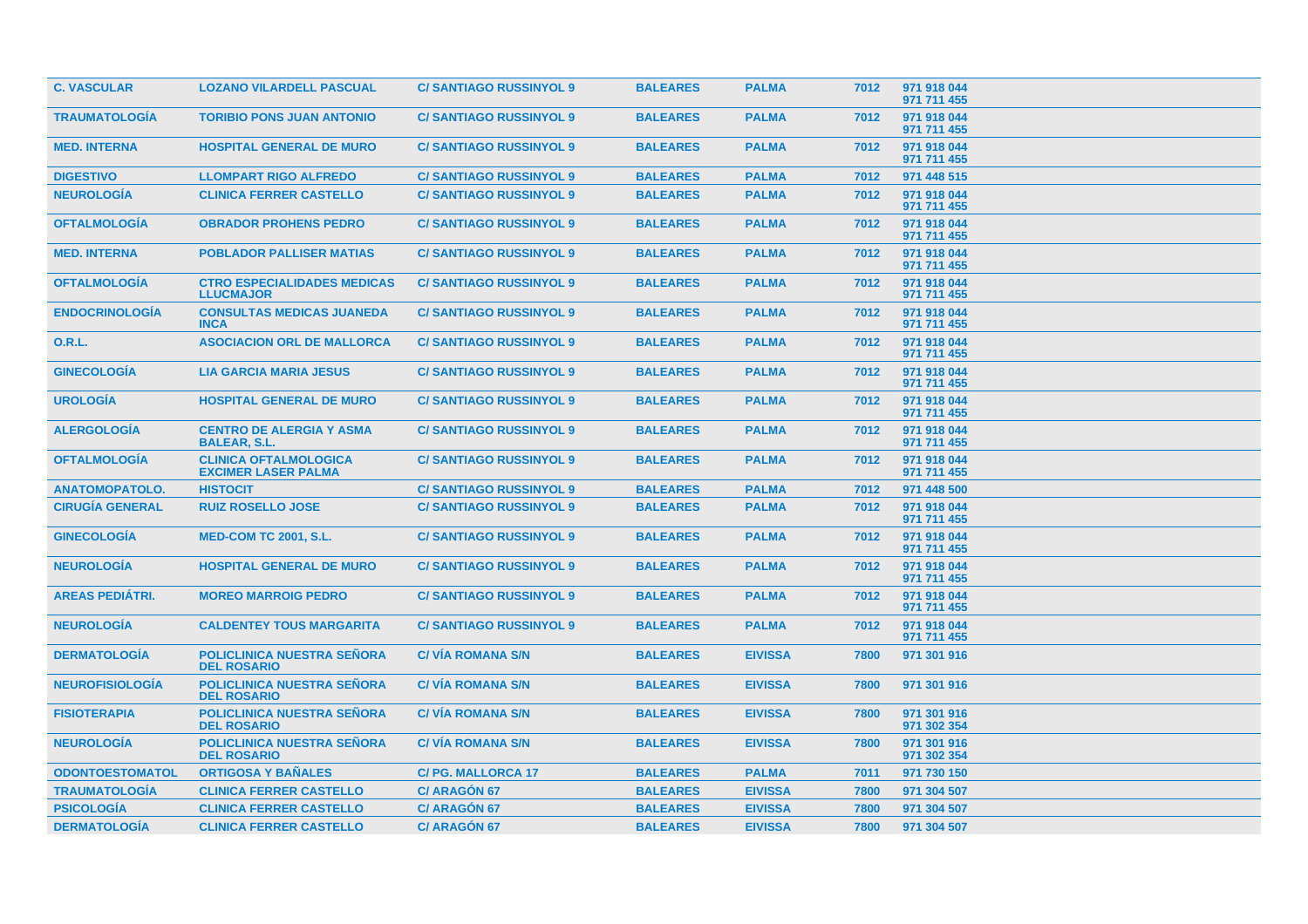| <b>C. VASCULAR</b>     | <b>LOZANO VILARDELL PASCUAL</b>                            | <b>C/SANTIAGO RUSSINYOL 9</b> | <b>BALEARES</b> | <b>PALMA</b>   | 7012 | 971 918 044<br>971 711 455 |
|------------------------|------------------------------------------------------------|-------------------------------|-----------------|----------------|------|----------------------------|
| <b>TRAUMATOLOGÍA</b>   | <b>TORIBIO PONS JUAN ANTONIO</b>                           | <b>C/SANTIAGO RUSSINYOL 9</b> | <b>BALEARES</b> | <b>PALMA</b>   | 7012 | 971 918 044<br>971 711 455 |
| <b>MED. INTERNA</b>    | <b>HOSPITAL GENERAL DE MURO</b>                            | <b>C/SANTIAGO RUSSINYOL 9</b> | <b>BALEARES</b> | <b>PALMA</b>   | 7012 | 971 918 044<br>971 711 455 |
| <b>DIGESTIVO</b>       | <b>LLOMPART RIGO ALFREDO</b>                               | <b>C/SANTIAGO RUSSINYOL 9</b> | <b>BALEARES</b> | <b>PALMA</b>   | 7012 | 971 448 515                |
| <b>NEUROLOGÍA</b>      | <b>CLINICA FERRER CASTELLO</b>                             | <b>C/SANTIAGO RUSSINYOL 9</b> | <b>BALEARES</b> | <b>PALMA</b>   | 7012 | 971 918 044<br>971 711 455 |
| <b>OFTALMOLOGIA</b>    | <b>OBRADOR PROHENS PEDRO</b>                               | <b>C/SANTIAGO RUSSINYOL 9</b> | <b>BALEARES</b> | <b>PALMA</b>   | 7012 | 971 918 044<br>971 711 455 |
| <b>MED. INTERNA</b>    | <b>POBLADOR PALLISER MATIAS</b>                            | <b>C/SANTIAGO RUSSINYOL 9</b> | <b>BALEARES</b> | <b>PALMA</b>   | 7012 | 971 918 044<br>971 711 455 |
| <b>OFTALMOLOGÍA</b>    | <b>CTRO ESPECIALIDADES MEDICAS</b><br><b>LLUCMAJOR</b>     | <b>C/SANTIAGO RUSSINYOL 9</b> | <b>BALEARES</b> | <b>PALMA</b>   | 7012 | 971 918 044<br>971 711 455 |
| <b>ENDOCRINOLOGIA</b>  | <b>CONSULTAS MEDICAS JUANEDA</b><br><b>INCA</b>            | <b>C/SANTIAGO RUSSINYOL 9</b> | <b>BALEARES</b> | <b>PALMA</b>   | 7012 | 971 918 044<br>971 711 455 |
| 0.R.L.                 | <b>ASOCIACION ORL DE MALLORCA</b>                          | <b>C/SANTIAGO RUSSINYOL 9</b> | <b>BALEARES</b> | <b>PALMA</b>   | 7012 | 971 918 044<br>971 711 455 |
| <b>GINECOLOGIA</b>     | <b>LIA GARCIA MARIA JESUS</b>                              | <b>C/SANTIAGO RUSSINYOL 9</b> | <b>BALEARES</b> | <b>PALMA</b>   | 7012 | 971 918 044<br>971 711 455 |
| <b>UROLOGÍA</b>        | <b>HOSPITAL GENERAL DE MURO</b>                            | <b>C/SANTIAGO RUSSINYOL 9</b> | <b>BALEARES</b> | <b>PALMA</b>   | 7012 | 971 918 044<br>971 711 455 |
| <b>ALERGOLOGÍA</b>     | <b>CENTRO DE ALERGIA Y ASMA</b><br><b>BALEAR, S.L.</b>     | <b>C/SANTIAGO RUSSINYOL 9</b> | <b>BALEARES</b> | <b>PALMA</b>   | 7012 | 971 918 044<br>971 711 455 |
| <b>OFTALMOLOGIA</b>    | <b>CLINICA OFTALMOLOGICA</b><br><b>EXCIMER LASER PALMA</b> | <b>C/SANTIAGO RUSSINYOL 9</b> | <b>BALEARES</b> | <b>PALMA</b>   | 7012 | 971 918 044<br>971 711 455 |
| <b>ANATOMOPATOLO.</b>  | <b>HISTOCIT</b>                                            | <b>C/SANTIAGO RUSSINYOL 9</b> | <b>BALEARES</b> | <b>PALMA</b>   | 7012 | 971 448 500                |
| <b>CIRUGÍA GENERAL</b> | <b>RUIZ ROSELLO JOSE</b>                                   | <b>C/SANTIAGO RUSSINYOL 9</b> | <b>BALEARES</b> | <b>PALMA</b>   | 7012 | 971 918 044<br>971 711 455 |
| <b>GINECOLOGIA</b>     | <b>MED-COM TC 2001, S.L.</b>                               | <b>C/SANTIAGO RUSSINYOL 9</b> | <b>BALEARES</b> | <b>PALMA</b>   | 7012 | 971 918 044<br>971 711 455 |
| <b>NEUROLOGÍA</b>      | <b>HOSPITAL GENERAL DE MURO</b>                            | <b>C/SANTIAGO RUSSINYOL 9</b> | <b>BALEARES</b> | <b>PALMA</b>   | 7012 | 971 918 044<br>971 711 455 |
| <b>AREAS PEDIATRI.</b> | <b>MOREO MARROIG PEDRO</b>                                 | <b>C/SANTIAGO RUSSINYOL 9</b> | <b>BALEARES</b> | <b>PALMA</b>   | 7012 | 971 918 044<br>971 711 455 |
| <b>NEUROLOGÍA</b>      | <b>CALDENTEY TOUS MARGARITA</b>                            | <b>C/SANTIAGO RUSSINYOL 9</b> | <b>BALEARES</b> | <b>PALMA</b>   | 7012 | 971 918 044<br>971 711 455 |
| <b>DERMATOLOGÍA</b>    | <b>POLICLINICA NUESTRA SEÑORA</b><br><b>DEL ROSARIO</b>    | <b>C/ VIA ROMANA S/N</b>      | <b>BALEARES</b> | <b>EIVISSA</b> | 7800 | 971 301 916                |
| <b>NEUROFISIOLOGÍA</b> | <b>POLICLINICA NUESTRA SEÑORA</b><br><b>DEL ROSARIO</b>    | <b>C/VIA ROMANA S/N</b>       | <b>BALEARES</b> | <b>EIVISSA</b> | 7800 | 971 301 916                |
| <b>FISIOTERAPIA</b>    | <b>POLICLINICA NUESTRA SEÑORA</b><br><b>DEL ROSARIO</b>    | <b>C/ VIA ROMANA S/N</b>      | <b>BALEARES</b> | <b>EIVISSA</b> | 7800 | 971 301 916<br>971 302 354 |
| <b>NEUROLOGIA</b>      | <b>POLICLINICA NUESTRA SEÑORA</b><br><b>DEL ROSARIO</b>    | <b>C/VIA ROMANA S/N</b>       | <b>BALEARES</b> | <b>EIVISSA</b> | 7800 | 971 301 916<br>971 302 354 |
| <b>ODONTOESTOMATOL</b> | <b>ORTIGOSA Y BAÑALES</b>                                  | <b>C/PG. MALLORCA 17</b>      | <b>BALEARES</b> | <b>PALMA</b>   | 7011 | 971 730 150                |
| <b>TRAUMATOLOGIA</b>   | <b>CLINICA FERRER CASTELLO</b>                             | C/ ARAGÓN 67                  | <b>BALEARES</b> | <b>EIVISSA</b> | 7800 | 971 304 507                |
| <b>PSICOLOGÍA</b>      | <b>CLINICA FERRER CASTELLO</b>                             | C/ ARAGÓN 67                  | <b>BALEARES</b> | <b>EIVISSA</b> | 7800 | 971 304 507                |
| <b>DERMATOLOGÍA</b>    | <b>CLINICA FERRER CASTELLO</b>                             | <b>C/ ARAGÓN 67</b>           | <b>BALEARES</b> | <b>EIVISSA</b> | 7800 | 971 304 507                |
|                        |                                                            |                               |                 |                |      |                            |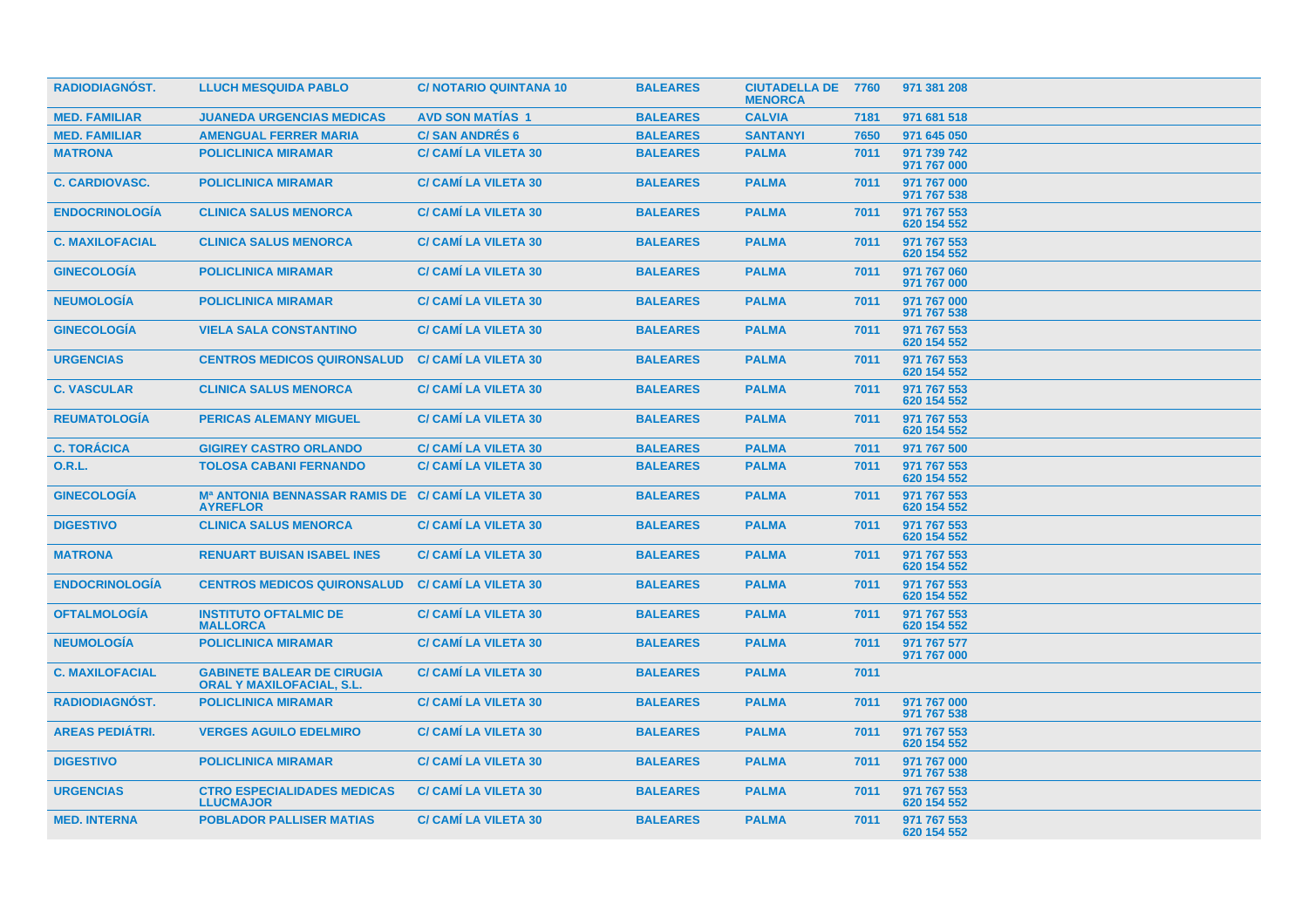| <b>RADIODIAGNOST.</b>  | <b>LLUCH MESQUIDA PABLO</b>                                                       | <b>C/NOTARIO QUINTANA 10</b> | <b>BALEARES</b> | <b>CIUTADELLA DE 7760</b><br><b>MENORCA</b> |      | 971 381 208                |
|------------------------|-----------------------------------------------------------------------------------|------------------------------|-----------------|---------------------------------------------|------|----------------------------|
| <b>MED. FAMILIAR</b>   | <b>JUANEDA URGENCIAS MEDICAS</b>                                                  | <b>AVD SON MATIAS 1</b>      | <b>BALEARES</b> | <b>CALVIA</b>                               | 7181 | 971 681 518                |
| <b>MED. FAMILIAR</b>   | <b>AMENGUAL FERRER MARIA</b>                                                      | <b>C/SAN ANDRES 6</b>        | <b>BALEARES</b> | <b>SANTANYI</b>                             | 7650 | 971 645 050                |
| <b>MATRONA</b>         | <b>POLICLINICA MIRAMAR</b>                                                        | <b>C/ CAMI LA VILETA 30</b>  | <b>BALEARES</b> | <b>PALMA</b>                                | 7011 | 971 739 742<br>971 767 000 |
| <b>C. CARDIOVASC.</b>  | <b>POLICLINICA MIRAMAR</b>                                                        | <b>C/ CAMÍ LA VILETA 30</b>  | <b>BALEARES</b> | <b>PALMA</b>                                | 7011 | 971 767 000<br>971 767 538 |
| <b>ENDOCRINOLOGÍA</b>  | <b>CLINICA SALUS MENORCA</b>                                                      | <b>C/ CAMI LA VILETA 30</b>  | <b>BALEARES</b> | <b>PALMA</b>                                | 7011 | 971 767 553<br>620 154 552 |
| <b>C. MAXILOFACIAL</b> | <b>CLINICA SALUS MENORCA</b>                                                      | <b>C/ CAMI LA VILETA 30</b>  | <b>BALEARES</b> | <b>PALMA</b>                                | 7011 | 971 767 553<br>620 154 552 |
| <b>GINECOLOGÍA</b>     | <b>POLICLINICA MIRAMAR</b>                                                        | <b>C/ CAMI LA VILETA 30</b>  | <b>BALEARES</b> | <b>PALMA</b>                                | 7011 | 971 767 060<br>971 767 000 |
| <b>NEUMOLOGÍA</b>      | <b>POLICLINICA MIRAMAR</b>                                                        | <b>C/ CAMI LA VILETA 30</b>  | <b>BALEARES</b> | <b>PALMA</b>                                | 7011 | 971 767 000<br>971 767 538 |
| <b>GINECOLOGIA</b>     | <b>VIELA SALA CONSTANTINO</b>                                                     | <b>C/ CAMI LA VILETA 30</b>  | <b>BALEARES</b> | <b>PALMA</b>                                | 7011 | 971 767 553<br>620 154 552 |
| <b>URGENCIAS</b>       | <b>CENTROS MEDICOS QUIRONSALUD</b>                                                | <b>C/ CAMI LA VILETA 30</b>  | <b>BALEARES</b> | <b>PALMA</b>                                | 7011 | 971 767 553<br>620 154 552 |
| <b>C. VASCULAR</b>     | <b>CLINICA SALUS MENORCA</b>                                                      | <b>C/ CAMI LA VILETA 30</b>  | <b>BALEARES</b> | <b>PALMA</b>                                | 7011 | 971 767 553<br>620 154 552 |
| <b>REUMATOLOGIA</b>    | <b>PERICAS ALEMANY MIGUEL</b>                                                     | <b>C/ CAMI LA VILETA 30</b>  | <b>BALEARES</b> | <b>PALMA</b>                                | 7011 | 971 767 553<br>620 154 552 |
| <b>C. TORÁCICA</b>     | <b>GIGIREY CASTRO ORLANDO</b>                                                     | <b>C/ CAMI LA VILETA 30</b>  | <b>BALEARES</b> | <b>PALMA</b>                                | 7011 | 971 767 500                |
| <b>O.R.L.</b>          | <b>TOLOSA CABANI FERNANDO</b>                                                     | <b>C/ CAMI LA VILETA 30</b>  | <b>BALEARES</b> | <b>PALMA</b>                                | 7011 | 971 767 553<br>620 154 552 |
| <b>GINECOLOGÍA</b>     | M <sup>a</sup> ANTONIA BENNASSAR RAMIS DE C/ CAMÍ LA VILETA 30<br><b>AYREFLOR</b> |                              | <b>BALEARES</b> | <b>PALMA</b>                                | 7011 | 971 767 553<br>620 154 552 |
| <b>DIGESTIVO</b>       | <b>CLINICA SALUS MENORCA</b>                                                      | <b>C/ CAMI LA VILETA 30</b>  | <b>BALEARES</b> | <b>PALMA</b>                                | 7011 | 971 767 553<br>620 154 552 |
| <b>MATRONA</b>         | <b>RENUART BUISAN ISABEL INES</b>                                                 | <b>C/ CAMI LA VILETA 30</b>  | <b>BALEARES</b> | <b>PALMA</b>                                | 7011 | 971 767 553<br>620 154 552 |
| <b>ENDOCRINOLOGÍA</b>  | <b>CENTROS MEDICOS QUIRONSALUD</b>                                                | <b>C/ CAMÍ LA VILETA 30</b>  | <b>BALEARES</b> | <b>PALMA</b>                                | 7011 | 971 767 553<br>620 154 552 |
| <b>OFTALMOLOGIA</b>    | <b>INSTITUTO OFTALMIC DE</b><br><b>MALLORCA</b>                                   | <b>C/ CAMI LA VILETA 30</b>  | <b>BALEARES</b> | <b>PALMA</b>                                | 7011 | 971 767 553<br>620 154 552 |
| <b>NEUMOLOGÍA</b>      | <b>POLICLINICA MIRAMAR</b>                                                        | <b>C/ CAMI LA VILETA 30</b>  | <b>BALEARES</b> | <b>PALMA</b>                                | 7011 | 971 767 577<br>971 767 000 |
| <b>C. MAXILOFACIAL</b> | <b>GABINETE BALEAR DE CIRUGIA</b><br><b>ORAL Y MAXILOFACIAL, S.L.</b>             | <b>C/ CAMI LA VILETA 30</b>  | <b>BALEARES</b> | <b>PALMA</b>                                | 7011 |                            |
| RADIODIAGNÓST.         | <b>POLICLINICA MIRAMAR</b>                                                        | <b>C/ CAMI LA VILETA 30</b>  | <b>BALEARES</b> | <b>PALMA</b>                                | 7011 | 971 767 000<br>971 767 538 |
| <b>AREAS PEDIÁTRI.</b> | <b>VERGES AGUILO EDELMIRO</b>                                                     | <b>C/ CAMI LA VILETA 30</b>  | <b>BALEARES</b> | <b>PALMA</b>                                | 7011 | 971 767 553<br>620 154 552 |
| <b>DIGESTIVO</b>       | <b>POLICLINICA MIRAMAR</b>                                                        | <b>C/ CAMI LA VILETA 30</b>  | <b>BALEARES</b> | <b>PALMA</b>                                | 7011 | 971 767 000<br>971 767 538 |
| <b>URGENCIAS</b>       | <b>CTRO ESPECIALIDADES MEDICAS</b><br><b>LLUCMAJOR</b>                            | <b>C/ CAMI LA VILETA 30</b>  | <b>BALEARES</b> | <b>PALMA</b>                                | 7011 | 971 767 553<br>620 154 552 |
| <b>MED. INTERNA</b>    | <b>POBLADOR PALLISER MATIAS</b>                                                   | <b>C/ CAMI LA VILETA 30</b>  | <b>BALEARES</b> | <b>PALMA</b>                                | 7011 | 971 767 553<br>620 154 552 |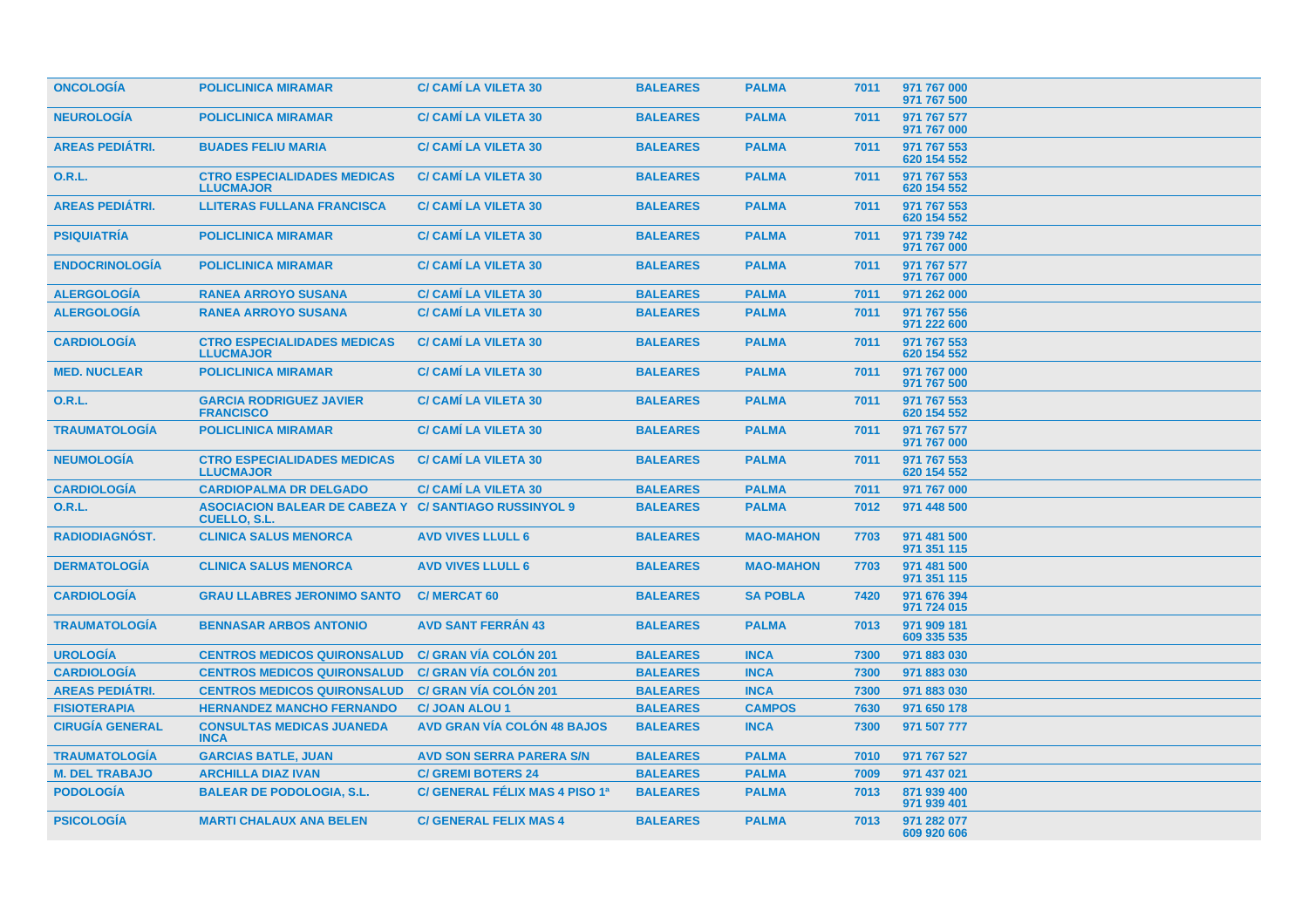| <b>ONCOLOGIA</b>       | <b>POLICLINICA MIRAMAR</b>                                                          | <b>C/ CAMI LA VILETA 30</b>        | <b>BALEARES</b> | <b>PALMA</b>     | 7011 | 971 767 000<br>971 767 500 |
|------------------------|-------------------------------------------------------------------------------------|------------------------------------|-----------------|------------------|------|----------------------------|
| <b>NEUROLOGÍA</b>      | <b>POLICLINICA MIRAMAR</b>                                                          | <b>C/ CAMI LA VILETA 30</b>        | <b>BALEARES</b> | <b>PALMA</b>     | 7011 | 971 767 577<br>971 767 000 |
| <b>AREAS PEDIATRI.</b> | <b>BUADES FELIU MARIA</b>                                                           | <b>C/ CAMI LA VILETA 30</b>        | <b>BALEARES</b> | <b>PALMA</b>     | 7011 | 971 767 553<br>620 154 552 |
| <b>O.R.L.</b>          | <b>CTRO ESPECIALIDADES MEDICAS</b><br><b>LLUCMAJOR</b>                              | <b>C/ CAMI LA VILETA 30</b>        | <b>BALEARES</b> | <b>PALMA</b>     | 7011 | 971 767 553<br>620 154 552 |
| <b>AREAS PEDIÁTRI.</b> | <b>LLITERAS FULLANA FRANCISCA</b>                                                   | <b>C/ CAMI LA VILETA 30</b>        | <b>BALEARES</b> | <b>PALMA</b>     | 7011 | 971 767 553<br>620 154 552 |
| <b>PSIQUIATRÍA</b>     | <b>POLICLINICA MIRAMAR</b>                                                          | <b>C/ CAMI LA VILETA 30</b>        | <b>BALEARES</b> | <b>PALMA</b>     | 7011 | 971 739 742<br>971 767 000 |
| <b>ENDOCRINOLOGÍA</b>  | <b>POLICLINICA MIRAMAR</b>                                                          | <b>C/ CAMI LA VILETA 30</b>        | <b>BALEARES</b> | <b>PALMA</b>     | 7011 | 971 767 577<br>971 767 000 |
| <b>ALERGOLOGIA</b>     | <b>RANEA ARROYO SUSANA</b>                                                          | <b>C/ CAMI LA VILETA 30</b>        | <b>BALEARES</b> | <b>PALMA</b>     | 7011 | 971 262 000                |
| <b>ALERGOLOGIA</b>     | <b>RANEA ARROYO SUSANA</b>                                                          | <b>C/ CAMI LA VILETA 30</b>        | <b>BALEARES</b> | <b>PALMA</b>     | 7011 | 971 767 556<br>971 222 600 |
| <b>CARDIOLOGÍA</b>     | <b>CTRO ESPECIALIDADES MEDICAS</b><br><b>LLUCMAJOR</b>                              | <b>C/ CAMI LA VILETA 30</b>        | <b>BALEARES</b> | <b>PALMA</b>     | 7011 | 971 767 553<br>620 154 552 |
| <b>MED. NUCLEAR</b>    | <b>POLICLINICA MIRAMAR</b>                                                          | <b>C/ CAMI LA VILETA 30</b>        | <b>BALEARES</b> | <b>PALMA</b>     | 7011 | 971 767 000<br>971 767 500 |
| 0.R.L.                 | <b>GARCIA RODRIGUEZ JAVIER</b><br><b>FRANCISCO</b>                                  | <b>C/ CAMI LA VILETA 30</b>        | <b>BALEARES</b> | <b>PALMA</b>     | 7011 | 971 767 553<br>620 154 552 |
| <b>TRAUMATOLOGIA</b>   | <b>POLICLINICA MIRAMAR</b>                                                          | <b>C/ CAMI LA VILETA 30</b>        | <b>BALEARES</b> | <b>PALMA</b>     | 7011 | 971 767 577<br>971 767 000 |
| <b>NEUMOLOGÍA</b>      | <b>CTRO ESPECIALIDADES MEDICAS</b><br><b>LLUCMAJOR</b>                              | <b>C/ CAMI LA VILETA 30</b>        | <b>BALEARES</b> | <b>PALMA</b>     | 7011 | 971 767 553<br>620 154 552 |
| <b>CARDIOLOGIA</b>     | <b>CARDIOPALMA DR DELGADO</b>                                                       | <b>C/ CAMÍ LA VILETA 30</b>        | <b>BALEARES</b> | <b>PALMA</b>     | 7011 | 971 767 000                |
| <b>O.R.L.</b>          | <b>ASOCIACION BALEAR DE CABEZA Y C/ SANTIAGO RUSSINYOL 9</b><br><b>CUELLO, S.L.</b> |                                    | <b>BALEARES</b> | <b>PALMA</b>     | 7012 | 971 448 500                |
| <b>RADIODIAGNOST.</b>  | <b>CLINICA SALUS MENORCA</b>                                                        | <b>AVD VIVES LLULL 6</b>           | <b>BALEARES</b> | <b>MAO-MAHON</b> | 7703 | 971 481 500<br>971 351 115 |
| <b>DERMATOLOGIA</b>    | <b>CLINICA SALUS MENORCA</b>                                                        | <b>AVD VIVES LLULL 6</b>           | <b>BALEARES</b> | <b>MAO-MAHON</b> | 7703 | 971 481 500<br>971 351 115 |
| <b>CARDIOLOGÍA</b>     | <b>GRAU LLABRES JERONIMO SANTO</b>                                                  | <b>C/ MERCAT 60</b>                | <b>BALEARES</b> | <b>SA POBLA</b>  | 7420 | 971 676 394<br>971 724 015 |
| <b>TRAUMATOLOGÍA</b>   | <b>BENNASAR ARBOS ANTONIO</b>                                                       | <b>AVD SANT FERRÁN 43</b>          | <b>BALEARES</b> | <b>PALMA</b>     | 7013 | 971 909 181<br>609 335 535 |
| <b>UROLOGÍA</b>        | <b>CENTROS MEDICOS QUIRONSALUD</b>                                                  | <b>C/ GRAN VÍA COLÓN 201</b>       | <b>BALEARES</b> | <b>INCA</b>      | 7300 | 971 883 030                |
| <b>CARDIOLOGÍA</b>     | <b>CENTROS MEDICOS QUIRONSALUD</b>                                                  | <b>C/ GRAN VÍA COLÓN 201</b>       | <b>BALEARES</b> | <b>INCA</b>      | 7300 | 971 883 030                |
| <b>AREAS PEDIÁTRI.</b> | <b>CENTROS MEDICOS QUIRONSALUD</b>                                                  | <b>C/ GRAN VÍA COLÓN 201</b>       | <b>BALEARES</b> | <b>INCA</b>      | 7300 | 971 883 030                |
| <b>FISIOTERAPIA</b>    | <b>HERNANDEZ MANCHO FERNANDO</b>                                                    | <b>C/JOAN ALOU 1</b>               | <b>BALEARES</b> | <b>CAMPOS</b>    | 7630 | 971 650 178                |
| <b>CIRUGÍA GENERAL</b> | <b>CONSULTAS MEDICAS JUANEDA</b><br><b>INCA</b>                                     | <b>AVD GRAN VÍA COLÓN 48 BAJOS</b> | <b>BALEARES</b> | <b>INCA</b>      | 7300 | 971 507 777                |
| <b>TRAUMATOLOGIA</b>   | <b>GARCIAS BATLE, JUAN</b>                                                          | <b>AVD SON SERRA PARERA S/N</b>    | <b>BALEARES</b> | <b>PALMA</b>     | 7010 | 971 767 527                |
| <b>M. DEL TRABAJO</b>  | <b>ARCHILLA DIAZ IVAN</b>                                                           | <b>C/ GREMI BOTERS 24</b>          | <b>BALEARES</b> | <b>PALMA</b>     | 7009 | 971 437 021                |
| <b>PODOLOGIA</b>       | <b>BALEAR DE PODOLOGIA, S.L.</b>                                                    | C/ GENERAL FÉLIX MAS 4 PISO 1ª     | <b>BALEARES</b> | <b>PALMA</b>     | 7013 | 871 939 400<br>971 939 401 |
| <b>PSICOLOGIA</b>      | <b>MARTI CHALAUX ANA BELEN</b>                                                      | <b>C/ GENERAL FELIX MAS 4</b>      | <b>BALEARES</b> | <b>PALMA</b>     | 7013 | 971 282 077<br>609 920 606 |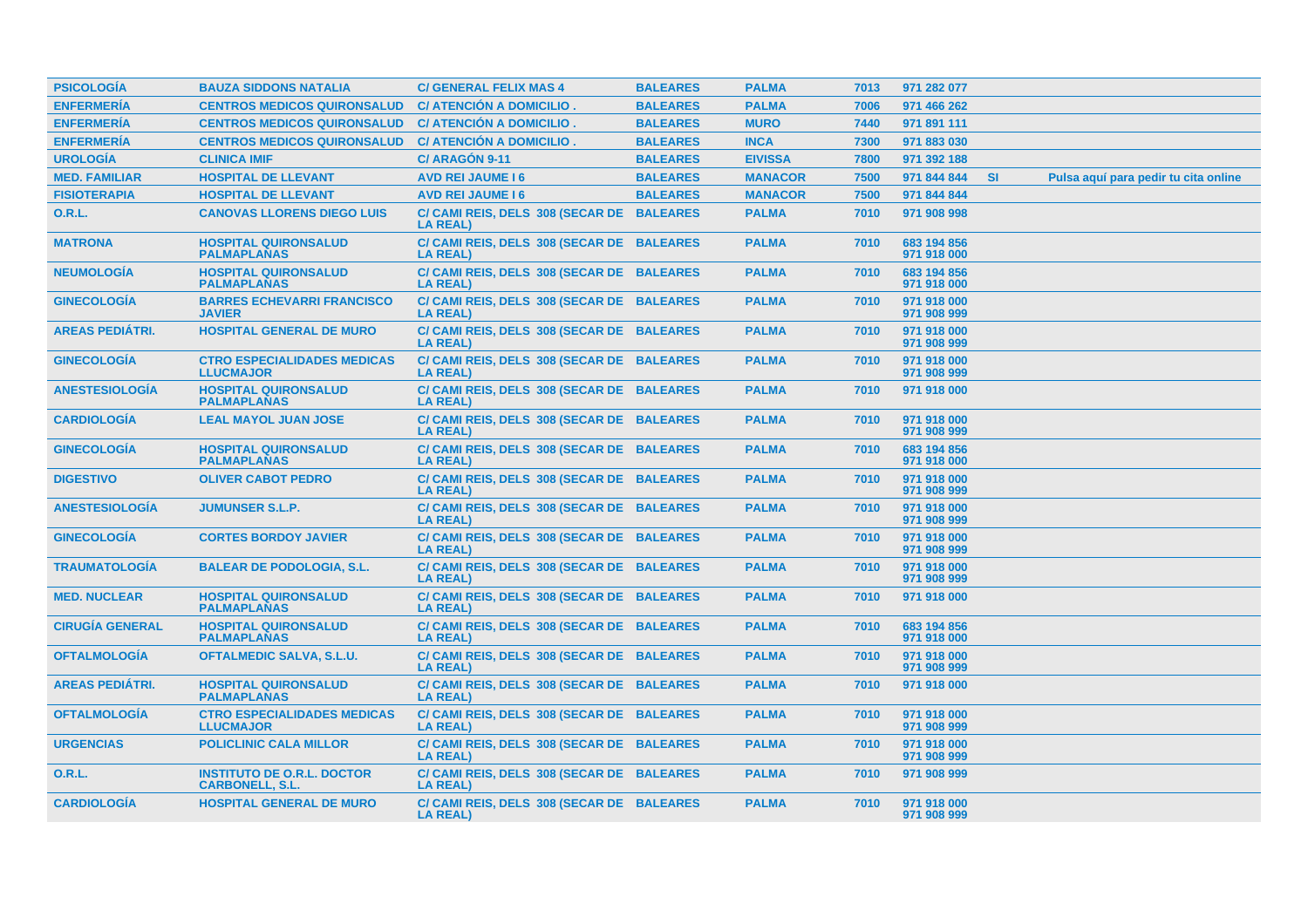| <b>PSICOLOGÍA</b>      | <b>BAUZA SIDDONS NATALIA</b>                                | <b>C/ GENERAL FELIX MAS 4</b>                                | <b>BALEARES</b> | <b>PALMA</b>   | 7013 | 971 282 077                |           |                                      |
|------------------------|-------------------------------------------------------------|--------------------------------------------------------------|-----------------|----------------|------|----------------------------|-----------|--------------------------------------|
| <b>ENFERMERÍA</b>      | <b>CENTROS MEDICOS QUIRONSALUD</b>                          | C/ ATENCIÓN A DOMICILIO.                                     | <b>BALEARES</b> | <b>PALMA</b>   | 7006 | 971 466 262                |           |                                      |
| <b>ENFERMERÍA</b>      | <b>CENTROS MEDICOS QUIRONSALUD</b>                          | C/ ATENCIÓN A DOMICILIO.                                     | <b>BALEARES</b> | <b>MURO</b>    | 7440 | 971 891 111                |           |                                      |
| <b>ENFERMERÍA</b>      | <b>CENTROS MEDICOS QUIRONSALUD</b>                          | C/ ATENCIÓN A DOMICILIO.                                     | <b>BALEARES</b> | <b>INCA</b>    | 7300 | 971 883 030                |           |                                      |
| <b>UROLOGÍA</b>        | <b>CLINICA IMIF</b>                                         | C/ ARAGÓN 9-11                                               | <b>BALEARES</b> | <b>EIVISSA</b> | 7800 | 971 392 188                |           |                                      |
| <b>MED. FAMILIAR</b>   | <b>HOSPITAL DE LLEVANT</b>                                  | <b>AVD REI JAUME 16</b>                                      | <b>BALEARES</b> | <b>MANACOR</b> | 7500 | 971 844 844                | <b>SI</b> | Pulsa aguí para pedir tu cita online |
| <b>FISIOTERAPIA</b>    | <b>HOSPITAL DE LLEVANT</b>                                  | <b>AVD REI JAUME 16</b>                                      | <b>BALEARES</b> | <b>MANACOR</b> | 7500 | 971 844 844                |           |                                      |
| 0.R.L.                 | <b>CANOVAS LLORENS DIEGO LUIS</b>                           | C/ CAMI REIS, DELS 308 (SECAR DE BALEARES<br><b>LA REAL)</b> |                 | <b>PALMA</b>   | 7010 | 971 908 998                |           |                                      |
| <b>MATRONA</b>         | <b>HOSPITAL QUIRONSALUD</b><br><b>PALMAPLANAS</b>           | C/ CAMI REIS, DELS 308 (SECAR DE BALEARES<br><b>LA REAL)</b> |                 | <b>PALMA</b>   | 7010 | 683 194 856<br>971 918 000 |           |                                      |
| <b>NEUMOLOGÍA</b>      | <b>HOSPITAL QUIRONSALUD</b><br><b>PALMAPLANAS</b>           | C/ CAMI REIS, DELS 308 (SECAR DE BALEARES<br><b>LA REAL)</b> |                 | <b>PALMA</b>   | 7010 | 683 194 856<br>971 918 000 |           |                                      |
| <b>GINECOLOGÍA</b>     | <b>BARRES ECHEVARRI FRANCISCO</b><br><b>JAVIER</b>          | C/ CAMI REIS, DELS 308 (SECAR DE BALEARES<br><b>LA REAL)</b> |                 | <b>PALMA</b>   | 7010 | 971 918 000<br>971 908 999 |           |                                      |
| <b>AREAS PEDIÁTRI.</b> | <b>HOSPITAL GENERAL DE MURO</b>                             | C/ CAMI REIS, DELS 308 (SECAR DE BALEARES<br><b>LA REAL)</b> |                 | <b>PALMA</b>   | 7010 | 971 918 000<br>971 908 999 |           |                                      |
| <b>GINECOLOGÍA</b>     | <b>CTRO ESPECIALIDADES MEDICAS</b><br><b>LLUCMAJOR</b>      | C/ CAMI REIS, DELS 308 (SECAR DE BALEARES<br><b>LA REAL)</b> |                 | <b>PALMA</b>   | 7010 | 971 918 000<br>971 908 999 |           |                                      |
| <b>ANESTESIOLOGIA</b>  | <b>HOSPITAL QUIRONSALUD</b><br><b>PALMAPLANAS</b>           | C/ CAMI REIS, DELS 308 (SECAR DE BALEARES<br><b>LA REAL)</b> |                 | <b>PALMA</b>   | 7010 | 971 918 000                |           |                                      |
| <b>CARDIOLOGÍA</b>     | <b>LEAL MAYOL JUAN JOSE</b>                                 | C/ CAMI REIS, DELS 308 (SECAR DE BALEARES<br><b>LA REAL)</b> |                 | <b>PALMA</b>   | 7010 | 971 918 000<br>971 908 999 |           |                                      |
| <b>GINECOLOGÍA</b>     | <b>HOSPITAL QUIRONSALUD</b><br><b>PALMAPLANAS</b>           | C/ CAMI REIS, DELS 308 (SECAR DE BALEARES<br><b>LA REAL)</b> |                 | <b>PALMA</b>   | 7010 | 683 194 856<br>971 918 000 |           |                                      |
| <b>DIGESTIVO</b>       | <b>OLIVER CABOT PEDRO</b>                                   | C/ CAMI REIS, DELS 308 (SECAR DE BALEARES<br><b>LA REAL)</b> |                 | <b>PALMA</b>   | 7010 | 971 918 000<br>971 908 999 |           |                                      |
| <b>ANESTESIOLOGÍA</b>  | <b>JUMUNSER S.L.P.</b>                                      | C/ CAMI REIS, DELS 308 (SECAR DE BALEARES<br><b>LA REAL)</b> |                 | <b>PALMA</b>   | 7010 | 971 918 000<br>971 908 999 |           |                                      |
| <b>GINECOLOGÍA</b>     | <b>CORTES BORDOY JAVIER</b>                                 | C/ CAMI REIS, DELS 308 (SECAR DE BALEARES<br><b>LA REAL)</b> |                 | <b>PALMA</b>   | 7010 | 971 918 000<br>971 908 999 |           |                                      |
| <b>TRAUMATOLOGIA</b>   | <b>BALEAR DE PODOLOGIA, S.L.</b>                            | C/ CAMI REIS, DELS 308 (SECAR DE BALEARES<br><b>LA REAL)</b> |                 | <b>PALMA</b>   | 7010 | 971 918 000<br>971 908 999 |           |                                      |
| <b>MED. NUCLEAR</b>    | <b>HOSPITAL QUIRONSALUD</b><br><b>PALMAPLANAS</b>           | C/ CAMI REIS, DELS 308 (SECAR DE BALEARES<br><b>LA REAL)</b> |                 | <b>PALMA</b>   | 7010 | 971 918 000                |           |                                      |
| <b>CIRUGÍA GENERAL</b> | <b>HOSPITAL QUIRONSALUD</b><br><b>PALMAPLANAS</b>           | C/ CAMI REIS, DELS 308 (SECAR DE BALEARES<br><b>LA REAL)</b> |                 | <b>PALMA</b>   | 7010 | 683 194 856<br>971 918 000 |           |                                      |
| <b>OFTALMOLOGÍA</b>    | <b>OFTALMEDIC SALVA, S.L.U.</b>                             | C/ CAMI REIS, DELS 308 (SECAR DE BALEARES<br><b>LA REAL)</b> |                 | <b>PALMA</b>   | 7010 | 971 918 000<br>971 908 999 |           |                                      |
| <b>AREAS PEDIÁTRI.</b> | <b>HOSPITAL QUIRONSALUD</b><br><b>PALMAPLANAS</b>           | C/ CAMI REIS, DELS 308 (SECAR DE BALEARES<br><b>LA REAL)</b> |                 | <b>PALMA</b>   | 7010 | 971 918 000                |           |                                      |
| <b>OFTALMOLOGIA</b>    | <b>CTRO ESPECIALIDADES MEDICAS</b><br><b>LLUCMAJOR</b>      | C/ CAMI REIS, DELS 308 (SECAR DE BALEARES<br><b>LA REAL)</b> |                 | <b>PALMA</b>   | 7010 | 971 918 000<br>971 908 999 |           |                                      |
| <b>URGENCIAS</b>       | <b>POLICLINIC CALA MILLOR</b>                               | C/ CAMI REIS, DELS 308 (SECAR DE BALEARES<br><b>LA REAL)</b> |                 | <b>PALMA</b>   | 7010 | 971 918 000<br>971 908 999 |           |                                      |
| O.R.L.                 | <b>INSTITUTO DE O.R.L. DOCTOR</b><br><b>CARBONELL, S.L.</b> | C/ CAMI REIS, DELS 308 (SECAR DE BALEARES<br><b>LA REAL)</b> |                 | <b>PALMA</b>   | 7010 | 971 908 999                |           |                                      |
| <b>CARDIOLOGÍA</b>     | <b>HOSPITAL GENERAL DE MURO</b>                             | C/ CAMI REIS, DELS 308 (SECAR DE BALEARES<br><b>LA REAL)</b> |                 | <b>PALMA</b>   | 7010 | 971 918 000<br>971 908 999 |           |                                      |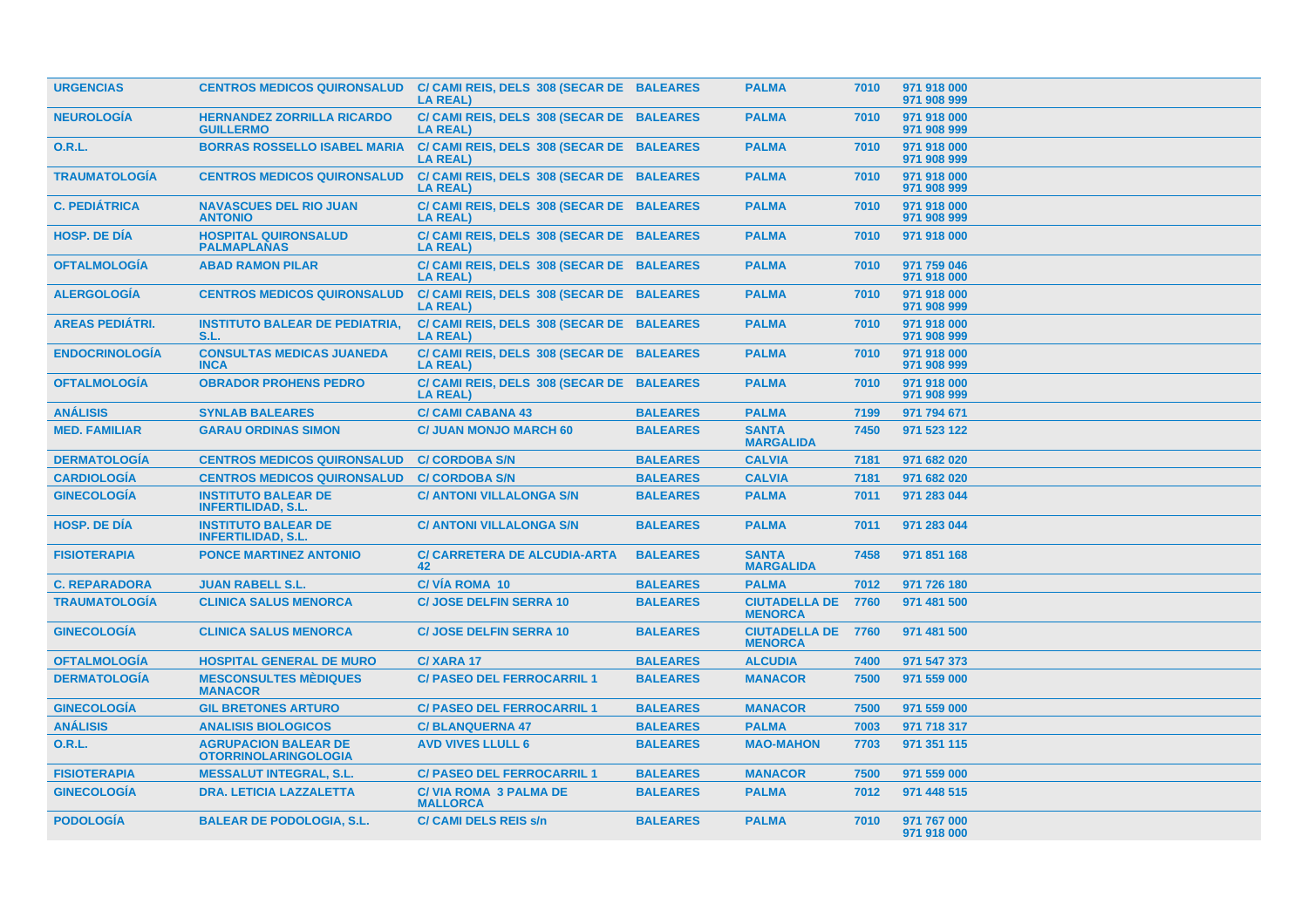| <b>URGENCIAS</b>       | <b>CENTROS MEDICOS QUIRONSALUD</b>                         | C/ CAMI REIS, DELS 308 (SECAR DE BALEARES<br><b>LA REAL)</b> |                 | <b>PALMA</b>                                | 7010 | 971 918 000<br>971 908 999 |
|------------------------|------------------------------------------------------------|--------------------------------------------------------------|-----------------|---------------------------------------------|------|----------------------------|
| <b>NEUROLOGÍA</b>      | <b>HERNANDEZ ZORRILLA RICARDO</b><br><b>GUILLERMO</b>      | C/ CAMI REIS, DELS 308 (SECAR DE BALEARES<br><b>LA REAL)</b> |                 | <b>PALMA</b>                                | 7010 | 971 918 000<br>971 908 999 |
| 0.R.L.                 | <b>BORRAS ROSSELLO ISABEL MARIA</b>                        | C/ CAMI REIS, DELS 308 (SECAR DE BALEARES<br><b>LA REAL)</b> |                 | <b>PALMA</b>                                | 7010 | 971 918 000<br>971 908 999 |
| <b>TRAUMATOLOGÍA</b>   | <b>CENTROS MEDICOS QUIRONSALUD</b>                         | C/ CAMI REIS, DELS 308 (SECAR DE BALEARES<br><b>LA REAL)</b> |                 | <b>PALMA</b>                                | 7010 | 971 918 000<br>971 908 999 |
| <b>C. PEDIÁTRICA</b>   | <b>NAVASCUES DEL RIO JUAN</b><br><b>ANTONIO</b>            | C/ CAMI REIS, DELS 308 (SECAR DE BALEARES<br><b>LA REAL)</b> |                 | <b>PALMA</b>                                | 7010 | 971 918 000<br>971 908 999 |
| <b>HOSP, DE DIA</b>    | <b>HOSPITAL QUIRONSALUD</b><br><b>PALMAPLANAS</b>          | C/ CAMI REIS, DELS 308 (SECAR DE BALEARES<br><b>LA REAL)</b> |                 | <b>PALMA</b>                                | 7010 | 971 918 000                |
| <b>OFTALMOLOGÍA</b>    | <b>ABAD RAMON PILAR</b>                                    | C/ CAMI REIS, DELS 308 (SECAR DE BALEARES<br><b>LA REAL)</b> |                 | <b>PALMA</b>                                | 7010 | 971 759 046<br>971 918 000 |
| <b>ALERGOLOGIA</b>     | <b>CENTROS MEDICOS QUIRONSALUD</b>                         | C/ CAMI REIS, DELS 308 (SECAR DE BALEARES<br><b>LA REAL)</b> |                 | <b>PALMA</b>                                | 7010 | 971 918 000<br>971 908 999 |
| <b>AREAS PEDIÁTRI.</b> | <b>INSTITUTO BALEAR DE PEDIATRIA.</b><br>S.L.              | C/ CAMI REIS, DELS 308 (SECAR DE BALEARES<br><b>LA REAL)</b> |                 | <b>PALMA</b>                                | 7010 | 971 918 000<br>971 908 999 |
| <b>ENDOCRINOLOGÍA</b>  | <b>CONSULTAS MEDICAS JUANEDA</b><br><b>INCA</b>            | C/ CAMI REIS, DELS 308 (SECAR DE BALEARES<br><b>LA REAL)</b> |                 | <b>PALMA</b>                                | 7010 | 971 918 000<br>971 908 999 |
| <b>OFTALMOLOGIA</b>    | <b>OBRADOR PROHENS PEDRO</b>                               | C/ CAMI REIS, DELS 308 (SECAR DE BALEARES<br><b>LA REAL)</b> |                 | <b>PALMA</b>                                | 7010 | 971 918 000<br>971 908 999 |
| <b>ANÁLISIS</b>        | <b>SYNLAB BALEARES</b>                                     | <b>C/ CAMI CABANA 43</b>                                     | <b>BALEARES</b> | <b>PALMA</b>                                | 7199 | 971 794 671                |
| <b>MED. FAMILIAR</b>   | <b>GARAU ORDINAS SIMON</b>                                 | <b>C/ JUAN MONJO MARCH 60</b>                                | <b>BALEARES</b> | <b>SANTA</b><br><b>MARGALIDA</b>            | 7450 | 971 523 122                |
| <b>DERMATOLOGÍA</b>    | <b>CENTROS MEDICOS QUIRONSALUD</b>                         | <b>C/ CORDOBA S/N</b>                                        | <b>BALEARES</b> | <b>CALVIA</b>                               | 7181 | 971 682 020                |
| <b>CARDIOLOGÍA</b>     | <b>CENTROS MEDICOS QUIRONSALUD</b>                         | <b>C/ CORDOBA S/N</b>                                        | <b>BALEARES</b> | <b>CALVIA</b>                               | 7181 | 971 682 020                |
| <b>GINECOLOGIA</b>     | <b>INSTITUTO BALEAR DE</b><br><b>INFERTILIDAD, S.L.</b>    | <b>C/ ANTONI VILLALONGA S/N</b>                              | <b>BALEARES</b> | <b>PALMA</b>                                | 7011 | 971 283 044                |
| <b>HOSP, DE DIA</b>    | <b>INSTITUTO BALEAR DE</b><br><b>INFERTILIDAD, S.L.</b>    | <b>C/ ANTONI VILLALONGA S/N</b>                              | <b>BALEARES</b> | <b>PALMA</b>                                | 7011 | 971 283 044                |
| <b>FISIOTERAPIA</b>    | <b>PONCE MARTINEZ ANTONIO</b>                              | <b>C/ CARRETERA DE ALCUDIA-ARTA</b><br>42                    | <b>BALEARES</b> | <b>SANTA</b><br><b>MARGALIDA</b>            | 7458 | 971 851 168                |
| <b>C. REPARADORA</b>   | <b>JUAN RABELL S.L.</b>                                    | <b>C/VIA ROMA 10</b>                                         | <b>BALEARES</b> | <b>PALMA</b>                                | 7012 | 971 726 180                |
| <b>TRAUMATOLOGÍA</b>   | <b>CLINICA SALUS MENORCA</b>                               | <b>C/ JOSE DELFIN SERRA 10</b>                               | <b>BALEARES</b> | <b>CIUTADELLA DE</b><br><b>MENORCA</b>      | 7760 | 971 481 500                |
| <b>GINECOLOGÍA</b>     | <b>CLINICA SALUS MENORCA</b>                               | <b>C/ JOSE DELFIN SERRA 10</b>                               | <b>BALEARES</b> | <b>CIUTADELLA DE 7760</b><br><b>MENORCA</b> |      | 971 481 500                |
| <b>OFTALMOLOGÍA</b>    | <b>HOSPITAL GENERAL DE MURO</b>                            | C/XARA 17                                                    | <b>BALEARES</b> | <b>ALCUDIA</b>                              | 7400 | 971 547 373                |
| <b>DERMATOLOGIA</b>    | <b>MESCONSULTES MÉDIQUES</b><br><b>MANACOR</b>             | <b>C/ PASEO DEL FERROCARRIL 1</b>                            | <b>BALEARES</b> | <b>MANACOR</b>                              | 7500 | 971 559 000                |
| <b>GINECOLOGIA</b>     | <b>GIL BRETONES ARTURO</b>                                 | <b>C/ PASEO DEL FERROCARRIL 1</b>                            | <b>BALEARES</b> | <b>MANACOR</b>                              | 7500 | 971 559 000                |
| <b>ANÁLISIS</b>        | <b>ANALISIS BIOLOGICOS</b>                                 | <b>C/BLANQUERNA 47</b>                                       | <b>BALEARES</b> | <b>PALMA</b>                                | 7003 | 971 718 317                |
| <b>O.R.L.</b>          | <b>AGRUPACION BALEAR DE</b><br><b>OTORRINOLARINGOLOGIA</b> | <b>AVD VIVES LLULL 6</b>                                     | <b>BALEARES</b> | <b>MAO-MAHON</b>                            | 7703 | 971 351 115                |
| <b>FISIOTERAPIA</b>    | <b>MESSALUT INTEGRAL, S.L.</b>                             | <b>C/ PASEO DEL FERROCARRIL 1</b>                            | <b>BALEARES</b> | <b>MANACOR</b>                              | 7500 | 971 559 000                |
| <b>GINECOLOGÍA</b>     | <b>DRA. LETICIA LAZZALETTA</b>                             | <b>C/VIA ROMA 3 PALMA DE</b><br><b>MALLORCA</b>              | <b>BALEARES</b> | <b>PALMA</b>                                | 7012 | 971 448 515                |
| <b>PODOLOGÍA</b>       | <b>BALEAR DE PODOLOGIA, S.L.</b>                           | <b>C/ CAMI DELS REIS s/n</b>                                 | <b>BALEARES</b> | <b>PALMA</b>                                | 7010 | 971 767 000<br>971 918 000 |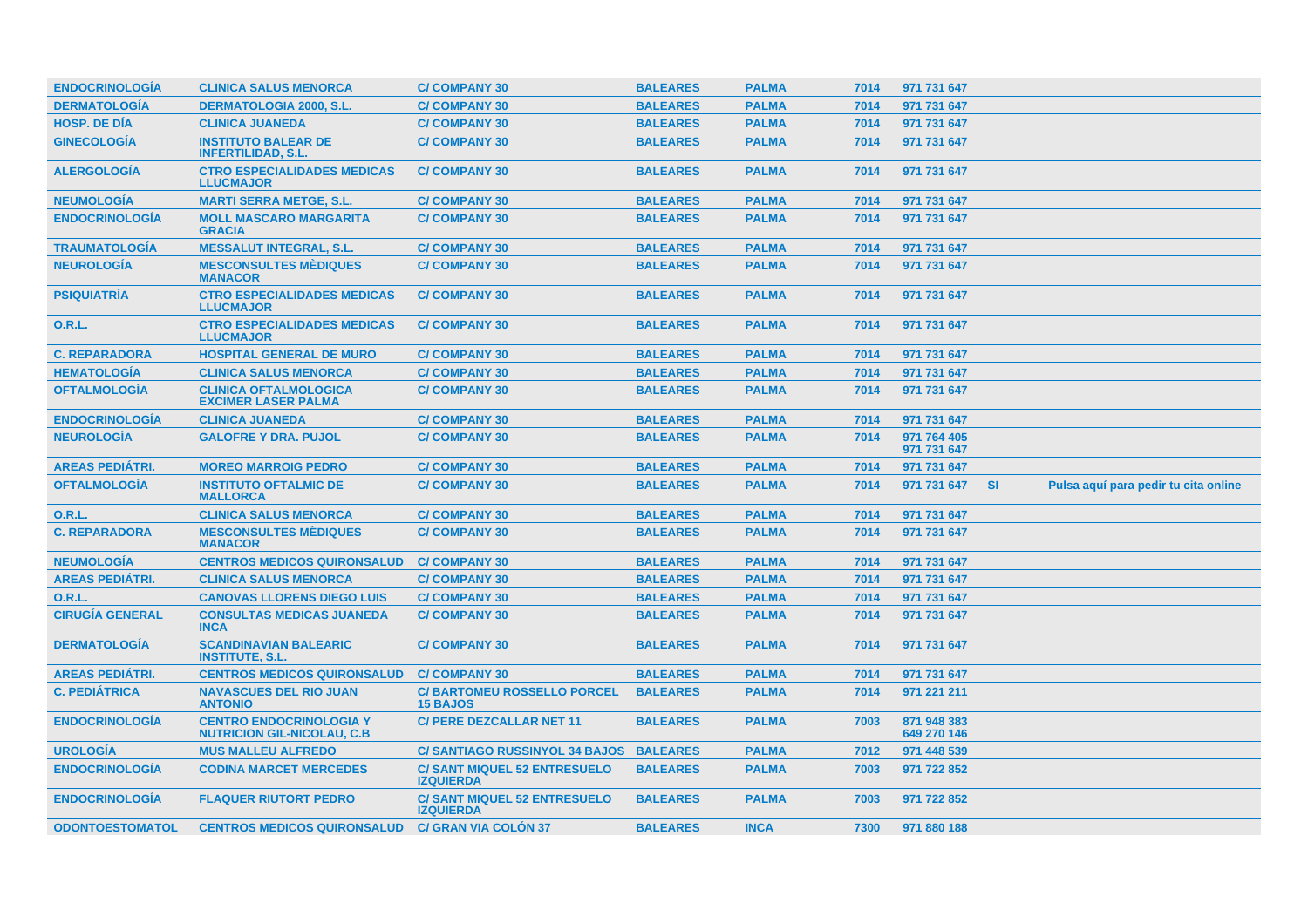| <b>ENDOCRINOLOGIA</b>  | <b>CLINICA SALUS MENORCA</b>                                         | <b>C/COMPANY 30</b>                                     | <b>BALEARES</b> | <b>PALMA</b> | 7014 | 971 731 647                |           |                                      |  |
|------------------------|----------------------------------------------------------------------|---------------------------------------------------------|-----------------|--------------|------|----------------------------|-----------|--------------------------------------|--|
| <b>DERMATOLOGÍA</b>    | <b>DERMATOLOGIA 2000, S.L.</b>                                       | <b>C/COMPANY 30</b>                                     | <b>BALEARES</b> | <b>PALMA</b> | 7014 | 971 731 647                |           |                                      |  |
| <b>HOSP, DE DÍA</b>    | <b>CLINICA JUANEDA</b>                                               | <b>C/COMPANY 30</b>                                     | <b>BALEARES</b> | <b>PALMA</b> | 7014 | 971 731 647                |           |                                      |  |
| <b>GINECOLOGÍA</b>     | <b>INSTITUTO BALEAR DE</b><br><b>INFERTILIDAD, S.L.</b>              | <b>C/COMPANY 30</b>                                     | <b>BALEARES</b> | <b>PALMA</b> | 7014 | 971 731 647                |           |                                      |  |
| <b>ALERGOLOGIA</b>     | <b>CTRO ESPECIALIDADES MEDICAS</b><br><b>LLUCMAJOR</b>               | <b>C/COMPANY 30</b>                                     | <b>BALEARES</b> | <b>PALMA</b> | 7014 | 971 731 647                |           |                                      |  |
| <b>NEUMOLOGÍA</b>      | <b>MARTI SERRA METGE, S.L.</b>                                       | <b>C/COMPANY 30</b>                                     | <b>BALEARES</b> | <b>PALMA</b> | 7014 | 971 731 647                |           |                                      |  |
| <b>ENDOCRINOLOGÍA</b>  | <b>MOLL MASCARO MARGARITA</b><br><b>GRACIA</b>                       | <b>C/COMPANY 30</b>                                     | <b>BALEARES</b> | <b>PALMA</b> | 7014 | 971 731 647                |           |                                      |  |
| <b>TRAUMATOLOGÍA</b>   | <b>MESSALUT INTEGRAL, S.L.</b>                                       | <b>C/COMPANY 30</b>                                     | <b>BALEARES</b> | <b>PALMA</b> | 7014 | 971 731 647                |           |                                      |  |
| <b>NEUROLOGÍA</b>      | <b>MESCONSULTES MÉDIQUES</b><br><b>MANACOR</b>                       | <b>C/COMPANY 30</b>                                     | <b>BALEARES</b> | <b>PALMA</b> | 7014 | 971 731 647                |           |                                      |  |
| <b>PSIQUIATRIA</b>     | <b>CTRO ESPECIALIDADES MEDICAS</b><br><b>LLUCMAJOR</b>               | <b>C/COMPANY 30</b>                                     | <b>BALEARES</b> | <b>PALMA</b> | 7014 | 971 731 647                |           |                                      |  |
| O.R.L.                 | <b>CTRO ESPECIALIDADES MEDICAS</b><br><b>LLUCMAJOR</b>               | <b>C/COMPANY 30</b>                                     | <b>BALEARES</b> | <b>PALMA</b> | 7014 | 971 731 647                |           |                                      |  |
| <b>C. REPARADORA</b>   | <b>HOSPITAL GENERAL DE MURO</b>                                      | <b>C/COMPANY 30</b>                                     | <b>BALEARES</b> | <b>PALMA</b> | 7014 | 971 731 647                |           |                                      |  |
| <b>HEMATOLOGÍA</b>     | <b>CLINICA SALUS MENORCA</b>                                         | <b>C/COMPANY 30</b>                                     | <b>BALEARES</b> | <b>PALMA</b> | 7014 | 971 731 647                |           |                                      |  |
| <b>OFTALMOLOGIA</b>    | <b>CLINICA OFTALMOLOGICA</b><br><b>EXCIMER LASER PALMA</b>           | <b>C/COMPANY 30</b>                                     | <b>BALEARES</b> | <b>PALMA</b> | 7014 | 971 731 647                |           |                                      |  |
| <b>ENDOCRINOLOGÍA</b>  | <b>CLINICA JUANEDA</b>                                               | <b>C/COMPANY 30</b>                                     | <b>BALEARES</b> | <b>PALMA</b> | 7014 | 971 731 647                |           |                                      |  |
| <b>NEUROLOGÍA</b>      | <b>GALOFRE Y DRA. PUJOL</b>                                          | <b>C/COMPANY 30</b>                                     | <b>BALEARES</b> | <b>PALMA</b> | 7014 | 971 764 405<br>971 731 647 |           |                                      |  |
| <b>AREAS PEDIÁTRI.</b> | <b>MOREO MARROIG PEDRO</b>                                           | <b>C/COMPANY 30</b>                                     | <b>BALEARES</b> | <b>PALMA</b> | 7014 | 971 731 647                |           |                                      |  |
| <b>OFTALMOLOGÍA</b>    | <b>INSTITUTO OFTALMIC DE</b><br><b>MALLORCA</b>                      | <b>C/COMPANY 30</b>                                     | <b>BALEARES</b> | <b>PALMA</b> | 7014 | 971 731 647                | <b>SI</b> | Pulsa aquí para pedir tu cita online |  |
| <b>O.R.L.</b>          | <b>CLINICA SALUS MENORCA</b>                                         | <b>C/COMPANY 30</b>                                     | <b>BALEARES</b> | <b>PALMA</b> | 7014 | 971 731 647                |           |                                      |  |
| <b>C. REPARADORA</b>   | <b>MESCONSULTES MÉDIQUES</b><br><b>MANACOR</b>                       | <b>C/COMPANY 30</b>                                     | <b>BALEARES</b> | <b>PALMA</b> | 7014 | 971 731 647                |           |                                      |  |
| <b>NEUMOLOGÍA</b>      | <b>CENTROS MEDICOS QUIRONSALUD</b>                                   | <b>C/COMPANY 30</b>                                     | <b>BALEARES</b> | <b>PALMA</b> | 7014 | 971 731 647                |           |                                      |  |
| <b>AREAS PEDIATRI.</b> | <b>CLINICA SALUS MENORCA</b>                                         | <b>C/COMPANY 30</b>                                     | <b>BALEARES</b> | <b>PALMA</b> | 7014 | 971 731 647                |           |                                      |  |
| <b>O.R.L.</b>          | <b>CANOVAS LLORENS DIEGO LUIS</b>                                    | <b>C/COMPANY 30</b>                                     | <b>BALEARES</b> | <b>PALMA</b> | 7014 | 971 731 647                |           |                                      |  |
| <b>CIRUGÍA GENERAL</b> | <b>CONSULTAS MEDICAS JUANEDA</b><br><b>INCA</b>                      | <b>C/COMPANY 30</b>                                     | <b>BALEARES</b> | <b>PALMA</b> | 7014 | 971 731 647                |           |                                      |  |
| <b>DERMATOLOGIA</b>    | <b>SCANDINAVIAN BALEARIC</b><br><b>INSTITUTE, S.L.</b>               | <b>C/COMPANY 30</b>                                     | <b>BALEARES</b> | <b>PALMA</b> | 7014 | 971 731 647                |           |                                      |  |
| <b>AREAS PEDIÁTRI.</b> | <b>CENTROS MEDICOS QUIRONSALUD</b>                                   | <b>C/COMPANY 30</b>                                     | <b>BALEARES</b> | <b>PALMA</b> | 7014 | 971 731 647                |           |                                      |  |
| <b>C. PEDIÁTRICA</b>   | <b>NAVASCUES DEL RIO JUAN</b><br><b>ANTONIO</b>                      | <b>C/BARTOMEU ROSSELLO PORCEL</b><br><b>15 BAJOS</b>    | <b>BALEARES</b> | <b>PALMA</b> | 7014 | 971 221 211                |           |                                      |  |
| <b>ENDOCRINOLOGÍA</b>  | <b>CENTRO ENDOCRINOLOGIA Y</b><br><b>NUTRICION GIL-NICOLAU, C.B.</b> | <b>C/ PERE DEZCALLAR NET 11</b>                         | <b>BALEARES</b> | <b>PALMA</b> | 7003 | 871 948 383<br>649 270 146 |           |                                      |  |
| <b>UROLOGIA</b>        | <b>MUS MALLEU ALFREDO</b>                                            | C/ SANTIAGO RUSSINYOL 34 BAJOS BALEARES                 |                 | <b>PALMA</b> | 7012 | 971 448 539                |           |                                      |  |
| <b>ENDOCRINOLOGÍA</b>  | <b>CODINA MARCET MERCEDES</b>                                        | <b>C/SANT MIQUEL 52 ENTRESUELO</b><br><b>IZQUIERDA</b>  | <b>BALEARES</b> | <b>PALMA</b> | 7003 | 971 722 852                |           |                                      |  |
| <b>ENDOCRINOLOGIA</b>  | <b>FLAQUER RIUTORT PEDRO</b>                                         | <b>C/ SANT MIQUEL 52 ENTRESUELO</b><br><b>IZQUIERDA</b> | <b>BALEARES</b> | <b>PALMA</b> | 7003 | 971 722 852                |           |                                      |  |
| <b>ODONTOESTOMATOL</b> | <b>CENTROS MEDICOS QUIRONSALUD</b>                                   | <b>C/ GRAN VIA COLON 37</b>                             | <b>BALEARES</b> | <b>INCA</b>  | 7300 | 971 880 188                |           |                                      |  |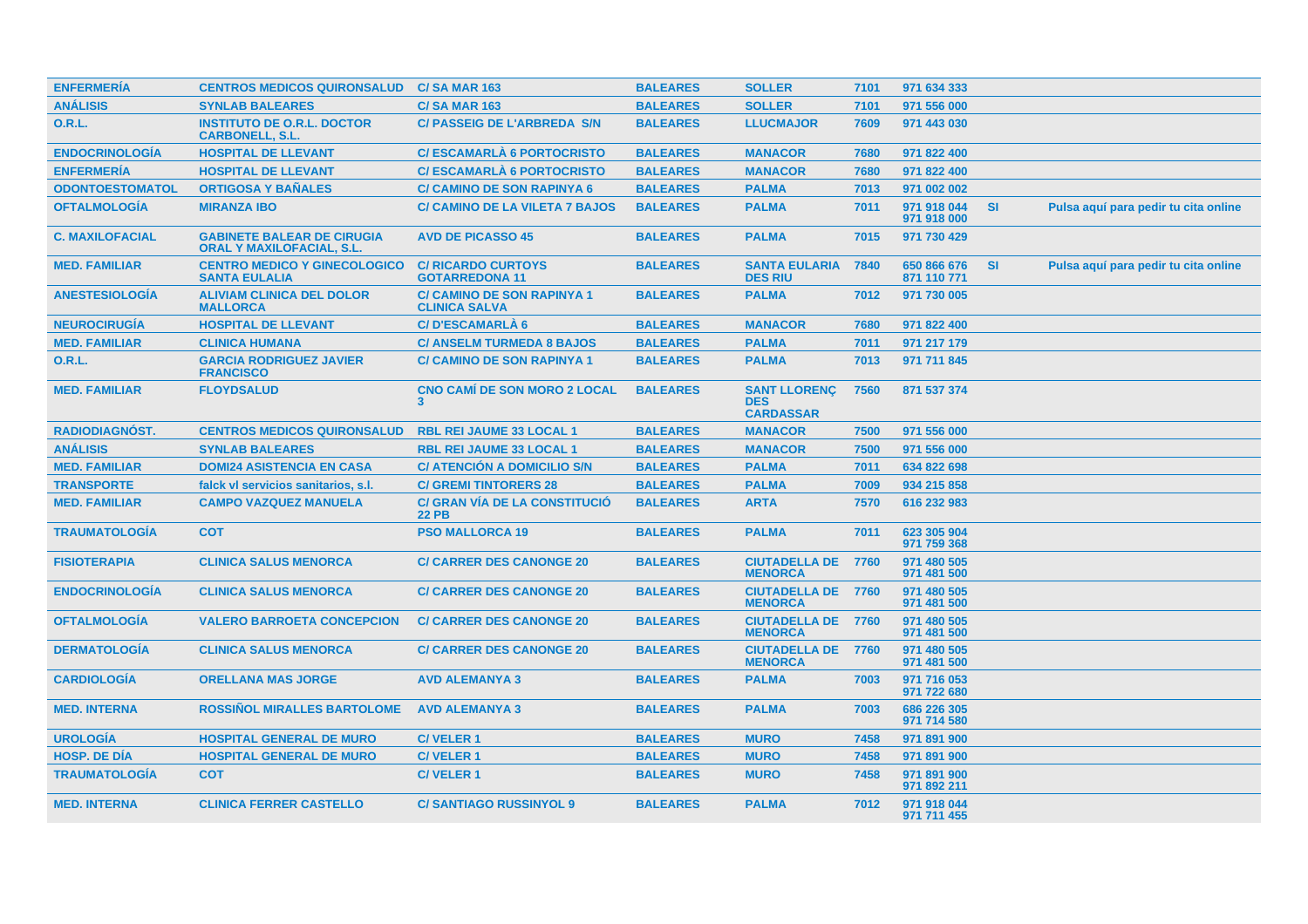| <b>ENFERMERÍA</b>      | <b>CENTROS MEDICOS QUIRONSALUD</b>                                    | <b>C/SA MAR 163</b>                                       | <b>BALEARES</b> | <b>SOLLER</b>                                         | 7101 | 971 634 333                |           |                                      |
|------------------------|-----------------------------------------------------------------------|-----------------------------------------------------------|-----------------|-------------------------------------------------------|------|----------------------------|-----------|--------------------------------------|
| <b>ANÁLISIS</b>        | <b>SYNLAB BALEARES</b>                                                | <b>C/SA MAR 163</b>                                       | <b>BALEARES</b> | <b>SOLLER</b>                                         | 7101 | 971 556 000                |           |                                      |
| 0.R.L.                 | <b>INSTITUTO DE O.R.L. DOCTOR</b><br><b>CARBONELL, S.L.</b>           | <b>C/PASSEIG DE L'ARBREDA S/N</b>                         | <b>BALEARES</b> | <b>LLUCMAJOR</b>                                      | 7609 | 971 443 030                |           |                                      |
| <b>ENDOCRINOLOGÍA</b>  | <b>HOSPITAL DE LLEVANT</b>                                            | <b>C/ESCAMARLÀ 6 PORTOCRISTO</b>                          | <b>BALEARES</b> | <b>MANACOR</b>                                        | 7680 | 971 822 400                |           |                                      |
| <b>ENFERMERÍA</b>      | <b>HOSPITAL DE LLEVANT</b>                                            | <b>C/ESCAMARLA 6 PORTOCRISTO</b>                          | <b>BALEARES</b> | <b>MANACOR</b>                                        | 7680 | 971 822 400                |           |                                      |
| <b>ODONTOESTOMATOL</b> | <b>ORTIGOSA Y BANALES</b>                                             | <b>C/ CAMINO DE SON RAPINYA 6</b>                         | <b>BALEARES</b> | <b>PALMA</b>                                          | 7013 | 971 002 002                |           |                                      |
| <b>OFTALMOLOGÍA</b>    | <b>MIRANZA IBO</b>                                                    | <b>C/ CAMINO DE LA VILETA 7 BAJOS</b>                     | <b>BALEARES</b> | <b>PALMA</b>                                          | 7011 | 971 918 044<br>971 918 000 | <b>SI</b> | Pulsa aquí para pedir tu cita online |
| <b>C. MAXILOFACIAL</b> | <b>GABINETE BALEAR DE CIRUGIA</b><br><b>ORAL Y MAXILOFACIAL, S.L.</b> | <b>AVD DE PICASSO 45</b>                                  | <b>BALEARES</b> | <b>PALMA</b>                                          | 7015 | 971 730 429                |           |                                      |
| <b>MED. FAMILIAR</b>   | <b>CENTRO MEDICO Y GINECOLOGICO</b><br><b>SANTA EULALIA</b>           | <b>C/ RICARDO CURTOYS</b><br><b>GOTARREDONA 11</b>        | <b>BALEARES</b> | <b>SANTA EULARIA</b><br><b>DES RIU</b>                | 7840 | 650 866 676<br>871 110 771 | SI        | Pulsa aquí para pedir tu cita online |
| <b>ANESTESIOLOGIA</b>  | <b>ALIVIAM CLINICA DEL DOLOR</b><br><b>MALLORCA</b>                   | <b>C/ CAMINO DE SON RAPINYA 1</b><br><b>CLINICA SALVA</b> | <b>BALEARES</b> | <b>PALMA</b>                                          | 7012 | 971 730 005                |           |                                      |
| <b>NEUROCIRUGÍA</b>    | <b>HOSPITAL DE LLEVANT</b>                                            | <b>C/D'ESCAMARLÀ 6</b>                                    | <b>BALEARES</b> | <b>MANACOR</b>                                        | 7680 | 971 822 400                |           |                                      |
| <b>MED. FAMILIAR</b>   | <b>CLINICA HUMANA</b>                                                 | <b>C/ ANSELM TURMEDA 8 BAJOS</b>                          | <b>BALEARES</b> | <b>PALMA</b>                                          | 7011 | 971 217 179                |           |                                      |
| <b>O.R.L.</b>          | <b>GARCIA RODRIGUEZ JAVIER</b><br><b>FRANCISCO</b>                    | <b>C/ CAMINO DE SON RAPINYA 1</b>                         | <b>BALEARES</b> | <b>PALMA</b>                                          | 7013 | 971 711 845                |           |                                      |
| <b>MED. FAMILIAR</b>   | <b>FLOYDSALUD</b>                                                     | <b>CNO CAMI DE SON MORO 2 LOCAL</b><br>3                  | <b>BALEARES</b> | <b>SANT LLORENC</b><br><b>DES</b><br><b>CARDASSAR</b> | 7560 | 871 537 374                |           |                                      |
| <b>RADIODIAGNÓST.</b>  | <b>CENTROS MEDICOS QUIRONSALUD</b>                                    | <b>RBL REI JAUME 33 LOCAL 1</b>                           | <b>BALEARES</b> | <b>MANACOR</b>                                        | 7500 | 971 556 000                |           |                                      |
| <b>ANÁLISIS</b>        | <b>SYNLAB BALEARES</b>                                                | RBL REI JAUME 33 LOCAL 1                                  | <b>BALEARES</b> | <b>MANACOR</b>                                        | 7500 | 971 556 000                |           |                                      |
| <b>MED. FAMILIAR</b>   | <b>DOMI24 ASISTENCIA EN CASA</b>                                      | <b>C/ ATENCION A DOMICILIO S/N</b>                        | <b>BALEARES</b> | <b>PALMA</b>                                          | 7011 | 634 822 698                |           |                                      |
| <b>TRANSPORTE</b>      | falck vl servicios sanitarios, s.l.                                   | <b>C/ GREMI TINTORERS 28</b>                              | <b>BALEARES</b> | <b>PALMA</b>                                          | 7009 | 934 215 858                |           |                                      |
| <b>MED. FAMILIAR</b>   | <b>CAMPO VAZQUEZ MANUELA</b>                                          | C/ GRAN VÍA DE LA CONSTITUCIÓ<br><b>22 PB</b>             | <b>BALEARES</b> | <b>ARTA</b>                                           | 7570 | 616 232 983                |           |                                      |
| <b>TRAUMATOLOGÍA</b>   | <b>COT</b>                                                            | <b>PSO MALLORCA 19</b>                                    | <b>BALEARES</b> | <b>PALMA</b>                                          | 7011 | 623 305 904<br>971 759 368 |           |                                      |
| <b>FISIOTERAPIA</b>    | <b>CLINICA SALUS MENORCA</b>                                          | <b>C/ CARRER DES CANONGE 20</b>                           | <b>BALEARES</b> | <b>CIUTADELLA DE</b><br><b>MENORCA</b>                | 7760 | 971 480 505<br>971 481 500 |           |                                      |
| <b>ENDOCRINOLOGIA</b>  | <b>CLINICA SALUS MENORCA</b>                                          | <b>C/ CARRER DES CANONGE 20</b>                           | <b>BALEARES</b> | <b>CIUTADELLA DE 7760</b><br><b>MENORCA</b>           |      | 971 480 505<br>971 481 500 |           |                                      |
| <b>OFTALMOLOGÍA</b>    | <b>VALERO BARROETA CONCEPCION</b>                                     | <b>C/ CARRER DES CANONGE 20</b>                           | <b>BALEARES</b> | <b>CIUTADELLA DE 7760</b><br><b>MENORCA</b>           |      | 971 480 505<br>971 481 500 |           |                                      |
| <b>DERMATOLOGIA</b>    | <b>CLINICA SALUS MENORCA</b>                                          | <b>C/ CARRER DES CANONGE 20</b>                           | <b>BALEARES</b> | <b>CIUTADELLA DE 7760</b><br><b>MENORCA</b>           |      | 971 480 505<br>971 481 500 |           |                                      |
| <b>CARDIOLOGÍA</b>     | <b>ORELLANA MAS JORGE</b>                                             | <b>AVD ALEMANYA 3</b>                                     | <b>BALEARES</b> | <b>PALMA</b>                                          | 7003 | 971 716 053<br>971 722 680 |           |                                      |
| <b>MED. INTERNA</b>    | <b>ROSSINOL MIRALLES BARTOLOME</b>                                    | <b>AVD ALEMANYA 3</b>                                     | <b>BALEARES</b> | <b>PALMA</b>                                          | 7003 | 686 226 305<br>971 714 580 |           |                                      |
| <b>UROLOGÍA</b>        | <b>HOSPITAL GENERAL DE MURO</b>                                       | <b>C/VELER1</b>                                           | <b>BALEARES</b> | <b>MURO</b>                                           | 7458 | 971 891 900                |           |                                      |
| <b>HOSP, DE DIA</b>    | <b>HOSPITAL GENERAL DE MURO</b>                                       | <b>C/VELER1</b>                                           | <b>BALEARES</b> | <b>MURO</b>                                           | 7458 | 971 891 900                |           |                                      |
| <b>TRAUMATOLOGIA</b>   | <b>COT</b>                                                            | <b>C/VELER1</b>                                           | <b>BALEARES</b> | <b>MURO</b>                                           | 7458 | 971 891 900<br>971 892 211 |           |                                      |
| <b>MED. INTERNA</b>    | <b>CLINICA FERRER CASTELLO</b>                                        | <b>C/SANTIAGO RUSSINYOL 9</b>                             | <b>BALEARES</b> | <b>PALMA</b>                                          | 7012 | 971 918 044<br>971 711 455 |           |                                      |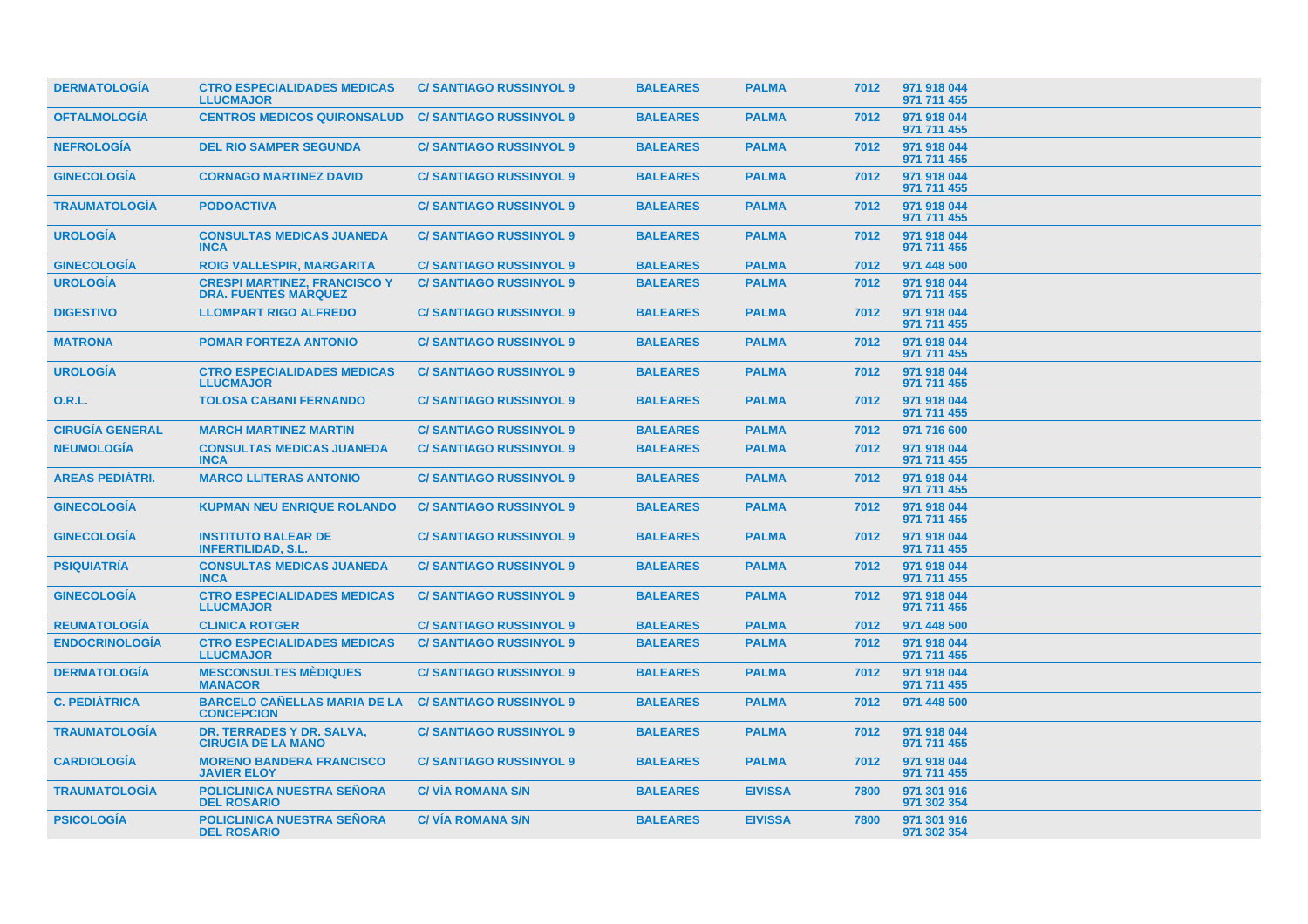| <b>DERMATOLOGIA</b>    | <b>CTRO ESPECIALIDADES MEDICAS</b><br><b>LLUCMAJOR</b>             | <b>C/SANTIAGO RUSSINYOL 9</b>  | <b>BALEARES</b> | <b>PALMA</b>   | 7012 | 971 918 044<br>971 711 455 |  |
|------------------------|--------------------------------------------------------------------|--------------------------------|-----------------|----------------|------|----------------------------|--|
| <b>OFTALMOLOGÍA</b>    | <b>CENTROS MEDICOS QUIRONSALUD</b>                                 | <b>C/SANTIAGO RUSSINYOL 9</b>  | <b>BALEARES</b> | <b>PALMA</b>   | 7012 | 971 918 044<br>971 711 455 |  |
| <b>NEFROLOGÍA</b>      | <b>DEL RIO SAMPER SEGUNDA</b>                                      | <b>C/SANTIAGO RUSSINYOL 9</b>  | <b>BALEARES</b> | <b>PALMA</b>   | 7012 | 971 918 044<br>971 711 455 |  |
| <b>GINECOLOGIA</b>     | <b>CORNAGO MARTINEZ DAVID</b>                                      | <b>C/SANTIAGO RUSSINYOL 9</b>  | <b>BALEARES</b> | <b>PALMA</b>   | 7012 | 971 918 044<br>971 711 455 |  |
| <b>TRAUMATOLOGIA</b>   | <b>PODOACTIVA</b>                                                  | <b>C/SANTIAGO RUSSINYOL 9</b>  | <b>BALEARES</b> | <b>PALMA</b>   | 7012 | 971 918 044<br>971 711 455 |  |
| <b>UROLOGÍA</b>        | <b>CONSULTAS MEDICAS JUANEDA</b><br><b>INCA</b>                    | <b>C/SANTIAGO RUSSINYOL 9</b>  | <b>BALEARES</b> | <b>PALMA</b>   | 7012 | 971 918 044<br>971 711 455 |  |
| <b>GINECOLOGÍA</b>     | <b>ROIG VALLESPIR, MARGARITA</b>                                   | <b>C/SANTIAGO RUSSINYOL 9</b>  | <b>BALEARES</b> | <b>PALMA</b>   | 7012 | 971 448 500                |  |
| <b>UROLOGÍA</b>        | <b>CRESPI MARTINEZ, FRANCISCO Y</b><br><b>DRA. FUENTES MARQUEZ</b> | <b>C/SANTIAGO RUSSINYOL 9</b>  | <b>BALEARES</b> | <b>PALMA</b>   | 7012 | 971 918 044<br>971 711 455 |  |
| <b>DIGESTIVO</b>       | <b>LLOMPART RIGO ALFREDO</b>                                       | <b>C/SANTIAGO RUSSINYOL 9</b>  | <b>BALEARES</b> | <b>PALMA</b>   | 7012 | 971 918 044<br>971 711 455 |  |
| <b>MATRONA</b>         | <b>POMAR FORTEZA ANTONIO</b>                                       | <b>C/SANTIAGO RUSSINYOL 9</b>  | <b>BALEARES</b> | <b>PALMA</b>   | 7012 | 971 918 044<br>971 711 455 |  |
| <b>UROLOGÍA</b>        | <b>CTRO ESPECIALIDADES MEDICAS</b><br><b>LLUCMAJOR</b>             | <b>C/SANTIAGO RUSSINYOL 9</b>  | <b>BALEARES</b> | <b>PALMA</b>   | 7012 | 971 918 044<br>971 711 455 |  |
| 0.R.L.                 | <b>TOLOSA CABANI FERNANDO</b>                                      | <b>C/SANTIAGO RUSSINYOL 9</b>  | <b>BALEARES</b> | <b>PALMA</b>   | 7012 | 971 918 044<br>971 711 455 |  |
| <b>CIRUGÍA GENERAL</b> | <b>MARCH MARTINEZ MARTIN</b>                                       | <b>C/SANTIAGO RUSSINYOL 9</b>  | <b>BALEARES</b> | <b>PALMA</b>   | 7012 | 971 716 600                |  |
| <b>NEUMOLOGÍA</b>      | <b>CONSULTAS MEDICAS JUANEDA</b><br><b>INCA</b>                    | <b>C/ SANTIAGO RUSSINYOL 9</b> | <b>BALEARES</b> | <b>PALMA</b>   | 7012 | 971 918 044<br>971 711 455 |  |
| <b>AREAS PEDIÁTRI.</b> | <b>MARCO LLITERAS ANTONIO</b>                                      | <b>C/SANTIAGO RUSSINYOL 9</b>  | <b>BALEARES</b> | <b>PALMA</b>   | 7012 | 971 918 044<br>971 711 455 |  |
| <b>GINECOLOGÍA</b>     | <b>KUPMAN NEU ENRIQUE ROLANDO</b>                                  | <b>C/SANTIAGO RUSSINYOL 9</b>  | <b>BALEARES</b> | <b>PALMA</b>   | 7012 | 971 918 044<br>971 711 455 |  |
| <b>GINECOLOGIA</b>     | <b>INSTITUTO BALEAR DE</b><br><b>INFERTILIDAD, S.L.</b>            | <b>C/SANTIAGO RUSSINYOL 9</b>  | <b>BALEARES</b> | <b>PALMA</b>   | 7012 | 971 918 044<br>971 711 455 |  |
| <b>PSIQUIATRIA</b>     | <b>CONSULTAS MEDICAS JUANEDA</b><br><b>INCA</b>                    | <b>C/SANTIAGO RUSSINYOL 9</b>  | <b>BALEARES</b> | <b>PALMA</b>   | 7012 | 971 918 044<br>971 711 455 |  |
| <b>GINECOLOGÍA</b>     | <b>CTRO ESPECIALIDADES MEDICAS</b><br><b>LLUCMAJOR</b>             | <b>C/SANTIAGO RUSSINYOL 9</b>  | <b>BALEARES</b> | <b>PALMA</b>   | 7012 | 971 918 044<br>971 711 455 |  |
| <b>REUMATOLOGIA</b>    | <b>CLINICA ROTGER</b>                                              | <b>C/SANTIAGO RUSSINYOL 9</b>  | <b>BALEARES</b> | <b>PALMA</b>   | 7012 | 971 448 500                |  |
| <b>ENDOCRINOLOGÍA</b>  | <b>CTRO ESPECIALIDADES MEDICAS</b><br><b>LLUCMAJOR</b>             | <b>C/SANTIAGO RUSSINYOL 9</b>  | <b>BALEARES</b> | <b>PALMA</b>   | 7012 | 971 918 044<br>971 711 455 |  |
| <b>DERMATOLOGÍA</b>    | <b>MESCONSULTES MÈDIQUES</b><br><b>MANACOR</b>                     | <b>C/SANTIAGO RUSSINYOL 9</b>  | <b>BALEARES</b> | <b>PALMA</b>   | 7012 | 971 918 044<br>971 711 455 |  |
| <b>C. PEDIÁTRICA</b>   | <b>BARCELO CAÑELLAS MARIA DE LA</b><br><b>CONCEPCION</b>           | <b>C/SANTIAGO RUSSINYOL 9</b>  | <b>BALEARES</b> | <b>PALMA</b>   | 7012 | 971 448 500                |  |
| <b>TRAUMATOLOGÍA</b>   | DR. TERRADES Y DR. SALVA.<br><b>CIRUGIA DE LA MANO</b>             | <b>C/SANTIAGO RUSSINYOL 9</b>  | <b>BALEARES</b> | <b>PALMA</b>   | 7012 | 971 918 044<br>971 711 455 |  |
| <b>CARDIOLOGÍA</b>     | <b>MORENO BANDERA FRANCISCO</b><br><b>JAVIER ELOY</b>              | <b>C/SANTIAGO RUSSINYOL 9</b>  | <b>BALEARES</b> | <b>PALMA</b>   | 7012 | 971 918 044<br>971 711 455 |  |
| <b>TRAUMATOLOGIA</b>   | <b>POLICLINICA NUESTRA SEÑORA</b><br><b>DEL ROSARIO</b>            | <b>C/VIA ROMANA S/N</b>        | <b>BALEARES</b> | <b>EIVISSA</b> | 7800 | 971 301 916<br>971 302 354 |  |
| <b>PSICOLOGÍA</b>      | <b>POLICLINICA NUESTRA SEÑORA</b><br><b>DEL ROSARIO</b>            | <b>C/VIA ROMANA S/N</b>        | <b>BALEARES</b> | <b>EIVISSA</b> | 7800 | 971 301 916<br>971 302 354 |  |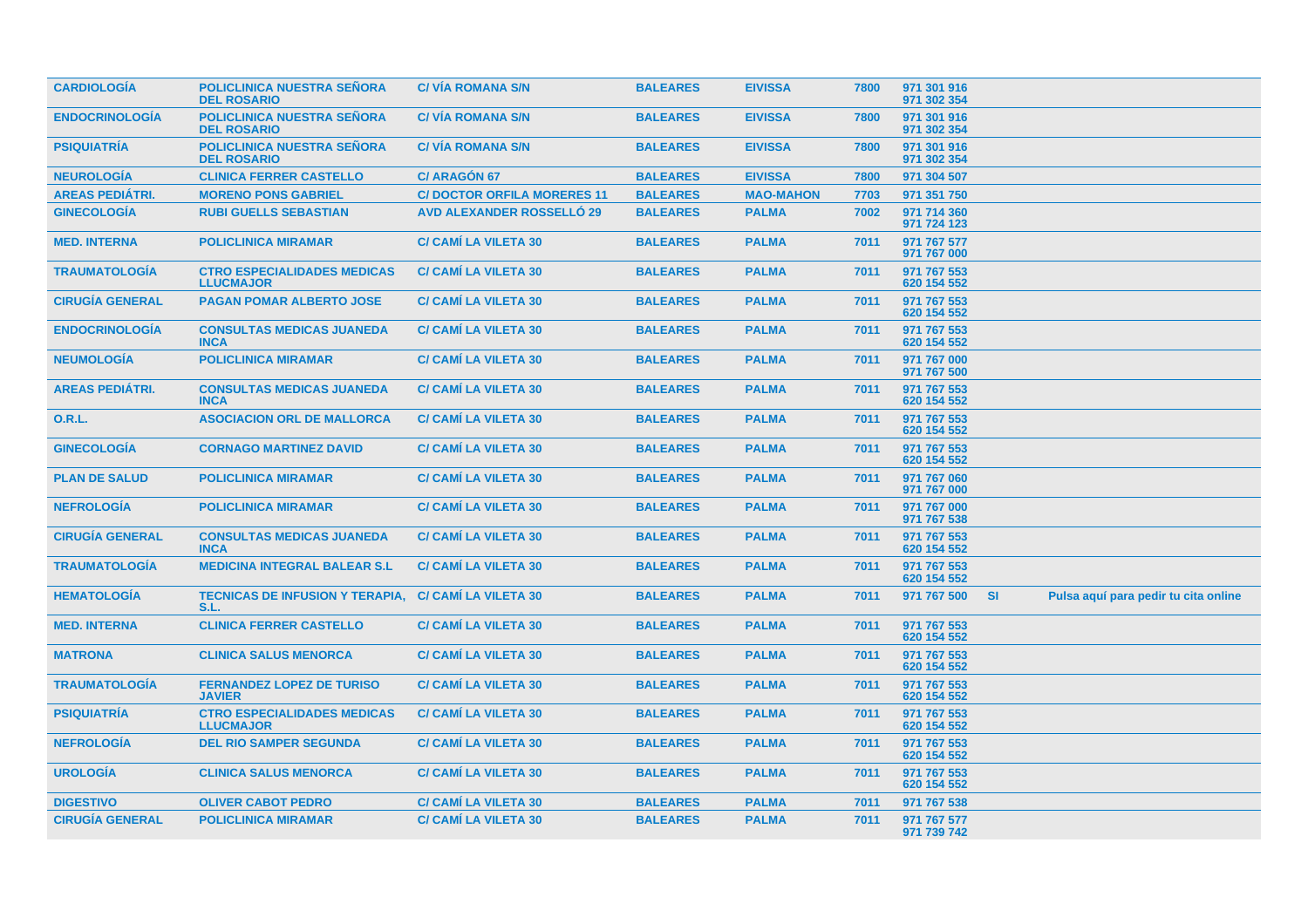| <b>CARDIOLOGIA</b>     | <b>POLICLINICA NUESTRA SEÑORA</b><br><b>DEL ROSARIO</b>      | <b>C/VIA ROMANA S/N</b>           | <b>BALEARES</b> | <b>EIVISSA</b>   | 7800 | 971 301 916<br>971 302 354 |           |                                      |
|------------------------|--------------------------------------------------------------|-----------------------------------|-----------------|------------------|------|----------------------------|-----------|--------------------------------------|
| <b>ENDOCRINOLOGÍA</b>  | <b>POLICLINICA NUESTRA SEÑORA</b><br><b>DEL ROSARIO</b>      | <b>C/VÍA ROMANA S/N</b>           | <b>BALEARES</b> | <b>EIVISSA</b>   | 7800 | 971 301 916<br>971 302 354 |           |                                      |
| <b>PSIQUIATRIA</b>     | <b>POLICLINICA NUESTRA SEÑORA</b><br><b>DEL ROSARIO</b>      | <b>C/VÍA ROMANA S/N</b>           | <b>BALEARES</b> | <b>EIVISSA</b>   | 7800 | 971 301 916<br>971 302 354 |           |                                      |
| <b>NEUROLOGÍA</b>      | <b>CLINICA FERRER CASTELLO</b>                               | <b>C/ ARAGÓN 67</b>               | <b>BALEARES</b> | <b>EIVISSA</b>   | 7800 | 971 304 507                |           |                                      |
| <b>AREAS PEDIÁTRI.</b> | <b>MORENO PONS GABRIEL</b>                                   | <b>C/DOCTOR ORFILA MORERES 11</b> | <b>BALEARES</b> | <b>MAO-MAHON</b> | 7703 | 971 351 750                |           |                                      |
| <b>GINECOLOGÍA</b>     | <b>RUBI GUELLS SEBASTIAN</b>                                 | <b>AVD ALEXANDER ROSSELLÓ 29</b>  | <b>BALEARES</b> | <b>PALMA</b>     | 7002 | 971 714 360<br>971 724 123 |           |                                      |
| <b>MED. INTERNA</b>    | <b>POLICLINICA MIRAMAR</b>                                   | <b>C/ CAMI LA VILETA 30</b>       | <b>BALEARES</b> | <b>PALMA</b>     | 7011 | 971 767 577<br>971 767 000 |           |                                      |
| <b>TRAUMATOLOGIA</b>   | <b>CTRO ESPECIALIDADES MEDICAS</b><br><b>LLUCMAJOR</b>       | <b>C/ CAMI LA VILETA 30</b>       | <b>BALEARES</b> | <b>PALMA</b>     | 7011 | 971 767 553<br>620 154 552 |           |                                      |
| <b>CIRUGÍA GENERAL</b> | <b>PAGAN POMAR ALBERTO JOSE</b>                              | <b>C/ CAMI LA VILETA 30</b>       | <b>BALEARES</b> | <b>PALMA</b>     | 7011 | 971 767 553<br>620 154 552 |           |                                      |
| <b>ENDOCRINOLOGIA</b>  | <b>CONSULTAS MEDICAS JUANEDA</b><br><b>INCA</b>              | <b>C/ CAMI LA VILETA 30</b>       | <b>BALEARES</b> | <b>PALMA</b>     | 7011 | 971 767 553<br>620 154 552 |           |                                      |
| <b>NEUMOLOGÍA</b>      | <b>POLICLINICA MIRAMAR</b>                                   | <b>C/ CAMI LA VILETA 30</b>       | <b>BALEARES</b> | <b>PALMA</b>     | 7011 | 971 767 000<br>971 767 500 |           |                                      |
| <b>AREAS PEDIÁTRI.</b> | <b>CONSULTAS MEDICAS JUANEDA</b><br><b>INCA</b>              | <b>C/ CAMI LA VILETA 30</b>       | <b>BALEARES</b> | <b>PALMA</b>     | 7011 | 971 767 553<br>620 154 552 |           |                                      |
| 0.R.L.                 | <b>ASOCIACION ORL DE MALLORCA</b>                            | <b>C/ CAMI LA VILETA 30</b>       | <b>BALEARES</b> | <b>PALMA</b>     | 7011 | 971 767 553<br>620 154 552 |           |                                      |
| <b>GINECOLOGÍA</b>     | <b>CORNAGO MARTINEZ DAVID</b>                                | <b>C/ CAMI LA VILETA 30</b>       | <b>BALEARES</b> | <b>PALMA</b>     | 7011 | 971 767 553<br>620 154 552 |           |                                      |
| <b>PLAN DE SALUD</b>   | <b>POLICLINICA MIRAMAR</b>                                   | <b>C/ CAMI LA VILETA 30</b>       | <b>BALEARES</b> | <b>PALMA</b>     | 7011 | 971 767 060<br>971 767 000 |           |                                      |
| <b>NEFROLOGÍA</b>      | <b>POLICLINICA MIRAMAR</b>                                   | <b>C/ CAMI LA VILETA 30</b>       | <b>BALEARES</b> | <b>PALMA</b>     | 7011 | 971 767 000<br>971 767 538 |           |                                      |
| <b>CIRUGÍA GENERAL</b> | <b>CONSULTAS MEDICAS JUANEDA</b><br><b>INCA</b>              | <b>C/ CAMI LA VILETA 30</b>       | <b>BALEARES</b> | <b>PALMA</b>     | 7011 | 971 767 553<br>620 154 552 |           |                                      |
| <b>TRAUMATOLOGIA</b>   | <b>MEDICINA INTEGRAL BALEAR S.L</b>                          | <b>C/ CAMI LA VILETA 30</b>       | <b>BALEARES</b> | <b>PALMA</b>     | 7011 | 971 767 553<br>620 154 552 |           |                                      |
| <b>HEMATOLOGÍA</b>     | TECNICAS DE INFUSION Y TERAPIA. C/ CAMÍ LA VILETA 30<br>S.L. |                                   | <b>BALEARES</b> | <b>PALMA</b>     | 7011 | 971 767 500                | <b>SI</b> | Pulsa aquí para pedir tu cita online |
| <b>MED. INTERNA</b>    | <b>CLINICA FERRER CASTELLO</b>                               | <b>C/ CAMI LA VILETA 30</b>       | <b>BALEARES</b> | <b>PALMA</b>     | 7011 | 971 767 553<br>620 154 552 |           |                                      |
| <b>MATRONA</b>         | <b>CLINICA SALUS MENORCA</b>                                 | <b>C/ CAMI LA VILETA 30</b>       | <b>BALEARES</b> | <b>PALMA</b>     | 7011 | 971 767 553<br>620 154 552 |           |                                      |
| <b>TRAUMATOLOGÍA</b>   | <b>FERNANDEZ LOPEZ DE TURISO</b><br><b>JAVIER</b>            | <b>C/ CAMI LA VILETA 30</b>       | <b>BALEARES</b> | <b>PALMA</b>     | 7011 | 971 767 553<br>620 154 552 |           |                                      |
| <b>PSIQUIATRÍA</b>     | <b>CTRO ESPECIALIDADES MEDICAS</b><br><b>LLUCMAJOR</b>       | <b>C/ CAMI LA VILETA 30</b>       | <b>BALEARES</b> | <b>PALMA</b>     | 7011 | 971 767 553<br>620 154 552 |           |                                      |
| <b>NEFROLOGÍA</b>      | <b>DEL RIO SAMPER SEGUNDA</b>                                | <b>C/ CAMI LA VILETA 30</b>       | <b>BALEARES</b> | <b>PALMA</b>     | 7011 | 971 767 553<br>620 154 552 |           |                                      |
| <b>UROLOGÍA</b>        | <b>CLINICA SALUS MENORCA</b>                                 | <b>C/ CAMI LA VILETA 30</b>       | <b>BALEARES</b> | <b>PALMA</b>     | 7011 | 971 767 553<br>620 154 552 |           |                                      |
| <b>DIGESTIVO</b>       | <b>OLIVER CABOT PEDRO</b>                                    | <b>C/ CAMI LA VILETA 30</b>       | <b>BALEARES</b> | <b>PALMA</b>     | 7011 | 971 767 538                |           |                                      |
| <b>CIRUGÍA GENERAL</b> | <b>POLICLINICA MIRAMAR</b>                                   | <b>C/ CAMI LA VILETA 30</b>       | <b>BALEARES</b> | <b>PALMA</b>     | 7011 | 971 767 577<br>971 739 742 |           |                                      |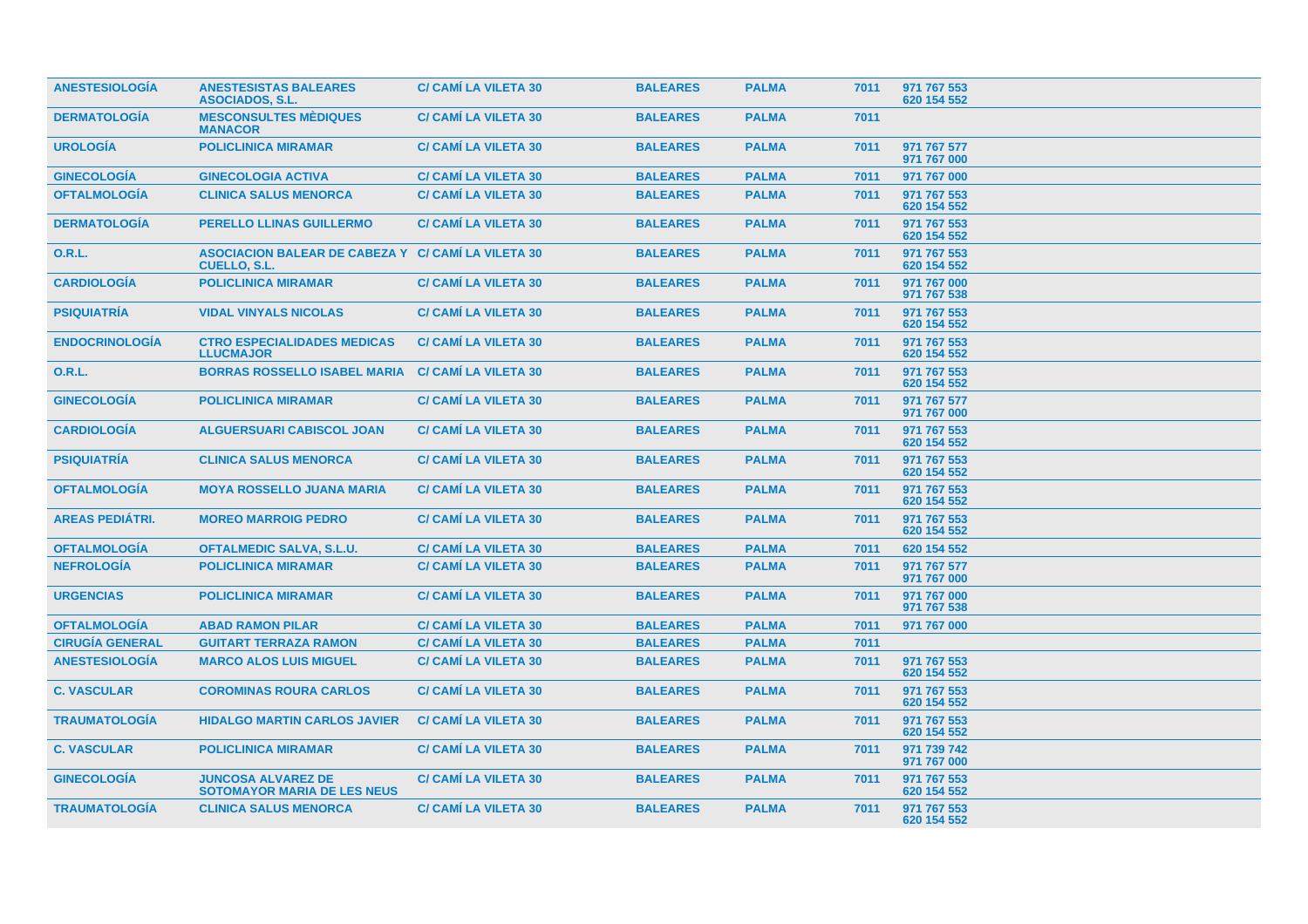| <b>ANESTESIOLOGIA</b>  | <b>ANESTESISTAS BALEARES</b><br><b>ASOCIADOS, S.L.</b>                    | <b>C/ CAMI LA VILETA 30</b> | <b>BALEARES</b> | <b>PALMA</b> | 7011 | 971 767 553<br>620 154 552 |  |
|------------------------|---------------------------------------------------------------------------|-----------------------------|-----------------|--------------|------|----------------------------|--|
| <b>DERMATOLOGÍA</b>    | <b>MESCONSULTES MÈDIQUES</b><br><b>MANACOR</b>                            | <b>C/ CAMI LA VILETA 30</b> | <b>BALEARES</b> | <b>PALMA</b> | 7011 |                            |  |
| <b>UROLOGIA</b>        | <b>POLICLINICA MIRAMAR</b>                                                | <b>C/ CAMI LA VILETA 30</b> | <b>BALEARES</b> | <b>PALMA</b> | 7011 | 971 767 577<br>971 767 000 |  |
| <b>GINECOLOGÍA</b>     | <b>GINECOLOGIA ACTIVA</b>                                                 | <b>C/ CAMI LA VILETA 30</b> | <b>BALEARES</b> | <b>PALMA</b> | 7011 | 971 767 000                |  |
| <b>OFTALMOLOGÍA</b>    | <b>CLINICA SALUS MENORCA</b>                                              | <b>C/ CAMI LA VILETA 30</b> | <b>BALEARES</b> | <b>PALMA</b> | 7011 | 971 767 553<br>620 154 552 |  |
| <b>DERMATOLOGÍA</b>    | <b>PERELLO LLINAS GUILLERMO</b>                                           | <b>C/ CAMI LA VILETA 30</b> | <b>BALEARES</b> | <b>PALMA</b> | 7011 | 971 767 553<br>620 154 552 |  |
| 0.R.L.                 | ASOCIACION BALEAR DE CABEZA Y C/ CAMI LA VILETA 30<br><b>CUELLO, S.L.</b> |                             | <b>BALEARES</b> | <b>PALMA</b> | 7011 | 971 767 553<br>620 154 552 |  |
| <b>CARDIOLOGÍA</b>     | <b>POLICLINICA MIRAMAR</b>                                                | <b>C/ CAMI LA VILETA 30</b> | <b>BALEARES</b> | <b>PALMA</b> | 7011 | 971 767 000<br>971 767 538 |  |
| <b>PSIQUIATRÍA</b>     | <b>VIDAL VINYALS NICOLAS</b>                                              | <b>C/ CAMI LA VILETA 30</b> | <b>BALEARES</b> | <b>PALMA</b> | 7011 | 971 767 553<br>620 154 552 |  |
| <b>ENDOCRINOLOGÍA</b>  | <b>CTRO ESPECIALIDADES MEDICAS</b><br><b>LLUCMAJOR</b>                    | <b>C/ CAMI LA VILETA 30</b> | <b>BALEARES</b> | <b>PALMA</b> | 7011 | 971 767 553<br>620 154 552 |  |
| <b>O.R.L.</b>          | <b>BORRAS ROSSELLO ISABEL MARIA</b>                                       | <b>C/ CAMI LA VILETA 30</b> | <b>BALEARES</b> | <b>PALMA</b> | 7011 | 971 767 553<br>620 154 552 |  |
| <b>GINECOLOGÍA</b>     | <b>POLICLINICA MIRAMAR</b>                                                | <b>C/ CAMI LA VILETA 30</b> | <b>BALEARES</b> | <b>PALMA</b> | 7011 | 971 767 577<br>971 767 000 |  |
| <b>CARDIOLOGIA</b>     | <b>ALGUERSUARI CABISCOL JOAN</b>                                          | <b>C/ CAMI LA VILETA 30</b> | <b>BALEARES</b> | <b>PALMA</b> | 7011 | 971 767 553<br>620 154 552 |  |
| <b>PSIQUIATRÍA</b>     | <b>CLINICA SALUS MENORCA</b>                                              | <b>C/ CAMI LA VILETA 30</b> | <b>BALEARES</b> | <b>PALMA</b> | 7011 | 971 767 553<br>620 154 552 |  |
| <b>OFTALMOLOGIA</b>    | <b>MOYA ROSSELLO JUANA MARIA</b>                                          | <b>C/ CAMI LA VILETA 30</b> | <b>BALEARES</b> | <b>PALMA</b> | 7011 | 971 767 553<br>620 154 552 |  |
| <b>AREAS PEDIÁTRI.</b> | <b>MOREO MARROIG PEDRO</b>                                                | <b>C/ CAMI LA VILETA 30</b> | <b>BALEARES</b> | <b>PALMA</b> | 7011 | 971 767 553<br>620 154 552 |  |
| <b>OFTALMOLOGIA</b>    | <b>OFTALMEDIC SALVA, S.L.U.</b>                                           | <b>C/ CAMI LA VILETA 30</b> | <b>BALEARES</b> | <b>PALMA</b> | 7011 | 620 154 552                |  |
| <b>NEFROLOGÍA</b>      | <b>POLICLINICA MIRAMAR</b>                                                | <b>C/ CAMI LA VILETA 30</b> | <b>BALEARES</b> | <b>PALMA</b> | 7011 | 971 767 577<br>971 767 000 |  |
| <b>URGENCIAS</b>       | <b>POLICLINICA MIRAMAR</b>                                                | <b>C/ CAMI LA VILETA 30</b> | <b>BALEARES</b> | <b>PALMA</b> | 7011 | 971 767 000<br>971 767 538 |  |
| <b>OFTALMOLOGÍA</b>    | <b>ABAD RAMON PILAR</b>                                                   | <b>C/ CAMI LA VILETA 30</b> | <b>BALEARES</b> | <b>PALMA</b> | 7011 | 971 767 000                |  |
| <b>CIRUGÍA GENERAL</b> | <b>GUITART TERRAZA RAMON</b>                                              | <b>C/ CAMI LA VILETA 30</b> | <b>BALEARES</b> | <b>PALMA</b> | 7011 |                            |  |
| <b>ANESTESIOLOGÍA</b>  | <b>MARCO ALOS LUIS MIGUEL</b>                                             | <b>C/ CAMI LA VILETA 30</b> | <b>BALEARES</b> | <b>PALMA</b> | 7011 | 971 767 553<br>620 154 552 |  |
| <b>C. VASCULAR</b>     | <b>COROMINAS ROURA CARLOS</b>                                             | <b>C/ CAMI LA VILETA 30</b> | <b>BALEARES</b> | <b>PALMA</b> | 7011 | 971 767 553<br>620 154 552 |  |
| <b>TRAUMATOLOGIA</b>   | <b>HIDALGO MARTIN CARLOS JAVIER</b>                                       | <b>C/ CAMI LA VILETA 30</b> | <b>BALEARES</b> | <b>PALMA</b> | 7011 | 971 767 553<br>620 154 552 |  |
| <b>C. VASCULAR</b>     | <b>POLICLINICA MIRAMAR</b>                                                | <b>C/ CAMI LA VILETA 30</b> | <b>BALEARES</b> | <b>PALMA</b> | 7011 | 971 739 742<br>971 767 000 |  |
| <b>GINECOLOGIA</b>     | <b>JUNCOSA ALVAREZ DE</b><br><b>SOTOMAYOR MARIA DE LES NEUS</b>           | <b>C/ CAMI LA VILETA 30</b> | <b>BALEARES</b> | <b>PALMA</b> | 7011 | 971 767 553<br>620 154 552 |  |
| <b>TRAUMATOLOGIA</b>   | <b>CLINICA SALUS MENORCA</b>                                              | <b>C/ CAMI LA VILETA 30</b> | <b>BALEARES</b> | <b>PALMA</b> | 7011 | 971 767 553<br>620 154 552 |  |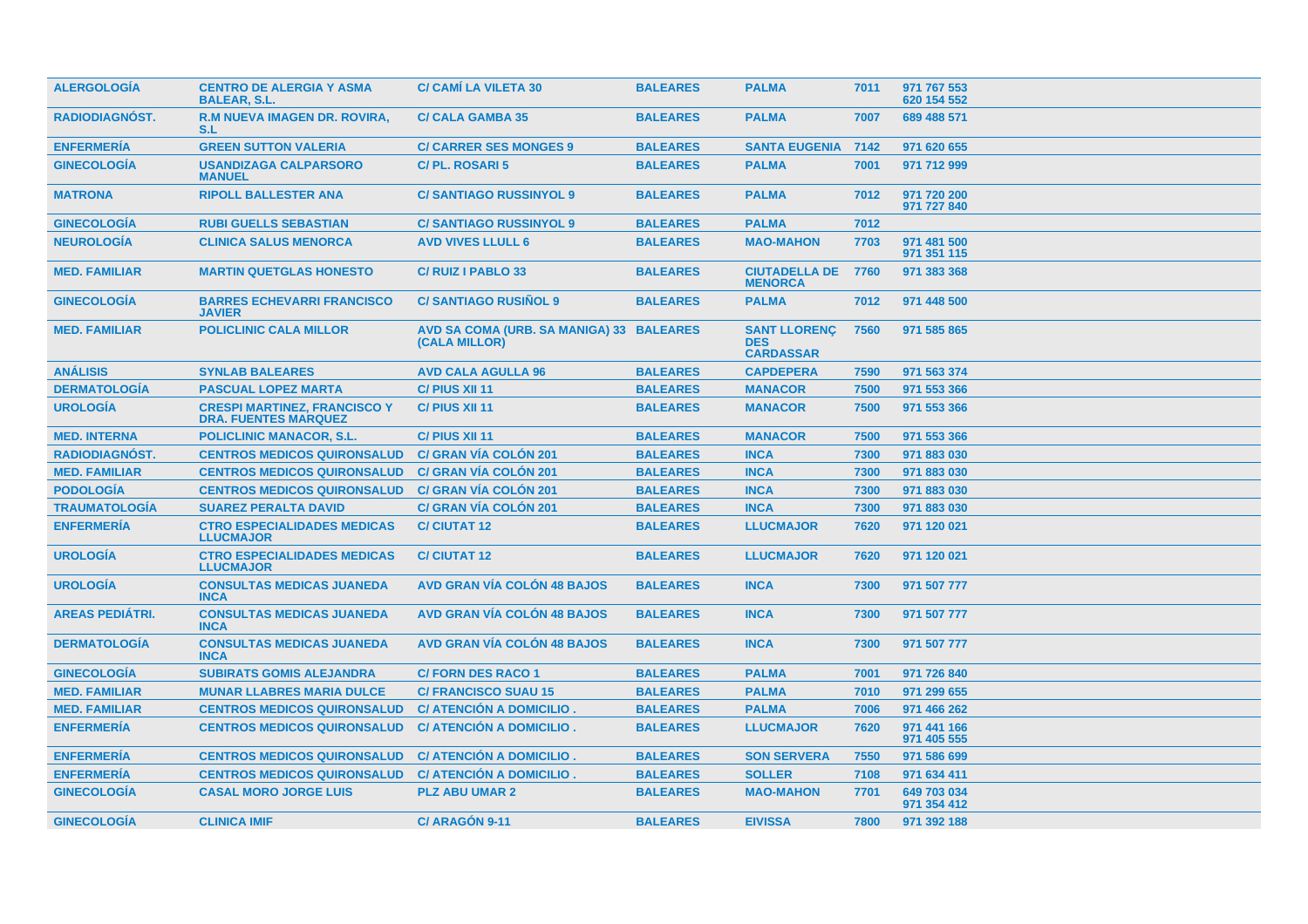| <b>ALERGOLOGIA</b>     | <b>CENTRO DE ALERGIA Y ASMA</b><br><b>BALEAR, S.L.</b>             | <b>C/ CAMI LA VILETA 30</b>                               | <b>BALEARES</b> | <b>PALMA</b>                                          | 7011 | 971 767 553<br>620 154 552 |
|------------------------|--------------------------------------------------------------------|-----------------------------------------------------------|-----------------|-------------------------------------------------------|------|----------------------------|
| <b>RADIODIAGNOST.</b>  | <b>R.M NUEVA IMAGEN DR. ROVIRA,</b><br>S.L                         | <b>C/ CALA GAMBA 35</b>                                   | <b>BALEARES</b> | <b>PALMA</b>                                          | 7007 | 689 488 571                |
| <b>ENFERMERIA</b>      | <b>GREEN SUTTON VALERIA</b>                                        | <b>C/ CARRER SES MONGES 9</b>                             | <b>BALEARES</b> | <b>SANTA EUGENIA 7142</b>                             |      | 971 620 655                |
| <b>GINECOLOGÍA</b>     | <b>USANDIZAGA CALPARSORO</b><br><b>MANUEL</b>                      | C/PL. ROSARI 5                                            | <b>BALEARES</b> | <b>PALMA</b>                                          | 7001 | 971 712 999                |
| <b>MATRONA</b>         | <b>RIPOLL BALLESTER ANA</b>                                        | <b>C/SANTIAGO RUSSINYOL 9</b>                             | <b>BALEARES</b> | <b>PALMA</b>                                          | 7012 | 971 720 200<br>971 727 840 |
| <b>GINECOLOGÍA</b>     | <b>RUBI GUELLS SEBASTIAN</b>                                       | <b>C/SANTIAGO RUSSINYOL 9</b>                             | <b>BALEARES</b> | <b>PALMA</b>                                          | 7012 |                            |
| <b>NEUROLOGÍA</b>      | <b>CLINICA SALUS MENORCA</b>                                       | <b>AVD VIVES LLULL 6</b>                                  | <b>BALEARES</b> | <b>MAO-MAHON</b>                                      | 7703 | 971 481 500<br>971 351 115 |
| <b>MED. FAMILIAR</b>   | <b>MARTIN QUETGLAS HONESTO</b>                                     | C/RUIZ I PABLO 33                                         | <b>BALEARES</b> | <b>CIUTADELLA DE</b><br><b>MENORCA</b>                | 7760 | 971 383 368                |
| <b>GINECOLOGIA</b>     | <b>BARRES ECHEVARRI FRANCISCO</b><br><b>JAVIER</b>                 | <b>C/SANTIAGO RUSIÑOL 9</b>                               | <b>BALEARES</b> | <b>PALMA</b>                                          | 7012 | 971 448 500                |
| <b>MED. FAMILIAR</b>   | <b>POLICLINIC CALA MILLOR</b>                                      | AVD SA COMA (URB. SA MANIGA) 33 BALEARES<br>(CALA MILLOR) |                 | <b>SANT LLORENÇ</b><br><b>DES</b><br><b>CARDASSAR</b> | 7560 | 971 585 865                |
| <b>ANÁLISIS</b>        | <b>SYNLAB BALEARES</b>                                             | <b>AVD CALA AGULLA 96</b>                                 | <b>BALEARES</b> | <b>CAPDEPERA</b>                                      | 7590 | 971 563 374                |
| <b>DERMATOLOGÍA</b>    | <b>PASCUAL LOPEZ MARTA</b>                                         | C/ PIUS XII 11                                            | <b>BALEARES</b> | <b>MANACOR</b>                                        | 7500 | 971 553 366                |
| <b>UROLOGÍA</b>        | <b>CRESPI MARTINEZ, FRANCISCO Y</b><br><b>DRA. FUENTES MARQUEZ</b> | C/ PIUS XII 11                                            | <b>BALEARES</b> | <b>MANACOR</b>                                        | 7500 | 971 553 366                |
| <b>MED. INTERNA</b>    | <b>POLICLINIC MANACOR, S.L.</b>                                    | C/ PIUS XII 11                                            | <b>BALEARES</b> | <b>MANACOR</b>                                        | 7500 | 971 553 366                |
| <b>RADIODIAGNÓST.</b>  | <b>CENTROS MEDICOS QUIRONSALUD</b>                                 | <b>C/ GRAN VÍA COLÓN 201</b>                              | <b>BALEARES</b> | <b>INCA</b>                                           | 7300 | 971 883 030                |
| <b>MED. FAMILIAR</b>   | <b>CENTROS MEDICOS QUIRONSALUD</b>                                 | <b>C/ GRAN VÍA COLÓN 201</b>                              | <b>BALEARES</b> | <b>INCA</b>                                           | 7300 | 971 883 030                |
| <b>PODOLOGÍA</b>       | <b>CENTROS MEDICOS QUIRONSALUD</b>                                 | <b>C/ GRAN VÍA COLÓN 201</b>                              | <b>BALEARES</b> | <b>INCA</b>                                           | 7300 | 971 883 030                |
| <b>TRAUMATOLOGÍA</b>   | <b>SUAREZ PERALTA DAVID</b>                                        | <b>C/ GRAN VÍA COLÓN 201</b>                              | <b>BALEARES</b> | <b>INCA</b>                                           | 7300 | 971 883 030                |
| <b>ENFERMERÍA</b>      | <b>CTRO ESPECIALIDADES MEDICAS</b><br><b>LLUCMAJOR</b>             | <b>C/CIUTAT12</b>                                         | <b>BALEARES</b> | <b>LLUCMAJOR</b>                                      | 7620 | 971 120 021                |
| <b>UROLOGÍA</b>        | <b>CTRO ESPECIALIDADES MEDICAS</b><br><b>LLUCMAJOR</b>             | <b>C/CIUTAT 12</b>                                        | <b>BALEARES</b> | <b>LLUCMAJOR</b>                                      | 7620 | 971 120 021                |
| <b>UROLOGIA</b>        | <b>CONSULTAS MEDICAS JUANEDA</b><br><b>INCA</b>                    | <b>AVD GRAN VÍA COLÓN 48 BAJOS</b>                        | <b>BALEARES</b> | <b>INCA</b>                                           | 7300 | 971 507 777                |
| <b>AREAS PEDIATRI.</b> | <b>CONSULTAS MEDICAS JUANEDA</b><br><b>INCA</b>                    | <b>AVD GRAN VÍA COLÓN 48 BAJOS</b>                        | <b>BALEARES</b> | <b>INCA</b>                                           | 7300 | 971 507 777                |
| <b>DERMATOLOGIA</b>    | <b>CONSULTAS MEDICAS JUANEDA</b><br><b>INCA</b>                    | <b>AVD GRAN VÍA COLÓN 48 BAJOS</b>                        | <b>BALEARES</b> | <b>INCA</b>                                           | 7300 | 971 507 777                |
| <b>GINECOLOGIA</b>     | <b>SUBIRATS GOMIS ALEJANDRA</b>                                    | <b>C/FORN DES RACO 1</b>                                  | <b>BALEARES</b> | <b>PALMA</b>                                          | 7001 | 971 726 840                |
| <b>MED. FAMILIAR</b>   | <b>MUNAR LLABRES MARIA DULCE</b>                                   | <b>C/ FRANCISCO SUAU 15</b>                               | <b>BALEARES</b> | <b>PALMA</b>                                          | 7010 | 971 299 655                |
| <b>MED. FAMILIAR</b>   | <b>CENTROS MEDICOS QUIRONSALUD</b>                                 | C/ ATENCIÓN A DOMICILIO.                                  | <b>BALEARES</b> | <b>PALMA</b>                                          | 7006 | 971 466 262                |
| <b>ENFERMERÍA</b>      | <b>CENTROS MEDICOS QUIRONSALUD</b>                                 | C/ ATENCIÓN A DOMICILIO.                                  | <b>BALEARES</b> | <b>LLUCMAJOR</b>                                      | 7620 | 971 441 166<br>971 405 555 |
| <b>ENFERMERÍA</b>      | <b>CENTROS MEDICOS QUIRONSALUD</b>                                 | C/ ATENCIÓN A DOMICILIO.                                  | <b>BALEARES</b> | <b>SON SERVERA</b>                                    | 7550 | 971 586 699                |
| <b>ENFERMERIA</b>      | <b>CENTROS MEDICOS QUIRONSALUD</b>                                 | C/ ATENCION A DOMICILIO.                                  | <b>BALEARES</b> | <b>SOLLER</b>                                         | 7108 | 971 634 411                |
| <b>GINECOLOGÍA</b>     | <b>CASAL MORO JORGE LUIS</b>                                       | <b>PLZ ABU UMAR 2</b>                                     | <b>BALEARES</b> | <b>MAO-MAHON</b>                                      | 7701 | 649 703 034<br>971 354 412 |
| <b>GINECOLOGIA</b>     | <b>CLINICA IMIF</b>                                                | C/ ARAGON 9-11                                            | <b>BALEARES</b> | <b>EIVISSA</b>                                        | 7800 | 971 392 188                |
|                        |                                                                    |                                                           |                 |                                                       |      |                            |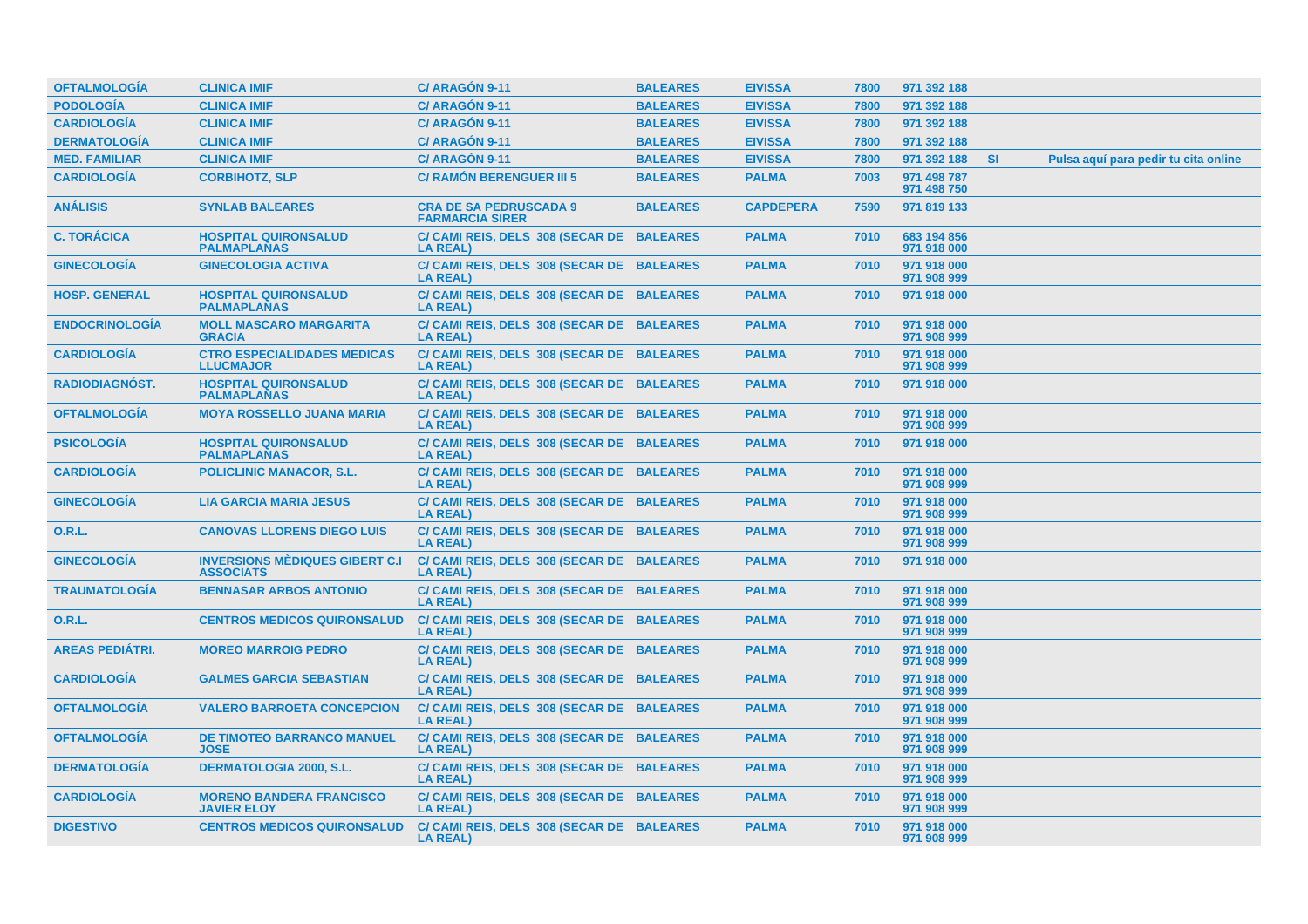| <b>OFTALMOLOGÍA</b>    | <b>CLINICA IMIF</b>                                       | C/ARAGÓN 9-11                                                | <b>BALEARES</b> | <b>EIVISSA</b>   | 7800 | 971 392 188                |           |                                      |
|------------------------|-----------------------------------------------------------|--------------------------------------------------------------|-----------------|------------------|------|----------------------------|-----------|--------------------------------------|
| <b>PODOLOGÍA</b>       | <b>CLINICA IMIF</b>                                       | C/ ARAGÓN 9-11                                               | <b>BALEARES</b> | <b>EIVISSA</b>   | 7800 | 971 392 188                |           |                                      |
| <b>CARDIOLOGÍA</b>     | <b>CLINICA IMIF</b>                                       | C/ ARAGÓN 9-11                                               | <b>BALEARES</b> | <b>EIVISSA</b>   | 7800 | 971 392 188                |           |                                      |
| <b>DERMATOLOGÍA</b>    | <b>CLINICA IMIF</b>                                       | C/ ARAGÓN 9-11                                               | <b>BALEARES</b> | <b>EIVISSA</b>   | 7800 | 971 392 188                |           |                                      |
| <b>MED. FAMILIAR</b>   | <b>CLINICA IMIF</b>                                       | C/ ARAGÓN 9-11                                               | <b>BALEARES</b> | <b>EIVISSA</b>   | 7800 | 971 392 188                | <b>SI</b> | Pulsa aquí para pedir tu cita online |
| <b>CARDIOLOGÍA</b>     | <b>CORBIHOTZ, SLP</b>                                     | <b>C/ RAMÓN BERENGUER III 5</b>                              | <b>BALEARES</b> | <b>PALMA</b>     | 7003 | 971 498 787<br>971 498 750 |           |                                      |
| <b>ANÁLISIS</b>        | <b>SYNLAB BALEARES</b>                                    | <b>CRA DE SA PEDRUSCADA 9</b><br><b>FARMARCIA SIRER</b>      | <b>BALEARES</b> | <b>CAPDEPERA</b> | 7590 | 971 819 133                |           |                                      |
| <b>C. TORÁCICA</b>     | <b>HOSPITAL QUIRONSALUD</b><br><b>PALMAPLANAS</b>         | C/ CAMI REIS, DELS 308 (SECAR DE BALEARES<br><b>LA REAL)</b> |                 | <b>PALMA</b>     | 7010 | 683 194 856<br>971 918 000 |           |                                      |
| <b>GINECOLOGIA</b>     | <b>GINECOLOGIA ACTIVA</b>                                 | C/ CAMI REIS, DELS 308 (SECAR DE BALEARES<br><b>LA REAL)</b> |                 | <b>PALMA</b>     | 7010 | 971 918 000<br>971 908 999 |           |                                      |
| <b>HOSP. GENERAL</b>   | <b>HOSPITAL QUIRONSALUD</b><br><b>PALMAPLANAS</b>         | C/ CAMI REIS, DELS 308 (SECAR DE BALEARES<br><b>LA REAL)</b> |                 | <b>PALMA</b>     | 7010 | 971 918 000                |           |                                      |
| <b>ENDOCRINOLOGÍA</b>  | <b>MOLL MASCARO MARGARITA</b><br><b>GRACIA</b>            | C/ CAMI REIS, DELS 308 (SECAR DE BALEARES<br><b>LA REAL)</b> |                 | <b>PALMA</b>     | 7010 | 971 918 000<br>971 908 999 |           |                                      |
| <b>CARDIOLOGÍA</b>     | <b>CTRO ESPECIALIDADES MEDICAS</b><br><b>LLUCMAJOR</b>    | C/ CAMI REIS, DELS 308 (SECAR DE BALEARES<br><b>LA REAL)</b> |                 | <b>PALMA</b>     | 7010 | 971 918 000<br>971 908 999 |           |                                      |
| <b>RADIODIAGNOST.</b>  | <b>HOSPITAL QUIRONSALUD</b><br><b>PALMAPLANAS</b>         | C/ CAMI REIS, DELS 308 (SECAR DE BALEARES<br><b>LA REAL)</b> |                 | <b>PALMA</b>     | 7010 | 971 918 000                |           |                                      |
| <b>OFTALMOLOGIA</b>    | <b>MOYA ROSSELLO JUANA MARIA</b>                          | C/ CAMI REIS, DELS 308 (SECAR DE BALEARES<br><b>LA REAL)</b> |                 | <b>PALMA</b>     | 7010 | 971 918 000<br>971 908 999 |           |                                      |
| <b>PSICOLOGÍA</b>      | <b>HOSPITAL QUIRONSALUD</b><br><b>PALMAPLANAS</b>         | C/ CAMI REIS, DELS 308 (SECAR DE BALEARES<br><b>LA REAL)</b> |                 | <b>PALMA</b>     | 7010 | 971 918 000                |           |                                      |
| <b>CARDIOLOGÍA</b>     | <b>POLICLINIC MANACOR, S.L.</b>                           | C/ CAMI REIS, DELS 308 (SECAR DE BALEARES<br><b>LA REAL)</b> |                 | <b>PALMA</b>     | 7010 | 971 918 000<br>971 908 999 |           |                                      |
| <b>GINECOLOGÍA</b>     | <b>LIA GARCIA MARIA JESUS</b>                             | C/ CAMI REIS, DELS 308 (SECAR DE BALEARES<br><b>LA REAL)</b> |                 | <b>PALMA</b>     | 7010 | 971 918 000<br>971 908 999 |           |                                      |
| <b>O.R.L.</b>          | <b>CANOVAS LLORENS DIEGO LUIS</b>                         | C/ CAMI REIS, DELS 308 (SECAR DE BALEARES<br><b>LA REAL)</b> |                 | <b>PALMA</b>     | 7010 | 971 918 000<br>971 908 999 |           |                                      |
| <b>GINECOLOGÍA</b>     | <b>INVERSIONS MÈDIQUES GIBERT C.I</b><br><b>ASSOCIATS</b> | C/ CAMI REIS, DELS 308 (SECAR DE BALEARES<br><b>LA REAL)</b> |                 | <b>PALMA</b>     | 7010 | 971 918 000                |           |                                      |
| <b>TRAUMATOLOGÍA</b>   | <b>BENNASAR ARBOS ANTONIO</b>                             | C/ CAMI REIS, DELS 308 (SECAR DE BALEARES<br><b>LA REAL)</b> |                 | <b>PALMA</b>     | 7010 | 971 918 000<br>971 908 999 |           |                                      |
| <b>O.R.L.</b>          | <b>CENTROS MEDICOS QUIRONSALUD</b>                        | C/ CAMI REIS, DELS 308 (SECAR DE BALEARES<br>LA REAL)        |                 | <b>PALMA</b>     | 7010 | 971 918 000<br>971 908 999 |           |                                      |
| <b>AREAS PEDIÁTRI.</b> | <b>MOREO MARROIG PEDRO</b>                                | C/ CAMI REIS, DELS 308 (SECAR DE BALEARES<br><b>LA REAL)</b> |                 | <b>PALMA</b>     | 7010 | 971 918 000<br>971 908 999 |           |                                      |
| <b>CARDIOLOGÍA</b>     | <b>GALMES GARCIA SEBASTIAN</b>                            | C/ CAMI REIS, DELS 308 (SECAR DE BALEARES<br><b>LA REAL)</b> |                 | <b>PALMA</b>     | 7010 | 971 918 000<br>971 908 999 |           |                                      |
| <b>OFTALMOLOGÍA</b>    | <b>VALERO BARROETA CONCEPCION</b>                         | C/ CAMI REIS, DELS 308 (SECAR DE BALEARES<br><b>LA REAL)</b> |                 | <b>PALMA</b>     | 7010 | 971 918 000<br>971 908 999 |           |                                      |
| <b>OFTALMOLOGÍA</b>    | <b>DE TIMOTEO BARRANCO MANUEL</b><br><b>JOSE</b>          | C/ CAMI REIS, DELS 308 (SECAR DE BALEARES<br><b>LA REAL)</b> |                 | <b>PALMA</b>     | 7010 | 971 918 000<br>971 908 999 |           |                                      |
| <b>DERMATOLOGÍA</b>    | <b>DERMATOLOGIA 2000, S.L.</b>                            | C/ CAMI REIS, DELS 308 (SECAR DE BALEARES<br><b>LA REAL)</b> |                 | <b>PALMA</b>     | 7010 | 971 918 000<br>971 908 999 |           |                                      |
| <b>CARDIOLOGÍA</b>     | <b>MORENO BANDERA FRANCISCO</b><br><b>JAVIER ELOY</b>     | C/ CAMI REIS, DELS 308 (SECAR DE BALEARES<br><b>LA REAL)</b> |                 | <b>PALMA</b>     | 7010 | 971 918 000<br>971 908 999 |           |                                      |
| <b>DIGESTIVO</b>       | <b>CENTROS MEDICOS QUIRONSALUD</b>                        | C/ CAMI REIS, DELS 308 (SECAR DE BALEARES<br><b>LA REAL)</b> |                 | <b>PALMA</b>     | 7010 | 971 918 000<br>971 908 999 |           |                                      |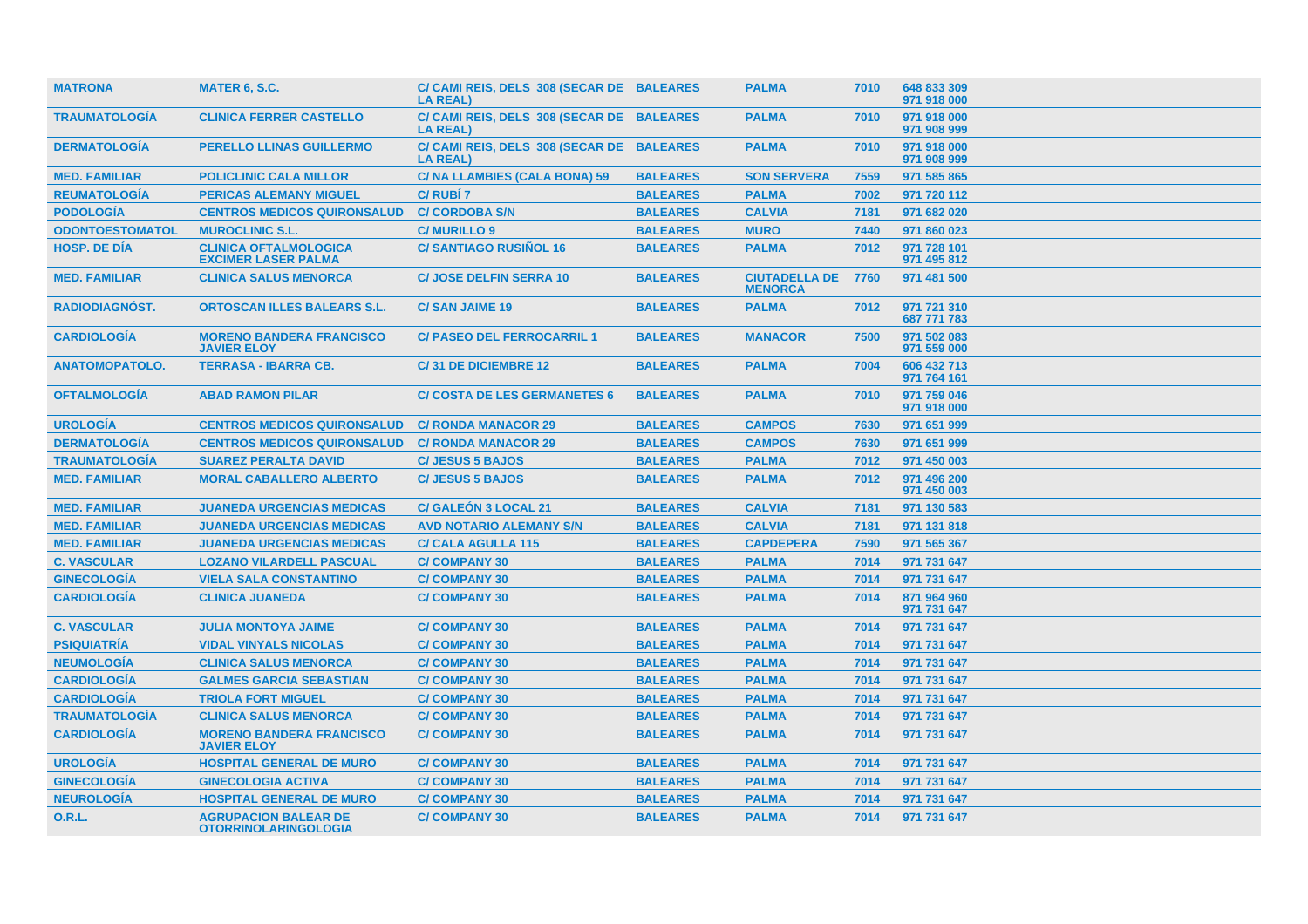| <b>MATRONA</b>         | <b>MATER 6, S.C.</b>                                       | C/ CAMI REIS, DELS 308 (SECAR DE BALEARES<br><b>LA REAL)</b> |                 | <b>PALMA</b>                           | 7010 | 648 833 309<br>971 918 000 |
|------------------------|------------------------------------------------------------|--------------------------------------------------------------|-----------------|----------------------------------------|------|----------------------------|
| <b>TRAUMATOLOGIA</b>   | <b>CLINICA FERRER CASTELLO</b>                             | C/ CAMI REIS, DELS 308 (SECAR DE BALEARES<br><b>LA REAL)</b> |                 | <b>PALMA</b>                           | 7010 | 971 918 000<br>971 908 999 |
| <b>DERMATOLOGIA</b>    | <b>PERELLO LLINAS GUILLERMO</b>                            | C/ CAMI REIS, DELS 308 (SECAR DE BALEARES<br><b>LA REAL)</b> |                 | <b>PALMA</b>                           | 7010 | 971 918 000<br>971 908 999 |
| <b>MED. FAMILIAR</b>   | <b>POLICLINIC CALA MILLOR</b>                              | C/ NA LLAMBIES (CALA BONA) 59                                | <b>BALEARES</b> | <b>SON SERVERA</b>                     | 7559 | 971 585 865                |
| <b>REUMATOLOGÍA</b>    | <b>PERICAS ALEMANY MIGUEL</b>                              | <b>C/RUBI7</b>                                               | <b>BALEARES</b> | <b>PALMA</b>                           | 7002 | 971 720 112                |
| <b>PODOLOGÍA</b>       | <b>CENTROS MEDICOS QUIRONSALUD</b>                         | <b>C/ CORDOBA S/N</b>                                        | <b>BALEARES</b> | <b>CALVIA</b>                          | 7181 | 971 682 020                |
| <b>ODONTOESTOMATOL</b> | <b>MUROCLINIC S.L.</b>                                     | <b>C/MURILLO 9</b>                                           | <b>BALEARES</b> | <b>MURO</b>                            | 7440 | 971 860 023                |
| <b>HOSP. DE DÍA</b>    | <b>CLINICA OFTALMOLOGICA</b><br><b>EXCIMER LASER PALMA</b> | <b>C/SANTIAGO RUSIÑOL 16</b>                                 | <b>BALEARES</b> | <b>PALMA</b>                           | 7012 | 971 728 101<br>971 495 812 |
| <b>MED. FAMILIAR</b>   | <b>CLINICA SALUS MENORCA</b>                               | <b>C/ JOSE DELFIN SERRA 10</b>                               | <b>BALEARES</b> | <b>CIUTADELLA DE</b><br><b>MENORCA</b> | 7760 | 971 481 500                |
| <b>RADIODIAGNOST.</b>  | <b>ORTOSCAN ILLES BALEARS S.L.</b>                         | <b>C/SAN JAIME 19</b>                                        | <b>BALEARES</b> | <b>PALMA</b>                           | 7012 | 971 721 310<br>687 771 783 |
| <b>CARDIOLOGIA</b>     | <b>MORENO BANDERA FRANCISCO</b><br><b>JAVIER ELOY</b>      | <b>C/ PASEO DEL FERROCARRIL 1</b>                            | <b>BALEARES</b> | <b>MANACOR</b>                         | 7500 | 971 502 083<br>971 559 000 |
| <b>ANATOMOPATOLO.</b>  | <b>TERRASA - IBARRA CB.</b>                                | C/31 DE DICIEMBRE 12                                         | <b>BALEARES</b> | <b>PALMA</b>                           | 7004 | 606 432 713<br>971 764 161 |
| <b>OFTALMOLOGÍA</b>    | <b>ABAD RAMON PILAR</b>                                    | <b>C/ COSTA DE LES GERMANETES 6</b>                          | <b>BALEARES</b> | <b>PALMA</b>                           | 7010 | 971 759 046<br>971 918 000 |
| <b>UROLOGÍA</b>        | <b>CENTROS MEDICOS QUIRONSALUD</b>                         | <b>C/ RONDA MANACOR 29</b>                                   | <b>BALEARES</b> | <b>CAMPOS</b>                          | 7630 | 971 651 999                |
| <b>DERMATOLOGÍA</b>    | <b>CENTROS MEDICOS QUIRONSALUD</b>                         | <b>C/ RONDA MANACOR 29</b>                                   | <b>BALEARES</b> | <b>CAMPOS</b>                          | 7630 | 971 651 999                |
| <b>TRAUMATOLOGIA</b>   | <b>SUAREZ PERALTA DAVID</b>                                | <b>C/JESUS 5 BAJOS</b>                                       | <b>BALEARES</b> | <b>PALMA</b>                           | 7012 | 971 450 003                |
| <b>MED. FAMILIAR</b>   | <b>MORAL CABALLERO ALBERTO</b>                             | <b>C/JESUS 5 BAJOS</b>                                       | <b>BALEARES</b> | <b>PALMA</b>                           | 7012 | 971 496 200<br>971 450 003 |
| <b>MED. FAMILIAR</b>   | <b>JUANEDA URGENCIAS MEDICAS</b>                           | <b>C/ GALEÓN 3 LOCAL 21</b>                                  | <b>BALEARES</b> | <b>CALVIA</b>                          | 7181 | 971 130 583                |
| <b>MED. FAMILIAR</b>   | <b>JUANEDA URGENCIAS MEDICAS</b>                           | <b>AVD NOTARIO ALEMANY S/N</b>                               | <b>BALEARES</b> | <b>CALVIA</b>                          | 7181 | 971 131 818                |
| <b>MED. FAMILIAR</b>   | <b>JUANEDA URGENCIAS MEDICAS</b>                           | <b>C/ CALA AGULLA 115</b>                                    | <b>BALEARES</b> | <b>CAPDEPERA</b>                       | 7590 | 971 565 367                |
| <b>C. VASCULAR</b>     | <b>LOZANO VILARDELL PASCUAL</b>                            | <b>C/COMPANY 30</b>                                          | <b>BALEARES</b> | <b>PALMA</b>                           | 7014 | 971 731 647                |
| <b>GINECOLOGÍA</b>     | <b>VIELA SALA CONSTANTINO</b>                              | <b>C/COMPANY 30</b>                                          | <b>BALEARES</b> | <b>PALMA</b>                           | 7014 | 971 731 647                |
| <b>CARDIOLOGÍA</b>     | <b>CLINICA JUANEDA</b>                                     | <b>C/COMPANY 30</b>                                          | <b>BALEARES</b> | <b>PALMA</b>                           | 7014 | 871 964 960<br>971 731 647 |
| <b>C. VASCULAR</b>     | <b>JULIA MONTOYA JAIME</b>                                 | <b>C/COMPANY 30</b>                                          | <b>BALEARES</b> | <b>PALMA</b>                           | 7014 | 971 731 647                |
| <b>PSIQUIATRÍA</b>     | <b>VIDAL VINYALS NICOLAS</b>                               | <b>C/COMPANY 30</b>                                          | <b>BALEARES</b> | <b>PALMA</b>                           | 7014 | 971 731 647                |
| <b>NEUMOLOGÍA</b>      | <b>CLINICA SALUS MENORCA</b>                               | <b>C/COMPANY 30</b>                                          | <b>BALEARES</b> | <b>PALMA</b>                           | 7014 | 971 731 647                |
| <b>CARDIOLOGÍA</b>     | <b>GALMES GARCIA SEBASTIAN</b>                             | <b>C/COMPANY 30</b>                                          | <b>BALEARES</b> | <b>PALMA</b>                           | 7014 | 971 731 647                |
| <b>CARDIOLOGÍA</b>     | <b>TRIOLA FORT MIGUEL</b>                                  | <b>C/COMPANY 30</b>                                          | <b>BALEARES</b> | <b>PALMA</b>                           | 7014 | 971 731 647                |
| <b>TRAUMATOLOGÍA</b>   | <b>CLINICA SALUS MENORCA</b>                               | <b>C/COMPANY 30</b>                                          | <b>BALEARES</b> | <b>PALMA</b>                           | 7014 | 971 731 647                |
| <b>CARDIOLOGÍA</b>     | <b>MORENO BANDERA FRANCISCO</b><br><b>JAVIER ELOY</b>      | <b>C/COMPANY 30</b>                                          | <b>BALEARES</b> | <b>PALMA</b>                           | 7014 | 971 731 647                |
| <b>UROLOGÍA</b>        | <b>HOSPITAL GENERAL DE MURO</b>                            | <b>C/COMPANY 30</b>                                          | <b>BALEARES</b> | <b>PALMA</b>                           | 7014 | 971 731 647                |
| <b>GINECOLOGÍA</b>     | <b>GINECOLOGIA ACTIVA</b>                                  | <b>C/COMPANY 30</b>                                          | <b>BALEARES</b> | <b>PALMA</b>                           | 7014 | 971 731 647                |
| <b>NEUROLOGÍA</b>      | <b>HOSPITAL GENERAL DE MURO</b>                            | <b>C/COMPANY 30</b>                                          | <b>BALEARES</b> | <b>PALMA</b>                           | 7014 | 971 731 647                |
| <b>O.R.L.</b>          | <b>AGRUPACION BALEAR DE</b><br><b>OTORRINOLARINGOLOGIA</b> | <b>C/COMPANY 30</b>                                          | <b>BALEARES</b> | <b>PALMA</b>                           | 7014 | 971 731 647                |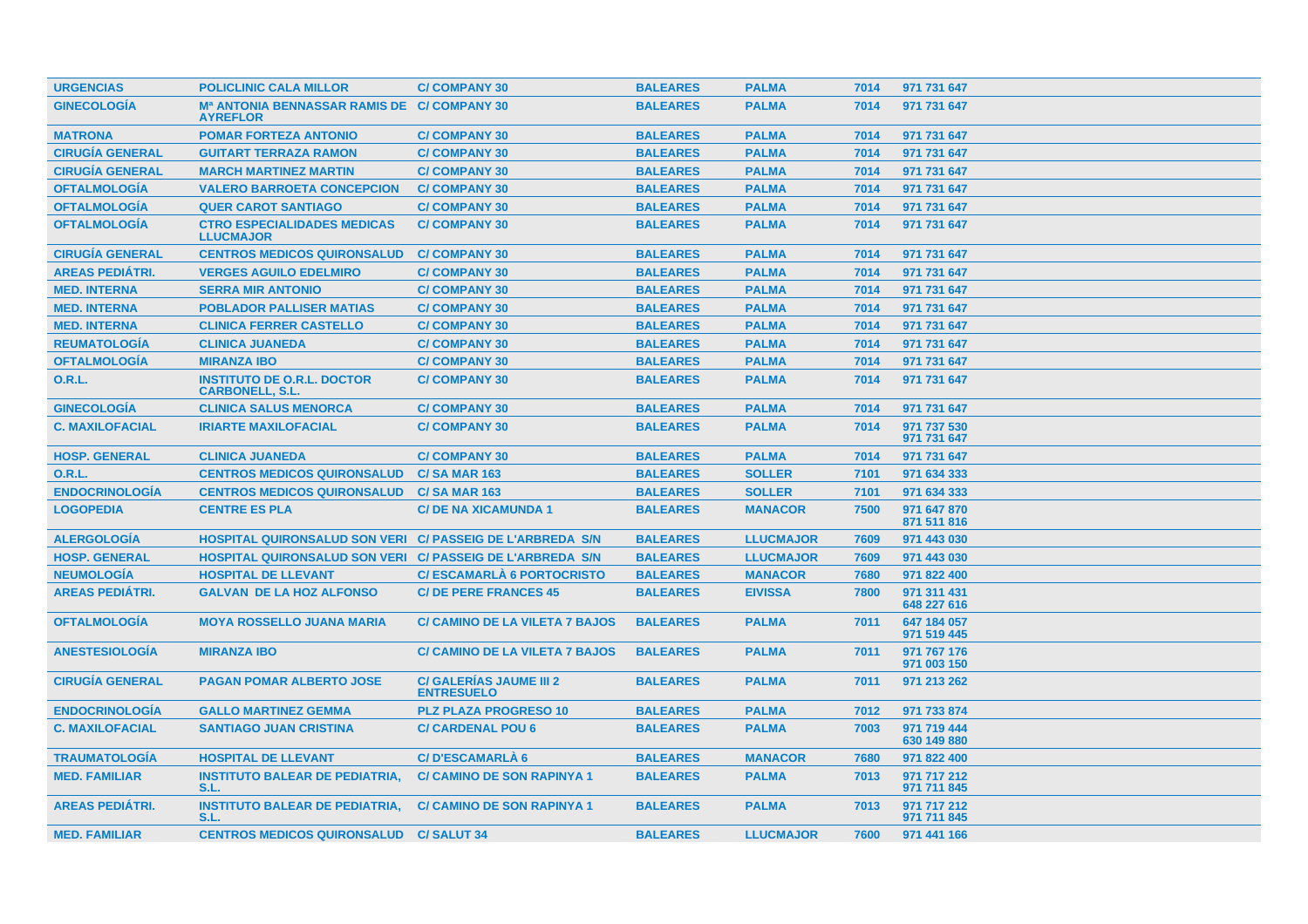| <b>URGENCIAS</b>       | <b>POLICLINIC CALA MILLOR</b>                                    | <b>C/COMPANY 30</b>                                 | <b>BALEARES</b> | <b>PALMA</b>     | 7014 | 971 731 647                |
|------------------------|------------------------------------------------------------------|-----------------------------------------------------|-----------------|------------------|------|----------------------------|
| <b>GINECOLOGÍA</b>     | Mª ANTONIA BENNASSAR RAMIS DE C/ COMPANY 30<br><b>AYREFLOR</b>   |                                                     | <b>BALEARES</b> | <b>PALMA</b>     | 7014 | 971 731 647                |
| <b>MATRONA</b>         | <b>POMAR FORTEZA ANTONIO</b>                                     | <b>C/COMPANY 30</b>                                 | <b>BALEARES</b> | <b>PALMA</b>     | 7014 | 971 731 647                |
| <b>CIRUGÍA GENERAL</b> | <b>GUITART TERRAZA RAMON</b>                                     | <b>C/COMPANY 30</b>                                 | <b>BALEARES</b> | <b>PALMA</b>     | 7014 | 971 731 647                |
| <b>CIRUGÍA GENERAL</b> | <b>MARCH MARTINEZ MARTIN</b>                                     | <b>C/COMPANY 30</b>                                 | <b>BALEARES</b> | <b>PALMA</b>     | 7014 | 971 731 647                |
| <b>OFTALMOLOGÍA</b>    | <b>VALERO BARROETA CONCEPCION</b>                                | <b>C/COMPANY 30</b>                                 | <b>BALEARES</b> | <b>PALMA</b>     | 7014 | 971 731 647                |
| <b>OFTALMOLOGÍA</b>    | <b>QUER CAROT SANTIAGO</b>                                       | <b>C/COMPANY 30</b>                                 | <b>BALEARES</b> | <b>PALMA</b>     | 7014 | 971 731 647                |
| <b>OFTALMOLOGÍA</b>    | <b>CTRO ESPECIALIDADES MEDICAS</b><br><b>LLUCMAJOR</b>           | <b>C/COMPANY 30</b>                                 | <b>BALEARES</b> | <b>PALMA</b>     | 7014 | 971 731 647                |
| <b>CIRUGIA GENERAL</b> | <b>CENTROS MEDICOS QUIRONSALUD</b>                               | <b>C/COMPANY 30</b>                                 | <b>BALEARES</b> | <b>PALMA</b>     | 7014 | 971 731 647                |
| <b>AREAS PEDIATRI.</b> | <b>VERGES AGUILO EDELMIRO</b>                                    | <b>C/COMPANY 30</b>                                 | <b>BALEARES</b> | <b>PALMA</b>     | 7014 | 971 731 647                |
| <b>MED. INTERNA</b>    | <b>SERRA MIR ANTONIO</b>                                         | <b>C/COMPANY 30</b>                                 | <b>BALEARES</b> | <b>PALMA</b>     | 7014 | 971 731 647                |
| <b>MED. INTERNA</b>    | <b>POBLADOR PALLISER MATIAS</b>                                  | <b>C/COMPANY 30</b>                                 | <b>BALEARES</b> | <b>PALMA</b>     | 7014 | 971 731 647                |
| <b>MED. INTERNA</b>    | <b>CLINICA FERRER CASTELLO</b>                                   | <b>C/COMPANY 30</b>                                 | <b>BALEARES</b> | <b>PALMA</b>     | 7014 | 971 731 647                |
| <b>REUMATOLOGÍA</b>    | <b>CLINICA JUANEDA</b>                                           | <b>C/COMPANY 30</b>                                 | <b>BALEARES</b> | <b>PALMA</b>     | 7014 | 971 731 647                |
| <b>OFTALMOLOGÍA</b>    | <b>MIRANZA IBO</b>                                               | <b>C/COMPANY 30</b>                                 | <b>BALEARES</b> | <b>PALMA</b>     | 7014 | 971 731 647                |
| <b>O.R.L.</b>          | <b>INSTITUTO DE O.R.L. DOCTOR</b><br><b>CARBONELL, S.L.</b>      | <b>C/COMPANY 30</b>                                 | <b>BALEARES</b> | <b>PALMA</b>     | 7014 | 971 731 647                |
| <b>GINECOLOGIA</b>     | <b>CLINICA SALUS MENORCA</b>                                     | <b>C/COMPANY 30</b>                                 | <b>BALEARES</b> | <b>PALMA</b>     | 7014 | 971 731 647                |
| <b>C. MAXILOFACIAL</b> | <b>IRIARTE MAXILOFACIAL</b>                                      | <b>C/COMPANY 30</b>                                 | <b>BALEARES</b> | <b>PALMA</b>     | 7014 | 971 737 530<br>971 731 647 |
| <b>HOSP. GENERAL</b>   | <b>CLINICA JUANEDA</b>                                           | <b>C/COMPANY 30</b>                                 | <b>BALEARES</b> | <b>PALMA</b>     | 7014 | 971 731 647                |
| <b>O.R.L.</b>          | <b>CENTROS MEDICOS QUIRONSALUD</b>                               | <b>C/SA MAR 163</b>                                 | <b>BALEARES</b> | <b>SOLLER</b>    | 7101 | 971 634 333                |
| <b>ENDOCRINOLOGÍA</b>  | <b>CENTROS MEDICOS QUIRONSALUD</b>                               | <b>C/SA MAR 163</b>                                 | <b>BALEARES</b> | <b>SOLLER</b>    | 7101 | 971 634 333                |
| <b>LOGOPEDIA</b>       | <b>CENTRE ES PLA</b>                                             | <b>C/DE NA XICAMUNDA 1</b>                          | <b>BALEARES</b> | <b>MANACOR</b>   | 7500 | 971 647 870<br>871 511 816 |
| <b>ALERGOLOGIA</b>     | <b>HOSPITAL QUIRONSALUD SON VERI C/ PASSEIG DE L'ARBREDA S/N</b> |                                                     | <b>BALEARES</b> | <b>LLUCMAJOR</b> | 7609 | 971 443 030                |
| <b>HOSP. GENERAL</b>   | <b>HOSPITAL QUIRONSALUD SON VERI C/ PASSEIG DE L'ARBREDA S/N</b> |                                                     | <b>BALEARES</b> | <b>LLUCMAJOR</b> | 7609 | 971 443 030                |
| <b>NEUMOLOGÍA</b>      | <b>HOSPITAL DE LLEVANT</b>                                       | <b>C/ESCAMARLA 6 PORTOCRISTO</b>                    | <b>BALEARES</b> | <b>MANACOR</b>   | 7680 | 971 822 400                |
| <b>AREAS PEDIATRI.</b> | <b>GALVAN DE LA HOZ ALFONSO</b>                                  | <b>C/DE PERE FRANCES 45</b>                         | <b>BALEARES</b> | <b>EIVISSA</b>   | 7800 | 971 311 431<br>648 227 616 |
| <b>OFTALMOLOGÍA</b>    | <b>MOYA ROSSELLO JUANA MARIA</b>                                 | <b>C/ CAMINO DE LA VILETA 7 BAJOS</b>               | <b>BALEARES</b> | <b>PALMA</b>     | 7011 | 647 184 057<br>971 519 445 |
| <b>ANESTESIOLOGIA</b>  | <b>MIRANZA IBO</b>                                               | <b>C/ CAMINO DE LA VILETA 7 BAJOS</b>               | <b>BALEARES</b> | <b>PALMA</b>     | 7011 | 971 767 176<br>971 003 150 |
| <b>CIRUGIA GENERAL</b> | <b>PAGAN POMAR ALBERTO JOSE</b>                                  | <b>C/ GALERIAS JAUME III 2</b><br><b>ENTRESUELO</b> | <b>BALEARES</b> | <b>PALMA</b>     | 7011 | 971 213 262                |
| <b>ENDOCRINOLOGIA</b>  | <b>GALLO MARTINEZ GEMMA</b>                                      | <b>PLZ PLAZA PROGRESO 10</b>                        | <b>BALEARES</b> | <b>PALMA</b>     | 7012 | 971 733 874                |
| <b>C. MAXILOFACIAL</b> | <b>SANTIAGO JUAN CRISTINA</b>                                    | <b>C/ CARDENAL POU 6</b>                            | <b>BALEARES</b> | <b>PALMA</b>     | 7003 | 971 719 444<br>630 149 880 |
| <b>TRAUMATOLOGÍA</b>   | <b>HOSPITAL DE LLEVANT</b>                                       | <b>C/D'ESCAMARLÀ 6</b>                              | <b>BALEARES</b> | <b>MANACOR</b>   | 7680 | 971 822 400                |
| <b>MED. FAMILIAR</b>   | <b>INSTITUTO BALEAR DE PEDIATRIA,</b><br><b>S.L.</b>             | <b>C/ CAMINO DE SON RAPINYA 1</b>                   | <b>BALEARES</b> | <b>PALMA</b>     | 7013 | 971 717 212<br>971 711 845 |
| <b>AREAS PEDIÁTRI.</b> | <b>INSTITUTO BALEAR DE PEDIATRIA.</b><br>S.L.                    | <b>C/ CAMINO DE SON RAPINYA 1</b>                   | <b>BALEARES</b> | <b>PALMA</b>     | 7013 | 971 717 212<br>971 711 845 |
| <b>MED. FAMILIAR</b>   | <b>CENTROS MEDICOS QUIRONSALUD C/ SALUT 34</b>                   |                                                     | <b>BALEARES</b> | <b>LLUCMAJOR</b> | 7600 | 971 441 166                |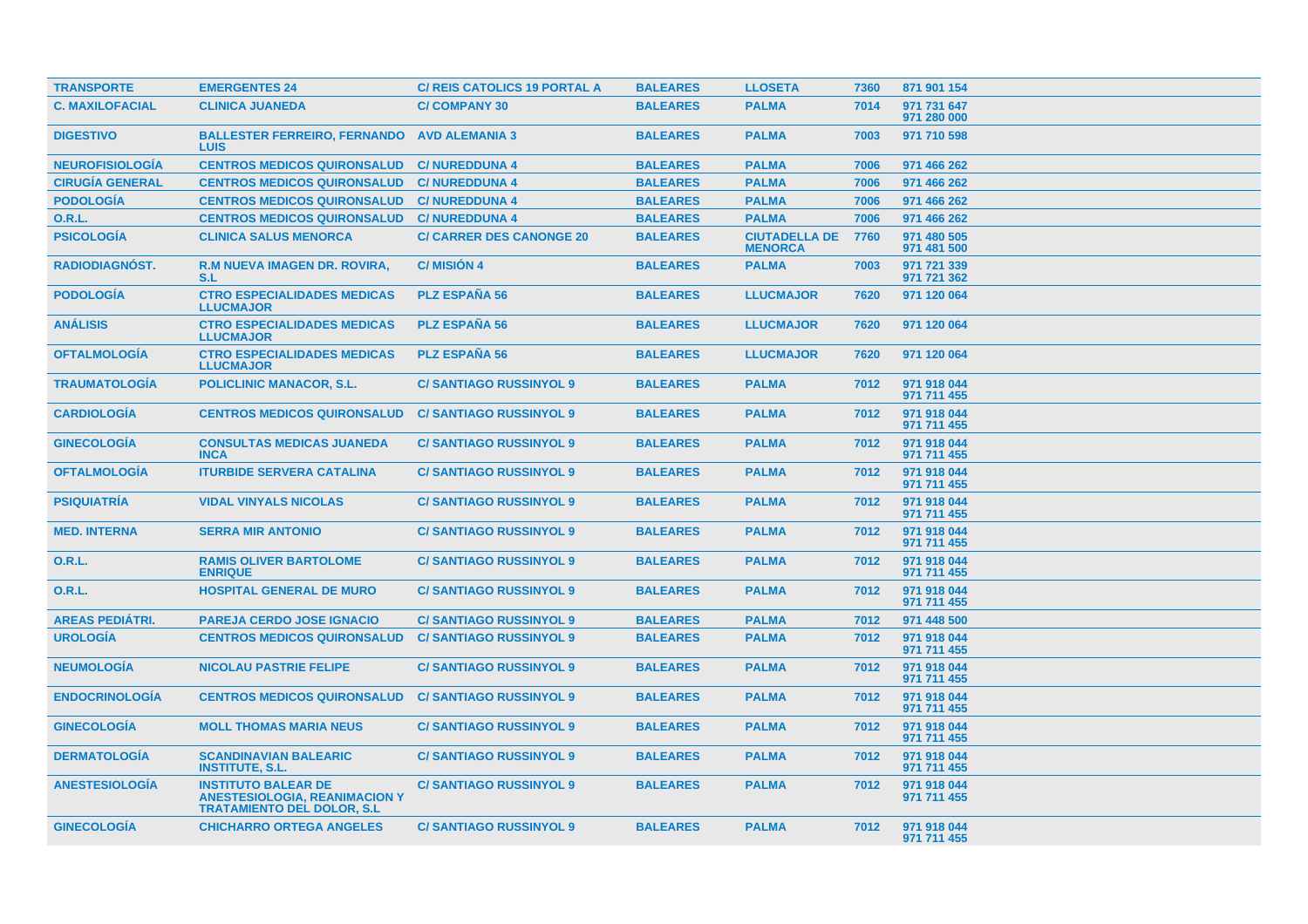| <b>TRANSPORTE</b>      | <b>EMERGENTES 24</b>                                                                                    | <b>C/ REIS CATOLICS 19 PORTAL A</b> | <b>BALEARES</b> | <b>LLOSETA</b>                         | 7360 | 871 901 154                |
|------------------------|---------------------------------------------------------------------------------------------------------|-------------------------------------|-----------------|----------------------------------------|------|----------------------------|
| <b>C. MAXILOFACIAL</b> | <b>CLINICA JUANEDA</b>                                                                                  | <b>C/COMPANY 30</b>                 | <b>BALEARES</b> | <b>PALMA</b>                           | 7014 | 971 731 647<br>971 280 000 |
| <b>DIGESTIVO</b>       | <b>BALLESTER FERREIRO, FERNANDO</b><br><b>LUIS</b>                                                      | <b>AVD ALEMANIA 3</b>               | <b>BALEARES</b> | <b>PALMA</b>                           | 7003 | 971 710 598                |
| <b>NEUROFISIOLOGÍA</b> | <b>CENTROS MEDICOS QUIRONSALUD</b>                                                                      | <b>C/NUREDDUNA 4</b>                | <b>BALEARES</b> | <b>PALMA</b>                           | 7006 | 971 466 262                |
| <b>CIRUGÍA GENERAL</b> | <b>CENTROS MEDICOS QUIRONSALUD</b>                                                                      | <b>C/NUREDDUNA 4</b>                | <b>BALEARES</b> | <b>PALMA</b>                           | 7006 | 971 466 262                |
| <b>PODOLOGIA</b>       | <b>CENTROS MEDICOS QUIRONSALUD</b>                                                                      | <b>C/NUREDDUNA 4</b>                | <b>BALEARES</b> | <b>PALMA</b>                           | 7006 | 971 466 262                |
| 0.R.L.                 | <b>CENTROS MEDICOS QUIRONSALUD</b>                                                                      | <b>C/NUREDDUNA 4</b>                | <b>BALEARES</b> | <b>PALMA</b>                           | 7006 | 971 466 262                |
| <b>PSICOLOGÍA</b>      | <b>CLINICA SALUS MENORCA</b>                                                                            | <b>C/ CARRER DES CANONGE 20</b>     | <b>BALEARES</b> | <b>CIUTADELLA DE</b><br><b>MENORCA</b> | 7760 | 971 480 505<br>971 481 500 |
| <b>RADIODIAGNÓST.</b>  | <b>R.M NUEVA IMAGEN DR. ROVIRA,</b><br>S.L                                                              | <b>C/MISIÓN 4</b>                   | <b>BALEARES</b> | <b>PALMA</b>                           | 7003 | 971 721 339<br>971 721 362 |
| <b>PODOLOGÍA</b>       | <b>CTRO ESPECIALIDADES MEDICAS</b><br><b>LLUCMAJOR</b>                                                  | <b>PLZ ESPAÑA 56</b>                | <b>BALEARES</b> | <b>LLUCMAJOR</b>                       | 7620 | 971 120 064                |
| <b>ANÁLISIS</b>        | <b>CTRO ESPECIALIDADES MEDICAS</b><br><b>LLUCMAJOR</b>                                                  | <b>PLZ ESPAÑA 56</b>                | <b>BALEARES</b> | <b>LLUCMAJOR</b>                       | 7620 | 971 120 064                |
| <b>OFTALMOLOGIA</b>    | <b>CTRO ESPECIALIDADES MEDICAS</b><br><b>LLUCMAJOR</b>                                                  | <b>PLZ ESPAÑA 56</b>                | <b>BALEARES</b> | <b>LLUCMAJOR</b>                       | 7620 | 971 120 064                |
| <b>TRAUMATOLOGIA</b>   | <b>POLICLINIC MANACOR, S.L.</b>                                                                         | <b>C/SANTIAGO RUSSINYOL 9</b>       | <b>BALEARES</b> | <b>PALMA</b>                           | 7012 | 971 918 044<br>971 711 455 |
| <b>CARDIOLOGÍA</b>     | <b>CENTROS MEDICOS QUIRONSALUD</b>                                                                      | <b>C/SANTIAGO RUSSINYOL 9</b>       | <b>BALEARES</b> | <b>PALMA</b>                           | 7012 | 971 918 044<br>971 711 455 |
| <b>GINECOLOGIA</b>     | <b>CONSULTAS MEDICAS JUANEDA</b><br><b>INCA</b>                                                         | <b>C/SANTIAGO RUSSINYOL 9</b>       | <b>BALEARES</b> | <b>PALMA</b>                           | 7012 | 971 918 044<br>971 711 455 |
| <b>OFTALMOLOGÍA</b>    | <b>ITURBIDE SERVERA CATALINA</b>                                                                        | <b>C/SANTIAGO RUSSINYOL 9</b>       | <b>BALEARES</b> | <b>PALMA</b>                           | 7012 | 971 918 044<br>971 711 455 |
| <b>PSIQUIATRÍA</b>     | <b>VIDAL VINYALS NICOLAS</b>                                                                            | <b>C/SANTIAGO RUSSINYOL 9</b>       | <b>BALEARES</b> | <b>PALMA</b>                           | 7012 | 971 918 044<br>971 711 455 |
| <b>MED. INTERNA</b>    | <b>SERRA MIR ANTONIO</b>                                                                                | <b>C/SANTIAGO RUSSINYOL 9</b>       | <b>BALEARES</b> | <b>PALMA</b>                           | 7012 | 971 918 044<br>971 711 455 |
| <b>O.R.L.</b>          | <b>RAMIS OLIVER BARTOLOME</b><br><b>ENRIQUE</b>                                                         | <b>C/SANTIAGO RUSSINYOL 9</b>       | <b>BALEARES</b> | <b>PALMA</b>                           | 7012 | 971 918 044<br>971 711 455 |
| <b>O.R.L.</b>          | <b>HOSPITAL GENERAL DE MURO</b>                                                                         | <b>C/SANTIAGO RUSSINYOL 9</b>       | <b>BALEARES</b> | <b>PALMA</b>                           | 7012 | 971 918 044<br>971 711 455 |
| <b>AREAS PEDIÁTRI.</b> | <b>PAREJA CERDO JOSE IGNACIO</b>                                                                        | <b>C/SANTIAGO RUSSINYOL 9</b>       | <b>BALEARES</b> | <b>PALMA</b>                           | 7012 | 971 448 500                |
| <b>UROLOGÍA</b>        | <b>CENTROS MEDICOS QUIRONSALUD</b>                                                                      | <b>C/SANTIAGO RUSSINYOL 9</b>       | <b>BALEARES</b> | <b>PALMA</b>                           | 7012 | 971 918 044<br>971 711 455 |
| <b>NEUMOLOGÍA</b>      | <b>NICOLAU PASTRIE FELIPE</b>                                                                           | <b>C/SANTIAGO RUSSINYOL 9</b>       | <b>BALEARES</b> | <b>PALMA</b>                           | 7012 | 971 918 044<br>971 711 455 |
| <b>ENDOCRINOLOGIA</b>  | <b>CENTROS MEDICOS QUIRONSALUD</b>                                                                      | <b>C/SANTIAGO RUSSINYOL 9</b>       | <b>BALEARES</b> | <b>PALMA</b>                           | 7012 | 971 918 044<br>971 711 455 |
| <b>GINECOLOGÍA</b>     | <b>MOLL THOMAS MARIA NEUS</b>                                                                           | <b>C/SANTIAGO RUSSINYOL 9</b>       | <b>BALEARES</b> | <b>PALMA</b>                           | 7012 | 971 918 044<br>971 711 455 |
| <b>DERMATOLOGIA</b>    | <b>SCANDINAVIAN BALEARIC</b><br><b>INSTITUTE, S.L.</b>                                                  | <b>C/SANTIAGO RUSSINYOL 9</b>       | <b>BALEARES</b> | <b>PALMA</b>                           | 7012 | 971 918 044<br>971 711 455 |
| <b>ANESTESIOLOGÍA</b>  | <b>INSTITUTO BALEAR DE</b><br><b>ANESTESIOLOGIA, REANIMACION Y</b><br><b>TRATAMIENTO DEL DOLOR. S.L</b> | <b>C/SANTIAGO RUSSINYOL 9</b>       | <b>BALEARES</b> | <b>PALMA</b>                           | 7012 | 971 918 044<br>971 711 455 |
| <b>GINECOLOGÍA</b>     | <b>CHICHARRO ORTEGA ANGELES</b>                                                                         | <b>C/SANTIAGO RUSSINYOL 9</b>       | <b>BALEARES</b> | <b>PALMA</b>                           | 7012 | 971 918 044<br>971 711 455 |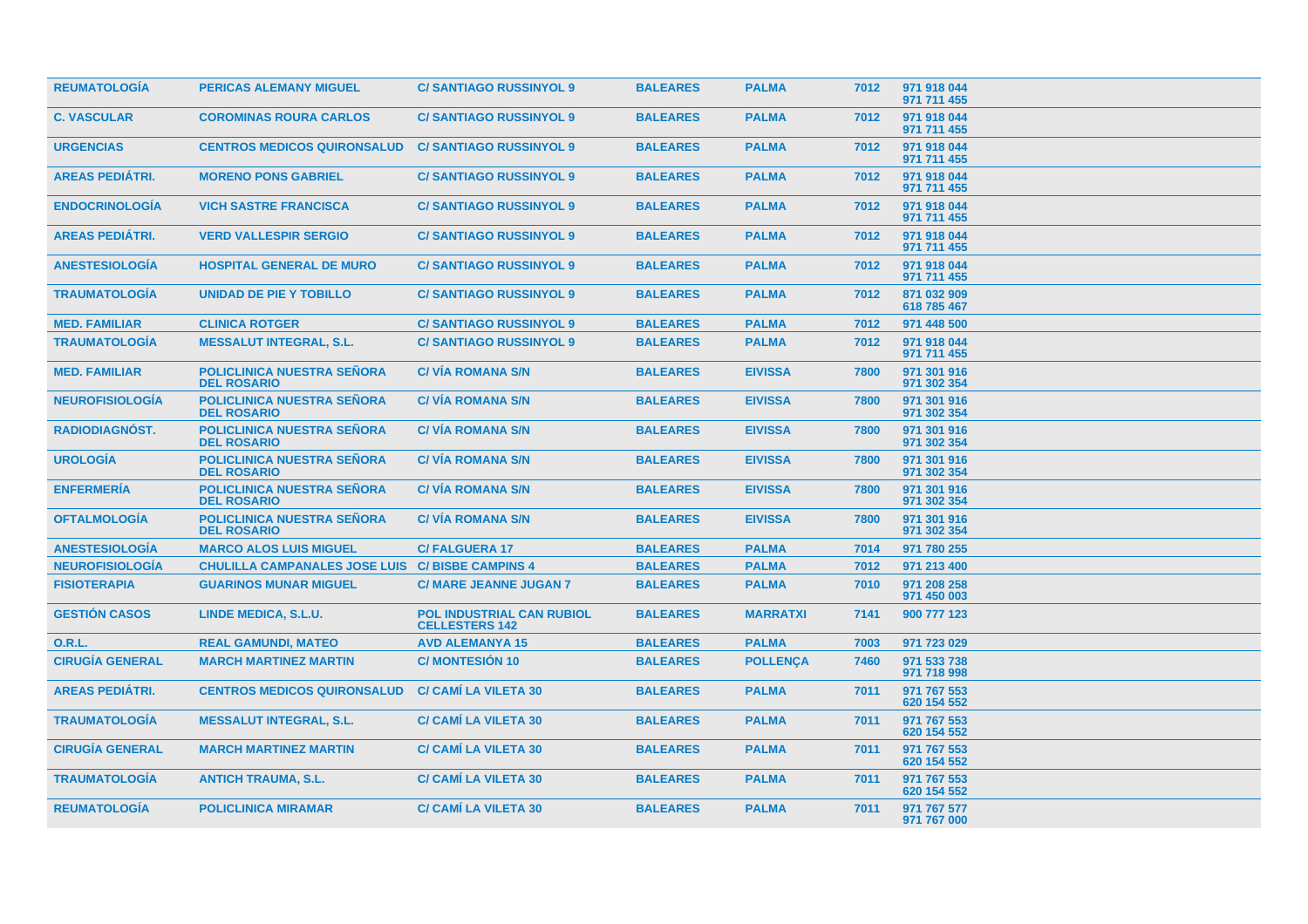| <b>REUMATOLOGÍA</b>    | <b>PERICAS ALEMANY MIGUEL</b>                           | <b>C/SANTIAGO RUSSINYOL 9</b>                             | <b>BALEARES</b> | <b>PALMA</b>    | 7012 | 971 918 044<br>971 711 455 |
|------------------------|---------------------------------------------------------|-----------------------------------------------------------|-----------------|-----------------|------|----------------------------|
| <b>C. VASCULAR</b>     | <b>COROMINAS ROURA CARLOS</b>                           | <b>C/SANTIAGO RUSSINYOL 9</b>                             | <b>BALEARES</b> | <b>PALMA</b>    | 7012 | 971 918 044<br>971 711 455 |
| <b>URGENCIAS</b>       | <b>CENTROS MEDICOS QUIRONSALUD</b>                      | <b>C/SANTIAGO RUSSINYOL 9</b>                             | <b>BALEARES</b> | <b>PALMA</b>    | 7012 | 971 918 044<br>971 711 455 |
| <b>AREAS PEDIÁTRI.</b> | <b>MORENO PONS GABRIEL</b>                              | <b>C/SANTIAGO RUSSINYOL 9</b>                             | <b>BALEARES</b> | <b>PALMA</b>    | 7012 | 971 918 044<br>971 711 455 |
| <b>ENDOCRINOLOGIA</b>  | <b>VICH SASTRE FRANCISCA</b>                            | <b>C/SANTIAGO RUSSINYOL 9</b>                             | <b>BALEARES</b> | <b>PALMA</b>    | 7012 | 971 918 044<br>971 711 455 |
| <b>AREAS PEDIÁTRI.</b> | <b>VERD VALLESPIR SERGIO</b>                            | <b>C/SANTIAGO RUSSINYOL 9</b>                             | <b>BALEARES</b> | <b>PALMA</b>    | 7012 | 971 918 044<br>971 711 455 |
| <b>ANESTESIOLOGÍA</b>  | <b>HOSPITAL GENERAL DE MURO</b>                         | <b>C/SANTIAGO RUSSINYOL 9</b>                             | <b>BALEARES</b> | <b>PALMA</b>    | 7012 | 971 918 044<br>971 711 455 |
| <b>TRAUMATOLOGÍA</b>   | <b>UNIDAD DE PIE Y TOBILLO</b>                          | <b>C/SANTIAGO RUSSINYOL 9</b>                             | <b>BALEARES</b> | <b>PALMA</b>    | 7012 | 871 032 909<br>618 785 467 |
| <b>MED. FAMILIAR</b>   | <b>CLINICA ROTGER</b>                                   | <b>C/SANTIAGO RUSSINYOL 9</b>                             | <b>BALEARES</b> | <b>PALMA</b>    | 7012 | 971 448 500                |
| <b>TRAUMATOLOGÍA</b>   | <b>MESSALUT INTEGRAL, S.L.</b>                          | <b>C/SANTIAGO RUSSINYOL 9</b>                             | <b>BALEARES</b> | <b>PALMA</b>    | 7012 | 971 918 044<br>971 711 455 |
| <b>MED. FAMILIAR</b>   | <b>POLICLINICA NUESTRA SEÑORA</b><br><b>DEL ROSARIO</b> | <b>C/VIA ROMANA S/N</b>                                   | <b>BALEARES</b> | <b>EIVISSA</b>  | 7800 | 971 301 916<br>971 302 354 |
| <b>NEUROFISIOLOGÍA</b> | <b>POLICLINICA NUESTRA SEÑORA</b><br><b>DEL ROSARIO</b> | <b>C/VÍA ROMANA S/N</b>                                   | <b>BALEARES</b> | <b>EIVISSA</b>  | 7800 | 971 301 916<br>971 302 354 |
| <b>RADIODIAGNÓST.</b>  | <b>POLICLINICA NUESTRA SEÑORA</b><br><b>DEL ROSARIO</b> | <b>C/VIA ROMANA S/N</b>                                   | <b>BALEARES</b> | <b>EIVISSA</b>  | 7800 | 971 301 916<br>971 302 354 |
| <b>UROLOGIA</b>        | <b>POLICLINICA NUESTRA SEÑORA</b><br><b>DEL ROSARIO</b> | <b>C/VIA ROMANA S/N</b>                                   | <b>BALEARES</b> | <b>EIVISSA</b>  | 7800 | 971 301 916<br>971 302 354 |
| <b>ENFERMERIA</b>      | <b>POLICLINICA NUESTRA SEÑORA</b><br><b>DEL ROSARIO</b> | <b>C/VIA ROMANA S/N</b>                                   | <b>BALEARES</b> | <b>EIVISSA</b>  | 7800 | 971 301 916<br>971 302 354 |
| <b>OFTALMOLOGIA</b>    | <b>POLICLINICA NUESTRA SEÑORA</b><br><b>DEL ROSARIO</b> | <b>C/VIA ROMANA S/N</b>                                   | <b>BALEARES</b> | <b>EIVISSA</b>  | 7800 | 971 301 916<br>971 302 354 |
| <b>ANESTESIOLOGÍA</b>  | <b>MARCO ALOS LUIS MIGUEL</b>                           | <b>C/FALGUERA 17</b>                                      | <b>BALEARES</b> | <b>PALMA</b>    | 7014 | 971 780 255                |
| <b>NEUROFISIOLOGÍA</b> | CHULILLA CAMPANALES JOSE LUIS C/ BISBE CAMPINS 4        |                                                           | <b>BALEARES</b> | <b>PALMA</b>    | 7012 | 971 213 400                |
| <b>FISIOTERAPIA</b>    | <b>GUARINOS MUNAR MIGUEL</b>                            | <b>C/ MARE JEANNE JUGAN 7</b>                             | <b>BALEARES</b> | <b>PALMA</b>    | 7010 | 971 208 258<br>971 450 003 |
| <b>GESTIÓN CASOS</b>   | LINDE MEDICA, S.L.U.                                    | <b>POL INDUSTRIAL CAN RUBIOL</b><br><b>CELLESTERS 142</b> | <b>BALEARES</b> | <b>MARRATXI</b> | 7141 | 900 777 123                |
| 0.R.L.                 | <b>REAL GAMUNDI, MATEO</b>                              | <b>AVD ALEMANYA 15</b>                                    | <b>BALEARES</b> | <b>PALMA</b>    | 7003 | 971 723 029                |
| <b>CIRUGÍA GENERAL</b> | <b>MARCH MARTINEZ MARTIN</b>                            | <b>C/MONTESIÓN 10</b>                                     | <b>BALEARES</b> | <b>POLLENCA</b> | 7460 | 971 533 738<br>971 718 998 |
| <b>AREAS PEDIÁTRI.</b> | <b>CENTROS MEDICOS QUIRONSALUD</b>                      | <b>C/ CAMI LA VILETA 30</b>                               | <b>BALEARES</b> | <b>PALMA</b>    | 7011 | 971 767 553<br>620 154 552 |
| <b>TRAUMATOLOGIA</b>   | <b>MESSALUT INTEGRAL, S.L.</b>                          | <b>C/ CAMI LA VILETA 30</b>                               | <b>BALEARES</b> | <b>PALMA</b>    | 7011 | 971 767 553<br>620 154 552 |
| <b>CIRUGIA GENERAL</b> | <b>MARCH MARTINEZ MARTIN</b>                            | <b>C/ CAMI LA VILETA 30</b>                               | <b>BALEARES</b> | <b>PALMA</b>    | 7011 | 971 767 553<br>620 154 552 |
| <b>TRAUMATOLOGIA</b>   | <b>ANTICH TRAUMA, S.L.</b>                              | <b>C/ CAMI LA VILETA 30</b>                               | <b>BALEARES</b> | <b>PALMA</b>    | 7011 | 971 767 553<br>620 154 552 |
| <b>REUMATOLOGIA</b>    | <b>POLICLINICA MIRAMAR</b>                              | <b>C/ CAMI LA VILETA 30</b>                               | <b>BALEARES</b> | <b>PALMA</b>    | 7011 | 971 767 577<br>971 767 000 |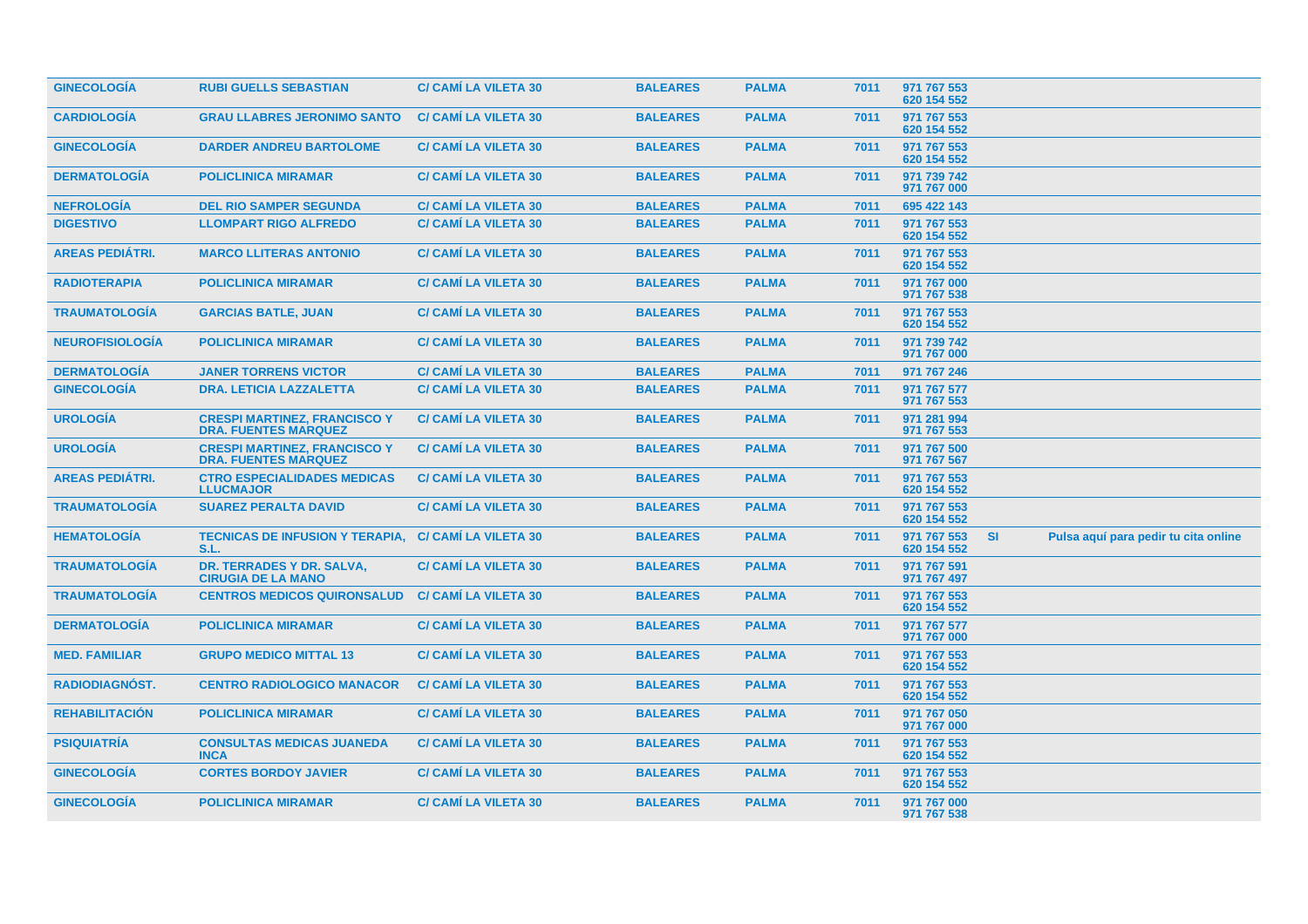| <b>GINECOLOGÍA</b>     | <b>RUBI GUELLS SEBASTIAN</b>                                       | <b>C/ CAMI LA VILETA 30</b> | <b>BALEARES</b> | <b>PALMA</b> | 7011 | 971 767 553<br>620 154 552 |           |                                      |  |
|------------------------|--------------------------------------------------------------------|-----------------------------|-----------------|--------------|------|----------------------------|-----------|--------------------------------------|--|
| <b>CARDIOLOGIA</b>     | <b>GRAU LLABRES JERONIMO SANTO</b>                                 | <b>C/ CAMI LA VILETA 30</b> | <b>BALEARES</b> | <b>PALMA</b> | 7011 | 971 767 553<br>620 154 552 |           |                                      |  |
| <b>GINECOLOGIA</b>     | <b>DARDER ANDREU BARTOLOME</b>                                     | <b>C/ CAMI LA VILETA 30</b> | <b>BALEARES</b> | <b>PALMA</b> | 7011 | 971 767 553<br>620 154 552 |           |                                      |  |
| <b>DERMATOLOGIA</b>    | <b>POLICLINICA MIRAMAR</b>                                         | <b>C/ CAMI LA VILETA 30</b> | <b>BALEARES</b> | <b>PALMA</b> | 7011 | 971 739 742<br>971 767 000 |           |                                      |  |
| <b>NEFROLOGIA</b>      | <b>DEL RIO SAMPER SEGUNDA</b>                                      | <b>C/ CAMI LA VILETA 30</b> | <b>BALEARES</b> | <b>PALMA</b> | 7011 | 695 422 143                |           |                                      |  |
| <b>DIGESTIVO</b>       | <b>LLOMPART RIGO ALFREDO</b>                                       | <b>C/ CAMI LA VILETA 30</b> | <b>BALEARES</b> | <b>PALMA</b> | 7011 | 971 767 553<br>620 154 552 |           |                                      |  |
| <b>AREAS PEDIÁTRI.</b> | <b>MARCO LLITERAS ANTONIO</b>                                      | <b>C/ CAMI LA VILETA 30</b> | <b>BALEARES</b> | <b>PALMA</b> | 7011 | 971 767 553<br>620 154 552 |           |                                      |  |
| <b>RADIOTERAPIA</b>    | <b>POLICLINICA MIRAMAR</b>                                         | <b>C/ CAMI LA VILETA 30</b> | <b>BALEARES</b> | <b>PALMA</b> | 7011 | 971 767 000<br>971 767 538 |           |                                      |  |
| <b>TRAUMATOLOGÍA</b>   | <b>GARCIAS BATLE, JUAN</b>                                         | <b>C/ CAMI LA VILETA 30</b> | <b>BALEARES</b> | <b>PALMA</b> | 7011 | 971 767 553<br>620 154 552 |           |                                      |  |
| <b>NEUROFISIOLOGÍA</b> | <b>POLICLINICA MIRAMAR</b>                                         | <b>C/ CAMI LA VILETA 30</b> | <b>BALEARES</b> | <b>PALMA</b> | 7011 | 971 739 742<br>971 767 000 |           |                                      |  |
| <b>DERMATOLOGÍA</b>    | <b>JANER TORRENS VICTOR</b>                                        | <b>C/ CAMI LA VILETA 30</b> | <b>BALEARES</b> | <b>PALMA</b> | 7011 | 971 767 246                |           |                                      |  |
| <b>GINECOLOGÍA</b>     | <b>DRA. LETICIA LAZZALETTA</b>                                     | <b>C/ CAMÍ LA VILETA 30</b> | <b>BALEARES</b> | <b>PALMA</b> | 7011 | 971 767 577<br>971 767 553 |           |                                      |  |
| <b>UROLOGÍA</b>        | <b>CRESPI MARTINEZ, FRANCISCO Y</b><br><b>DRA. FUENTES MARQUEZ</b> | <b>C/ CAMÍ LA VILETA 30</b> | <b>BALEARES</b> | <b>PALMA</b> | 7011 | 971 281 994<br>971 767 553 |           |                                      |  |
| <b>UROLOGÍA</b>        | <b>CRESPI MARTINEZ, FRANCISCO Y</b><br><b>DRA. FUENTES MARQUEZ</b> | <b>C/ CAMI LA VILETA 30</b> | <b>BALEARES</b> | <b>PALMA</b> | 7011 | 971 767 500<br>971 767 567 |           |                                      |  |
| <b>AREAS PEDIÁTRI.</b> | <b>CTRO ESPECIALIDADES MEDICAS</b><br><b>LLUCMAJOR</b>             | <b>C/ CAMI LA VILETA 30</b> | <b>BALEARES</b> | <b>PALMA</b> | 7011 | 971 767 553<br>620 154 552 |           |                                      |  |
| <b>TRAUMATOLOGÍA</b>   | <b>SUAREZ PERALTA DAVID</b>                                        | <b>C/ CAMI LA VILETA 30</b> | <b>BALEARES</b> | <b>PALMA</b> | 7011 | 971 767 553<br>620 154 552 |           |                                      |  |
| <b>HEMATOLOGÍA</b>     | <b>TECNICAS DE INFUSION Y TERAPIA,</b><br>S.L                      | <b>C/ CAMI LA VILETA 30</b> | <b>BALEARES</b> | <b>PALMA</b> | 7011 | 971 767 553<br>620 154 552 | <b>SI</b> | Pulsa aquí para pedir tu cita online |  |
| <b>TRAUMATOLOGÍA</b>   | DR. TERRADES Y DR. SALVA,<br><b>CIRUGIA DE LA MANO</b>             | <b>C/ CAMI LA VILETA 30</b> | <b>BALEARES</b> | <b>PALMA</b> | 7011 | 971 767 591<br>971 767 497 |           |                                      |  |
| <b>TRAUMATOLOGÍA</b>   | <b>CENTROS MEDICOS QUIRONSALUD</b>                                 | <b>C/ CAMI LA VILETA 30</b> | <b>BALEARES</b> | <b>PALMA</b> | 7011 | 971 767 553<br>620 154 552 |           |                                      |  |
| <b>DERMATOLOGÍA</b>    | <b>POLICLINICA MIRAMAR</b>                                         | <b>C/ CAMI LA VILETA 30</b> | <b>BALEARES</b> | <b>PALMA</b> | 7011 | 971 767 577<br>971 767 000 |           |                                      |  |
| <b>MED. FAMILIAR</b>   | <b>GRUPO MEDICO MITTAL 13</b>                                      | <b>C/ CAMI LA VILETA 30</b> | <b>BALEARES</b> | <b>PALMA</b> | 7011 | 971 767 553<br>620 154 552 |           |                                      |  |
| <b>RADIODIAGNOST.</b>  | <b>CENTRO RADIOLOGICO MANACOR</b>                                  | <b>C/ CAMI LA VILETA 30</b> | <b>BALEARES</b> | <b>PALMA</b> | 7011 | 971 767 553<br>620 154 552 |           |                                      |  |
| <b>REHABILITACION</b>  | <b>POLICLINICA MIRAMAR</b>                                         | <b>C/ CAMI LA VILETA 30</b> | <b>BALEARES</b> | <b>PALMA</b> | 7011 | 971 767 050<br>971 767 000 |           |                                      |  |
| <b>PSIQUIATRIA</b>     | <b>CONSULTAS MEDICAS JUANEDA</b><br><b>INCA</b>                    | <b>C/ CAMI LA VILETA 30</b> | <b>BALEARES</b> | <b>PALMA</b> | 7011 | 971 767 553<br>620 154 552 |           |                                      |  |
| <b>GINECOLOGIA</b>     | <b>CORTES BORDOY JAVIER</b>                                        | <b>C/ CAMI LA VILETA 30</b> | <b>BALEARES</b> | <b>PALMA</b> | 7011 | 971 767 553<br>620 154 552 |           |                                      |  |
| <b>GINECOLOGIA</b>     | <b>POLICLINICA MIRAMAR</b>                                         | <b>C/ CAMI LA VILETA 30</b> | <b>BALEARES</b> | <b>PALMA</b> | 7011 | 971 767 000<br>971 767 538 |           |                                      |  |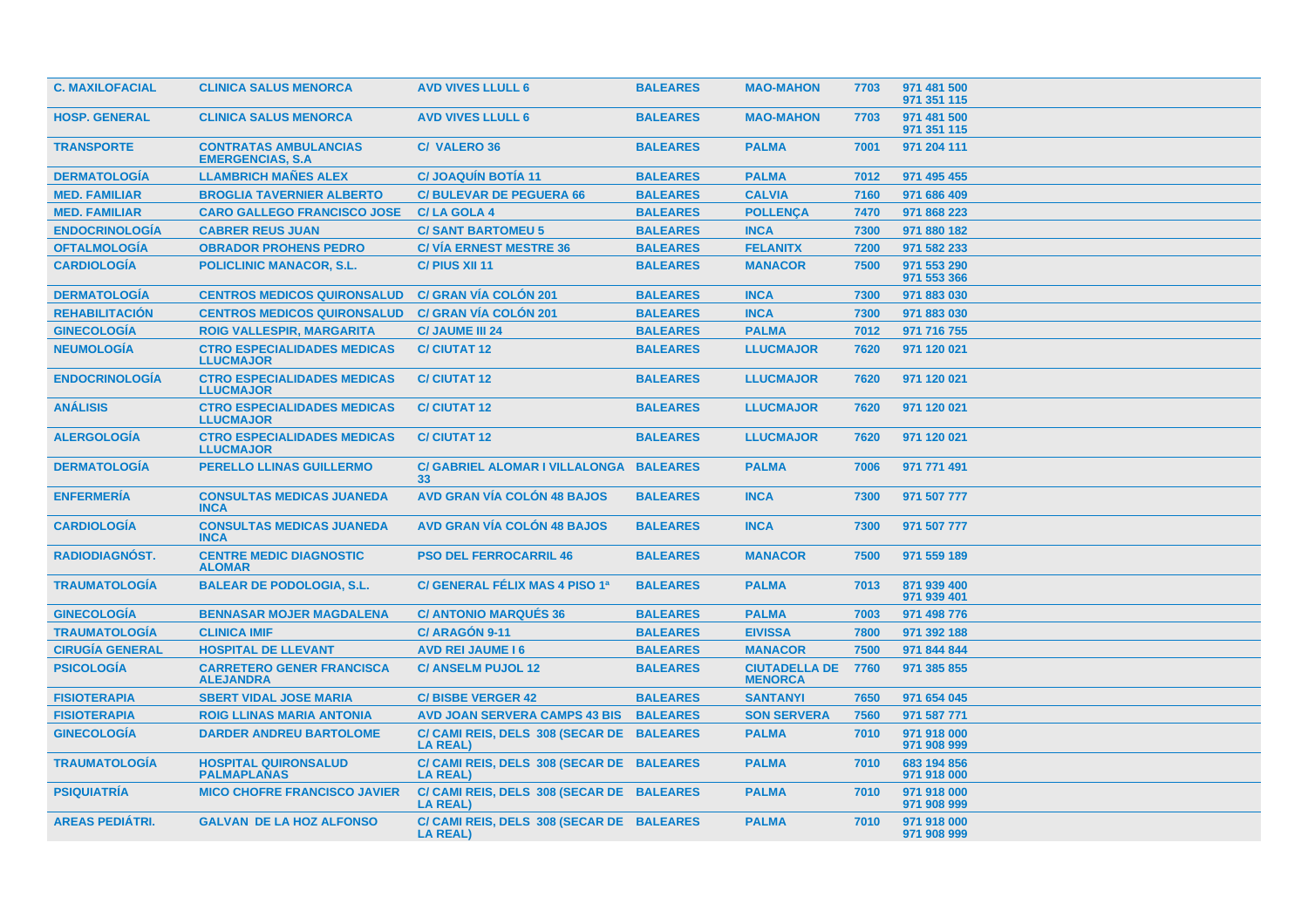| <b>C. MAXILOFACIAL</b> | <b>CLINICA SALUS MENORCA</b>                             | <b>AVD VIVES LLULL 6</b>                                     | <b>BALEARES</b> | <b>MAO-MAHON</b>                       | 7703 | 971 481 500<br>971 351 115 |
|------------------------|----------------------------------------------------------|--------------------------------------------------------------|-----------------|----------------------------------------|------|----------------------------|
| <b>HOSP. GENERAL</b>   | <b>CLINICA SALUS MENORCA</b>                             | <b>AVD VIVES LLULL 6</b>                                     | <b>BALEARES</b> | <b>MAO-MAHON</b>                       | 7703 | 971 481 500<br>971 351 115 |
| <b>TRANSPORTE</b>      | <b>CONTRATAS AMBULANCIAS</b><br><b>EMERGENCIAS, S.A.</b> | <b>C/ VALERO 36</b>                                          | <b>BALEARES</b> | <b>PALMA</b>                           | 7001 | 971 204 111                |
| <b>DERMATOLOGÍA</b>    | <b>LLAMBRICH MAÑES ALEX</b>                              | <b>C/JOAQUIN BOTIA 11</b>                                    | <b>BALEARES</b> | <b>PALMA</b>                           | 7012 | 971 495 455                |
| <b>MED. FAMILIAR</b>   | <b>BROGLIA TAVERNIER ALBERTO</b>                         | <b>C/BULEVAR DE PEGUERA 66</b>                               | <b>BALEARES</b> | <b>CALVIA</b>                          | 7160 | 971 686 409                |
| <b>MED. FAMILIAR</b>   | <b>CARO GALLEGO FRANCISCO JOSE</b>                       | <b>C/LA GOLA 4</b>                                           | <b>BALEARES</b> | <b>POLLENCA</b>                        | 7470 | 971 868 223                |
| <b>ENDOCRINOLOGÍA</b>  | <b>CABRER REUS JUAN</b>                                  | <b>C/ SANT BARTOMEU 5</b>                                    | <b>BALEARES</b> | <b>INCA</b>                            | 7300 | 971 880 182                |
| <b>OFTALMOLOGÍA</b>    | <b>OBRADOR PROHENS PEDRO</b>                             | <b>C/ VIA ERNEST MESTRE 36</b>                               | <b>BALEARES</b> | <b>FELANITX</b>                        | 7200 | 971 582 233                |
| <b>CARDIOLOGÍA</b>     | <b>POLICLINIC MANACOR, S.L.</b>                          | C/ PIUS XII 11                                               | <b>BALEARES</b> | <b>MANACOR</b>                         | 7500 | 971 553 290<br>971 553 366 |
| <b>DERMATOLOGÍA</b>    | <b>CENTROS MEDICOS QUIRONSALUD</b>                       | <b>C/ GRAN VÍA COLÓN 201</b>                                 | <b>BALEARES</b> | <b>INCA</b>                            | 7300 | 971 883 030                |
| <b>REHABILITACION</b>  | <b>CENTROS MEDICOS QUIRONSALUD</b>                       | <b>C/ GRAN VÍA COLÓN 201</b>                                 | <b>BALEARES</b> | <b>INCA</b>                            | 7300 | 971 883 030                |
| <b>GINECOLOGÍA</b>     | <b>ROIG VALLESPIR, MARGARITA</b>                         | <b>C/ JAUME III 24</b>                                       | <b>BALEARES</b> | <b>PALMA</b>                           | 7012 | 971 716 755                |
| <b>NEUMOLOGÍA</b>      | <b>CTRO ESPECIALIDADES MEDICAS</b><br><b>LLUCMAJOR</b>   | <b>C/ CIUTAT 12</b>                                          | <b>BALEARES</b> | <b>LLUCMAJOR</b>                       | 7620 | 971 120 021                |
| <b>ENDOCRINOLOGÍA</b>  | <b>CTRO ESPECIALIDADES MEDICAS</b><br><b>LLUCMAJOR</b>   | <b>C/CIUTAT 12</b>                                           | <b>BALEARES</b> | <b>LLUCMAJOR</b>                       | 7620 | 971 120 021                |
| <b>ANÁLISIS</b>        | <b>CTRO ESPECIALIDADES MEDICAS</b><br><b>LLUCMAJOR</b>   | <b>C/CIUTAT12</b>                                            | <b>BALEARES</b> | <b>LLUCMAJOR</b>                       | 7620 | 971 120 021                |
| <b>ALERGOLOGÍA</b>     | <b>CTRO ESPECIALIDADES MEDICAS</b><br><b>LLUCMAJOR</b>   | <b>C/CIUTAT12</b>                                            | <b>BALEARES</b> | <b>LLUCMAJOR</b>                       | 7620 | 971 120 021                |
| <b>DERMATOLOGIA</b>    | <b>PERELLO LLINAS GUILLERMO</b>                          | C/ GABRIEL ALOMAR I VILLALONGA BALEARES<br>33                |                 | <b>PALMA</b>                           | 7006 | 971 771 491                |
| <b>ENFERMERÍA</b>      | <b>CONSULTAS MEDICAS JUANEDA</b><br><b>INCA</b>          | <b>AVD GRAN VÍA COLÓN 48 BAJOS</b>                           | <b>BALEARES</b> | <b>INCA</b>                            | 7300 | 971 507 777                |
| <b>CARDIOLOGIA</b>     | <b>CONSULTAS MEDICAS JUANEDA</b><br><b>INCA</b>          | <b>AVD GRAN VÍA COLÓN 48 BAJOS</b>                           | <b>BALEARES</b> | <b>INCA</b>                            | 7300 | 971 507 777                |
| <b>RADIODIAGNÓST.</b>  | <b>CENTRE MEDIC DIAGNOSTIC</b><br><b>ALOMAR</b>          | <b>PSO DEL FERROCARRIL 46</b>                                | <b>BALEARES</b> | <b>MANACOR</b>                         | 7500 | 971 559 189                |
| <b>TRAUMATOLOGÍA</b>   | <b>BALEAR DE PODOLOGIA, S.L.</b>                         | C/ GENERAL FÉLIX MAS 4 PISO 1ª                               | <b>BALEARES</b> | <b>PALMA</b>                           | 7013 | 871 939 400<br>971 939 401 |
| <b>GINECOLOGÍA</b>     | <b>BENNASAR MOJER MAGDALENA</b>                          | <b>C/ ANTONIO MARQUÉS 36</b>                                 | <b>BALEARES</b> | <b>PALMA</b>                           | 7003 | 971 498 776                |
| <b>TRAUMATOLOGÍA</b>   | <b>CLINICA IMIF</b>                                      | C/ARAGÓN 9-11                                                | <b>BALEARES</b> | <b>EIVISSA</b>                         | 7800 | 971 392 188                |
| <b>CIRUGÍA GENERAL</b> | <b>HOSPITAL DE LLEVANT</b>                               | <b>AVD REI JAUME 16</b>                                      | <b>BALEARES</b> | <b>MANACOR</b>                         | 7500 | 971 844 844                |
| <b>PSICOLOGÍA</b>      | <b>CARRETERO GENER FRANCISCA</b><br><b>ALEJANDRA</b>     | <b>C/ ANSELM PUJOL 12</b>                                    | <b>BALEARES</b> | <b>CIUTADELLA DE</b><br><b>MENORCA</b> | 7760 | 971 385 855                |
| <b>FISIOTERAPIA</b>    | <b>SBERT VIDAL JOSE MARIA</b>                            | <b>C/BISBE VERGER 42</b>                                     | <b>BALEARES</b> | <b>SANTANYI</b>                        | 7650 | 971 654 045                |
| <b>FISIOTERAPIA</b>    | <b>ROIG LLINAS MARIA ANTONIA</b>                         | <b>AVD JOAN SERVERA CAMPS 43 BIS</b>                         | <b>BALEARES</b> | <b>SON SERVERA</b>                     | 7560 | 971 587 771                |
| <b>GINECOLOGÍA</b>     | <b>DARDER ANDREU BARTOLOME</b>                           | C/ CAMI REIS, DELS 308 (SECAR DE BALEARES<br><b>LA REAL)</b> |                 | <b>PALMA</b>                           | 7010 | 971 918 000<br>971 908 999 |
| <b>TRAUMATOLOGÍA</b>   | <b>HOSPITAL QUIRONSALUD</b><br><b>PALMAPLANAS</b>        | C/ CAMI REIS, DELS 308 (SECAR DE BALEARES<br><b>LA REAL)</b> |                 | <b>PALMA</b>                           | 7010 | 683 194 856<br>971 918 000 |
| <b>PSIQUIATRIA</b>     | <b>MICO CHOFRE FRANCISCO JAVIER</b>                      | C/ CAMI REIS, DELS 308 (SECAR DE BALEARES<br><b>LA REAL)</b> |                 | <b>PALMA</b>                           | 7010 | 971 918 000<br>971 908 999 |
| <b>AREAS PEDIÁTRI.</b> | <b>GALVAN DE LA HOZ ALFONSO</b>                          | C/ CAMI REIS, DELS 308 (SECAR DE BALEARES<br><b>LA REAL)</b> |                 | <b>PALMA</b>                           | 7010 | 971 918 000<br>971 908 999 |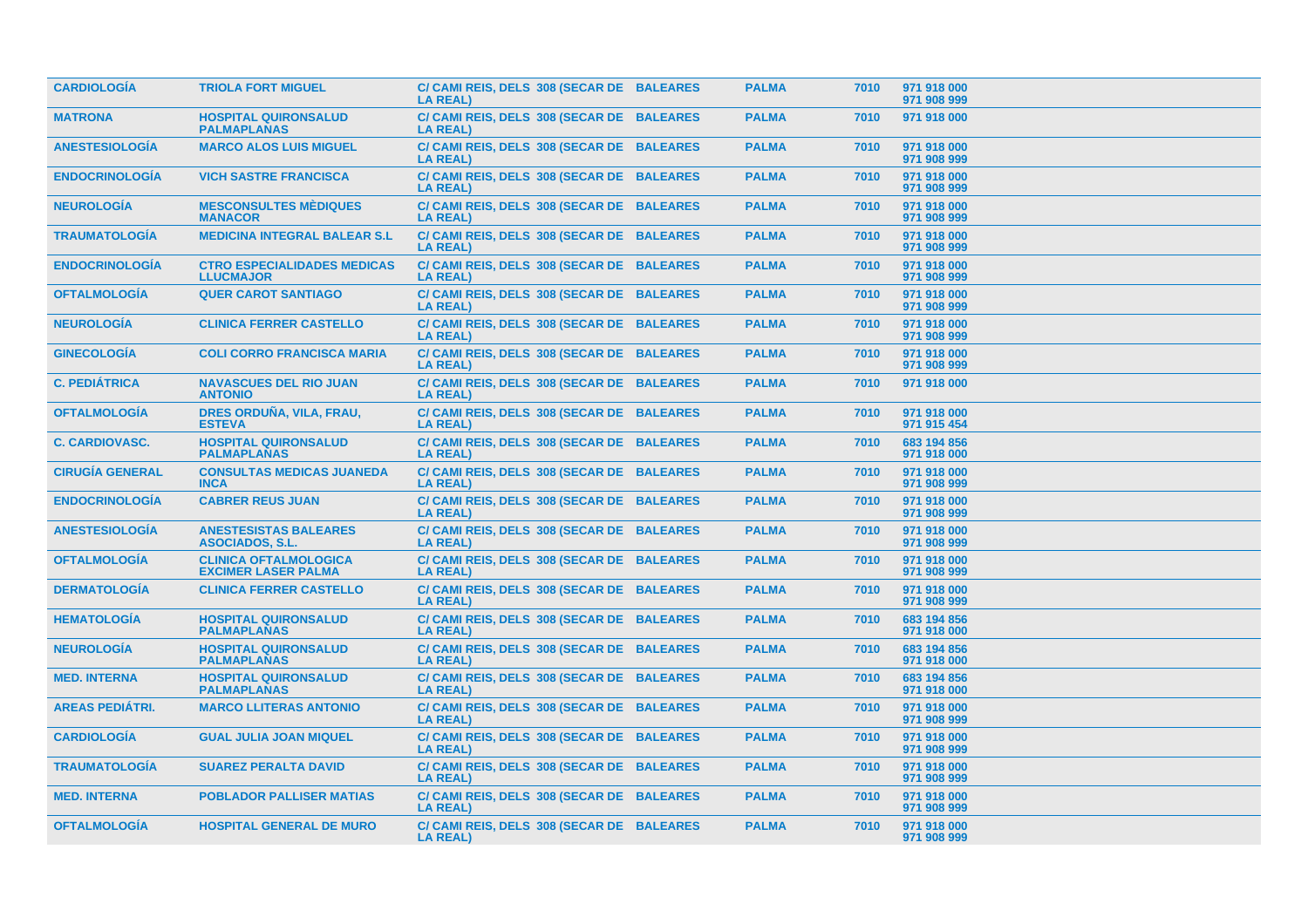| <b>CARDIOLOGÍA</b>     | <b>TRIOLA FORT MIGUEL</b>                                  | C/ CAMI REIS, DELS 308 (SECAR DE BALEARES<br><b>LA REAL)</b> | <b>PALMA</b> | 7010 | 971 918 000<br>971 908 999 |
|------------------------|------------------------------------------------------------|--------------------------------------------------------------|--------------|------|----------------------------|
| <b>MATRONA</b>         | <b>HOSPITAL QUIRONSALUD</b><br><b>PALMAPLANAS</b>          | C/ CAMI REIS, DELS 308 (SECAR DE BALEARES<br><b>LA REAL)</b> | <b>PALMA</b> | 7010 | 971 918 000                |
| <b>ANESTESIOLOGÍA</b>  | <b>MARCO ALOS LUIS MIGUEL</b>                              | C/ CAMI REIS, DELS 308 (SECAR DE BALEARES<br><b>LA REAL)</b> | <b>PALMA</b> | 7010 | 971 918 000<br>971 908 999 |
| <b>ENDOCRINOLOGIA</b>  | <b>VICH SASTRE FRANCISCA</b>                               | C/ CAMI REIS, DELS 308 (SECAR DE BALEARES<br>LA REAL)        | <b>PALMA</b> | 7010 | 971 918 000<br>971 908 999 |
| <b>NEUROLOGÍA</b>      | <b>MESCONSULTES MÉDIQUES</b><br><b>MANACOR</b>             | C/ CAMI REIS, DELS 308 (SECAR DE BALEARES<br><b>LA REAL)</b> | <b>PALMA</b> | 7010 | 971 918 000<br>971 908 999 |
| <b>TRAUMATOLOGÍA</b>   | <b>MEDICINA INTEGRAL BALEAR S.L</b>                        | C/ CAMI REIS, DELS 308 (SECAR DE BALEARES<br><b>LA REAL)</b> | <b>PALMA</b> | 7010 | 971 918 000<br>971 908 999 |
| <b>ENDOCRINOLOGÍA</b>  | <b>CTRO ESPECIALIDADES MEDICAS</b><br><b>LLUCMAJOR</b>     | C/ CAMI REIS, DELS 308 (SECAR DE BALEARES<br><b>LA REAL)</b> | <b>PALMA</b> | 7010 | 971 918 000<br>971 908 999 |
| <b>OFTALMOLOGIA</b>    | <b>QUER CAROT SANTIAGO</b>                                 | C/ CAMI REIS, DELS 308 (SECAR DE BALEARES<br><b>LA REAL)</b> | <b>PALMA</b> | 7010 | 971 918 000<br>971 908 999 |
| <b>NEUROLOGIA</b>      | <b>CLINICA FERRER CASTELLO</b>                             | C/ CAMI REIS, DELS 308 (SECAR DE BALEARES<br><b>LA REAL)</b> | <b>PALMA</b> | 7010 | 971 918 000<br>971 908 999 |
| <b>GINECOLOGÍA</b>     | <b>COLI CORRO FRANCISCA MARIA</b>                          | C/ CAMI REIS, DELS 308 (SECAR DE BALEARES<br><b>LA REAL)</b> | <b>PALMA</b> | 7010 | 971 918 000<br>971 908 999 |
| <b>C. PEDIÁTRICA</b>   | <b>NAVASCUES DEL RIO JUAN</b><br><b>ANTONIO</b>            | C/ CAMI REIS, DELS 308 (SECAR DE BALEARES<br><b>LA REAL)</b> | <b>PALMA</b> | 7010 | 971 918 000                |
| <b>OFTALMOLOGÍA</b>    | DRES ORDUÑA, VILA, FRAU,<br><b>ESTEVA</b>                  | C/ CAMI REIS, DELS 308 (SECAR DE BALEARES<br><b>LA REAL)</b> | <b>PALMA</b> | 7010 | 971 918 000<br>971 915 454 |
| <b>C. CARDIOVASC.</b>  | <b>HOSPITAL QUIRONSALUD</b><br><b>PALMAPLANAS</b>          | C/ CAMI REIS, DELS 308 (SECAR DE BALEARES<br><b>LA REAL)</b> | <b>PALMA</b> | 7010 | 683 194 856<br>971 918 000 |
| <b>CIRUGÍA GENERAL</b> | <b>CONSULTAS MEDICAS JUANEDA</b><br><b>INCA</b>            | C/ CAMI REIS, DELS 308 (SECAR DE BALEARES<br><b>LA REAL)</b> | <b>PALMA</b> | 7010 | 971 918 000<br>971 908 999 |
| <b>ENDOCRINOLOGÍA</b>  | <b>CABRER REUS JUAN</b>                                    | C/ CAMI REIS, DELS 308 (SECAR DE BALEARES<br><b>LA REAL)</b> | <b>PALMA</b> | 7010 | 971 918 000<br>971 908 999 |
| <b>ANESTESIOLOGÍA</b>  | <b>ANESTESISTAS BALEARES</b><br><b>ASOCIADOS, S.L.</b>     | C/ CAMI REIS, DELS 308 (SECAR DE BALEARES<br><b>LA REAL)</b> | <b>PALMA</b> | 7010 | 971 918 000<br>971 908 999 |
| <b>OFTALMOLOGIA</b>    | <b>CLINICA OFTALMOLOGICA</b><br><b>EXCIMER LASER PALMA</b> | C/ CAMI REIS, DELS 308 (SECAR DE BALEARES<br><b>LA REAL)</b> | <b>PALMA</b> | 7010 | 971 918 000<br>971 908 999 |
| <b>DERMATOLOGÍA</b>    | <b>CLINICA FERRER CASTELLO</b>                             | C/ CAMI REIS, DELS 308 (SECAR DE BALEARES<br><b>LA REAL)</b> | <b>PALMA</b> | 7010 | 971 918 000<br>971 908 999 |
| <b>HEMATOLOGIA</b>     | <b>HOSPITAL QUIRONSALUD</b><br><b>PALMAPLANAS</b>          | C/ CAMI REIS, DELS 308 (SECAR DE BALEARES<br><b>LA REAL)</b> | <b>PALMA</b> | 7010 | 683 194 856<br>971 918 000 |
| <b>NEUROLOGÍA</b>      | <b>HOSPITAL QUIRONSALUD</b><br><b>PALMAPLANAS</b>          | C/ CAMI REIS, DELS 308 (SECAR DE BALEARES<br><b>LA REAL)</b> | <b>PALMA</b> | 7010 | 683 194 856<br>971 918 000 |
| <b>MED. INTERNA</b>    | <b>HOSPITAL QUIRONSALUD</b><br><b>PALMAPLANAS</b>          | C/ CAMI REIS, DELS 308 (SECAR DE BALEARES<br><b>LA REAL)</b> | <b>PALMA</b> | 7010 | 683 194 856<br>971 918 000 |
| <b>AREAS PEDIÁTRI.</b> | <b>MARCO LLITERAS ANTONIO</b>                              | C/ CAMI REIS, DELS 308 (SECAR DE BALEARES<br><b>LA REAL)</b> | <b>PALMA</b> | 7010 | 971 918 000<br>971 908 999 |
| <b>CARDIOLOGÍA</b>     | <b>GUAL JULIA JOAN MIQUEL</b>                              | C/ CAMI REIS, DELS 308 (SECAR DE BALEARES<br><b>LA REAL)</b> | <b>PALMA</b> | 7010 | 971 918 000<br>971 908 999 |
| <b>TRAUMATOLOGIA</b>   | <b>SUAREZ PERALTA DAVID</b>                                | C/ CAMI REIS, DELS 308 (SECAR DE BALEARES<br><b>LA REAL)</b> | <b>PALMA</b> | 7010 | 971 918 000<br>971 908 999 |
| <b>MED. INTERNA</b>    | <b>POBLADOR PALLISER MATIAS</b>                            | C/ CAMI REIS, DELS 308 (SECAR DE BALEARES<br><b>LA REAL)</b> | <b>PALMA</b> | 7010 | 971 918 000<br>971 908 999 |
| <b>OFTALMOLOGIA</b>    | <b>HOSPITAL GENERAL DE MURO</b>                            | C/ CAMI REIS, DELS 308 (SECAR DE BALEARES<br><b>LA REAL)</b> | <b>PALMA</b> | 7010 | 971 918 000<br>971 908 999 |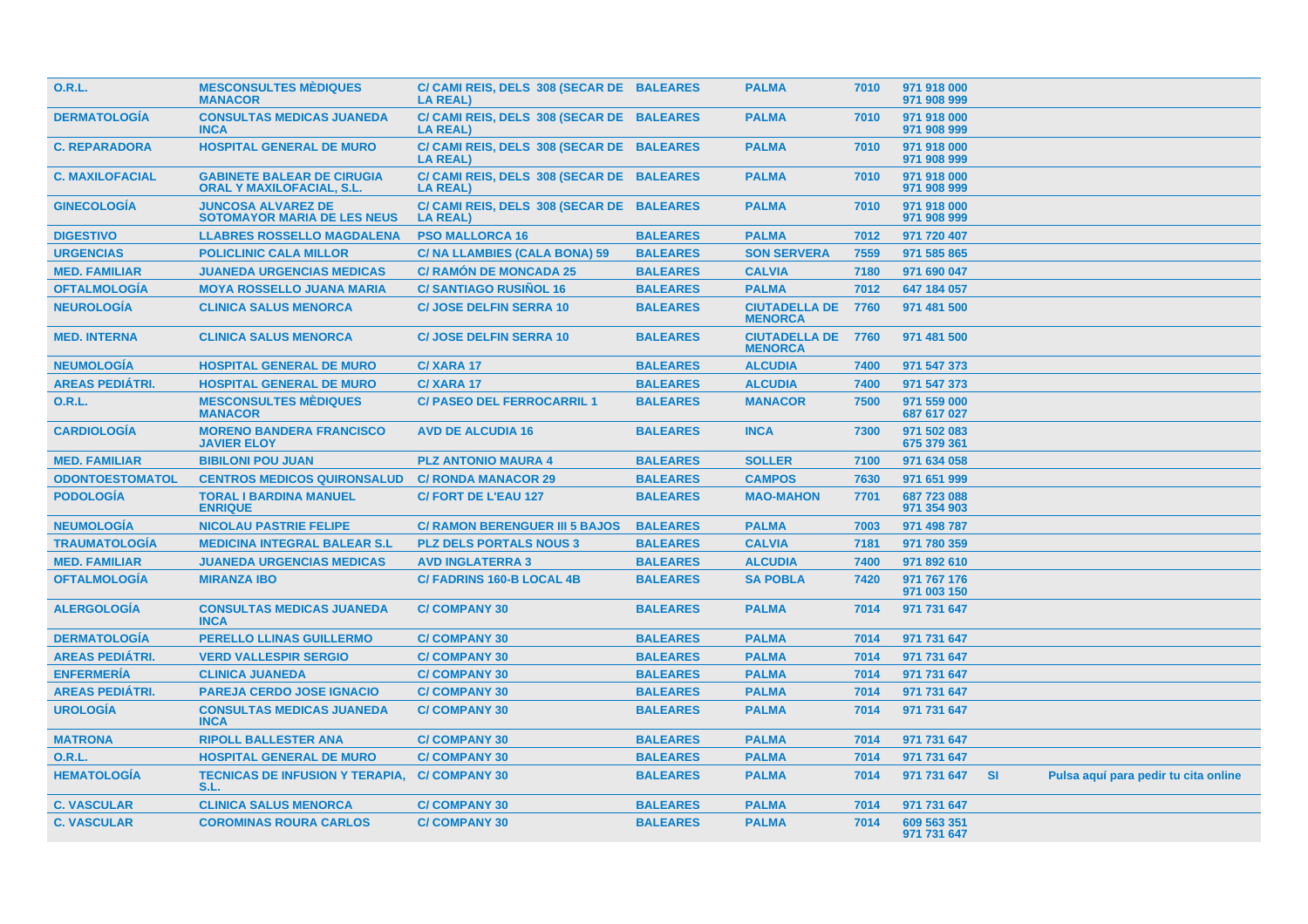| 0.R.L.                 | <b>MESCONSULTES MÉDIQUES</b><br><b>MANACOR</b>                        | C/ CAMI REIS, DELS 308 (SECAR DE BALEARES<br><b>LA REAL)</b> |                 | <b>PALMA</b>                                | 7010 | 971 918 000<br>971 908 999 |  |                                      |  |
|------------------------|-----------------------------------------------------------------------|--------------------------------------------------------------|-----------------|---------------------------------------------|------|----------------------------|--|--------------------------------------|--|
| <b>DERMATOLOGÍA</b>    | <b>CONSULTAS MEDICAS JUANEDA</b><br><b>INCA</b>                       | C/ CAMI REIS, DELS 308 (SECAR DE BALEARES<br><b>LA REAL)</b> |                 | <b>PALMA</b>                                | 7010 | 971 918 000<br>971 908 999 |  |                                      |  |
| <b>C. REPARADORA</b>   | <b>HOSPITAL GENERAL DE MURO</b>                                       | C/ CAMI REIS, DELS 308 (SECAR DE BALEARES<br><b>LA REAL)</b> |                 | <b>PALMA</b>                                | 7010 | 971 918 000<br>971 908 999 |  |                                      |  |
| <b>C. MAXILOFACIAL</b> | <b>GABINETE BALEAR DE CIRUGIA</b><br><b>ORAL Y MAXILOFACIAL, S.L.</b> | C/ CAMI REIS, DELS 308 (SECAR DE BALEARES<br><b>LA REAL)</b> |                 | <b>PALMA</b>                                | 7010 | 971 918 000<br>971 908 999 |  |                                      |  |
| <b>GINECOLOGIA</b>     | <b>JUNCOSA ALVAREZ DE</b><br><b>SOTOMAYOR MARIA DE LES NEUS</b>       | C/ CAMI REIS, DELS 308 (SECAR DE BALEARES<br><b>LA REAL)</b> |                 | <b>PALMA</b>                                | 7010 | 971 918 000<br>971 908 999 |  |                                      |  |
| <b>DIGESTIVO</b>       | <b>LLABRES ROSSELLO MAGDALENA</b>                                     | <b>PSO MALLORCA 16</b>                                       | <b>BALEARES</b> | <b>PALMA</b>                                | 7012 | 971 720 407                |  |                                      |  |
| <b>URGENCIAS</b>       | <b>POLICLINIC CALA MILLOR</b>                                         | C/ NA LLAMBIES (CALA BONA) 59                                | <b>BALEARES</b> | <b>SON SERVERA</b>                          | 7559 | 971 585 865                |  |                                      |  |
| <b>MED. FAMILIAR</b>   | <b>JUANEDA URGENCIAS MEDICAS</b>                                      | <b>C/ RAMÓN DE MONCADA 25</b>                                | <b>BALEARES</b> | <b>CALVIA</b>                               | 7180 | 971 690 047                |  |                                      |  |
| <b>OFTALMOLOGÍA</b>    | <b>MOYA ROSSELLO JUANA MARIA</b>                                      | <b>C/SANTIAGO RUSIÑOL 16</b>                                 | <b>BALEARES</b> | <b>PALMA</b>                                | 7012 | 647 184 057                |  |                                      |  |
| <b>NEUROLOGÍA</b>      | <b>CLINICA SALUS MENORCA</b>                                          | <b>C/ JOSE DELFIN SERRA 10</b>                               | <b>BALEARES</b> | <b>CIUTADELLA DE</b><br><b>MENORCA</b>      | 7760 | 971 481 500                |  |                                      |  |
| <b>MED. INTERNA</b>    | <b>CLINICA SALUS MENORCA</b>                                          | <b>C/ JOSE DELFIN SERRA 10</b>                               | <b>BALEARES</b> | <b>CIUTADELLA DE 7760</b><br><b>MENORCA</b> |      | 971 481 500                |  |                                      |  |
| <b>NEUMOLOGÍA</b>      | <b>HOSPITAL GENERAL DE MURO</b>                                       | C/XARA 17                                                    | <b>BALEARES</b> | <b>ALCUDIA</b>                              | 7400 | 971 547 373                |  |                                      |  |
| <b>AREAS PEDIÁTRI.</b> | <b>HOSPITAL GENERAL DE MURO</b>                                       | C/XARA 17                                                    | <b>BALEARES</b> | <b>ALCUDIA</b>                              | 7400 | 971 547 373                |  |                                      |  |
| 0.R.L.                 | <b>MESCONSULTES MÈDIQUES</b><br><b>MANACOR</b>                        | <b>C/ PASEO DEL FERROCARRIL 1</b>                            | <b>BALEARES</b> | <b>MANACOR</b>                              | 7500 | 971 559 000<br>687 617 027 |  |                                      |  |
| <b>CARDIOLOGÍA</b>     | <b>MORENO BANDERA FRANCISCO</b><br><b>JAVIER ELOY</b>                 | <b>AVD DE ALCUDIA 16</b>                                     | <b>BALEARES</b> | <b>INCA</b>                                 | 7300 | 971 502 083<br>675 379 361 |  |                                      |  |
| <b>MED. FAMILIAR</b>   | <b>BIBILONI POU JUAN</b>                                              | <b>PLZ ANTONIO MAURA 4</b>                                   | <b>BALEARES</b> | <b>SOLLER</b>                               | 7100 | 971 634 058                |  |                                      |  |
| <b>ODONTOESTOMATOL</b> | <b>CENTROS MEDICOS QUIRONSALUD</b>                                    | <b>C/ RONDA MANACOR 29</b>                                   | <b>BALEARES</b> | <b>CAMPOS</b>                               | 7630 | 971 651 999                |  |                                      |  |
| <b>PODOLOGÍA</b>       | <b>TORAL I BARDINA MANUEL</b><br><b>ENRIQUE</b>                       | <b>C/FORT DE L'EAU 127</b>                                   | <b>BALEARES</b> | <b>MAO-MAHON</b>                            | 7701 | 687 723 088<br>971 354 903 |  |                                      |  |
| <b>NEUMOLOGÍA</b>      | <b>NICOLAU PASTRIE FELIPE</b>                                         | <b>C/ RAMON BERENGUER III 5 BAJOS</b>                        | <b>BALEARES</b> | <b>PALMA</b>                                | 7003 | 971 498 787                |  |                                      |  |
| <b>TRAUMATOLOGÍA</b>   | <b>MEDICINA INTEGRAL BALEAR S.L</b>                                   | <b>PLZ DELS PORTALS NOUS 3</b>                               | <b>BALEARES</b> | <b>CALVIA</b>                               | 7181 | 971 780 359                |  |                                      |  |
| <b>MED. FAMILIAR</b>   | <b>JUANEDA URGENCIAS MEDICAS</b>                                      | <b>AVD INGLATERRA 3</b>                                      | <b>BALEARES</b> | <b>ALCUDIA</b>                              | 7400 | 971 892 610                |  |                                      |  |
| <b>OFTALMOLOGÍA</b>    | <b>MIRANZA IBO</b>                                                    | <b>C/ FADRINS 160-B LOCAL 4B</b>                             | <b>BALEARES</b> | <b>SA POBLA</b>                             | 7420 | 971 767 176<br>971 003 150 |  |                                      |  |
| <b>ALERGOLOGÍA</b>     | <b>CONSULTAS MEDICAS JUANEDA</b><br><b>INCA</b>                       | <b>C/COMPANY 30</b>                                          | <b>BALEARES</b> | <b>PALMA</b>                                | 7014 | 971 731 647                |  |                                      |  |
| <b>DERMATOLOGÍA</b>    | <b>PERELLO LLINAS GUILLERMO</b>                                       | <b>C/COMPANY 30</b>                                          | <b>BALEARES</b> | <b>PALMA</b>                                | 7014 | 971 731 647                |  |                                      |  |
| <b>AREAS PEDIÁTRI.</b> | <b>VERD VALLESPIR SERGIO</b>                                          | <b>C/COMPANY 30</b>                                          | <b>BALEARES</b> | <b>PALMA</b>                                | 7014 | 971 731 647                |  |                                      |  |
| <b>ENFERMERÍA</b>      | <b>CLINICA JUANEDA</b>                                                | <b>C/COMPANY 30</b>                                          | <b>BALEARES</b> | <b>PALMA</b>                                | 7014 | 971 731 647                |  |                                      |  |
| <b>AREAS PEDIÁTRI.</b> | <b>PAREJA CERDO JOSE IGNACIO</b>                                      | <b>C/COMPANY 30</b>                                          | <b>BALEARES</b> | <b>PALMA</b>                                | 7014 | 971 731 647                |  |                                      |  |
| <b>UROLOGÍA</b>        | <b>CONSULTAS MEDICAS JUANEDA</b><br><b>INCA</b>                       | <b>C/COMPANY 30</b>                                          | <b>BALEARES</b> | <b>PALMA</b>                                | 7014 | 971 731 647                |  |                                      |  |
| <b>MATRONA</b>         | <b>RIPOLL BALLESTER ANA</b>                                           | <b>C/COMPANY 30</b>                                          | <b>BALEARES</b> | <b>PALMA</b>                                | 7014 | 971 731 647                |  |                                      |  |
| 0.R.L.                 | <b>HOSPITAL GENERAL DE MURO</b>                                       | <b>C/COMPANY 30</b>                                          | <b>BALEARES</b> | <b>PALMA</b>                                | 7014 | 971 731 647                |  |                                      |  |
| <b>HEMATOLOGÍA</b>     | <b>TECNICAS DE INFUSION Y TERAPIA,</b><br>S.L.                        | <b>C/COMPANY 30</b>                                          | <b>BALEARES</b> | <b>PALMA</b>                                | 7014 | 971 731 647 SI             |  | Pulsa aquí para pedir tu cita online |  |
| <b>C. VASCULAR</b>     | <b>CLINICA SALUS MENORCA</b>                                          | <b>C/COMPANY 30</b>                                          | <b>BALEARES</b> | <b>PALMA</b>                                | 7014 | 971 731 647                |  |                                      |  |
| <b>C. VASCULAR</b>     | <b>COROMINAS ROURA CARLOS</b>                                         | <b>C/COMPANY 30</b>                                          | <b>BALEARES</b> | <b>PALMA</b>                                | 7014 | 609 563 351<br>971 731 647 |  |                                      |  |